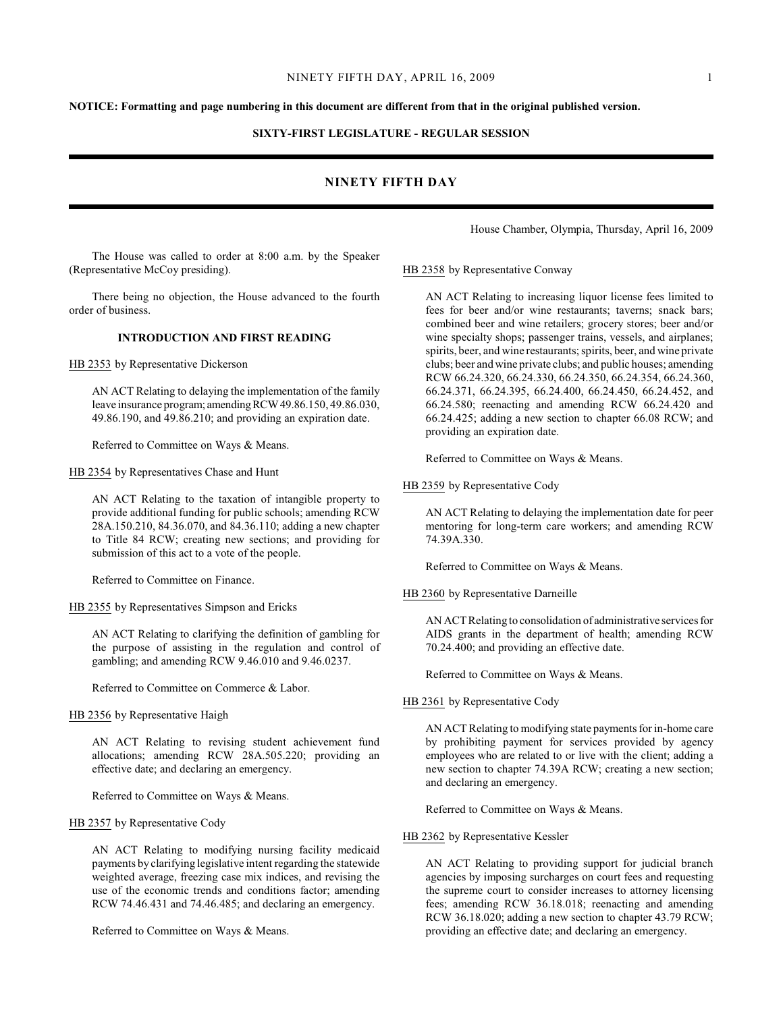#### NINETY FIFTH DAY, APRIL 16, 2009 1

# **NOTICE: Formatting and page numbering in this document are different from that in the original published version.**

# **SIXTY-FIRST LEGISLATURE - REGULAR SESSION**

# **NINETY FIFTH DAY**

## House Chamber, Olympia, Thursday, April 16, 2009

The House was called to order at 8:00 a.m. by the Speaker (Representative McCoy presiding).

There being no objection, the House advanced to the fourth order of business.

# **INTRODUCTION AND FIRST READING**

HB 2353 by Representative Dickerson

AN ACT Relating to delaying the implementation of the family leave insurance program; amending RCW 49.86.150, 49.86.030, 49.86.190, and 49.86.210; and providing an expiration date.

Referred to Committee on Ways & Means.

HB 2354 by Representatives Chase and Hunt

AN ACT Relating to the taxation of intangible property to provide additional funding for public schools; amending RCW 28A.150.210, 84.36.070, and 84.36.110; adding a new chapter to Title 84 RCW; creating new sections; and providing for submission of this act to a vote of the people.

Referred to Committee on Finance.

HB 2355 by Representatives Simpson and Ericks

AN ACT Relating to clarifying the definition of gambling for the purpose of assisting in the regulation and control of gambling; and amending RCW 9.46.010 and 9.46.0237.

Referred to Committee on Commerce & Labor.

HB 2356 by Representative Haigh

AN ACT Relating to revising student achievement fund allocations; amending RCW 28A.505.220; providing an effective date; and declaring an emergency.

Referred to Committee on Ways & Means.

HB 2357 by Representative Cody

AN ACT Relating to modifying nursing facility medicaid payments by clarifying legislative intent regarding the statewide weighted average, freezing case mix indices, and revising the use of the economic trends and conditions factor; amending RCW 74.46.431 and 74.46.485; and declaring an emergency.

Referred to Committee on Ways & Means.

HB 2358 by Representative Conway

AN ACT Relating to increasing liquor license fees limited to fees for beer and/or wine restaurants; taverns; snack bars; combined beer and wine retailers; grocery stores; beer and/or wine specialty shops; passenger trains, vessels, and airplanes; spirits, beer, and wine restaurants; spirits, beer, and wine private clubs; beer and wine private clubs; and public houses; amending RCW 66.24.320, 66.24.330, 66.24.350, 66.24.354, 66.24.360, 66.24.371, 66.24.395, 66.24.400, 66.24.450, 66.24.452, and 66.24.580; reenacting and amending RCW 66.24.420 and 66.24.425; adding a new section to chapter 66.08 RCW; and providing an expiration date.

Referred to Committee on Ways & Means.

HB 2359 by Representative Cody

AN ACT Relating to delaying the implementation date for peer mentoring for long-term care workers; and amending RCW 74.39A.330.

Referred to Committee on Ways & Means.

HB 2360 by Representative Darneille

AN ACT Relating to consolidation of administrative services for AIDS grants in the department of health; amending RCW 70.24.400; and providing an effective date.

Referred to Committee on Ways & Means.

HB 2361 by Representative Cody

AN ACT Relating to modifying state payments for in-home care by prohibiting payment for services provided by agency employees who are related to or live with the client; adding a new section to chapter 74.39A RCW; creating a new section; and declaring an emergency.

Referred to Committee on Ways & Means.

HB 2362 by Representative Kessler

AN ACT Relating to providing support for judicial branch agencies by imposing surcharges on court fees and requesting the supreme court to consider increases to attorney licensing fees; amending RCW 36.18.018; reenacting and amending RCW 36.18.020; adding a new section to chapter 43.79 RCW; providing an effective date; and declaring an emergency.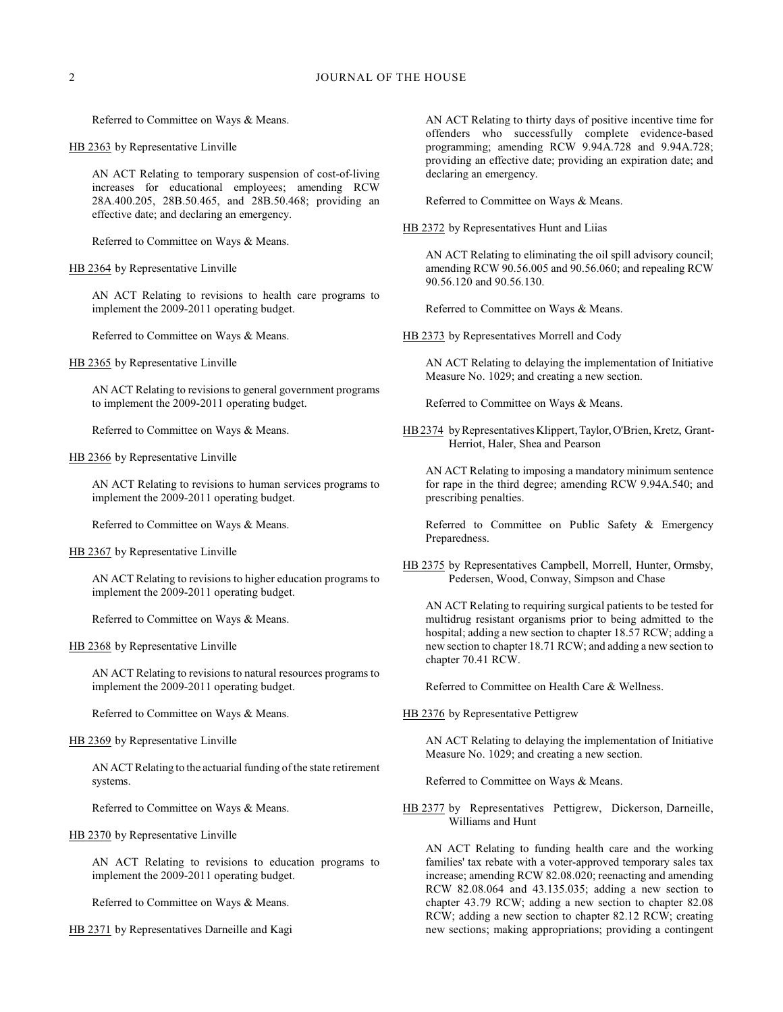Referred to Committee on Ways & Means.

HB 2363 by Representative Linville

AN ACT Relating to temporary suspension of cost-of-living increases for educational employees; amending RCW 28A.400.205, 28B.50.465, and 28B.50.468; providing an effective date; and declaring an emergency.

Referred to Committee on Ways & Means.

HB 2364 by Representative Linville

AN ACT Relating to revisions to health care programs to implement the 2009-2011 operating budget.

Referred to Committee on Ways & Means.

HB 2365 by Representative Linville

AN ACT Relating to revisions to general government programs to implement the 2009-2011 operating budget.

Referred to Committee on Ways & Means.

HB 2366 by Representative Linville

AN ACT Relating to revisions to human services programs to implement the 2009-2011 operating budget.

Referred to Committee on Ways & Means.

HB 2367 by Representative Linville

AN ACT Relating to revisions to higher education programs to implement the 2009-2011 operating budget.

Referred to Committee on Ways & Means.

HB 2368 by Representative Linville

AN ACT Relating to revisions to natural resources programs to implement the 2009-2011 operating budget.

Referred to Committee on Ways & Means.

HB 2369 by Representative Linville

AN ACT Relating to the actuarial funding of the state retirement systems.

Referred to Committee on Ways & Means.

HB 2370 by Representative Linville

AN ACT Relating to revisions to education programs to implement the 2009-2011 operating budget.

Referred to Committee on Ways & Means.

HB 2371 by Representatives Darneille and Kagi

AN ACT Relating to thirty days of positive incentive time for offenders who successfully complete evidence-based programming; amending RCW 9.94A.728 and 9.94A.728; providing an effective date; providing an expiration date; and declaring an emergency.

Referred to Committee on Ways & Means.

HB 2372 by Representatives Hunt and Liias

AN ACT Relating to eliminating the oil spill advisory council; amending RCW 90.56.005 and 90.56.060; and repealing RCW 90.56.120 and 90.56.130.

Referred to Committee on Ways & Means.

HB 2373 by Representatives Morrell and Cody

AN ACT Relating to delaying the implementation of Initiative Measure No. 1029; and creating a new section.

Referred to Committee on Ways & Means.

HB 2374 by Representatives Klippert, Taylor, O'Brien, Kretz, Grant-Herriot, Haler, Shea and Pearson

AN ACT Relating to imposing a mandatory minimum sentence for rape in the third degree; amending RCW 9.94A.540; and prescribing penalties.

Referred to Committee on Public Safety & Emergency Preparedness.

HB 2375 by Representatives Campbell, Morrell, Hunter, Ormsby, Pedersen, Wood, Conway, Simpson and Chase

AN ACT Relating to requiring surgical patients to be tested for multidrug resistant organisms prior to being admitted to the hospital; adding a new section to chapter 18.57 RCW; adding a new section to chapter 18.71 RCW; and adding a new section to chapter 70.41 RCW.

Referred to Committee on Health Care & Wellness.

HB 2376 by Representative Pettigrew

AN ACT Relating to delaying the implementation of Initiative Measure No. 1029; and creating a new section.

Referred to Committee on Ways & Means.

HB 2377 by Representatives Pettigrew, Dickerson, Darneille, Williams and Hunt

AN ACT Relating to funding health care and the working families' tax rebate with a voter-approved temporary sales tax increase; amending RCW 82.08.020; reenacting and amending RCW 82.08.064 and 43.135.035; adding a new section to chapter 43.79 RCW; adding a new section to chapter 82.08 RCW; adding a new section to chapter 82.12 RCW; creating new sections; making appropriations; providing a contingent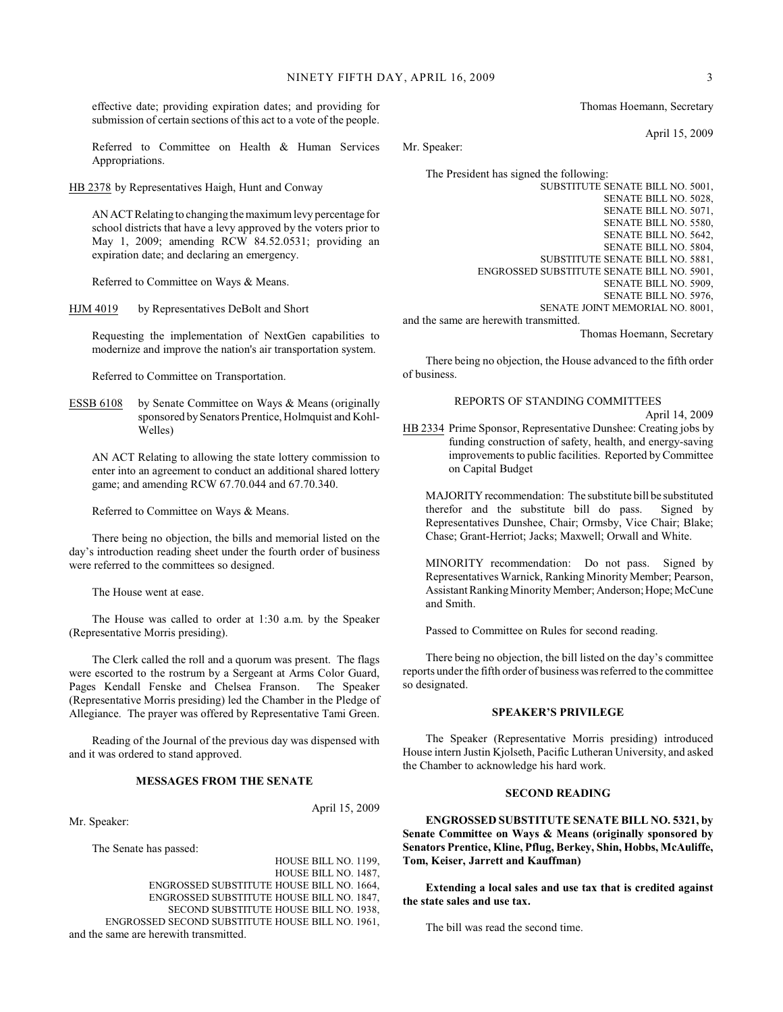effective date; providing expiration dates; and providing for submission of certain sections of this act to a vote of the people.

Referred to Committee on Health & Human Services Appropriations.

HB 2378 by Representatives Haigh, Hunt and Conway

AN ACT Relating to changing the maximum levy percentage for school districts that have a levy approved by the voters prior to May 1, 2009; amending RCW 84.52.0531; providing an expiration date; and declaring an emergency.

Referred to Committee on Ways & Means.

HJM 4019 by Representatives DeBolt and Short

Requesting the implementation of NextGen capabilities to modernize and improve the nation's air transportation system.

Referred to Committee on Transportation.

ESSB 6108 by Senate Committee on Ways & Means (originally sponsored by Senators Prentice, Holmquist and Kohl-Welles)

AN ACT Relating to allowing the state lottery commission to enter into an agreement to conduct an additional shared lottery game; and amending RCW 67.70.044 and 67.70.340.

Referred to Committee on Ways & Means.

There being no objection, the bills and memorial listed on the day's introduction reading sheet under the fourth order of business were referred to the committees so designed.

The House went at ease.

The House was called to order at 1:30 a.m. by the Speaker (Representative Morris presiding).

The Clerk called the roll and a quorum was present. The flags were escorted to the rostrum by a Sergeant at Arms Color Guard, Pages Kendall Fenske and Chelsea Franson. The Speaker (Representative Morris presiding) led the Chamber in the Pledge of Allegiance. The prayer was offered by Representative Tami Green.

Reading of the Journal of the previous day was dispensed with and it was ordered to stand approved.

# **MESSAGES FROM THE SENATE**

Mr. Speaker:

The Senate has passed:

HOUSE BILL NO. 1199, HOUSE BILL NO. 1487, ENGROSSED SUBSTITUTE HOUSE BILL NO. 1664, ENGROSSED SUBSTITUTE HOUSE BILL NO. 1847, SECOND SUBSTITUTE HOUSE BILL NO. 1938, ENGROSSED SECOND SUBSTITUTE HOUSE BILL NO. 1961, and the same are herewith transmitted.

Thomas Hoemann, Secretary

April 15, 2009

Mr. Speaker:

The President has signed the following:

SUBSTITUTE SENATE BILL NO. 5001, SENATE BILL NO. 5028, SENATE BILL NO. 5071, SENATE BILL NO. 5580, SENATE BILL NO. 5642, SENATE BILL NO. 5804, SUBSTITUTE SENATE BILL NO. 5881, ENGROSSED SUBSTITUTE SENATE BILL NO. 5901, SENATE BILL NO. 5909, SENATE BILL NO. 5976, SENATE JOINT MEMORIAL NO. 8001,

and the same are herewith transmitted.

Thomas Hoemann, Secretary

There being no objection, the House advanced to the fifth order of business.

# REPORTS OF STANDING COMMITTEES

April 14, 2009 HB 2334 Prime Sponsor, Representative Dunshee: Creating jobs by funding construction of safety, health, and energy-saving improvements to public facilities. Reported by Committee on Capital Budget

MAJORITY recommendation: The substitute bill be substituted therefor and the substitute bill do pass. Signed by Representatives Dunshee, Chair; Ormsby, Vice Chair; Blake; Chase; Grant-Herriot; Jacks; Maxwell; Orwall and White.

MINORITY recommendation: Do not pass. Signed by Representatives Warnick, Ranking Minority Member; Pearson, Assistant Ranking Minority Member; Anderson; Hope; McCune and Smith.

Passed to Committee on Rules for second reading.

There being no objection, the bill listed on the day's committee reports under the fifth order of business was referred to the committee so designated.

## **SPEAKER'S PRIVILEGE**

The Speaker (Representative Morris presiding) introduced House intern Justin Kjolseth, Pacific Lutheran University, and asked the Chamber to acknowledge his hard work.

# **SECOND READING**

**ENGROSSED SUBSTITUTE SENATE BILL NO. 5321, by Senate Committee on Ways & Means (originally sponsored by Senators Prentice, Kline, Pflug, Berkey, Shin, Hobbs, McAuliffe, Tom, Keiser, Jarrett and Kauffman)**

**Extending a local sales and use tax that is credited against the state sales and use tax.**

The bill was read the second time.

April 15, 2009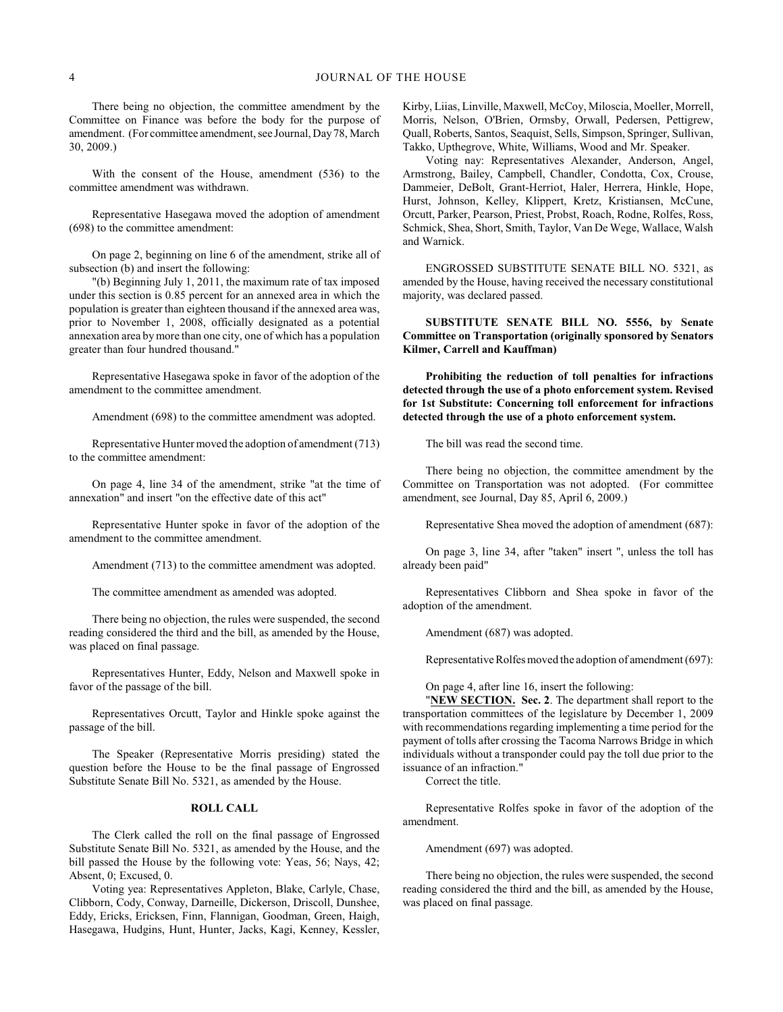There being no objection, the committee amendment by the Committee on Finance was before the body for the purpose of amendment. (For committee amendment, see Journal, Day 78, March 30, 2009.)

With the consent of the House, amendment (536) to the committee amendment was withdrawn.

Representative Hasegawa moved the adoption of amendment (698) to the committee amendment:

On page 2, beginning on line 6 of the amendment, strike all of subsection (b) and insert the following:

"(b) Beginning July 1, 2011, the maximum rate of tax imposed under this section is 0.85 percent for an annexed area in which the population is greater than eighteen thousand if the annexed area was, prior to November 1, 2008, officially designated as a potential annexation area bymore than one city, one of which has a population greater than four hundred thousand."

Representative Hasegawa spoke in favor of the adoption of the amendment to the committee amendment.

Amendment (698) to the committee amendment was adopted.

Representative Huntermoved the adoption of amendment (713) to the committee amendment:

On page 4, line 34 of the amendment, strike "at the time of annexation" and insert "on the effective date of this act"

Representative Hunter spoke in favor of the adoption of the amendment to the committee amendment.

Amendment (713) to the committee amendment was adopted.

The committee amendment as amended was adopted.

There being no objection, the rules were suspended, the second reading considered the third and the bill, as amended by the House, was placed on final passage.

Representatives Hunter, Eddy, Nelson and Maxwell spoke in favor of the passage of the bill.

Representatives Orcutt, Taylor and Hinkle spoke against the passage of the bill.

The Speaker (Representative Morris presiding) stated the question before the House to be the final passage of Engrossed Substitute Senate Bill No. 5321, as amended by the House.

## **ROLL CALL**

The Clerk called the roll on the final passage of Engrossed Substitute Senate Bill No. 5321, as amended by the House, and the bill passed the House by the following vote: Yeas, 56; Nays, 42; Absent, 0; Excused, 0.

Voting yea: Representatives Appleton, Blake, Carlyle, Chase, Clibborn, Cody, Conway, Darneille, Dickerson, Driscoll, Dunshee, Eddy, Ericks, Ericksen, Finn, Flannigan, Goodman, Green, Haigh, Hasegawa, Hudgins, Hunt, Hunter, Jacks, Kagi, Kenney, Kessler,

Kirby, Liias, Linville, Maxwell, McCoy, Miloscia, Moeller, Morrell, Morris, Nelson, O'Brien, Ormsby, Orwall, Pedersen, Pettigrew, Quall, Roberts, Santos, Seaquist, Sells, Simpson, Springer, Sullivan, Takko, Upthegrove, White, Williams, Wood and Mr. Speaker.

Voting nay: Representatives Alexander, Anderson, Angel, Armstrong, Bailey, Campbell, Chandler, Condotta, Cox, Crouse, Dammeier, DeBolt, Grant-Herriot, Haler, Herrera, Hinkle, Hope, Hurst, Johnson, Kelley, Klippert, Kretz, Kristiansen, McCune, Orcutt, Parker, Pearson, Priest, Probst, Roach, Rodne, Rolfes, Ross, Schmick, Shea, Short, Smith, Taylor, Van De Wege, Wallace, Walsh and Warnick.

ENGROSSED SUBSTITUTE SENATE BILL NO. 5321, as amended by the House, having received the necessary constitutional majority, was declared passed.

**SUBSTITUTE SENATE BILL NO. 5556, by Senate Committee on Transportation (originally sponsored by Senators Kilmer, Carrell and Kauffman)**

**Prohibiting the reduction of toll penalties for infractions detected through the use of a photo enforcement system. Revised for 1st Substitute: Concerning toll enforcement for infractions detected through the use of a photo enforcement system.**

The bill was read the second time.

There being no objection, the committee amendment by the Committee on Transportation was not adopted. (For committee amendment, see Journal, Day 85, April 6, 2009.)

Representative Shea moved the adoption of amendment (687):

On page 3, line 34, after "taken" insert ", unless the toll has already been paid"

Representatives Clibborn and Shea spoke in favor of the adoption of the amendment.

Amendment (687) was adopted.

Representative Rolfes moved the adoption of amendment (697):

On page 4, after line 16, insert the following:

"**NEW SECTION. Sec. 2**. The department shall report to the transportation committees of the legislature by December 1, 2009 with recommendations regarding implementing a time period for the payment of tolls after crossing the Tacoma Narrows Bridge in which individuals without a transponder could pay the toll due prior to the issuance of an infraction."

Correct the title.

Representative Rolfes spoke in favor of the adoption of the amendment.

Amendment (697) was adopted.

There being no objection, the rules were suspended, the second reading considered the third and the bill, as amended by the House, was placed on final passage.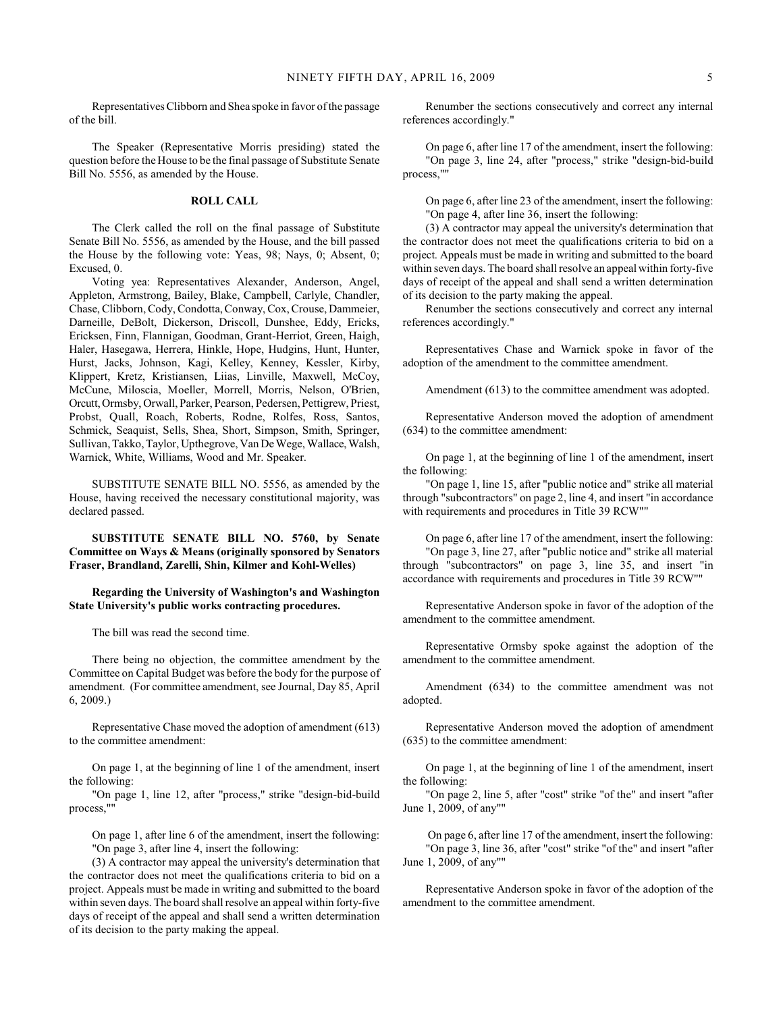Representatives Clibborn and Shea spoke in favor of the passage of the bill.

The Speaker (Representative Morris presiding) stated the question before the House to be the final passage of Substitute Senate Bill No. 5556, as amended by the House.

### **ROLL CALL**

The Clerk called the roll on the final passage of Substitute Senate Bill No. 5556, as amended by the House, and the bill passed the House by the following vote: Yeas, 98; Nays, 0; Absent, 0; Excused, 0.

Voting yea: Representatives Alexander, Anderson, Angel, Appleton, Armstrong, Bailey, Blake, Campbell, Carlyle, Chandler, Chase, Clibborn, Cody, Condotta, Conway, Cox, Crouse, Dammeier, Darneille, DeBolt, Dickerson, Driscoll, Dunshee, Eddy, Ericks, Ericksen, Finn, Flannigan, Goodman, Grant-Herriot, Green, Haigh, Haler, Hasegawa, Herrera, Hinkle, Hope, Hudgins, Hunt, Hunter, Hurst, Jacks, Johnson, Kagi, Kelley, Kenney, Kessler, Kirby, Klippert, Kretz, Kristiansen, Liias, Linville, Maxwell, McCoy, McCune, Miloscia, Moeller, Morrell, Morris, Nelson, O'Brien, Orcutt, Ormsby, Orwall, Parker, Pearson, Pedersen, Pettigrew, Priest, Probst, Quall, Roach, Roberts, Rodne, Rolfes, Ross, Santos, Schmick, Seaquist, Sells, Shea, Short, Simpson, Smith, Springer, Sullivan, Takko, Taylor, Upthegrove, Van De Wege, Wallace, Walsh, Warnick, White, Williams, Wood and Mr. Speaker.

SUBSTITUTE SENATE BILL NO. 5556, as amended by the House, having received the necessary constitutional majority, was declared passed.

**SUBSTITUTE SENATE BILL NO. 5760, by Senate Committee on Ways & Means (originally sponsored by Senators Fraser, Brandland, Zarelli, Shin, Kilmer and Kohl-Welles)**

## **Regarding the University of Washington's and Washington State University's public works contracting procedures.**

The bill was read the second time.

There being no objection, the committee amendment by the Committee on Capital Budget was before the body for the purpose of amendment. (For committee amendment, see Journal, Day 85, April 6, 2009.)

Representative Chase moved the adoption of amendment (613) to the committee amendment:

On page 1, at the beginning of line 1 of the amendment, insert the following:

"On page 1, line 12, after "process," strike "design-bid-build process,""

On page 1, after line 6 of the amendment, insert the following: "On page 3, after line 4, insert the following:

(3) A contractor may appeal the university's determination that the contractor does not meet the qualifications criteria to bid on a project. Appeals must be made in writing and submitted to the board within seven days. The board shall resolve an appeal within forty-five days of receipt of the appeal and shall send a written determination of its decision to the party making the appeal.

Renumber the sections consecutively and correct any internal references accordingly."

On page 6, after line 17 of the amendment, insert the following: "On page 3, line 24, after "process," strike "design-bid-build process,""

On page 6, after line 23 of the amendment, insert the following: "On page 4, after line 36, insert the following:

(3) A contractor may appeal the university's determination that the contractor does not meet the qualifications criteria to bid on a project. Appeals must be made in writing and submitted to the board within seven days. The board shall resolve an appeal within forty-five days of receipt of the appeal and shall send a written determination of its decision to the party making the appeal.

Renumber the sections consecutively and correct any internal references accordingly."

Representatives Chase and Warnick spoke in favor of the adoption of the amendment to the committee amendment.

Amendment (613) to the committee amendment was adopted.

Representative Anderson moved the adoption of amendment (634) to the committee amendment:

On page 1, at the beginning of line 1 of the amendment, insert the following:

"On page 1, line 15, after "public notice and" strike all material through "subcontractors" on page 2, line 4, and insert "in accordance with requirements and procedures in Title 39 RCW""

On page 6, after line 17 of the amendment, insert the following: "On page 3, line 27, after "public notice and" strike all material through "subcontractors" on page 3, line 35, and insert "in accordance with requirements and procedures in Title 39 RCW""

Representative Anderson spoke in favor of the adoption of the amendment to the committee amendment.

Representative Ormsby spoke against the adoption of the amendment to the committee amendment.

Amendment (634) to the committee amendment was not adopted.

Representative Anderson moved the adoption of amendment (635) to the committee amendment:

On page 1, at the beginning of line 1 of the amendment, insert the following:

"On page 2, line 5, after "cost" strike "of the" and insert "after June 1, 2009, of any""

 On page 6, after line 17 of the amendment, insert the following: "On page 3, line 36, after "cost" strike "of the" and insert "after June 1, 2009, of any""

Representative Anderson spoke in favor of the adoption of the amendment to the committee amendment.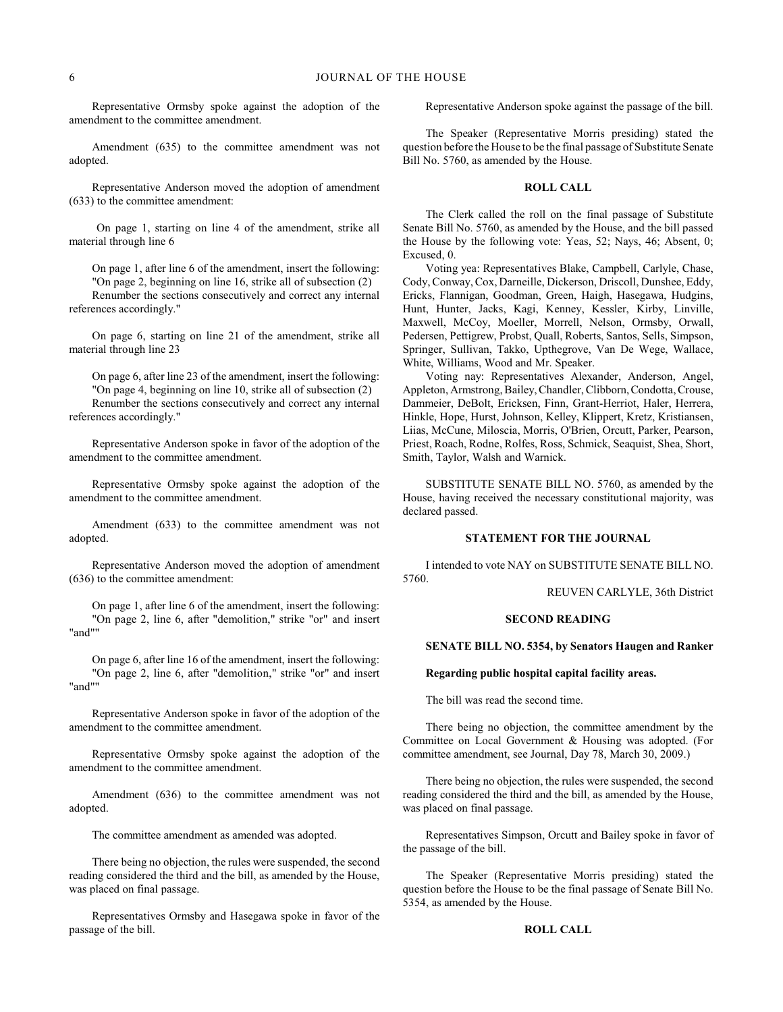Representative Ormsby spoke against the adoption of the amendment to the committee amendment.

Amendment (635) to the committee amendment was not adopted.

Representative Anderson moved the adoption of amendment (633) to the committee amendment:

 On page 1, starting on line 4 of the amendment, strike all material through line 6

On page 1, after line 6 of the amendment, insert the following: "On page 2, beginning on line 16, strike all of subsection (2) Renumber the sections consecutively and correct any internal references accordingly."

On page 6, starting on line 21 of the amendment, strike all material through line 23

On page 6, after line 23 of the amendment, insert the following: "On page 4, beginning on line 10, strike all of subsection (2) Renumber the sections consecutively and correct any internal references accordingly."

Representative Anderson spoke in favor of the adoption of the amendment to the committee amendment.

Representative Ormsby spoke against the adoption of the amendment to the committee amendment.

Amendment (633) to the committee amendment was not adopted.

Representative Anderson moved the adoption of amendment (636) to the committee amendment:

On page 1, after line 6 of the amendment, insert the following: "On page 2, line 6, after "demolition," strike "or" and insert "and""

On page 6, after line 16 of the amendment, insert the following: "On page 2, line 6, after "demolition," strike "or" and insert "and""

Representative Anderson spoke in favor of the adoption of the amendment to the committee amendment.

Representative Ormsby spoke against the adoption of the amendment to the committee amendment.

Amendment (636) to the committee amendment was not adopted.

The committee amendment as amended was adopted.

There being no objection, the rules were suspended, the second reading considered the third and the bill, as amended by the House, was placed on final passage.

Representatives Ormsby and Hasegawa spoke in favor of the passage of the bill.

Representative Anderson spoke against the passage of the bill.

The Speaker (Representative Morris presiding) stated the question before the House to be the final passage of Substitute Senate Bill No. 5760, as amended by the House.

# **ROLL CALL**

The Clerk called the roll on the final passage of Substitute Senate Bill No. 5760, as amended by the House, and the bill passed the House by the following vote: Yeas, 52; Nays, 46; Absent, 0; Excused, 0.

Voting yea: Representatives Blake, Campbell, Carlyle, Chase, Cody,Conway,Cox, Darneille, Dickerson, Driscoll, Dunshee, Eddy, Ericks, Flannigan, Goodman, Green, Haigh, Hasegawa, Hudgins, Hunt, Hunter, Jacks, Kagi, Kenney, Kessler, Kirby, Linville, Maxwell, McCoy, Moeller, Morrell, Nelson, Ormsby, Orwall, Pedersen, Pettigrew, Probst, Quall, Roberts, Santos, Sells, Simpson, Springer, Sullivan, Takko, Upthegrove, Van De Wege, Wallace, White, Williams, Wood and Mr. Speaker.

Voting nay: Representatives Alexander, Anderson, Angel, Appleton, Armstrong, Bailey, Chandler, Clibborn, Condotta, Crouse, Dammeier, DeBolt, Ericksen, Finn, Grant-Herriot, Haler, Herrera, Hinkle, Hope, Hurst, Johnson, Kelley, Klippert, Kretz, Kristiansen, Liias, McCune, Miloscia, Morris, O'Brien, Orcutt, Parker, Pearson, Priest, Roach, Rodne, Rolfes, Ross, Schmick, Seaquist, Shea, Short, Smith, Taylor, Walsh and Warnick.

SUBSTITUTE SENATE BILL NO. 5760, as amended by the House, having received the necessary constitutional majority, was declared passed.

#### **STATEMENT FOR THE JOURNAL**

I intended to vote NAY on SUBSTITUTE SENATE BILL NO. 5760.

REUVEN CARLYLE, 36th District

#### **SECOND READING**

#### **SENATE BILL NO. 5354, by Senators Haugen and Ranker**

#### **Regarding public hospital capital facility areas.**

The bill was read the second time.

There being no objection, the committee amendment by the Committee on Local Government & Housing was adopted. (For committee amendment, see Journal, Day 78, March 30, 2009.)

There being no objection, the rules were suspended, the second reading considered the third and the bill, as amended by the House, was placed on final passage.

Representatives Simpson, Orcutt and Bailey spoke in favor of the passage of the bill.

The Speaker (Representative Morris presiding) stated the question before the House to be the final passage of Senate Bill No. 5354, as amended by the House.

**ROLL CALL**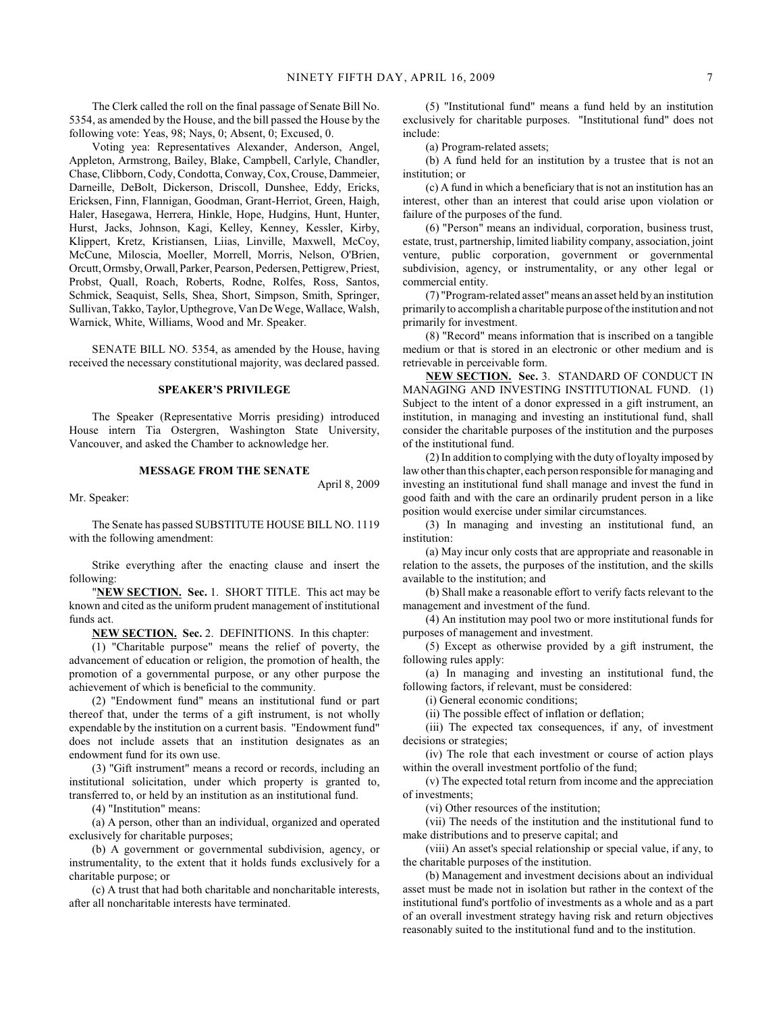The Clerk called the roll on the final passage of Senate Bill No. 5354, as amended by the House, and the bill passed the House by the following vote: Yeas, 98; Nays, 0; Absent, 0; Excused, 0.

Voting yea: Representatives Alexander, Anderson, Angel, Appleton, Armstrong, Bailey, Blake, Campbell, Carlyle, Chandler, Chase, Clibborn, Cody, Condotta, Conway, Cox, Crouse, Dammeier, Darneille, DeBolt, Dickerson, Driscoll, Dunshee, Eddy, Ericks, Ericksen, Finn, Flannigan, Goodman, Grant-Herriot, Green, Haigh, Haler, Hasegawa, Herrera, Hinkle, Hope, Hudgins, Hunt, Hunter, Hurst, Jacks, Johnson, Kagi, Kelley, Kenney, Kessler, Kirby, Klippert, Kretz, Kristiansen, Liias, Linville, Maxwell, McCoy, McCune, Miloscia, Moeller, Morrell, Morris, Nelson, O'Brien, Orcutt, Ormsby, Orwall, Parker, Pearson, Pedersen, Pettigrew, Priest, Probst, Quall, Roach, Roberts, Rodne, Rolfes, Ross, Santos, Schmick, Seaquist, Sells, Shea, Short, Simpson, Smith, Springer, Sullivan, Takko, Taylor, Upthegrove, Van De Wege, Wallace, Walsh, Warnick, White, Williams, Wood and Mr. Speaker.

SENATE BILL NO. 5354, as amended by the House, having received the necessary constitutional majority, was declared passed.

#### **SPEAKER'S PRIVILEGE**

The Speaker (Representative Morris presiding) introduced House intern Tia Ostergren, Washington State University, Vancouver, and asked the Chamber to acknowledge her.

### **MESSAGE FROM THE SENATE**

Mr. Speaker:

April 8, 2009

The Senate has passed SUBSTITUTE HOUSE BILL NO. 1119 with the following amendment:

Strike everything after the enacting clause and insert the following:

"**NEW SECTION. Sec.** 1. SHORT TITLE. This act may be known and cited as the uniform prudent management of institutional funds act.

**NEW SECTION. Sec.** 2. DEFINITIONS. In this chapter:

(1) "Charitable purpose" means the relief of poverty, the advancement of education or religion, the promotion of health, the promotion of a governmental purpose, or any other purpose the achievement of which is beneficial to the community.

(2) "Endowment fund" means an institutional fund or part thereof that, under the terms of a gift instrument, is not wholly expendable by the institution on a current basis. "Endowment fund" does not include assets that an institution designates as an endowment fund for its own use.

(3) "Gift instrument" means a record or records, including an institutional solicitation, under which property is granted to, transferred to, or held by an institution as an institutional fund.

(4) "Institution" means:

(a) A person, other than an individual, organized and operated exclusively for charitable purposes;

(b) A government or governmental subdivision, agency, or instrumentality, to the extent that it holds funds exclusively for a charitable purpose; or

(c) A trust that had both charitable and noncharitable interests, after all noncharitable interests have terminated.

(5) "Institutional fund" means a fund held by an institution exclusively for charitable purposes. "Institutional fund" does not include:

(a) Program-related assets;

(b) A fund held for an institution by a trustee that is not an institution; or

(c) A fund in which a beneficiary that is not an institution has an interest, other than an interest that could arise upon violation or failure of the purposes of the fund.

(6) "Person" means an individual, corporation, business trust, estate, trust, partnership, limited liability company, association, joint venture, public corporation, government or governmental subdivision, agency, or instrumentality, or any other legal or commercial entity.

(7) "Program-related asset" means an asset held by an institution primarily to accomplish a charitable purpose of the institution and not primarily for investment.

(8) "Record" means information that is inscribed on a tangible medium or that is stored in an electronic or other medium and is retrievable in perceivable form.

**NEW SECTION. Sec.** 3. STANDARD OF CONDUCT IN MANAGING AND INVESTING INSTITUTIONAL FUND. (1) Subject to the intent of a donor expressed in a gift instrument, an institution, in managing and investing an institutional fund, shall consider the charitable purposes of the institution and the purposes of the institutional fund.

(2) In addition to complying with the duty of loyalty imposed by law other than this chapter, each person responsible for managing and investing an institutional fund shall manage and invest the fund in good faith and with the care an ordinarily prudent person in a like position would exercise under similar circumstances.

(3) In managing and investing an institutional fund, an institution:

(a) May incur only costs that are appropriate and reasonable in relation to the assets, the purposes of the institution, and the skills available to the institution; and

(b) Shall make a reasonable effort to verify facts relevant to the management and investment of the fund.

(4) An institution may pool two or more institutional funds for purposes of management and investment.

(5) Except as otherwise provided by a gift instrument, the following rules apply:

(a) In managing and investing an institutional fund, the following factors, if relevant, must be considered:

(i) General economic conditions;

(ii) The possible effect of inflation or deflation;

(iii) The expected tax consequences, if any, of investment decisions or strategies;

(iv) The role that each investment or course of action plays within the overall investment portfolio of the fund;

(v) The expected total return from income and the appreciation of investments;

(vi) Other resources of the institution;

(vii) The needs of the institution and the institutional fund to make distributions and to preserve capital; and

(viii) An asset's special relationship or special value, if any, to the charitable purposes of the institution.

(b) Management and investment decisions about an individual asset must be made not in isolation but rather in the context of the institutional fund's portfolio of investments as a whole and as a part of an overall investment strategy having risk and return objectives reasonably suited to the institutional fund and to the institution.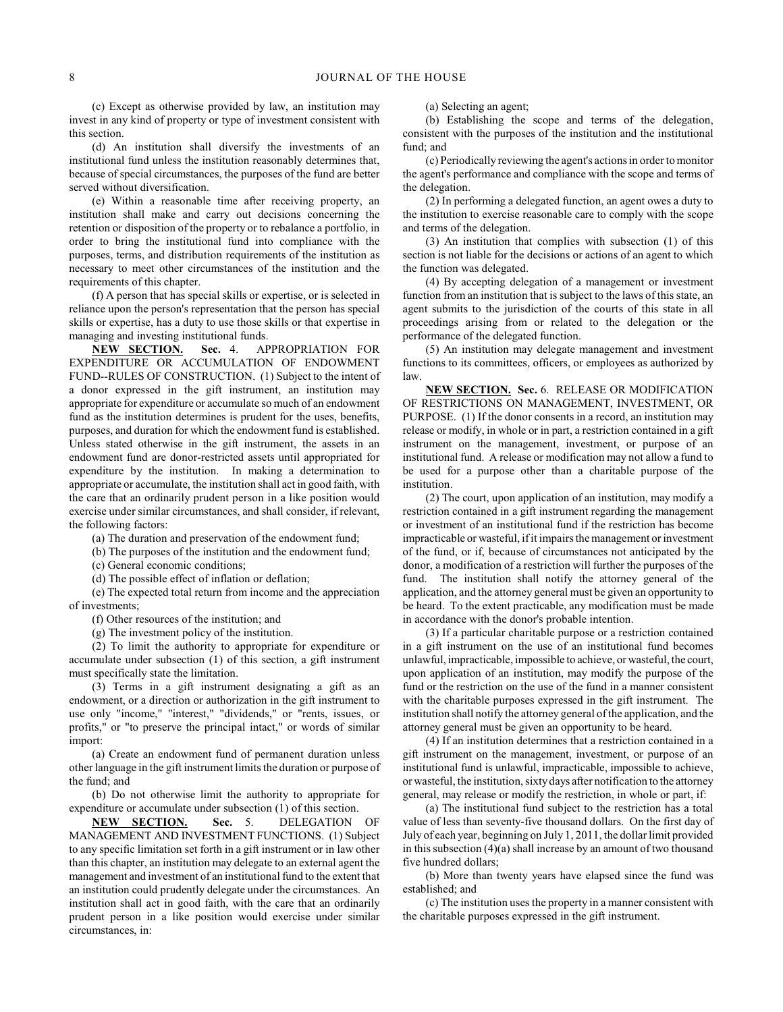(c) Except as otherwise provided by law, an institution may invest in any kind of property or type of investment consistent with this section.

(d) An institution shall diversify the investments of an institutional fund unless the institution reasonably determines that, because of special circumstances, the purposes of the fund are better served without diversification.

(e) Within a reasonable time after receiving property, an institution shall make and carry out decisions concerning the retention or disposition of the property or to rebalance a portfolio, in order to bring the institutional fund into compliance with the purposes, terms, and distribution requirements of the institution as necessary to meet other circumstances of the institution and the requirements of this chapter.

(f) A person that has special skills or expertise, or is selected in reliance upon the person's representation that the person has special skills or expertise, has a duty to use those skills or that expertise in managing and investing institutional funds.

**NEW SECTION. Sec.** 4. APPROPRIATION FOR EXPENDITURE OR ACCUMULATION OF ENDOWMENT FUND--RULES OF CONSTRUCTION. (1) Subject to the intent of a donor expressed in the gift instrument, an institution may appropriate for expenditure or accumulate so much of an endowment fund as the institution determines is prudent for the uses, benefits, purposes, and duration for which the endowment fund is established. Unless stated otherwise in the gift instrument, the assets in an endowment fund are donor-restricted assets until appropriated for expenditure by the institution. In making a determination to appropriate or accumulate, the institution shall act in good faith, with the care that an ordinarily prudent person in a like position would exercise under similar circumstances, and shall consider, if relevant, the following factors:

(a) The duration and preservation of the endowment fund;

(b) The purposes of the institution and the endowment fund;

(c) General economic conditions;

(d) The possible effect of inflation or deflation;

(e) The expected total return from income and the appreciation of investments;

(f) Other resources of the institution; and

(g) The investment policy of the institution.

(2) To limit the authority to appropriate for expenditure or accumulate under subsection (1) of this section, a gift instrument must specifically state the limitation.

(3) Terms in a gift instrument designating a gift as an endowment, or a direction or authorization in the gift instrument to use only "income," "interest," "dividends," or "rents, issues, or profits," or "to preserve the principal intact," or words of similar import:

(a) Create an endowment fund of permanent duration unless other language in the gift instrument limits the duration or purpose of the fund; and

(b) Do not otherwise limit the authority to appropriate for expenditure or accumulate under subsection (1) of this section.

**NEW SECTION. Sec.** 5. DELEGATION OF MANAGEMENT AND INVESTMENT FUNCTIONS. (1) Subject to any specific limitation set forth in a gift instrument or in law other than this chapter, an institution may delegate to an external agent the management and investment of an institutional fund to the extent that an institution could prudently delegate under the circumstances. An institution shall act in good faith, with the care that an ordinarily prudent person in a like position would exercise under similar circumstances, in:

(a) Selecting an agent;

(b) Establishing the scope and terms of the delegation, consistent with the purposes of the institution and the institutional fund; and

(c) Periodically reviewing the agent's actionsin order to monitor the agent's performance and compliance with the scope and terms of the delegation.

(2) In performing a delegated function, an agent owes a duty to the institution to exercise reasonable care to comply with the scope and terms of the delegation.

(3) An institution that complies with subsection (1) of this section is not liable for the decisions or actions of an agent to which the function was delegated.

(4) By accepting delegation of a management or investment function from an institution that is subject to the laws of this state, an agent submits to the jurisdiction of the courts of this state in all proceedings arising from or related to the delegation or the performance of the delegated function.

(5) An institution may delegate management and investment functions to its committees, officers, or employees as authorized by law.

**NEW SECTION. Sec.** 6. RELEASE OR MODIFICATION OF RESTRICTIONS ON MANAGEMENT, INVESTMENT, OR PURPOSE. (1) If the donor consents in a record, an institution may release or modify, in whole or in part, a restriction contained in a gift instrument on the management, investment, or purpose of an institutional fund. A release or modification may not allow a fund to be used for a purpose other than a charitable purpose of the institution.

(2) The court, upon application of an institution, may modify a restriction contained in a gift instrument regarding the management or investment of an institutional fund if the restriction has become impracticable or wasteful, if it impairs the management or investment of the fund, or if, because of circumstances not anticipated by the donor, a modification of a restriction will further the purposes of the fund. The institution shall notify the attorney general of the application, and the attorney general must be given an opportunity to be heard. To the extent practicable, any modification must be made in accordance with the donor's probable intention.

(3) If a particular charitable purpose or a restriction contained in a gift instrument on the use of an institutional fund becomes unlawful, impracticable, impossible to achieve, or wasteful, the court, upon application of an institution, may modify the purpose of the fund or the restriction on the use of the fund in a manner consistent with the charitable purposes expressed in the gift instrument. The institution shall notify the attorney general of the application, and the attorney general must be given an opportunity to be heard.

(4) If an institution determines that a restriction contained in a gift instrument on the management, investment, or purpose of an institutional fund is unlawful, impracticable, impossible to achieve, or wasteful, the institution, sixty days after notification to the attorney general, may release or modify the restriction, in whole or part, if:

(a) The institutional fund subject to the restriction has a total value of less than seventy-five thousand dollars. On the first day of July of each year, beginning on July 1, 2011, the dollar limit provided in this subsection  $(4)(a)$  shall increase by an amount of two thousand five hundred dollars;

(b) More than twenty years have elapsed since the fund was established; and

(c) The institution uses the property in a manner consistent with the charitable purposes expressed in the gift instrument.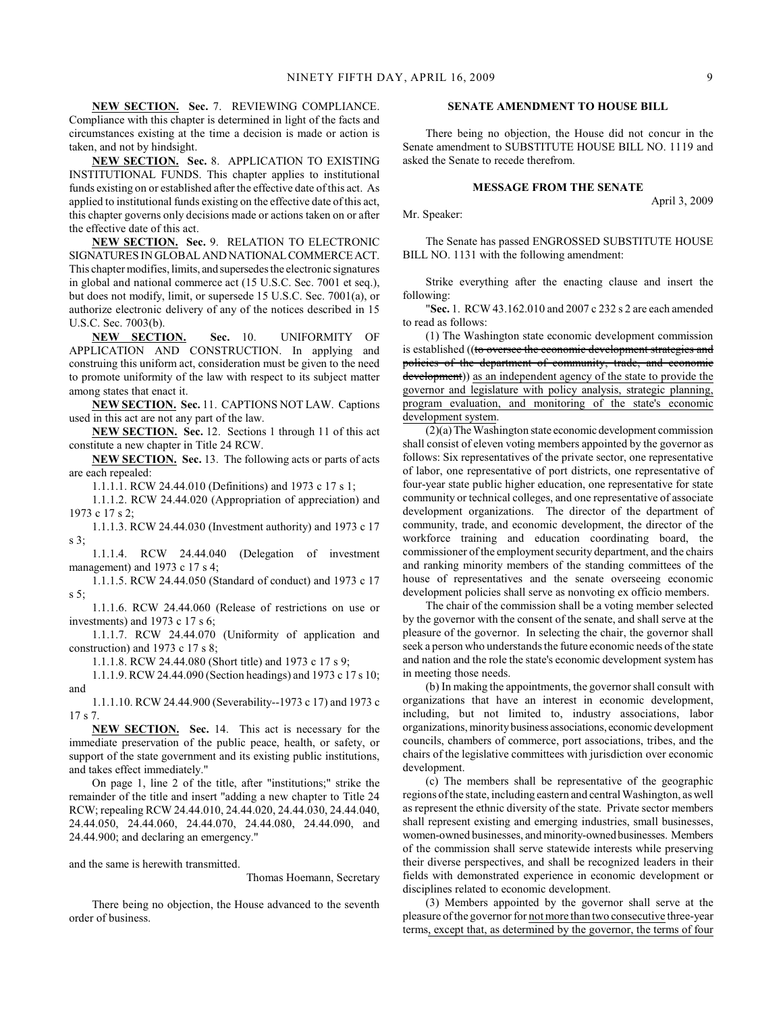**NEW SECTION. Sec.** 7. REVIEWING COMPLIANCE. Compliance with this chapter is determined in light of the facts and circumstances existing at the time a decision is made or action is taken, and not by hindsight.

**NEW SECTION. Sec.** 8. APPLICATION TO EXISTING INSTITUTIONAL FUNDS. This chapter applies to institutional funds existing on or established after the effective date of this act. As applied to institutional funds existing on the effective date ofthis act, this chapter governs only decisions made or actions taken on or after the effective date of this act.

**NEW SECTION. Sec.** 9. RELATION TO ELECTRONIC SIGNATURES IN GLOBAL AND NATIONAL COMMERCE ACT. This chapter modifies, limits, and supersedes the electronic signatures in global and national commerce act (15 U.S.C. Sec. 7001 et seq.), but does not modify, limit, or supersede 15 U.S.C. Sec. 7001(a), or authorize electronic delivery of any of the notices described in 15 U.S.C. Sec. 7003(b).

**NEW SECTION. Sec.** 10. UNIFORMITY OF APPLICATION AND CONSTRUCTION. In applying and construing this uniform act, consideration must be given to the need to promote uniformity of the law with respect to its subject matter among states that enact it.

**NEW SECTION. Sec.** 11. CAPTIONS NOT LAW. Captions used in this act are not any part of the law.

**NEW SECTION. Sec.** 12. Sections 1 through 11 of this act constitute a new chapter in Title 24 RCW.

**NEW SECTION. Sec.** 13. The following acts or parts of acts are each repealed:

1.1.1.1. RCW 24.44.010 (Definitions) and 1973 c 17 s 1;

1.1.1.2. RCW 24.44.020 (Appropriation of appreciation) and 1973 c 17 s 2;

1.1.1.3. RCW 24.44.030 (Investment authority) and 1973 c 17 s 3;

1.1.1.4. RCW 24.44.040 (Delegation of investment management) and 1973 c 17 s 4;

1.1.1.5. RCW 24.44.050 (Standard of conduct) and 1973 c 17 s 5;

1.1.1.6. RCW 24.44.060 (Release of restrictions on use or investments) and 1973 c 17 s 6;

1.1.1.7. RCW 24.44.070 (Uniformity of application and construction) and 1973 c 17 s 8;

1.1.1.8. RCW 24.44.080 (Short title) and 1973 c 17 s 9;

1.1.1.9. RCW 24.44.090 (Section headings) and 1973 c 17 s 10; and

1.1.1.10. RCW 24.44.900 (Severability--1973 c 17) and 1973 c 17 s 7.

**NEW SECTION. Sec.** 14. This act is necessary for the immediate preservation of the public peace, health, or safety, or support of the state government and its existing public institutions, and takes effect immediately."

On page 1, line 2 of the title, after "institutions;" strike the remainder of the title and insert "adding a new chapter to Title 24 RCW; repealing RCW 24.44.010, 24.44.020, 24.44.030, 24.44.040, 24.44.050, 24.44.060, 24.44.070, 24.44.080, 24.44.090, and 24.44.900; and declaring an emergency."

and the same is herewith transmitted.

Thomas Hoemann, Secretary

There being no objection, the House advanced to the seventh order of business.

### **SENATE AMENDMENT TO HOUSE BILL**

There being no objection, the House did not concur in the Senate amendment to SUBSTITUTE HOUSE BILL NO. 1119 and asked the Senate to recede therefrom.

# **MESSAGE FROM THE SENATE**

April 3, 2009

Mr. Speaker:

The Senate has passed ENGROSSED SUBSTITUTE HOUSE BILL NO. 1131 with the following amendment:

Strike everything after the enacting clause and insert the following:

"**Sec.** 1. RCW 43.162.010 and 2007 c 232 s 2 are each amended to read as follows:

(1) The Washington state economic development commission is established ((to oversee the economic development strategies and policies of the department of community, trade, and economic development)) as an independent agency of the state to provide the governor and legislature with policy analysis, strategic planning, program evaluation, and monitoring of the state's economic development system.

(2)(a) The Washington state economic development commission shall consist of eleven voting members appointed by the governor as follows: Six representatives of the private sector, one representative of labor, one representative of port districts, one representative of four-year state public higher education, one representative for state community or technical colleges, and one representative of associate development organizations. The director of the department of community, trade, and economic development, the director of the workforce training and education coordinating board, the commissioner of the employment security department, and the chairs and ranking minority members of the standing committees of the house of representatives and the senate overseeing economic development policies shall serve as nonvoting ex officio members.

The chair of the commission shall be a voting member selected by the governor with the consent of the senate, and shall serve at the pleasure of the governor. In selecting the chair, the governor shall seek a person who understands the future economic needs of the state and nation and the role the state's economic development system has in meeting those needs.

(b) In making the appointments, the governor shall consult with organizations that have an interest in economic development, including, but not limited to, industry associations, labor organizations, minority business associations, economic development councils, chambers of commerce, port associations, tribes, and the chairs of the legislative committees with jurisdiction over economic development.

(c) The members shall be representative of the geographic regions of the state, including eastern and central Washington, as well as represent the ethnic diversity of the state. Private sector members shall represent existing and emerging industries, small businesses, women-owned businesses, and minority-owned businesses. Members of the commission shall serve statewide interests while preserving their diverse perspectives, and shall be recognized leaders in their fields with demonstrated experience in economic development or disciplines related to economic development.

(3) Members appointed by the governor shall serve at the pleasure of the governor for not more than two consecutive three-year terms, except that, as determined by the governor, the terms of four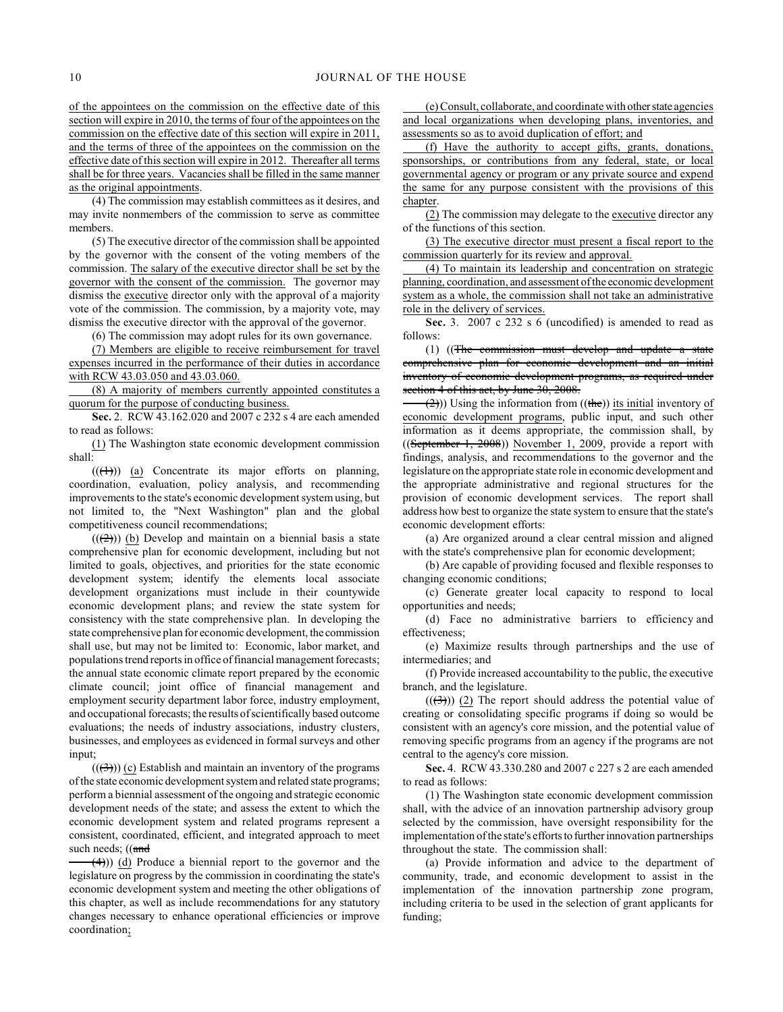of the appointees on the commission on the effective date of this section will expire in 2010, the terms of four of the appointees on the commission on the effective date of this section will expire in 2011, and the terms of three of the appointees on the commission on the effective date of this section will expire in 2012. Thereafter all terms shall be for three years. Vacancies shall be filled in the same manner as the original appointments.

(4) The commission may establish committees as it desires, and may invite nonmembers of the commission to serve as committee members.

(5) The executive director of the commission shall be appointed by the governor with the consent of the voting members of the commission. The salary of the executive director shall be set by the governor with the consent of the commission. The governor may dismiss the executive director only with the approval of a majority vote of the commission. The commission, by a majority vote, may dismiss the executive director with the approval of the governor.

(6) The commission may adopt rules for its own governance.

(7) Members are eligible to receive reimbursement for travel expenses incurred in the performance of their duties in accordance with RCW 43.03.050 and 43.03.060.

(8) A majority of members currently appointed constitutes a quorum for the purpose of conducting business.

**Sec.** 2. RCW 43.162.020 and 2007 c 232 s 4 are each amended to read as follows:

(1) The Washington state economic development commission shall:

 $((\langle 1 \rangle))$  (a) Concentrate its major efforts on planning, coordination, evaluation, policy analysis, and recommending improvements to the state's economic development system using, but not limited to, the "Next Washington" plan and the global competitiveness council recommendations;

 $((2))$  (b) Develop and maintain on a biennial basis a state comprehensive plan for economic development, including but not limited to goals, objectives, and priorities for the state economic development system; identify the elements local associate development organizations must include in their countywide economic development plans; and review the state system for consistency with the state comprehensive plan. In developing the state comprehensive plan for economic development, the commission shall use, but may not be limited to: Economic, labor market, and populations trend reports in office of financial management forecasts; the annual state economic climate report prepared by the economic climate council; joint office of financial management and employment security department labor force, industry employment, and occupational forecasts; the results of scientifically based outcome evaluations; the needs of industry associations, industry clusters, businesses, and employees as evidenced in formal surveys and other input;

 $((\langle 3 \rangle))$  (c) Establish and maintain an inventory of the programs of the state economic development system and related state programs; perform a biennial assessment of the ongoing and strategic economic development needs of the state; and assess the extent to which the economic development system and related programs represent a consistent, coordinated, efficient, and integrated approach to meet such needs;  $((\text{and}$ 

(4))) (d) Produce a biennial report to the governor and the legislature on progress by the commission in coordinating the state's economic development system and meeting the other obligations of this chapter, as well as include recommendations for any statutory changes necessary to enhance operational efficiencies or improve coordination;

(e) Consult, collaborate, and coordinate with other state agencies and local organizations when developing plans, inventories, and assessments so as to avoid duplication of effort; and

(f) Have the authority to accept gifts, grants, donations, sponsorships, or contributions from any federal, state, or local governmental agency or program or any private source and expend the same for any purpose consistent with the provisions of this chapter.

(2) The commission may delegate to the executive director any of the functions of this section.

(3) The executive director must present a fiscal report to the commission quarterly for its review and approval.

(4) To maintain its leadership and concentration on strategic planning, coordination, and assessment of the economic development system as a whole, the commission shall not take an administrative role in the delivery of services.

**Sec.** 3. 2007 c 232 s 6 (uncodified) is amended to read as follows:

(1) ((The commission must develop and update a state comprehensive plan for economic development and an initial inventory of economic development programs, as required under section 4 of this act, by June 30, 2008.

 $(2)$ )) Using the information from  $((the))$  its initial inventory of economic development programs, public input, and such other information as it deems appropriate, the commission shall, by ((September 1, 2008)) November 1, 2009, provide a report with findings, analysis, and recommendations to the governor and the legislature on the appropriate state role in economic development and the appropriate administrative and regional structures for the provision of economic development services. The report shall address how best to organize the state system to ensure that the state's economic development efforts:

(a) Are organized around a clear central mission and aligned with the state's comprehensive plan for economic development;

(b) Are capable of providing focused and flexible responses to changing economic conditions;

(c) Generate greater local capacity to respond to local opportunities and needs;

(d) Face no administrative barriers to efficiency and effectiveness;

(e) Maximize results through partnerships and the use of intermediaries; and

(f) Provide increased accountability to the public, the executive branch, and the legislature.

 $((\rightarrow{(\rightarrow)})$  (2) The report should address the potential value of creating or consolidating specific programs if doing so would be consistent with an agency's core mission, and the potential value of removing specific programs from an agency if the programs are not central to the agency's core mission.

**Sec.** 4. RCW 43.330.280 and 2007 c 227 s 2 are each amended to read as follows:

(1) The Washington state economic development commission shall, with the advice of an innovation partnership advisory group selected by the commission, have oversight responsibility for the implementation of the state's efforts to further innovation partnerships throughout the state. The commission shall:

(a) Provide information and advice to the department of community, trade, and economic development to assist in the implementation of the innovation partnership zone program, including criteria to be used in the selection of grant applicants for funding;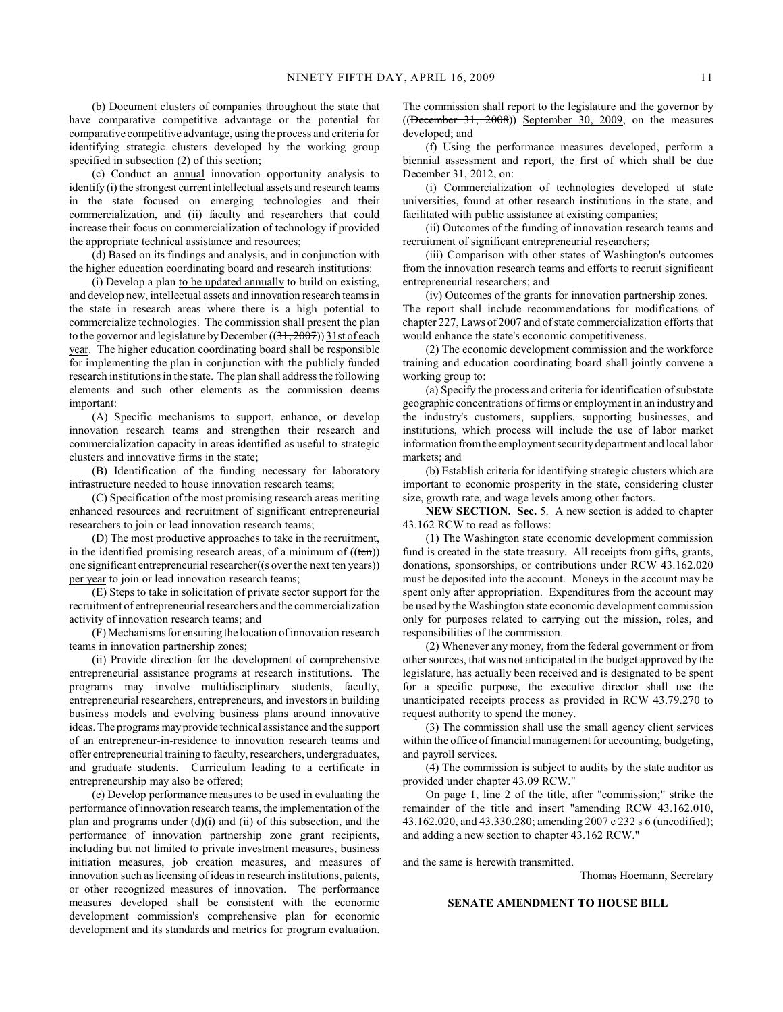(b) Document clusters of companies throughout the state that have comparative competitive advantage or the potential for comparative competitive advantage, using the process and criteria for identifying strategic clusters developed by the working group specified in subsection (2) of this section;

(c) Conduct an annual innovation opportunity analysis to identify (i) the strongest current intellectual assets and research teams in the state focused on emerging technologies and their commercialization, and (ii) faculty and researchers that could increase their focus on commercialization of technology if provided the appropriate technical assistance and resources;

(d) Based on its findings and analysis, and in conjunction with the higher education coordinating board and research institutions:

(i) Develop a plan to be updated annually to build on existing, and develop new, intellectual assets and innovation research teams in the state in research areas where there is a high potential to commercialize technologies. The commission shall present the plan to the governor and legislature by December  $((31, 2007))$  31st of each year. The higher education coordinating board shall be responsible for implementing the plan in conjunction with the publicly funded research institutions in the state. The plan shall address the following elements and such other elements as the commission deems important:

(A) Specific mechanisms to support, enhance, or develop innovation research teams and strengthen their research and commercialization capacity in areas identified as useful to strategic clusters and innovative firms in the state;

(B) Identification of the funding necessary for laboratory infrastructure needed to house innovation research teams;

(C) Specification of the most promising research areas meriting enhanced resources and recruitment of significant entrepreneurial researchers to join or lead innovation research teams;

(D) The most productive approaches to take in the recruitment, in the identified promising research areas, of a minimum of  $((ten))$ one significant entrepreneurial researcher((s over the next ten years)) per year to join or lead innovation research teams;

(E) Steps to take in solicitation of private sector support for the recruitment of entrepreneurial researchers and the commercialization activity of innovation research teams; and

(F) Mechanisms for ensuring the location of innovation research teams in innovation partnership zones;

(ii) Provide direction for the development of comprehensive entrepreneurial assistance programs at research institutions. The programs may involve multidisciplinary students, faculty, entrepreneurial researchers, entrepreneurs, and investors in building business models and evolving business plans around innovative ideas. The programs may provide technical assistance and the support of an entrepreneur-in-residence to innovation research teams and offer entrepreneurial training to faculty, researchers, undergraduates, and graduate students. Curriculum leading to a certificate in entrepreneurship may also be offered;

(e) Develop performance measures to be used in evaluating the performance ofinnovation research teams, the implementation of the plan and programs under (d)(i) and (ii) of this subsection, and the performance of innovation partnership zone grant recipients, including but not limited to private investment measures, business initiation measures, job creation measures, and measures of innovation such as licensing of ideas in research institutions, patents, or other recognized measures of innovation. The performance measures developed shall be consistent with the economic development commission's comprehensive plan for economic development and its standards and metrics for program evaluation.

The commission shall report to the legislature and the governor by  $((\text{December } 31, 2008))$  September 30, 2009, on the measures developed; and

(f) Using the performance measures developed, perform a biennial assessment and report, the first of which shall be due December 31, 2012, on:

(i) Commercialization of technologies developed at state universities, found at other research institutions in the state, and facilitated with public assistance at existing companies;

(ii) Outcomes of the funding of innovation research teams and recruitment of significant entrepreneurial researchers;

(iii) Comparison with other states of Washington's outcomes from the innovation research teams and efforts to recruit significant entrepreneurial researchers; and

(iv) Outcomes of the grants for innovation partnership zones. The report shall include recommendations for modifications of chapter 227, Laws of 2007 and of state commercialization efforts that would enhance the state's economic competitiveness.

(2) The economic development commission and the workforce training and education coordinating board shall jointly convene a working group to:

(a) Specify the process and criteria for identification of substate geographic concentrations of firms or employment in an industry and the industry's customers, suppliers, supporting businesses, and institutions, which process will include the use of labor market information from the employment security department and local labor markets; and

(b) Establish criteria for identifying strategic clusters which are important to economic prosperity in the state, considering cluster size, growth rate, and wage levels among other factors.

**NEW SECTION. Sec.** 5. A new section is added to chapter 43.162 RCW to read as follows:

(1) The Washington state economic development commission fund is created in the state treasury. All receipts from gifts, grants, donations, sponsorships, or contributions under RCW 43.162.020 must be deposited into the account. Moneys in the account may be spent only after appropriation. Expenditures from the account may be used by the Washington state economic development commission only for purposes related to carrying out the mission, roles, and responsibilities of the commission.

(2) Whenever any money, from the federal government or from other sources, that was not anticipated in the budget approved by the legislature, has actually been received and is designated to be spent for a specific purpose, the executive director shall use the unanticipated receipts process as provided in RCW 43.79.270 to request authority to spend the money.

(3) The commission shall use the small agency client services within the office of financial management for accounting, budgeting, and payroll services.

(4) The commission is subject to audits by the state auditor as provided under chapter 43.09 RCW."

On page 1, line 2 of the title, after "commission;" strike the remainder of the title and insert "amending RCW 43.162.010, 43.162.020, and 43.330.280; amending 2007 c 232 s 6 (uncodified); and adding a new section to chapter 43.162 RCW."

and the same is herewith transmitted.

Thomas Hoemann, Secretary

#### **SENATE AMENDMENT TO HOUSE BILL**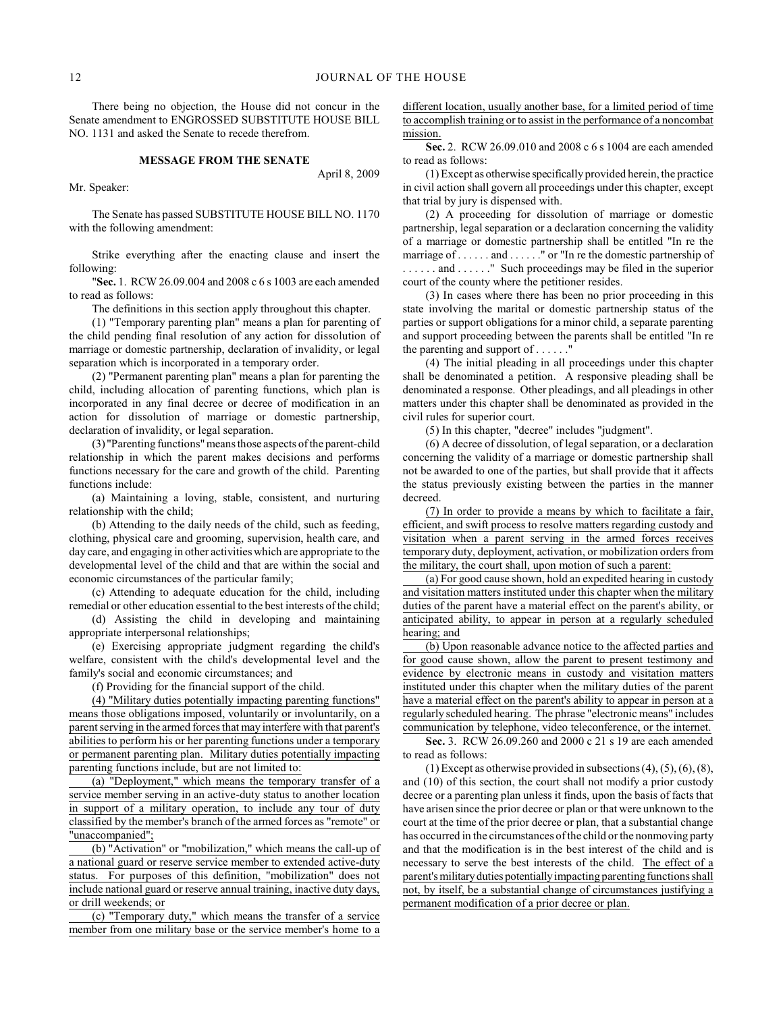There being no objection, the House did not concur in the Senate amendment to ENGROSSED SUBSTITUTE HOUSE BILL NO. 1131 and asked the Senate to recede therefrom.

### **MESSAGE FROM THE SENATE**

Mr. Speaker:

The Senate has passed SUBSTITUTE HOUSE BILL NO. 1170 with the following amendment:

Strike everything after the enacting clause and insert the following:

"**Sec.** 1. RCW 26.09.004 and 2008 c 6 s 1003 are each amended to read as follows:

The definitions in this section apply throughout this chapter.

(1) "Temporary parenting plan" means a plan for parenting of the child pending final resolution of any action for dissolution of marriage or domestic partnership, declaration of invalidity, or legal separation which is incorporated in a temporary order.

(2) "Permanent parenting plan" means a plan for parenting the child, including allocation of parenting functions, which plan is incorporated in any final decree or decree of modification in an action for dissolution of marriage or domestic partnership, declaration of invalidity, or legal separation.

(3) "Parenting functions" means those aspects of the parent-child relationship in which the parent makes decisions and performs functions necessary for the care and growth of the child. Parenting functions include:

(a) Maintaining a loving, stable, consistent, and nurturing relationship with the child;

(b) Attending to the daily needs of the child, such as feeding, clothing, physical care and grooming, supervision, health care, and day care, and engaging in other activities which are appropriate to the developmental level of the child and that are within the social and economic circumstances of the particular family;

(c) Attending to adequate education for the child, including remedial or other education essential to the best interests of the child;

(d) Assisting the child in developing and maintaining appropriate interpersonal relationships;

(e) Exercising appropriate judgment regarding the child's welfare, consistent with the child's developmental level and the family's social and economic circumstances; and

(f) Providing for the financial support of the child.

(4) "Military duties potentially impacting parenting functions" means those obligations imposed, voluntarily or involuntarily, on a parent serving in the armed forces that may interfere with that parent's abilities to perform his or her parenting functions under a temporary or permanent parenting plan. Military duties potentially impacting parenting functions include, but are not limited to:

(a) "Deployment," which means the temporary transfer of a service member serving in an active-duty status to another location in support of a military operation, to include any tour of duty classified by the member's branch of the armed forces as "remote" or "unaccompanied";

(b) "Activation" or "mobilization," which means the call-up of a national guard or reserve service member to extended active-duty status. For purposes of this definition, "mobilization" does not include national guard or reserve annual training, inactive duty days, or drill weekends; or

(c) "Temporary duty," which means the transfer of a service member from one military base or the service member's home to a different location, usually another base, for a limited period of time to accomplish training or to assist in the performance of a noncombat mission.

**Sec.** 2. RCW 26.09.010 and 2008 c 6 s 1004 are each amended to read as follows:

(1) Except as otherwise specifically provided herein, the practice in civil action shall govern all proceedings under this chapter, except that trial by jury is dispensed with.

(2) A proceeding for dissolution of marriage or domestic partnership, legal separation or a declaration concerning the validity of a marriage or domestic partnership shall be entitled "In re the marriage of . . . . . . and . . . . . ." or "In re the domestic partnership of . . . . . . and . . . . . ." Such proceedings may be filed in the superior court of the county where the petitioner resides.

(3) In cases where there has been no prior proceeding in this state involving the marital or domestic partnership status of the parties or support obligations for a minor child, a separate parenting and support proceeding between the parents shall be entitled "In re the parenting and support of  $\dots$ ..."

(4) The initial pleading in all proceedings under this chapter shall be denominated a petition. A responsive pleading shall be denominated a response. Other pleadings, and all pleadings in other matters under this chapter shall be denominated as provided in the civil rules for superior court.

(5) In this chapter, "decree" includes "judgment".

(6) A decree of dissolution, of legal separation, or a declaration concerning the validity of a marriage or domestic partnership shall not be awarded to one of the parties, but shall provide that it affects the status previously existing between the parties in the manner decreed.

(7) In order to provide a means by which to facilitate a fair, efficient, and swift process to resolve matters regarding custody and visitation when a parent serving in the armed forces receives temporary duty, deployment, activation, or mobilization orders from the military, the court shall, upon motion of such a parent:

(a) For good cause shown, hold an expedited hearing in custody and visitation matters instituted under this chapter when the military duties of the parent have a material effect on the parent's ability, or anticipated ability, to appear in person at a regularly scheduled hearing; and

(b) Upon reasonable advance notice to the affected parties and for good cause shown, allow the parent to present testimony and evidence by electronic means in custody and visitation matters instituted under this chapter when the military duties of the parent have a material effect on the parent's ability to appear in person at a regularly scheduled hearing. The phrase "electronic means" includes communication by telephone, video teleconference, or the internet.

**Sec.** 3. RCW 26.09.260 and 2000 c 21 s 19 are each amended to read as follows:

(1) Except as otherwise provided in subsections  $(4)$ ,  $(5)$ ,  $(6)$ ,  $(8)$ , and (10) of this section, the court shall not modify a prior custody decree or a parenting plan unless it finds, upon the basis of facts that have arisen since the prior decree or plan or that were unknown to the court at the time of the prior decree or plan, that a substantial change has occurred in the circumstances of the child or the nonmoving party and that the modification is in the best interest of the child and is necessary to serve the best interests of the child. The effect of a parent's military duties potentially impacting parenting functions shall not, by itself, be a substantial change of circumstances justifying a permanent modification of a prior decree or plan.

April 8, 2009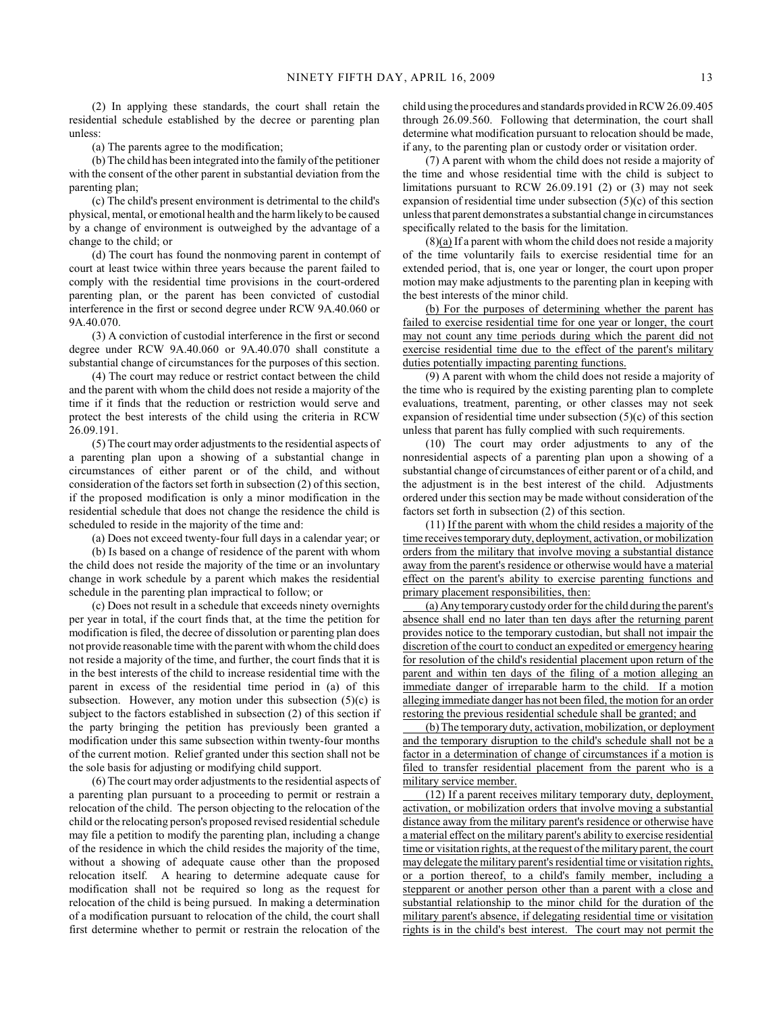(2) In applying these standards, the court shall retain the residential schedule established by the decree or parenting plan unless:

(a) The parents agree to the modification;

(b) The child has been integrated into the family of the petitioner with the consent of the other parent in substantial deviation from the parenting plan;

(c) The child's present environment is detrimental to the child's physical, mental, or emotional health and the harm likely to be caused by a change of environment is outweighed by the advantage of a change to the child; or

(d) The court has found the nonmoving parent in contempt of court at least twice within three years because the parent failed to comply with the residential time provisions in the court-ordered parenting plan, or the parent has been convicted of custodial interference in the first or second degree under RCW 9A.40.060 or 9A.40.070.

(3) A conviction of custodial interference in the first or second degree under RCW 9A.40.060 or 9A.40.070 shall constitute a substantial change of circumstances for the purposes of this section.

(4) The court may reduce or restrict contact between the child and the parent with whom the child does not reside a majority of the time if it finds that the reduction or restriction would serve and protect the best interests of the child using the criteria in RCW 26.09.191.

(5) The court may order adjustments to the residential aspects of a parenting plan upon a showing of a substantial change in circumstances of either parent or of the child, and without consideration of the factors set forth in subsection (2) of this section, if the proposed modification is only a minor modification in the residential schedule that does not change the residence the child is scheduled to reside in the majority of the time and:

(a) Does not exceed twenty-four full days in a calendar year; or

(b) Is based on a change of residence of the parent with whom the child does not reside the majority of the time or an involuntary change in work schedule by a parent which makes the residential schedule in the parenting plan impractical to follow; or

(c) Does not result in a schedule that exceeds ninety overnights per year in total, if the court finds that, at the time the petition for modification is filed, the decree of dissolution or parenting plan does not provide reasonable time with the parent with whom the child does not reside a majority of the time, and further, the court finds that it is in the best interests of the child to increase residential time with the parent in excess of the residential time period in (a) of this subsection. However, any motion under this subsection  $(5)(c)$  is subject to the factors established in subsection (2) of this section if the party bringing the petition has previously been granted a modification under this same subsection within twenty-four months of the current motion. Relief granted under this section shall not be the sole basis for adjusting or modifying child support.

(6) The court may order adjustments to the residential aspects of a parenting plan pursuant to a proceeding to permit or restrain a relocation of the child. The person objecting to the relocation of the child or the relocating person's proposed revised residential schedule may file a petition to modify the parenting plan, including a change of the residence in which the child resides the majority of the time, without a showing of adequate cause other than the proposed relocation itself. A hearing to determine adequate cause for modification shall not be required so long as the request for relocation of the child is being pursued. In making a determination of a modification pursuant to relocation of the child, the court shall first determine whether to permit or restrain the relocation of the

child using the procedures and standards provided in RCW 26.09.405 through 26.09.560. Following that determination, the court shall determine what modification pursuant to relocation should be made, if any, to the parenting plan or custody order or visitation order.

(7) A parent with whom the child does not reside a majority of the time and whose residential time with the child is subject to limitations pursuant to RCW 26.09.191 (2) or (3) may not seek expansion of residential time under subsection (5)(c) of this section unless that parent demonstrates a substantial change in circumstances specifically related to the basis for the limitation.

(8)(a) If a parent with whom the child does not reside a majority of the time voluntarily fails to exercise residential time for an extended period, that is, one year or longer, the court upon proper motion may make adjustments to the parenting plan in keeping with the best interests of the minor child.

(b) For the purposes of determining whether the parent has failed to exercise residential time for one year or longer, the court may not count any time periods during which the parent did not exercise residential time due to the effect of the parent's military duties potentially impacting parenting functions.

(9) A parent with whom the child does not reside a majority of the time who is required by the existing parenting plan to complete evaluations, treatment, parenting, or other classes may not seek expansion of residential time under subsection (5)(c) of this section unless that parent has fully complied with such requirements.

(10) The court may order adjustments to any of the nonresidential aspects of a parenting plan upon a showing of a substantial change of circumstances of either parent or of a child, and the adjustment is in the best interest of the child. Adjustments ordered under this section may be made without consideration of the factors set forth in subsection (2) of this section.

(11) If the parent with whom the child resides a majority of the time receives temporary duty, deployment, activation, or mobilization orders from the military that involve moving a substantial distance away from the parent's residence or otherwise would have a material effect on the parent's ability to exercise parenting functions and primary placement responsibilities, then:

(a) Any temporary custody order for the child during the parent's absence shall end no later than ten days after the returning parent provides notice to the temporary custodian, but shall not impair the discretion of the court to conduct an expedited or emergency hearing for resolution of the child's residential placement upon return of the parent and within ten days of the filing of a motion alleging an immediate danger of irreparable harm to the child. If a motion alleging immediate danger has not been filed, the motion for an order restoring the previous residential schedule shall be granted; and

(b) The temporary duty, activation, mobilization, or deployment and the temporary disruption to the child's schedule shall not be a factor in a determination of change of circumstances if a motion is filed to transfer residential placement from the parent who is a military service member.

(12) If a parent receives military temporary duty, deployment, activation, or mobilization orders that involve moving a substantial distance away from the military parent's residence or otherwise have a material effect on the military parent's ability to exercise residential time or visitation rights, at the request of the military parent, the court may delegate the military parent's residential time or visitation rights, or a portion thereof, to a child's family member, including a stepparent or another person other than a parent with a close and substantial relationship to the minor child for the duration of the military parent's absence, if delegating residential time or visitation rights is in the child's best interest. The court may not permit the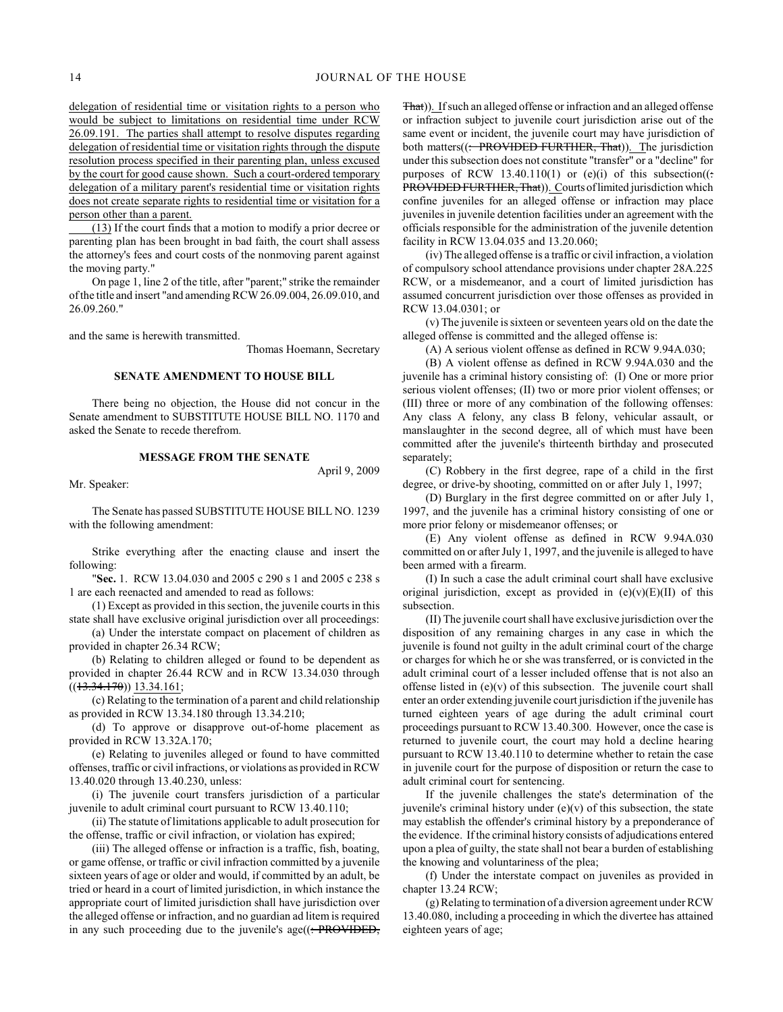delegation of residential time or visitation rights to a person who would be subject to limitations on residential time under RCW 26.09.191. The parties shall attempt to resolve disputes regarding delegation of residential time or visitation rights through the dispute resolution process specified in their parenting plan, unless excused by the court for good cause shown. Such a court-ordered temporary delegation of a military parent's residential time or visitation rights does not create separate rights to residential time or visitation for a person other than a parent.

(13) If the court finds that a motion to modify a prior decree or parenting plan has been brought in bad faith, the court shall assess the attorney's fees and court costs of the nonmoving parent against the moving party."

On page 1, line 2 of the title, after "parent;" strike the remainder ofthe title and insert "and amending RCW 26.09.004, 26.09.010, and 26.09.260."

and the same is herewith transmitted.

Thomas Hoemann, Secretary

April 9, 2009

### **SENATE AMENDMENT TO HOUSE BILL**

There being no objection, the House did not concur in the Senate amendment to SUBSTITUTE HOUSE BILL NO. 1170 and asked the Senate to recede therefrom.

# **MESSAGE FROM THE SENATE**

Mr. Speaker:

The Senate has passed SUBSTITUTE HOUSE BILL NO. 1239 with the following amendment:

Strike everything after the enacting clause and insert the following:

"**Sec.** 1. RCW 13.04.030 and 2005 c 290 s 1 and 2005 c 238 s 1 are each reenacted and amended to read as follows:

(1) Except as provided in thissection, the juvenile courts in this state shall have exclusive original jurisdiction over all proceedings:

(a) Under the interstate compact on placement of children as provided in chapter 26.34 RCW;

(b) Relating to children alleged or found to be dependent as provided in chapter 26.44 RCW and in RCW 13.34.030 through  $((13.34.170))$  13.34.161;

(c) Relating to the termination of a parent and child relationship as provided in RCW 13.34.180 through 13.34.210;

(d) To approve or disapprove out-of-home placement as provided in RCW 13.32A.170;

(e) Relating to juveniles alleged or found to have committed offenses, traffic or civil infractions, or violations as provided in RCW 13.40.020 through 13.40.230, unless:

(i) The juvenile court transfers jurisdiction of a particular juvenile to adult criminal court pursuant to RCW 13.40.110;

(ii) The statute of limitations applicable to adult prosecution for the offense, traffic or civil infraction, or violation has expired;

(iii) The alleged offense or infraction is a traffic, fish, boating, or game offense, or traffic or civil infraction committed by a juvenile sixteen years of age or older and would, if committed by an adult, be tried or heard in a court of limited jurisdiction, in which instance the appropriate court of limited jurisdiction shall have jurisdiction over the alleged offense or infraction, and no guardian ad litem is required in any such proceeding due to the juvenile's  $age((\text{·}-PROVIDED,$  That)). If such an alleged offense or infraction and an alleged offense or infraction subject to juvenile court jurisdiction arise out of the same event or incident, the juvenile court may have jurisdiction of both matters((: PROVIDED FURTHER, That)). The jurisdiction under this subsection does not constitute "transfer" or a "decline" for purposes of RCW 13.40.110(1) or (e)(i) of this subsection( $($ : PROVIDED FURTHER, That)). Courts of limited jurisdiction which confine juveniles for an alleged offense or infraction may place juveniles in juvenile detention facilities under an agreement with the officials responsible for the administration of the juvenile detention facility in RCW 13.04.035 and 13.20.060;

(iv) The alleged offense is a traffic or civil infraction, a violation of compulsory school attendance provisions under chapter 28A.225 RCW, or a misdemeanor, and a court of limited jurisdiction has assumed concurrent jurisdiction over those offenses as provided in RCW 13.04.0301; or

(v) The juvenile is sixteen or seventeen years old on the date the alleged offense is committed and the alleged offense is:

(A) A serious violent offense as defined in RCW 9.94A.030;

(B) A violent offense as defined in RCW 9.94A.030 and the juvenile has a criminal history consisting of: (I) One or more prior serious violent offenses; (II) two or more prior violent offenses; or (III) three or more of any combination of the following offenses: Any class A felony, any class B felony, vehicular assault, or manslaughter in the second degree, all of which must have been committed after the juvenile's thirteenth birthday and prosecuted separately;

(C) Robbery in the first degree, rape of a child in the first degree, or drive-by shooting, committed on or after July 1, 1997;

(D) Burglary in the first degree committed on or after July 1, 1997, and the juvenile has a criminal history consisting of one or more prior felony or misdemeanor offenses; or

(E) Any violent offense as defined in RCW 9.94A.030 committed on or after July 1, 1997, and the juvenile is alleged to have been armed with a firearm.

(I) In such a case the adult criminal court shall have exclusive original jurisdiction, except as provided in  $(e)(v)(E)(II)$  of this subsection.

(II) The juvenile court shall have exclusive jurisdiction over the disposition of any remaining charges in any case in which the juvenile is found not guilty in the adult criminal court of the charge or charges for which he or she was transferred, or is convicted in the adult criminal court of a lesser included offense that is not also an offense listed in  $(e)(v)$  of this subsection. The juvenile court shall enter an order extending juvenile court jurisdiction if the juvenile has turned eighteen years of age during the adult criminal court proceedings pursuant to RCW 13.40.300. However, once the case is returned to juvenile court, the court may hold a decline hearing pursuant to RCW 13.40.110 to determine whether to retain the case in juvenile court for the purpose of disposition or return the case to adult criminal court for sentencing.

If the juvenile challenges the state's determination of the juvenile's criminal history under  $(e)(v)$  of this subsection, the state may establish the offender's criminal history by a preponderance of the evidence. If the criminal history consists of adjudications entered upon a plea of guilty, the state shall not bear a burden of establishing the knowing and voluntariness of the plea;

(f) Under the interstate compact on juveniles as provided in chapter 13.24 RCW;

(g) Relating to termination of a diversion agreement under RCW 13.40.080, including a proceeding in which the divertee has attained eighteen years of age;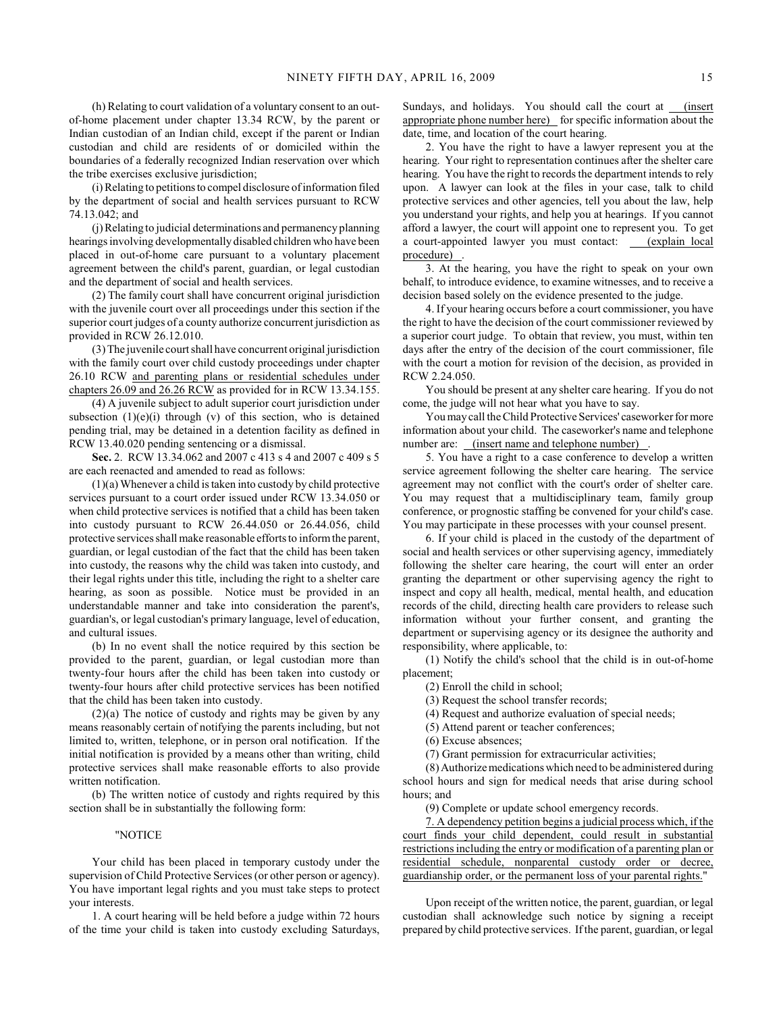(h) Relating to court validation of a voluntary consent to an outof-home placement under chapter 13.34 RCW, by the parent or Indian custodian of an Indian child, except if the parent or Indian custodian and child are residents of or domiciled within the boundaries of a federally recognized Indian reservation over which the tribe exercises exclusive jurisdiction;

(i) Relating to petitions to compel disclosure of information filed by the department of social and health services pursuant to RCW 74.13.042; and

(j)Relating to judicial determinations and permanency planning hearings involving developmentally disabled children who have been placed in out-of-home care pursuant to a voluntary placement agreement between the child's parent, guardian, or legal custodian and the department of social and health services.

(2) The family court shall have concurrent original jurisdiction with the juvenile court over all proceedings under this section if the superior court judges of a county authorize concurrent jurisdiction as provided in RCW 26.12.010.

(3)The juvenile court shall have concurrent original jurisdiction with the family court over child custody proceedings under chapter 26.10 RCW and parenting plans or residential schedules under chapters 26.09 and 26.26 RCW as provided for in RCW 13.34.155.

(4) A juvenile subject to adult superior court jurisdiction under subsection  $(1)(e)(i)$  through  $(v)$  of this section, who is detained pending trial, may be detained in a detention facility as defined in RCW 13.40.020 pending sentencing or a dismissal.

**Sec.** 2. RCW 13.34.062 and 2007 c 413 s 4 and 2007 c 409 s 5 are each reenacted and amended to read as follows:

(1)(a) Whenever a child is taken into custody by child protective services pursuant to a court order issued under RCW 13.34.050 or when child protective services is notified that a child has been taken into custody pursuant to RCW 26.44.050 or 26.44.056, child protective services shall make reasonable efforts to inform the parent, guardian, or legal custodian of the fact that the child has been taken into custody, the reasons why the child was taken into custody, and their legal rights under this title, including the right to a shelter care hearing, as soon as possible. Notice must be provided in an understandable manner and take into consideration the parent's, guardian's, or legal custodian's primary language, level of education, and cultural issues.

(b) In no event shall the notice required by this section be provided to the parent, guardian, or legal custodian more than twenty-four hours after the child has been taken into custody or twenty-four hours after child protective services has been notified that the child has been taken into custody.

(2)(a) The notice of custody and rights may be given by any means reasonably certain of notifying the parents including, but not limited to, written, telephone, or in person oral notification. If the initial notification is provided by a means other than writing, child protective services shall make reasonable efforts to also provide written notification.

(b) The written notice of custody and rights required by this section shall be in substantially the following form:

#### "NOTICE

Your child has been placed in temporary custody under the supervision of Child Protective Services (or other person or agency). You have important legal rights and you must take steps to protect your interests.

1. A court hearing will be held before a judge within 72 hours of the time your child is taken into custody excluding Saturdays, Sundays, and holidays. You should call the court at (insert appropriate phone number here) for specific information about the date, time, and location of the court hearing.

2. You have the right to have a lawyer represent you at the hearing. Your right to representation continues after the shelter care hearing. You have the right to records the department intends to rely upon. A lawyer can look at the files in your case, talk to child protective services and other agencies, tell you about the law, help you understand your rights, and help you at hearings. If you cannot afford a lawyer, the court will appoint one to represent you. To get a court-appointed lawyer you must contact: (explain local procedure) .

3. At the hearing, you have the right to speak on your own behalf, to introduce evidence, to examine witnesses, and to receive a decision based solely on the evidence presented to the judge.

4. If your hearing occurs before a court commissioner, you have the right to have the decision of the court commissioner reviewed by a superior court judge. To obtain that review, you must, within ten days after the entry of the decision of the court commissioner, file with the court a motion for revision of the decision, as provided in RCW 2.24.050.

You should be present at any shelter care hearing. If you do not come, the judge will not hear what you have to say.

You may call the Child Protective Services' caseworker for more information about your child. The caseworker's name and telephone number are: (insert name and telephone number)

5. You have a right to a case conference to develop a written service agreement following the shelter care hearing. The service agreement may not conflict with the court's order of shelter care. You may request that a multidisciplinary team, family group conference, or prognostic staffing be convened for your child's case. You may participate in these processes with your counsel present.

6. If your child is placed in the custody of the department of social and health services or other supervising agency, immediately following the shelter care hearing, the court will enter an order granting the department or other supervising agency the right to inspect and copy all health, medical, mental health, and education records of the child, directing health care providers to release such information without your further consent, and granting the department or supervising agency or its designee the authority and responsibility, where applicable, to:

(1) Notify the child's school that the child is in out-of-home placement;

(2) Enroll the child in school;

(3) Request the school transfer records;

(4) Request and authorize evaluation of special needs;

(5) Attend parent or teacher conferences;

(6) Excuse absences;

(7) Grant permission for extracurricular activities;

(8) Authorize medications which need to be administered during school hours and sign for medical needs that arise during school hours; and

(9) Complete or update school emergency records.

7. A dependency petition begins a judicial process which, if the court finds your child dependent, could result in substantial restrictions including the entry or modification of a parenting plan or residential schedule, nonparental custody order or decree, guardianship order, or the permanent loss of your parental rights."

Upon receipt of the written notice, the parent, guardian, or legal custodian shall acknowledge such notice by signing a receipt prepared by child protective services. If the parent, guardian, or legal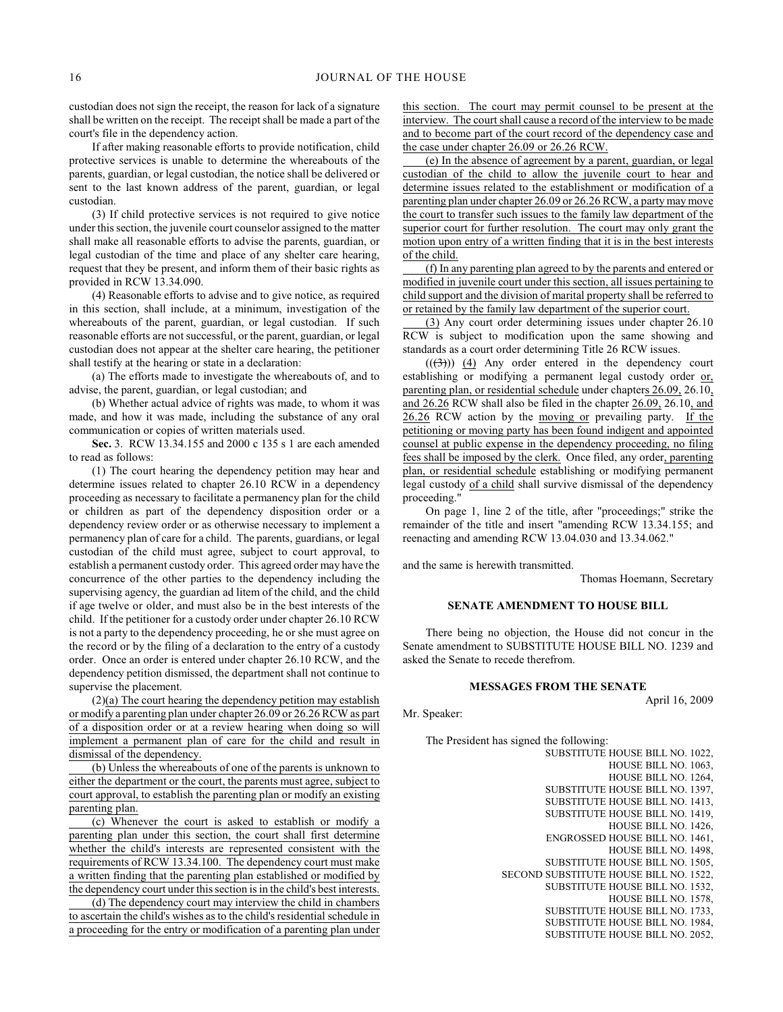custodian does not sign the receipt, the reason for lack of a signature shall be written on the receipt. The receipt shall be made a part of the court's file in the dependency action.

If after making reasonable efforts to provide notification, child protective services is unable to determine the whereabouts of the parents, guardian, or legal custodian, the notice shall be delivered or sent to the last known address of the parent, guardian, or legal custodian.

(3) If child protective services is not required to give notice under this section, the juvenile court counselor assigned to the matter shall make all reasonable efforts to advise the parents, guardian, or legal custodian of the time and place of any shelter care hearing, request that they be present, and inform them of their basic rights as provided in RCW 13.34.090.

(4) Reasonable efforts to advise and to give notice, as required in this section, shall include, at a minimum, investigation of the whereabouts of the parent, guardian, or legal custodian. If such reasonable efforts are not successful, or the parent, guardian, or legal custodian does not appear at the shelter care hearing, the petitioner shall testify at the hearing or state in a declaration:

(a) The efforts made to investigate the whereabouts of, and to advise, the parent, guardian, or legal custodian; and

(b) Whether actual advice of rights was made, to whom it was made, and how it was made, including the substance of any oral communication or copies of written materials used.

**Sec.** 3. RCW 13.34.155 and 2000 c 135 s 1 are each amended to read as follows:

(1) The court hearing the dependency petition may hear and determine issues related to chapter 26.10 RCW in a dependency proceeding as necessary to facilitate a permanency plan for the child or children as part of the dependency disposition order or a dependency review order or as otherwise necessary to implement a permanency plan of care for a child. The parents, guardians, or legal custodian of the child must agree, subject to court approval, to establish a permanent custody order. This agreed order may have the concurrence of the other parties to the dependency including the supervising agency, the guardian ad litem of the child, and the child if age twelve or older, and must also be in the best interests of the child. If the petitioner for a custody order under chapter 26.10 RCW is not a party to the dependency proceeding, he or she must agree on the record or by the filing of a declaration to the entry of a custody order. Once an order is entered under chapter 26.10 RCW, and the dependency petition dismissed, the department shall not continue to supervise the placement.

 $(2)(a)$  The court hearing the dependency petition may establish or modify a parenting plan under chapter 26.09 or 26.26 RCW as part of a disposition order or at a review hearing when doing so will implement a permanent plan of care for the child and result in dismissal of the dependency.

(b) Unless the whereabouts of one of the parents is unknown to either the department or the court, the parents must agree, subject to court approval, to establish the parenting plan or modify an existing parenting plan.

(c) Whenever the court is asked to establish or modify a parenting plan under this section, the court shall first determine whether the child's interests are represented consistent with the requirements of RCW 13.34.100. The dependency court must make a written finding that the parenting plan established or modified by the dependency court under this section is in the child's best interests.

(d) The dependency court may interview the child in chambers to ascertain the child's wishes asto the child's residential schedule in a proceeding for the entry or modification of a parenting plan under this section. The court may permit counsel to be present at the interview. The court shall cause a record of the interview to be made and to become part of the court record of the dependency case and the case under chapter 26.09 or 26.26 RCW.

(e) In the absence of agreement by a parent, guardian, or legal custodian of the child to allow the juvenile court to hear and determine issues related to the establishment or modification of a parenting plan under chapter 26.09 or 26.26 RCW, a party may move the court to transfer such issues to the family law department of the superior court for further resolution. The court may only grant the motion upon entry of a written finding that it is in the best interests of the child.

(f) In any parenting plan agreed to by the parents and entered or modified in juvenile court under this section, all issues pertaining to child support and the division of marital property shall be referred to or retained by the family law department of the superior court.

(3) Any court order determining issues under chapter 26.10 RCW is subject to modification upon the same showing and standards as a court order determining Title 26 RCW issues.

 $((\rightarrow{(\rightarrow)})$  (4) Any order entered in the dependency court establishing or modifying a permanent legal custody order or, parenting plan, or residential schedule under chapters 26.09, 26.10, and 26.26 RCW shall also be filed in the chapter 26.09, 26.10, and 26.26 RCW action by the moving or prevailing party. If the petitioning or moving party has been found indigent and appointed counsel at public expense in the dependency proceeding, no filing fees shall be imposed by the clerk. Once filed, any order, parenting plan, or residential schedule establishing or modifying permanent legal custody of a child shall survive dismissal of the dependency proceeding."

On page 1, line 2 of the title, after "proceedings;" strike the remainder of the title and insert "amending RCW 13.34.155; and reenacting and amending RCW 13.04.030 and 13.34.062."

and the same is herewith transmitted.

Thomas Hoemann, Secretary

# **SENATE AMENDMENT TO HOUSE BILL**

There being no objection, the House did not concur in the Senate amendment to SUBSTITUTE HOUSE BILL NO. 1239 and asked the Senate to recede therefrom.

### **MESSAGES FROM THE SENATE**

April 16, 2009

Mr. Speaker:

The President has signed the following:

SUBSTITUTE HOUSE BILL NO. 1022, HOUSE BILL NO. 1063, HOUSE BILL NO. 1264, SUBSTITUTE HOUSE BILL NO. 1397, SUBSTITUTE HOUSE BILL NO. 1413, SUBSTITUTE HOUSE BILL NO. 1419, HOUSE BILL NO. 1426, ENGROSSED HOUSE BILL NO. 1461, HOUSE BILL NO. 1498, SUBSTITUTE HOUSE BILL NO. 1505, SECOND SUBSTITUTE HOUSE BILL NO. 1522, SUBSTITUTE HOUSE BILL NO. 1532, HOUSE BILL NO. 1578, SUBSTITUTE HOUSE BILL NO. 1733, SUBSTITUTE HOUSE BILL NO. 1984, SUBSTITUTE HOUSE BILL NO. 2052,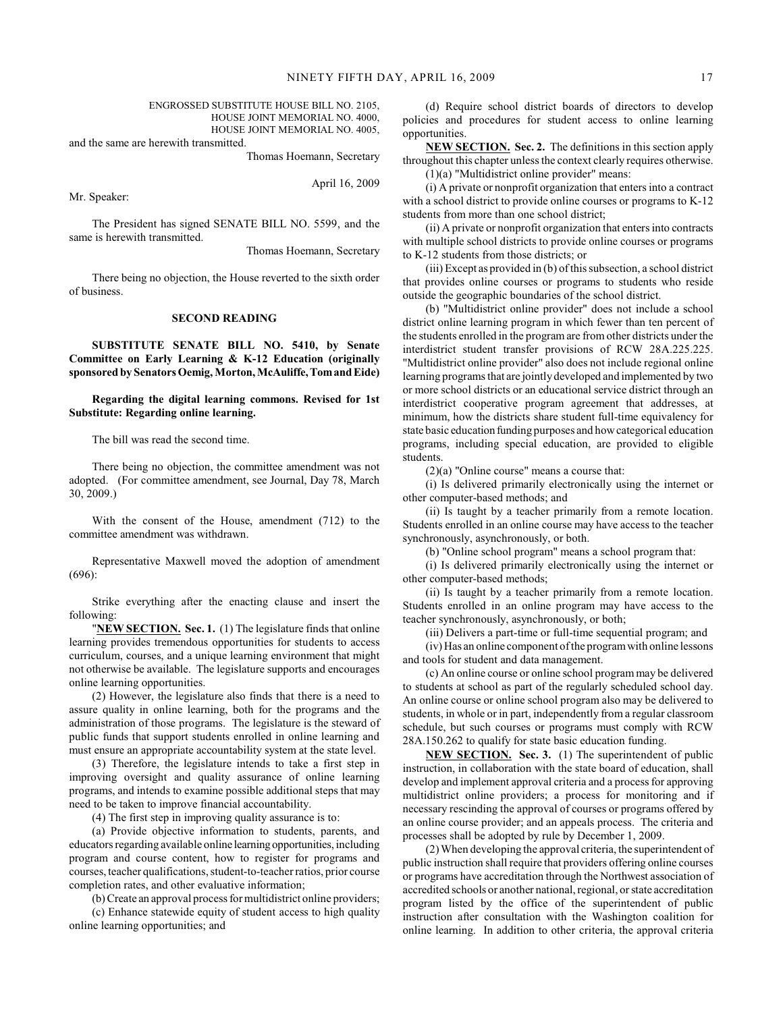ENGROSSED SUBSTITUTE HOUSE BILL NO. 2105, HOUSE JOINT MEMORIAL NO. 4000, HOUSE JOINT MEMORIAL NO. 4005,

and the same are herewith transmitted.

Thomas Hoemann, Secretary

April 16, 2009

Mr. Speaker:

The President has signed SENATE BILL NO. 5599, and the same is herewith transmitted.

Thomas Hoemann, Secretary

There being no objection, the House reverted to the sixth order of business.

### **SECOND READING**

**SUBSTITUTE SENATE BILL NO. 5410, by Senate Committee on Early Learning & K-12 Education (originally sponsored by Senators Oemig, Morton, McAuliffe, Tom and Eide)**

**Regarding the digital learning commons. Revised for 1st Substitute: Regarding online learning.**

The bill was read the second time.

There being no objection, the committee amendment was not adopted. (For committee amendment, see Journal, Day 78, March 30, 2009.)

With the consent of the House, amendment (712) to the committee amendment was withdrawn.

Representative Maxwell moved the adoption of amendment (696):

Strike everything after the enacting clause and insert the following:

"**NEW SECTION. Sec. 1.** (1) The legislature finds that online learning provides tremendous opportunities for students to access curriculum, courses, and a unique learning environment that might not otherwise be available. The legislature supports and encourages online learning opportunities.

(2) However, the legislature also finds that there is a need to assure quality in online learning, both for the programs and the administration of those programs. The legislature is the steward of public funds that support students enrolled in online learning and must ensure an appropriate accountability system at the state level.

(3) Therefore, the legislature intends to take a first step in improving oversight and quality assurance of online learning programs, and intends to examine possible additional steps that may need to be taken to improve financial accountability.

(4) The first step in improving quality assurance is to:

(a) Provide objective information to students, parents, and educators regarding available online learning opportunities, including program and course content, how to register for programs and courses, teacher qualifications, student-to-teacher ratios, prior course completion rates, and other evaluative information;

(b) Create an approval process for multidistrict online providers;

(c) Enhance statewide equity of student access to high quality online learning opportunities; and

(d) Require school district boards of directors to develop policies and procedures for student access to online learning opportunities.

**NEW SECTION. Sec. 2.** The definitions in this section apply throughout this chapter unless the context clearly requires otherwise. (1)(a) "Multidistrict online provider" means:

(i) A private or nonprofit organization that enters into a contract with a school district to provide online courses or programs to K-12 students from more than one school district;

(ii) A private or nonprofit organization that enters into contracts with multiple school districts to provide online courses or programs to K-12 students from those districts; or

(iii) Except as provided in (b) of this subsection, a school district that provides online courses or programs to students who reside outside the geographic boundaries of the school district.

(b) "Multidistrict online provider" does not include a school district online learning program in which fewer than ten percent of the students enrolled in the program are from other districts under the interdistrict student transfer provisions of RCW 28A.225.225. "Multidistrict online provider" also does not include regional online learning programs that are jointly developed and implemented by two or more school districts or an educational service district through an interdistrict cooperative program agreement that addresses, at minimum, how the districts share student full-time equivalency for state basic education funding purposes and how categorical education programs, including special education, are provided to eligible students.

(2)(a) "Online course" means a course that:

(i) Is delivered primarily electronically using the internet or other computer-based methods; and

(ii) Is taught by a teacher primarily from a remote location. Students enrolled in an online course may have access to the teacher synchronously, asynchronously, or both.

(b) "Online school program" means a school program that:

(i) Is delivered primarily electronically using the internet or other computer-based methods;

(ii) Is taught by a teacher primarily from a remote location. Students enrolled in an online program may have access to the teacher synchronously, asynchronously, or both;

(iii) Delivers a part-time or full-time sequential program; and

(iv) Has an online component of the program with online lessons and tools for student and data management.

(c) An online course or online school program may be delivered to students at school as part of the regularly scheduled school day. An online course or online school program also may be delivered to students, in whole or in part, independently from a regular classroom schedule, but such courses or programs must comply with RCW 28A.150.262 to qualify for state basic education funding.

**NEW SECTION. Sec. 3.** (1) The superintendent of public instruction, in collaboration with the state board of education, shall develop and implement approval criteria and a process for approving multidistrict online providers; a process for monitoring and if necessary rescinding the approval of courses or programs offered by an online course provider; and an appeals process. The criteria and processes shall be adopted by rule by December 1, 2009.

(2) When developing the approval criteria, the superintendent of public instruction shall require that providers offering online courses or programs have accreditation through the Northwest association of accredited schools or another national, regional, or state accreditation program listed by the office of the superintendent of public instruction after consultation with the Washington coalition for online learning. In addition to other criteria, the approval criteria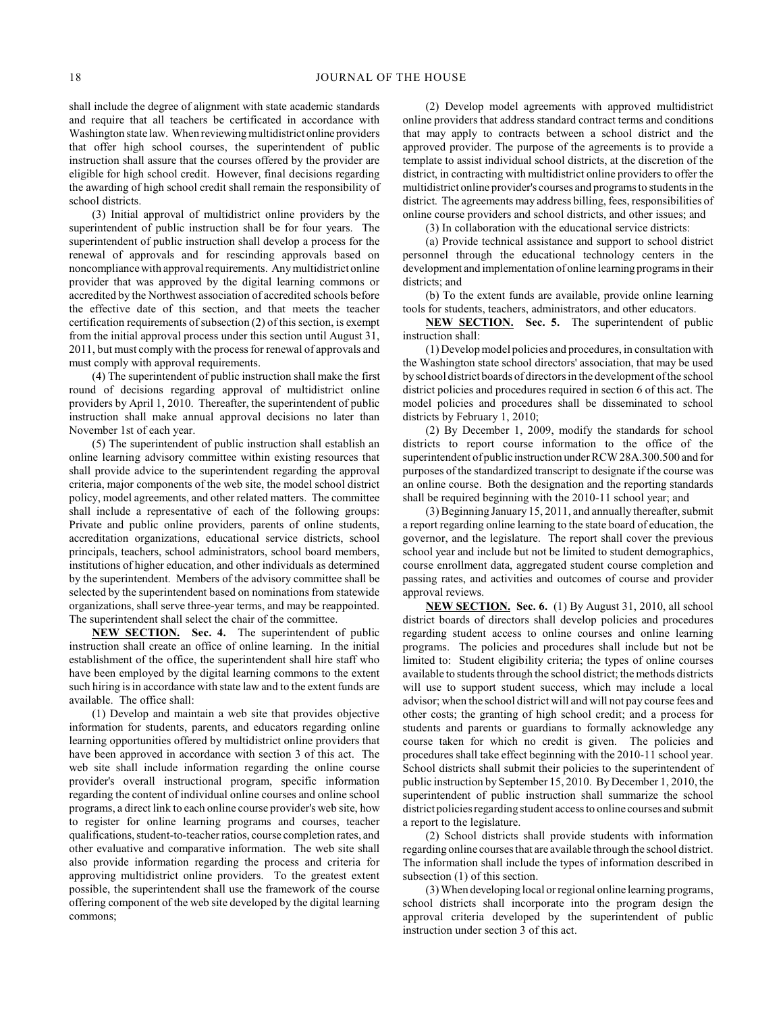shall include the degree of alignment with state academic standards and require that all teachers be certificated in accordance with Washington state law. When reviewing multidistrict online providers that offer high school courses, the superintendent of public instruction shall assure that the courses offered by the provider are eligible for high school credit. However, final decisions regarding the awarding of high school credit shall remain the responsibility of school districts.

(3) Initial approval of multidistrict online providers by the superintendent of public instruction shall be for four years. The superintendent of public instruction shall develop a process for the renewal of approvals and for rescinding approvals based on noncompliance with approval requirements. Any multidistrict online provider that was approved by the digital learning commons or accredited by the Northwest association of accredited schools before the effective date of this section, and that meets the teacher certification requirements of subsection (2) of this section, is exempt from the initial approval process under this section until August 31, 2011, but must comply with the process for renewal of approvals and must comply with approval requirements.

(4) The superintendent of public instruction shall make the first round of decisions regarding approval of multidistrict online providers by April 1, 2010. Thereafter, the superintendent of public instruction shall make annual approval decisions no later than November 1st of each year.

(5) The superintendent of public instruction shall establish an online learning advisory committee within existing resources that shall provide advice to the superintendent regarding the approval criteria, major components of the web site, the model school district policy, model agreements, and other related matters. The committee shall include a representative of each of the following groups: Private and public online providers, parents of online students, accreditation organizations, educational service districts, school principals, teachers, school administrators, school board members, institutions of higher education, and other individuals as determined by the superintendent. Members of the advisory committee shall be selected by the superintendent based on nominations from statewide organizations, shall serve three-year terms, and may be reappointed. The superintendent shall select the chair of the committee.

**NEW SECTION. Sec. 4.** The superintendent of public instruction shall create an office of online learning. In the initial establishment of the office, the superintendent shall hire staff who have been employed by the digital learning commons to the extent such hiring is in accordance with state law and to the extent funds are available. The office shall:

(1) Develop and maintain a web site that provides objective information for students, parents, and educators regarding online learning opportunities offered by multidistrict online providers that have been approved in accordance with section 3 of this act. The web site shall include information regarding the online course provider's overall instructional program, specific information regarding the content of individual online courses and online school programs, a direct link to each online course provider's web site, how to register for online learning programs and courses, teacher qualifications, student-to-teacher ratios, course completion rates, and other evaluative and comparative information. The web site shall also provide information regarding the process and criteria for approving multidistrict online providers. To the greatest extent possible, the superintendent shall use the framework of the course offering component of the web site developed by the digital learning commons;

(2) Develop model agreements with approved multidistrict online providers that address standard contract terms and conditions that may apply to contracts between a school district and the approved provider. The purpose of the agreements is to provide a template to assist individual school districts, at the discretion of the district, in contracting with multidistrict online providers to offer the multidistrict online provider's courses and programs to students in the district. The agreements may address billing, fees, responsibilities of online course providers and school districts, and other issues; and

(3) In collaboration with the educational service districts:

(a) Provide technical assistance and support to school district personnel through the educational technology centers in the development and implementation of online learning programs in their districts; and

(b) To the extent funds are available, provide online learning tools for students, teachers, administrators, and other educators.

**NEW SECTION. Sec. 5.** The superintendent of public instruction shall:

(1) Develop model policies and procedures, in consultation with the Washington state school directors' association, that may be used by school district boards of directors in the development of the school district policies and procedures required in section 6 of this act. The model policies and procedures shall be disseminated to school districts by February 1, 2010;

(2) By December 1, 2009, modify the standards for school districts to report course information to the office of the superintendent of public instruction under RCW 28A.300.500 and for purposes of the standardized transcript to designate if the course was an online course. Both the designation and the reporting standards shall be required beginning with the 2010-11 school year; and

(3) Beginning January 15, 2011, and annually thereafter, submit a report regarding online learning to the state board of education, the governor, and the legislature. The report shall cover the previous school year and include but not be limited to student demographics, course enrollment data, aggregated student course completion and passing rates, and activities and outcomes of course and provider approval reviews.

**NEW SECTION. Sec. 6.** (1) By August 31, 2010, all school district boards of directors shall develop policies and procedures regarding student access to online courses and online learning programs. The policies and procedures shall include but not be limited to: Student eligibility criteria; the types of online courses available to students through the school district; the methods districts will use to support student success, which may include a local advisor; when the school district will and will not pay course fees and other costs; the granting of high school credit; and a process for students and parents or guardians to formally acknowledge any course taken for which no credit is given. The policies and procedures shall take effect beginning with the 2010-11 school year. School districts shall submit their policies to the superintendent of public instruction by September 15, 2010. By December 1, 2010, the superintendent of public instruction shall summarize the school district policies regarding student access to online courses and submit a report to the legislature.

(2) School districts shall provide students with information regarding online courses that are available through the school district. The information shall include the types of information described in subsection (1) of this section.

(3) When developing local or regional online learning programs, school districts shall incorporate into the program design the approval criteria developed by the superintendent of public instruction under section 3 of this act.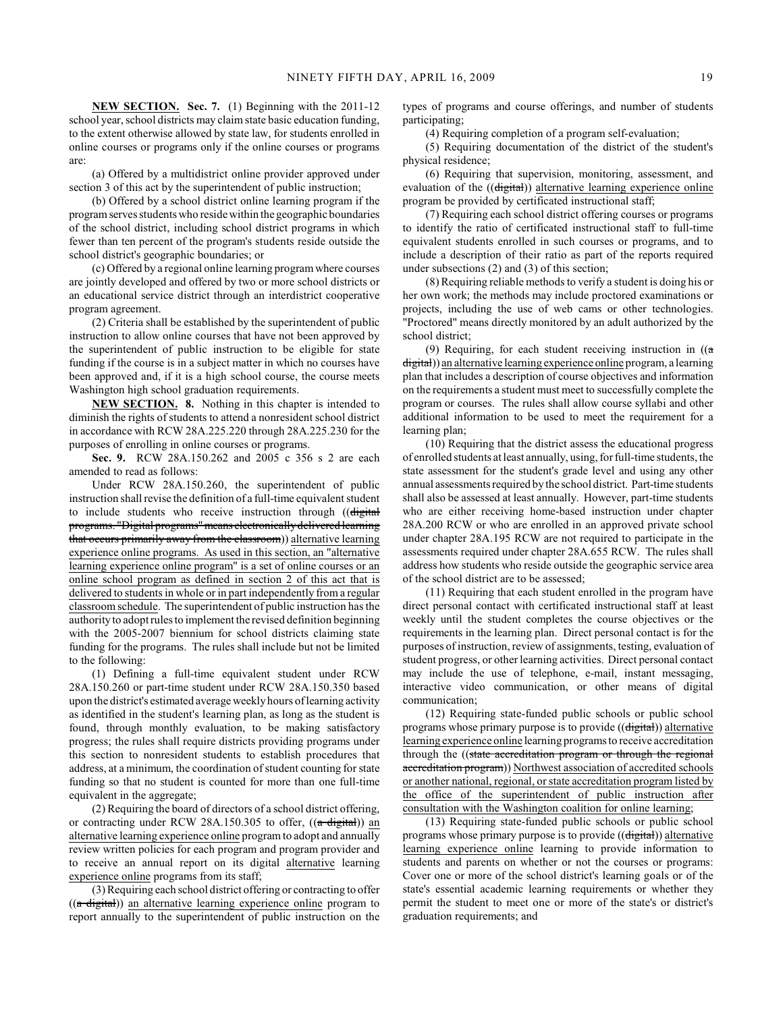**NEW SECTION. Sec. 7.** (1) Beginning with the 2011-12 school year, school districts may claim state basic education funding, to the extent otherwise allowed by state law, for students enrolled in online courses or programs only if the online courses or programs are:

(a) Offered by a multidistrict online provider approved under section 3 of this act by the superintendent of public instruction;

(b) Offered by a school district online learning program if the program serves students who reside within the geographic boundaries of the school district, including school district programs in which fewer than ten percent of the program's students reside outside the school district's geographic boundaries; or

(c) Offered by a regional online learning program where courses are jointly developed and offered by two or more school districts or an educational service district through an interdistrict cooperative program agreement.

(2) Criteria shall be established by the superintendent of public instruction to allow online courses that have not been approved by the superintendent of public instruction to be eligible for state funding if the course is in a subject matter in which no courses have been approved and, if it is a high school course, the course meets Washington high school graduation requirements.

**NEW SECTION. 8.** Nothing in this chapter is intended to diminish the rights of students to attend a nonresident school district in accordance with RCW 28A.225.220 through 28A.225.230 for the purposes of enrolling in online courses or programs.

**Sec. 9.** RCW 28A.150.262 and 2005 c 356 s 2 are each amended to read as follows:

Under RCW 28A.150.260, the superintendent of public instruction shall revise the definition of a full-time equivalent student to include students who receive instruction through ((digital programs. "Digital programs" means electronically delivered learning that occurs primarily away from the classroom)) alternative learning experience online programs. As used in this section, an "alternative learning experience online program" is a set of online courses or an online school program as defined in section 2 of this act that is delivered to students in whole or in part independently from a regular classroom schedule. The superintendent of public instruction has the authority to adopt rules to implement the revised definition beginning with the 2005-2007 biennium for school districts claiming state funding for the programs. The rules shall include but not be limited to the following:

(1) Defining a full-time equivalent student under RCW 28A.150.260 or part-time student under RCW 28A.150.350 based upon the district's estimated average weekly hours of learning activity as identified in the student's learning plan, as long as the student is found, through monthly evaluation, to be making satisfactory progress; the rules shall require districts providing programs under this section to nonresident students to establish procedures that address, at a minimum, the coordination of student counting for state funding so that no student is counted for more than one full-time equivalent in the aggregate;

(2) Requiring the board of directors of a school district offering, or contracting under RCW 28A.150.305 to offer,  $((a - digita))$  an alternative learning experience online program to adopt and annually review written policies for each program and program provider and to receive an annual report on its digital alternative learning experience online programs from its staff;

(3) Requiring each school district offering or contracting to offer ((a digital)) an alternative learning experience online program to report annually to the superintendent of public instruction on the types of programs and course offerings, and number of students participating;

(4) Requiring completion of a program self-evaluation;

(5) Requiring documentation of the district of the student's physical residence;

(6) Requiring that supervision, monitoring, assessment, and evaluation of the ((digital)) alternative learning experience online program be provided by certificated instructional staff;

(7) Requiring each school district offering courses or programs to identify the ratio of certificated instructional staff to full-time equivalent students enrolled in such courses or programs, and to include a description of their ratio as part of the reports required under subsections (2) and (3) of this section;

(8) Requiring reliable methods to verify a student is doing his or her own work; the methods may include proctored examinations or projects, including the use of web cams or other technologies. "Proctored" means directly monitored by an adult authorized by the school district;

(9) Requiring, for each student receiving instruction in  $((a$ digital)) an alternative learning experience online program, a learning plan that includes a description of course objectives and information on the requirements a student must meet to successfully complete the program or courses. The rules shall allow course syllabi and other additional information to be used to meet the requirement for a learning plan;

(10) Requiring that the district assess the educational progress of enrolled students atleast annually, using, for full-time students, the state assessment for the student's grade level and using any other annual assessments required by the school district. Part-time students shall also be assessed at least annually. However, part-time students who are either receiving home-based instruction under chapter 28A.200 RCW or who are enrolled in an approved private school under chapter 28A.195 RCW are not required to participate in the assessments required under chapter 28A.655 RCW. The rules shall address how students who reside outside the geographic service area of the school district are to be assessed;

(11) Requiring that each student enrolled in the program have direct personal contact with certificated instructional staff at least weekly until the student completes the course objectives or the requirements in the learning plan. Direct personal contact is for the purposes of instruction, review of assignments, testing, evaluation of student progress, or other learning activities. Direct personal contact may include the use of telephone, e-mail, instant messaging, interactive video communication, or other means of digital communication;

(12) Requiring state-funded public schools or public school programs whose primary purpose is to provide ((digital)) alternative learning experience online learning programs to receive accreditation through the ((state accreditation program or through the regional accreditation program)) Northwest association of accredited schools or another national, regional, or state accreditation program listed by the office of the superintendent of public instruction after consultation with the Washington coalition for online learning;

(13) Requiring state-funded public schools or public school programs whose primary purpose is to provide ((digital)) alternative learning experience online learning to provide information to students and parents on whether or not the courses or programs: Cover one or more of the school district's learning goals or of the state's essential academic learning requirements or whether they permit the student to meet one or more of the state's or district's graduation requirements; and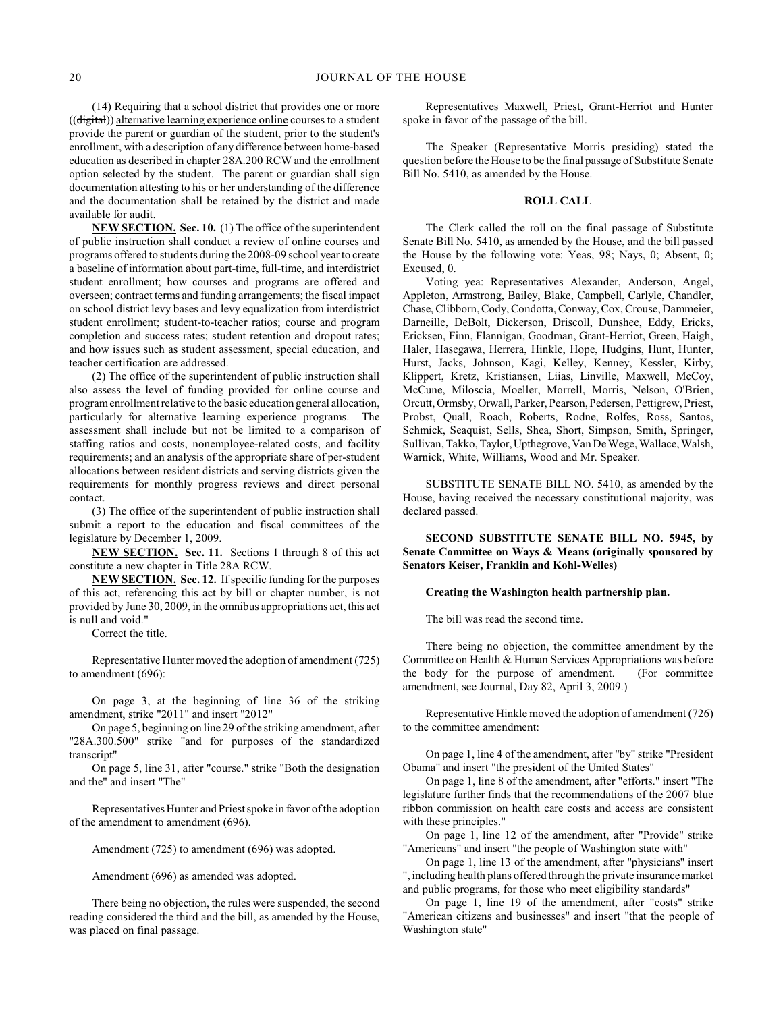(14) Requiring that a school district that provides one or more ((digital)) alternative learning experience online courses to a student provide the parent or guardian of the student, prior to the student's enrollment, with a description of any difference between home-based education as described in chapter 28A.200 RCW and the enrollment option selected by the student. The parent or guardian shall sign documentation attesting to his or her understanding of the difference and the documentation shall be retained by the district and made available for audit.

**NEW SECTION. Sec. 10.** (1) The office of the superintendent of public instruction shall conduct a review of online courses and programs offered to students during the 2008-09 school year to create a baseline of information about part-time, full-time, and interdistrict student enrollment; how courses and programs are offered and overseen; contract terms and funding arrangements; the fiscal impact on school district levy bases and levy equalization from interdistrict student enrollment; student-to-teacher ratios; course and program completion and success rates; student retention and dropout rates; and how issues such as student assessment, special education, and teacher certification are addressed.

(2) The office of the superintendent of public instruction shall also assess the level of funding provided for online course and program enrollment relative to the basic education general allocation, particularly for alternative learning experience programs. The assessment shall include but not be limited to a comparison of staffing ratios and costs, nonemployee-related costs, and facility requirements; and an analysis of the appropriate share of per-student allocations between resident districts and serving districts given the requirements for monthly progress reviews and direct personal contact.

(3) The office of the superintendent of public instruction shall submit a report to the education and fiscal committees of the legislature by December 1, 2009.

**NEW SECTION. Sec. 11.** Sections 1 through 8 of this act constitute a new chapter in Title 28A RCW.

**NEW SECTION. Sec. 12.** If specific funding for the purposes of this act, referencing this act by bill or chapter number, is not provided by June 30, 2009, in the omnibus appropriations act, this act is null and void."

Correct the title.

Representative Huntermoved the adoption of amendment (725) to amendment (696):

On page 3, at the beginning of line 36 of the striking amendment, strike "2011" and insert "2012"

On page 5, beginning on line 29 of the striking amendment, after "28A.300.500" strike "and for purposes of the standardized transcript"

On page 5, line 31, after "course." strike "Both the designation and the" and insert "The"

Representatives Hunter and Priest spoke in favor of the adoption of the amendment to amendment (696).

Amendment (725) to amendment (696) was adopted.

Amendment (696) as amended was adopted.

There being no objection, the rules were suspended, the second reading considered the third and the bill, as amended by the House, was placed on final passage.

Representatives Maxwell, Priest, Grant-Herriot and Hunter spoke in favor of the passage of the bill.

The Speaker (Representative Morris presiding) stated the question before the House to be the final passage of Substitute Senate Bill No. 5410, as amended by the House.

### **ROLL CALL**

The Clerk called the roll on the final passage of Substitute Senate Bill No. 5410, as amended by the House, and the bill passed the House by the following vote: Yeas, 98; Nays, 0; Absent, 0; Excused, 0.

Voting yea: Representatives Alexander, Anderson, Angel, Appleton, Armstrong, Bailey, Blake, Campbell, Carlyle, Chandler, Chase, Clibborn, Cody, Condotta, Conway, Cox, Crouse, Dammeier, Darneille, DeBolt, Dickerson, Driscoll, Dunshee, Eddy, Ericks, Ericksen, Finn, Flannigan, Goodman, Grant-Herriot, Green, Haigh, Haler, Hasegawa, Herrera, Hinkle, Hope, Hudgins, Hunt, Hunter, Hurst, Jacks, Johnson, Kagi, Kelley, Kenney, Kessler, Kirby, Klippert, Kretz, Kristiansen, Liias, Linville, Maxwell, McCoy, McCune, Miloscia, Moeller, Morrell, Morris, Nelson, O'Brien, Orcutt, Ormsby, Orwall, Parker, Pearson, Pedersen, Pettigrew, Priest, Probst, Quall, Roach, Roberts, Rodne, Rolfes, Ross, Santos, Schmick, Seaquist, Sells, Shea, Short, Simpson, Smith, Springer, Sullivan, Takko, Taylor, Upthegrove, Van De Wege, Wallace, Walsh, Warnick, White, Williams, Wood and Mr. Speaker.

SUBSTITUTE SENATE BILL NO. 5410, as amended by the House, having received the necessary constitutional majority, was declared passed.

**SECOND SUBSTITUTE SENATE BILL NO. 5945, by Senate Committee on Ways & Means (originally sponsored by Senators Keiser, Franklin and Kohl-Welles)**

### **Creating the Washington health partnership plan.**

The bill was read the second time.

There being no objection, the committee amendment by the Committee on Health & Human Services Appropriations was before<br>the body for the purpose of amendment. (For committee the body for the purpose of amendment. amendment, see Journal, Day 82, April 3, 2009.)

Representative Hinkle moved the adoption of amendment (726) to the committee amendment:

On page 1, line 4 of the amendment, after "by" strike "President Obama" and insert "the president of the United States"

On page 1, line 8 of the amendment, after "efforts." insert "The legislature further finds that the recommendations of the 2007 blue ribbon commission on health care costs and access are consistent with these principles."

On page 1, line 12 of the amendment, after "Provide" strike "Americans" and insert "the people of Washington state with"

On page 1, line 13 of the amendment, after "physicians" insert ", including health plans offered through the private insurance market and public programs, for those who meet eligibility standards"

On page 1, line 19 of the amendment, after "costs" strike "American citizens and businesses" and insert "that the people of Washington state"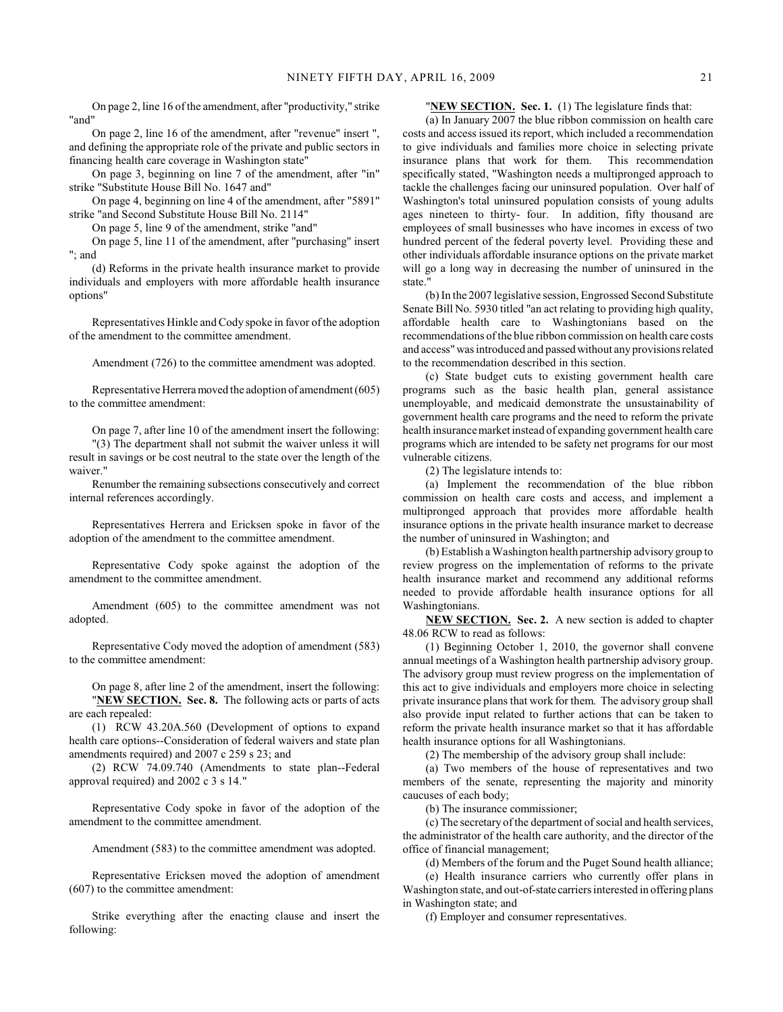On page 2, line 16 of the amendment, after "productivity," strike "and"

On page 2, line 16 of the amendment, after "revenue" insert ", and defining the appropriate role of the private and public sectors in financing health care coverage in Washington state"

On page 3, beginning on line 7 of the amendment, after "in" strike "Substitute House Bill No. 1647 and"

On page 4, beginning on line 4 of the amendment, after "5891" strike "and Second Substitute House Bill No. 2114"

On page 5, line 9 of the amendment, strike "and"

On page 5, line 11 of the amendment, after "purchasing" insert "; and

(d) Reforms in the private health insurance market to provide individuals and employers with more affordable health insurance options"

Representatives Hinkle and Cody spoke in favor of the adoption of the amendment to the committee amendment.

Amendment (726) to the committee amendment was adopted.

Representative Herrera moved the adoption of amendment (605) to the committee amendment:

On page 7, after line 10 of the amendment insert the following: "(3) The department shall not submit the waiver unless it will result in savings or be cost neutral to the state over the length of the waiver."

Renumber the remaining subsections consecutively and correct internal references accordingly.

Representatives Herrera and Ericksen spoke in favor of the adoption of the amendment to the committee amendment.

Representative Cody spoke against the adoption of the amendment to the committee amendment.

Amendment (605) to the committee amendment was not adopted.

Representative Cody moved the adoption of amendment (583) to the committee amendment:

On page 8, after line 2 of the amendment, insert the following: "**NEW SECTION. Sec. 8.** The following acts or parts of acts are each repealed:

(1) RCW 43.20A.560 (Development of options to expand health care options--Consideration of federal waivers and state plan amendments required) and 2007 c 259 s 23; and

(2) RCW 74.09.740 (Amendments to state plan--Federal approval required) and 2002 c 3 s 14."

Representative Cody spoke in favor of the adoption of the amendment to the committee amendment.

Amendment (583) to the committee amendment was adopted.

Representative Ericksen moved the adoption of amendment (607) to the committee amendment:

Strike everything after the enacting clause and insert the following:

## "**NEW SECTION. Sec. 1.** (1) The legislature finds that:

(a) In January 2007 the blue ribbon commission on health care costs and access issued itsreport, which included a recommendation to give individuals and families more choice in selecting private insurance plans that work for them. This recommendation specifically stated, "Washington needs a multipronged approach to tackle the challenges facing our uninsured population. Over half of Washington's total uninsured population consists of young adults ages nineteen to thirty- four. In addition, fifty thousand are employees of small businesses who have incomes in excess of two hundred percent of the federal poverty level. Providing these and other individuals affordable insurance options on the private market will go a long way in decreasing the number of uninsured in the state."

(b) In the 2007 legislative session, Engrossed Second Substitute Senate Bill No. 5930 titled "an act relating to providing high quality, affordable health care to Washingtonians based on the recommendations of the blue ribbon commission on health care costs and access" was introduced and passed without any provisions related to the recommendation described in this section.

(c) State budget cuts to existing government health care programs such as the basic health plan, general assistance unemployable, and medicaid demonstrate the unsustainability of government health care programs and the need to reform the private health insurance market instead of expanding government health care programs which are intended to be safety net programs for our most vulnerable citizens.

(2) The legislature intends to:

(a) Implement the recommendation of the blue ribbon commission on health care costs and access, and implement a multipronged approach that provides more affordable health insurance options in the private health insurance market to decrease the number of uninsured in Washington; and

(b) Establish a Washington health partnership advisory group to review progress on the implementation of reforms to the private health insurance market and recommend any additional reforms needed to provide affordable health insurance options for all Washingtonians.

**NEW SECTION. Sec. 2.** A new section is added to chapter 48.06 RCW to read as follows:

(1) Beginning October 1, 2010, the governor shall convene annual meetings of a Washington health partnership advisory group. The advisory group must review progress on the implementation of this act to give individuals and employers more choice in selecting private insurance plans that work for them. The advisory group shall also provide input related to further actions that can be taken to reform the private health insurance market so that it has affordable health insurance options for all Washingtonians.

(2) The membership of the advisory group shall include:

(a) Two members of the house of representatives and two members of the senate, representing the majority and minority caucuses of each body;

(b) The insurance commissioner;

(c) The secretary of the department of social and health services, the administrator of the health care authority, and the director of the office of financial management;

(d) Members of the forum and the Puget Sound health alliance;

(e) Health insurance carriers who currently offer plans in Washington state, and out-of-state carriers interested in offering plans in Washington state; and

(f) Employer and consumer representatives.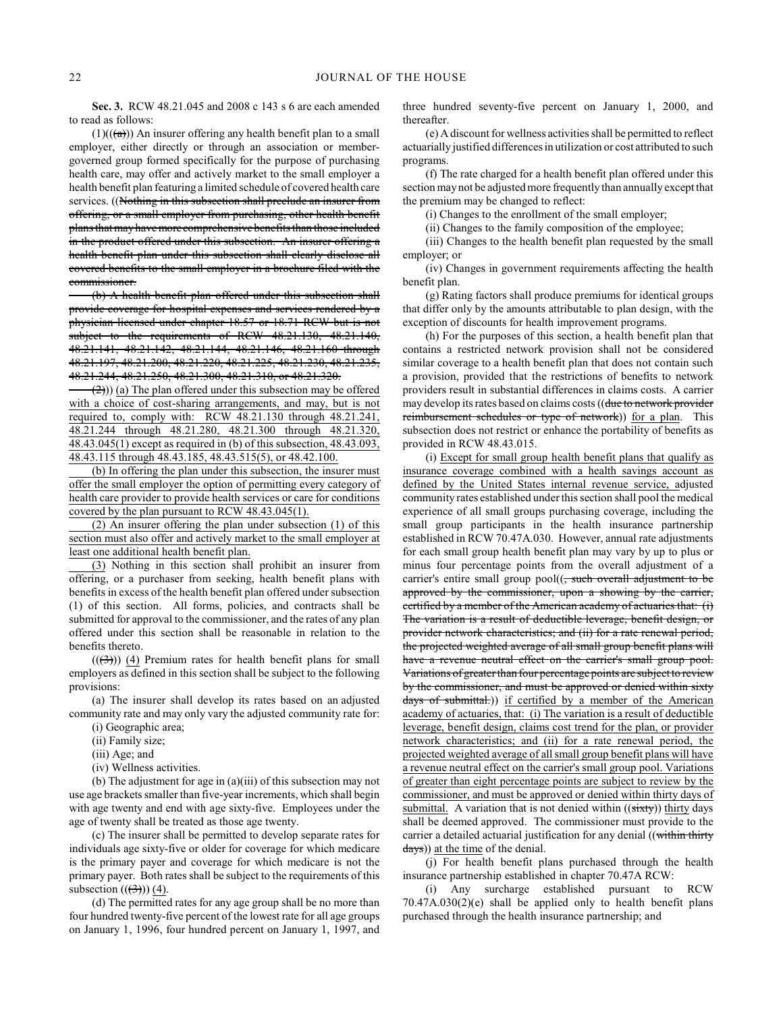**Sec. 3.** RCW 48.21.045 and 2008 c 143 s 6 are each amended to read as follows:

 $(1)((\alpha))$ ) An insurer offering any health benefit plan to a small employer, either directly or through an association or membergoverned group formed specifically for the purpose of purchasing health care, may offer and actively market to the small employer a health benefit plan featuring a limited schedule of covered health care services. ((Nothing in this subsection shall preclude an insurer from offering, or a small employer from purchasing, other health benefit plans that may have more comprehensive benefits than those included in the product offered under this subsection. An insurer offering a health benefit plan under this subsection shall clearly disclose all covered benefits to the small employer in a brochure filed with the commissioner.

(b) A health benefit plan offered under this subsection shall provide coverage for hospital expenses and services rendered by a physician licensed under chapter 18.57 or 18.71 RCW but is not subject to the requirements of RCW 48.21.130, 48.21.140, 48.21.141, 48.21.142, 48.21.144, 48.21.146, 48.21.160 through 48.21.197, 48.21.200, 48.21.220, 48.21.225, 48.21.230, 48.21.235, 48.21.244, 48.21.250, 48.21.300, 48.21.310, or 48.21.320.

 $(2)$ )) (a) The plan offered under this subsection may be offered with a choice of cost-sharing arrangements, and may, but is not required to, comply with: RCW 48.21.130 through 48.21.241, 48.21.244 through 48.21.280, 48.21.300 through 48.21.320, 48.43.045(1) except as required in (b) of this subsection, 48.43.093, 48.43.115 through 48.43.185, 48.43.515(5), or 48.42.100.

(b) In offering the plan under this subsection, the insurer must offer the small employer the option of permitting every category of health care provider to provide health services or care for conditions covered by the plan pursuant to RCW 48.43.045(1).

(2) An insurer offering the plan under subsection (1) of this section must also offer and actively market to the small employer at least one additional health benefit plan.

(3) Nothing in this section shall prohibit an insurer from offering, or a purchaser from seeking, health benefit plans with benefits in excess of the health benefit plan offered under subsection (1) of this section. All forms, policies, and contracts shall be submitted for approval to the commissioner, and the rates of any plan offered under this section shall be reasonable in relation to the benefits thereto.

 $((\rightarrow{(\rightarrow)})$  (4) Premium rates for health benefit plans for small employers as defined in this section shall be subject to the following provisions:

(a) The insurer shall develop its rates based on an adjusted community rate and may only vary the adjusted community rate for:

- (i) Geographic area;
- (ii) Family size;
- (iii) Age; and
- (iv) Wellness activities.

(b) The adjustment for age in (a)(iii) of this subsection may not use age brackets smaller than five-year increments, which shall begin with age twenty and end with age sixty-five. Employees under the age of twenty shall be treated as those age twenty.

(c) The insurer shall be permitted to develop separate rates for individuals age sixty-five or older for coverage for which medicare is the primary payer and coverage for which medicare is not the primary payer. Both rates shall be subject to the requirements of this subsection  $((3))$   $(4)$ .

(d) The permitted rates for any age group shall be no more than four hundred twenty-five percent of the lowest rate for all age groups on January 1, 1996, four hundred percent on January 1, 1997, and three hundred seventy-five percent on January 1, 2000, and thereafter.

(e) A discount for wellness activities shall be permitted to reflect actuarially justified differences in utilization or cost attributed to such programs.

(f) The rate charged for a health benefit plan offered under this section may not be adjusted more frequently than annually except that the premium may be changed to reflect:

(i) Changes to the enrollment of the small employer;

(ii) Changes to the family composition of the employee;

(iii) Changes to the health benefit plan requested by the small employer; or

(iv) Changes in government requirements affecting the health benefit plan.

(g) Rating factors shall produce premiums for identical groups that differ only by the amounts attributable to plan design, with the exception of discounts for health improvement programs.

(h) For the purposes of this section, a health benefit plan that contains a restricted network provision shall not be considered similar coverage to a health benefit plan that does not contain such a provision, provided that the restrictions of benefits to network providers result in substantial differences in claims costs. A carrier may develop its rates based on claims costs ((due to network provider reimbursement schedules or type of network) for a plan. This subsection does not restrict or enhance the portability of benefits as provided in RCW 48.43.015.

(i) Except for small group health benefit plans that qualify as insurance coverage combined with a health savings account as defined by the United States internal revenue service, adjusted community rates established under this section shall pool the medical experience of all small groups purchasing coverage, including the small group participants in the health insurance partnership established in RCW 70.47A.030. However, annual rate adjustments for each small group health benefit plan may vary by up to plus or minus four percentage points from the overall adjustment of a carrier's entire small group  $pool((, such over all adjustment to be$ approved by the commissioner, upon a showing by the carrier, certified by a member of the American academy of actuaries that: (i) The variation is a result of deductible leverage, benefit design, or provider network characteristics; and (ii) for a rate renewal period, the projected weighted average of all small group benefit plans will have a revenue neutral effect on the carrier's small group pool. Variations of greater than four percentage points are subject to review by the commissioner, and must be approved or denied within sixty days of submittal.)) if certified by a member of the American academy of actuaries, that: (i) The variation is a result of deductible leverage, benefit design, claims cost trend for the plan, or provider network characteristics; and (ii) for a rate renewal period, the projected weighted average of all small group benefit plans will have a revenue neutral effect on the carrier's small group pool. Variations of greater than eight percentage points are subject to review by the commissioner, and must be approved or denied within thirty days of submittal. A variation that is not denied within  $((sixty))$  thirty days shall be deemed approved. The commissioner must provide to the carrier a detailed actuarial justification for any denial ((within thirty days)) at the time of the denial.

(j) For health benefit plans purchased through the health insurance partnership established in chapter 70.47A RCW:

(i) Any surcharge established pursuant to RCW 70.47A.030(2)(e) shall be applied only to health benefit plans purchased through the health insurance partnership; and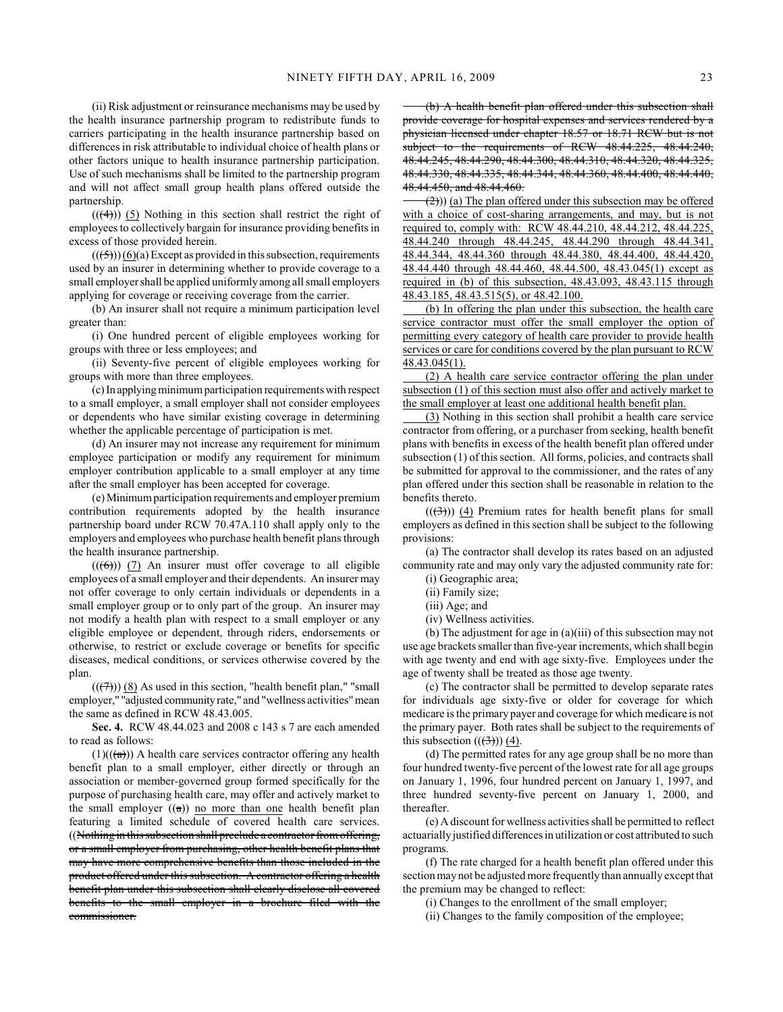(ii) Risk adjustment or reinsurance mechanisms may be used by the health insurance partnership program to redistribute funds to carriers participating in the health insurance partnership based on differences in risk attributable to individual choice of health plans or other factors unique to health insurance partnership participation. Use of such mechanisms shall be limited to the partnership program and will not affect small group health plans offered outside the partnership.

 $((\left(4\right)))$  (5) Nothing in this section shall restrict the right of employees to collectively bargain for insurance providing benefits in excess of those provided herein.

 $((\left(\frac{5}{2}\right))\left(\frac{6}{2}\right)$  Except as provided in this subsection, requirements used by an insurer in determining whether to provide coverage to a small employer shall be applied uniformly among all small employers applying for coverage or receiving coverage from the carrier.

(b) An insurer shall not require a minimum participation level greater than:

(i) One hundred percent of eligible employees working for groups with three or less employees; and

(ii) Seventy-five percent of eligible employees working for groups with more than three employees.

(c) In applying minimum participation requirements with respect to a small employer, a small employer shall not consider employees or dependents who have similar existing coverage in determining whether the applicable percentage of participation is met.

(d) An insurer may not increase any requirement for minimum employee participation or modify any requirement for minimum employer contribution applicable to a small employer at any time after the small employer has been accepted for coverage.

(e) Minimum participation requirements and employer premium contribution requirements adopted by the health insurance partnership board under RCW 70.47A.110 shall apply only to the employers and employees who purchase health benefit plans through the health insurance partnership.

 $((\text{(6)}))$  (7) An insurer must offer coverage to all eligible employees of a small employer and their dependents. An insurer may not offer coverage to only certain individuals or dependents in a small employer group or to only part of the group. An insurer may not modify a health plan with respect to a small employer or any eligible employee or dependent, through riders, endorsements or otherwise, to restrict or exclude coverage or benefits for specific diseases, medical conditions, or services otherwise covered by the plan.

 $((\overrightarrow{(7)}))$  (8) As used in this section, "health benefit plan," "small employer," "adjusted community rate," and "wellness activities" mean the same as defined in RCW 48.43.005.

**Sec. 4.** RCW 48.44.023 and 2008 c 143 s 7 are each amended to read as follows:

 $(1)((\alpha))$ ) A health care services contractor offering any health benefit plan to a small employer, either directly or through an association or member-governed group formed specifically for the purpose of purchasing health care, may offer and actively market to the small employer  $((a))$  no more than one health benefit plan featuring a limited schedule of covered health care services. ((Nothing in this subsection shall preclude a contractor from offering, or a small employer from purchasing, other health benefit plans that may have more comprehensive benefits than those included in the product offered under this subsection. A contractor offering a health benefit plan under this subsection shall clearly disclose all covered benefits to the small employer in a brochure filed with the commissioner.

(b) A health benefit plan offered under this subsection shall provide coverage for hospital expenses and services rendered by a physician licensed under chapter 18.57 or 18.71 RCW but is not subject to the requirements of RCW 48.44.225, 48.44.240, 48.44.245, 48.44.290, 48.44.300, 48.44.310, 48.44.320, 48.44.325, 48.44.330, 48.44.335, 48.44.344, 48.44.360, 48.44.400, 48.44.440, 48.44.450, and 48.44.460.

 $(\frac{1}{2})$ ) (a) The plan offered under this subsection may be offered with a choice of cost-sharing arrangements, and may, but is not required to, comply with: RCW 48.44.210, 48.44.212, 48.44.225, 48.44.240 through 48.44.245, 48.44.290 through 48.44.341, 48.44.344, 48.44.360 through 48.44.380, 48.44.400, 48.44.420, 48.44.440 through 48.44.460, 48.44.500, 48.43.045(1) except as required in (b) of this subsection, 48.43.093, 48.43.115 through 48.43.185, 48.43.515(5), or 48.42.100.

(b) In offering the plan under this subsection, the health care service contractor must offer the small employer the option of permitting every category of health care provider to provide health services or care for conditions covered by the plan pursuant to RCW 48.43.045(1).

(2) A health care service contractor offering the plan under subsection (1) of this section must also offer and actively market to the small employer at least one additional health benefit plan.

(3) Nothing in this section shall prohibit a health care service contractor from offering, or a purchaser from seeking, health benefit plans with benefits in excess of the health benefit plan offered under subsection (1) of this section. All forms, policies, and contracts shall be submitted for approval to the commissioner, and the rates of any plan offered under this section shall be reasonable in relation to the benefits thereto.

 $((\rightarrow{(\rightarrow)})$  (4) Premium rates for health benefit plans for small employers as defined in this section shall be subject to the following provisions:

(a) The contractor shall develop its rates based on an adjusted community rate and may only vary the adjusted community rate for:

- (i) Geographic area;
- (ii) Family size;
- (iii) Age; and
- (iv) Wellness activities.

(b) The adjustment for age in (a)(iii) of this subsection may not use age brackets smaller than five-year increments, which shall begin with age twenty and end with age sixty-five. Employees under the age of twenty shall be treated as those age twenty.

(c) The contractor shall be permitted to develop separate rates for individuals age sixty-five or older for coverage for which medicare is the primary payer and coverage for which medicare is not the primary payer. Both rates shall be subject to the requirements of this subsection  $((\rightarrow{3}))(4)$ .

(d) The permitted rates for any age group shall be no more than four hundred twenty-five percent of the lowest rate for all age groups on January 1, 1996, four hundred percent on January 1, 1997, and three hundred seventy-five percent on January 1, 2000, and thereafter.

(e) A discount for wellness activities shall be permitted to reflect actuarially justified differences in utilization or cost attributed to such programs.

(f) The rate charged for a health benefit plan offered under this section may not be adjusted more frequently than annually except that the premium may be changed to reflect:

(i) Changes to the enrollment of the small employer;

(ii) Changes to the family composition of the employee;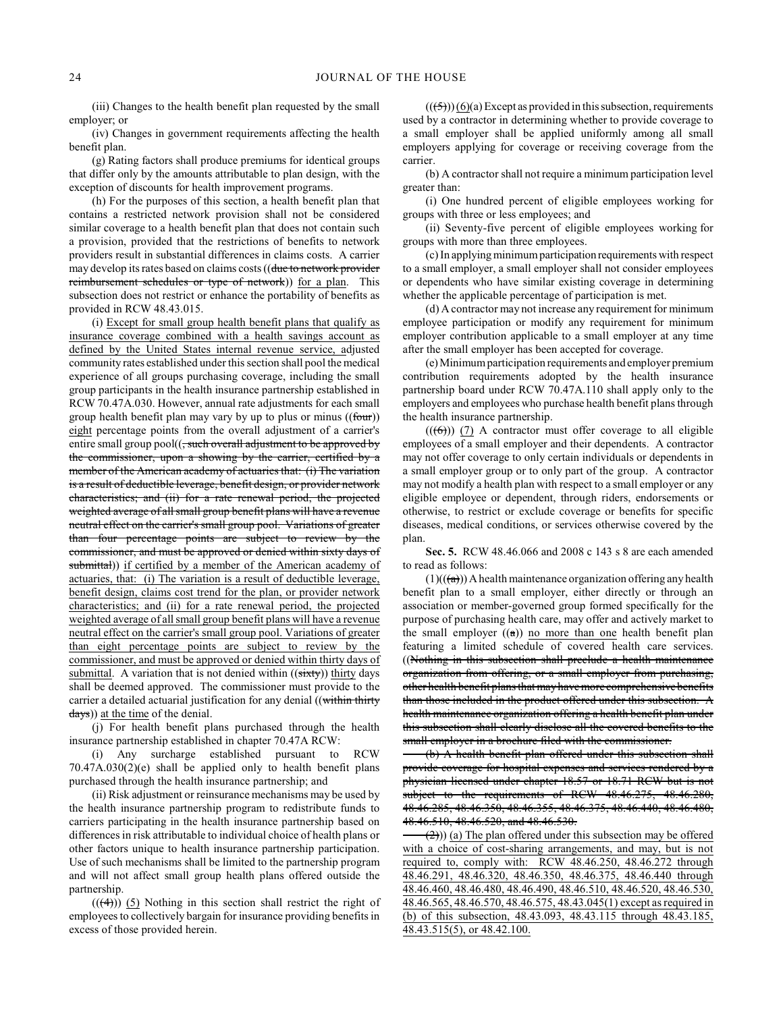(iii) Changes to the health benefit plan requested by the small employer; or

(iv) Changes in government requirements affecting the health benefit plan.

(g) Rating factors shall produce premiums for identical groups that differ only by the amounts attributable to plan design, with the exception of discounts for health improvement programs.

(h) For the purposes of this section, a health benefit plan that contains a restricted network provision shall not be considered similar coverage to a health benefit plan that does not contain such a provision, provided that the restrictions of benefits to network providers result in substantial differences in claims costs. A carrier may develop its rates based on claims costs ((due to network provider reimbursement schedules or type of network)) for a plan. This subsection does not restrict or enhance the portability of benefits as provided in RCW 48.43.015.

(i) Except for small group health benefit plans that qualify as insurance coverage combined with a health savings account as defined by the United States internal revenue service, adjusted community rates established under this section shall pool the medical experience of all groups purchasing coverage, including the small group participants in the health insurance partnership established in RCW 70.47A.030. However, annual rate adjustments for each small group health benefit plan may vary by up to plus or minus  $((four))$ eight percentage points from the overall adjustment of a carrier's entire small group  $pool((, such over all adjustment to be approved by$ the commissioner, upon a showing by the carrier, certified by a member of the American academy of actuaries that: (i) The variation is a result of deductible leverage, benefit design, or provider network characteristics; and (ii) for a rate renewal period, the projected weighted average of all small group benefit plans will have a revenue neutral effect on the carrier's small group pool. Variations of greater than four percentage points are subject to review by the commissioner, and must be approved or denied within sixty days of submittal)) if certified by a member of the American academy of actuaries, that: (i) The variation is a result of deductible leverage, benefit design, claims cost trend for the plan, or provider network characteristics; and (ii) for a rate renewal period, the projected weighted average of all small group benefit plans will have a revenue neutral effect on the carrier's small group pool. Variations of greater than eight percentage points are subject to review by the commissioner, and must be approved or denied within thirty days of submittal. A variation that is not denied within  $((sixty))$  thirty days shall be deemed approved. The commissioner must provide to the carrier a detailed actuarial justification for any denial ((within thirty days)) at the time of the denial.

(j) For health benefit plans purchased through the health insurance partnership established in chapter 70.47A RCW:

(i) Any surcharge established pursuant to RCW  $70.47A.030(2)(e)$  shall be applied only to health benefit plans purchased through the health insurance partnership; and

(ii) Risk adjustment or reinsurance mechanisms may be used by the health insurance partnership program to redistribute funds to carriers participating in the health insurance partnership based on differences in risk attributable to individual choice of health plans or other factors unique to health insurance partnership participation. Use of such mechanisms shall be limited to the partnership program and will not affect small group health plans offered outside the partnership.

 $((\left(4\right)))$  (5) Nothing in this section shall restrict the right of employees to collectively bargain for insurance providing benefits in excess of those provided herein.

 $((\left(\frac{5}{2}\right)) (6)(a)$  Except as provided in this subsection, requirements used by a contractor in determining whether to provide coverage to a small employer shall be applied uniformly among all small employers applying for coverage or receiving coverage from the carrier.

(b) A contractor shall not require a minimum participation level greater than:

(i) One hundred percent of eligible employees working for groups with three or less employees; and

(ii) Seventy-five percent of eligible employees working for groups with more than three employees.

(c) In applying minimum participation requirements with respect to a small employer, a small employer shall not consider employees or dependents who have similar existing coverage in determining whether the applicable percentage of participation is met.

(d) Acontractor may not increase any requirement for minimum employee participation or modify any requirement for minimum employer contribution applicable to a small employer at any time after the small employer has been accepted for coverage.

(e) Minimum participation requirements and employer premium contribution requirements adopted by the health insurance partnership board under RCW 70.47A.110 shall apply only to the employers and employees who purchase health benefit plans through the health insurance partnership.

 $((\text{(6)}))$  (7) A contractor must offer coverage to all eligible employees of a small employer and their dependents. A contractor may not offer coverage to only certain individuals or dependents in a small employer group or to only part of the group. A contractor may not modify a health plan with respect to a small employer or any eligible employee or dependent, through riders, endorsements or otherwise, to restrict or exclude coverage or benefits for specific diseases, medical conditions, or services otherwise covered by the plan.

**Sec. 5.** RCW 48.46.066 and 2008 c 143 s 8 are each amended to read as follows:

 $(1)((\alpha))$ ) A health maintenance organization offering any health benefit plan to a small employer, either directly or through an association or member-governed group formed specifically for the purpose of purchasing health care, may offer and actively market to the small employer  $((a))$  no more than one health benefit plan featuring a limited schedule of covered health care services. ((Nothing in this subsection shall preclude a health maintenance organization from offering, or a small employer from purchasing, other health benefit plans that may have more comprehensive benefits than those included in the product offered under this subsection. A health maintenance organization offering a health benefit plan under this subsection shall clearly disclose all the covered benefits to the small employer in a brochure filed with the commissioner.

(b) A health benefit plan offered under this subsection shall provide coverage for hospital expenses and services rendered by a physician licensed under chapter 18.57 or 18.71 RCW but is not subject to the requirements of RCW 48.46.275, 48.46.280, 48.46.285, 48.46.350, 48.46.355, 48.46.375, 48.46.440, 48.46.480, 48.46.510, 48.46.520, and 48.46.530.

 $(2)$ )) (a) The plan offered under this subsection may be offered with a choice of cost-sharing arrangements, and may, but is not required to, comply with: RCW 48.46.250, 48.46.272 through 48.46.291, 48.46.320, 48.46.350, 48.46.375, 48.46.440 through 48.46.460, 48.46.480, 48.46.490, 48.46.510, 48.46.520, 48.46.530, 48.46.565, 48.46.570, 48.46.575, 48.43.045(1) except as required in (b) of this subsection, 48.43.093, 48.43.115 through 48.43.185, 48.43.515(5), or 48.42.100.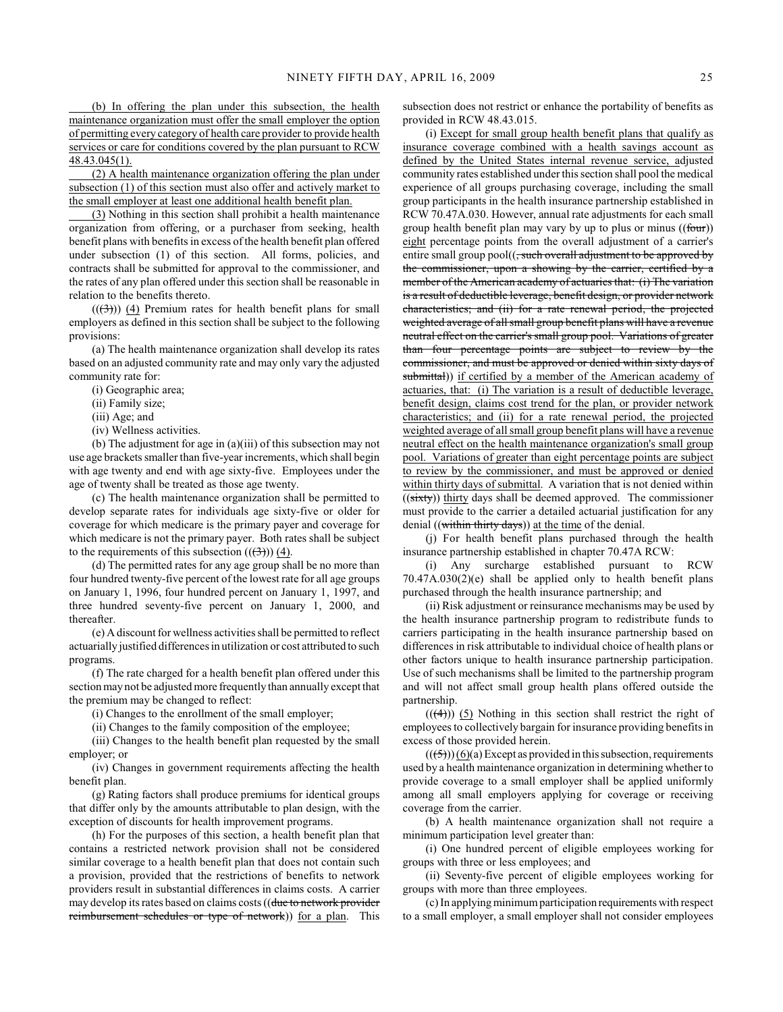(b) In offering the plan under this subsection, the health maintenance organization must offer the small employer the option of permitting every category of health care provider to provide health services or care for conditions covered by the plan pursuant to RCW 48.43.045(1).

(2) A health maintenance organization offering the plan under subsection (1) of this section must also offer and actively market to the small employer at least one additional health benefit plan.

(3) Nothing in this section shall prohibit a health maintenance organization from offering, or a purchaser from seeking, health benefit plans with benefits in excess of the health benefit plan offered under subsection (1) of this section. All forms, policies, and contracts shall be submitted for approval to the commissioner, and the rates of any plan offered under this section shall be reasonable in relation to the benefits thereto.

 $((\rightarrow{(\rightarrow)})$  (4) Premium rates for health benefit plans for small employers as defined in this section shall be subject to the following provisions:

(a) The health maintenance organization shall develop its rates based on an adjusted community rate and may only vary the adjusted community rate for:

(i) Geographic area;

(ii) Family size;

- (iii) Age; and
- (iv) Wellness activities.

(b) The adjustment for age in (a)(iii) of this subsection may not use age brackets smaller than five-year increments, which shall begin with age twenty and end with age sixty-five. Employees under the age of twenty shall be treated as those age twenty.

(c) The health maintenance organization shall be permitted to develop separate rates for individuals age sixty-five or older for coverage for which medicare is the primary payer and coverage for which medicare is not the primary payer. Both rates shall be subject to the requirements of this subsection  $((3))$   $(4)$ .

(d) The permitted rates for any age group shall be no more than four hundred twenty-five percent of the lowest rate for all age groups on January 1, 1996, four hundred percent on January 1, 1997, and three hundred seventy-five percent on January 1, 2000, and thereafter.

(e) A discount for wellness activities shall be permitted to reflect actuarially justified differences in utilization or cost attributed to such programs.

(f) The rate charged for a health benefit plan offered under this section may not be adjusted more frequently than annually except that the premium may be changed to reflect:

(i) Changes to the enrollment of the small employer;

(ii) Changes to the family composition of the employee;

(iii) Changes to the health benefit plan requested by the small employer; or

(iv) Changes in government requirements affecting the health benefit plan.

(g) Rating factors shall produce premiums for identical groups that differ only by the amounts attributable to plan design, with the exception of discounts for health improvement programs.

(h) For the purposes of this section, a health benefit plan that contains a restricted network provision shall not be considered similar coverage to a health benefit plan that does not contain such a provision, provided that the restrictions of benefits to network providers result in substantial differences in claims costs. A carrier may develop its rates based on claims costs ((due to network provider reimbursement schedules or type of network) for a plan. This subsection does not restrict or enhance the portability of benefits as provided in RCW 48.43.015.

(i) Except for small group health benefit plans that qualify as insurance coverage combined with a health savings account as defined by the United States internal revenue service, adjusted community rates established under this section shall pool the medical experience of all groups purchasing coverage, including the small group participants in the health insurance partnership established in RCW 70.47A.030. However, annual rate adjustments for each small group health benefit plan may vary by up to plus or minus  $((four))$ eight percentage points from the overall adjustment of a carrier's entire small group pool((<del>, such overall adjustment to be approved by</del> the commissioner, upon a showing by the carrier, certified by a member of the American academy of actuaries that: (i) The variation is a result of deductible leverage, benefit design, or provider network characteristics; and (ii) for a rate renewal period, the projected weighted average of all small group benefit plans will have a revenue neutral effect on the carrier's small group pool. Variations of greater than four percentage points are subject to review by the commissioner, and must be approved or denied within sixty days of submittal)) if certified by a member of the American academy of actuaries, that: (i) The variation is a result of deductible leverage, benefit design, claims cost trend for the plan, or provider network characteristics; and (ii) for a rate renewal period, the projected weighted average of all small group benefit plans will have a revenue neutral effect on the health maintenance organization's small group pool. Variations of greater than eight percentage points are subject to review by the commissioner, and must be approved or denied within thirty days of submittal. A variation that is not denied within  $((sixty))$  thirty days shall be deemed approved. The commissioner must provide to the carrier a detailed actuarial justification for any denial ((within thirty days)) at the time of the denial.

(j) For health benefit plans purchased through the health insurance partnership established in chapter 70.47A RCW:

(i) Any surcharge established pursuant to RCW 70.47A.030(2)(e) shall be applied only to health benefit plans purchased through the health insurance partnership; and

(ii) Risk adjustment or reinsurance mechanisms may be used by the health insurance partnership program to redistribute funds to carriers participating in the health insurance partnership based on differences in risk attributable to individual choice of health plans or other factors unique to health insurance partnership participation. Use of such mechanisms shall be limited to the partnership program and will not affect small group health plans offered outside the partnership.

 $((\left(4\right)))$  (5) Nothing in this section shall restrict the right of employees to collectively bargain for insurance providing benefits in excess of those provided herein.

 $((\left(\frac{5}{2}\right))\left(\frac{6}{2}\right)$  Except as provided in this subsection, requirements used by a health maintenance organization in determining whether to provide coverage to a small employer shall be applied uniformly among all small employers applying for coverage or receiving coverage from the carrier.

(b) A health maintenance organization shall not require a minimum participation level greater than:

(i) One hundred percent of eligible employees working for groups with three or less employees; and

(ii) Seventy-five percent of eligible employees working for groups with more than three employees.

(c) In applying minimum participation requirements with respect to a small employer, a small employer shall not consider employees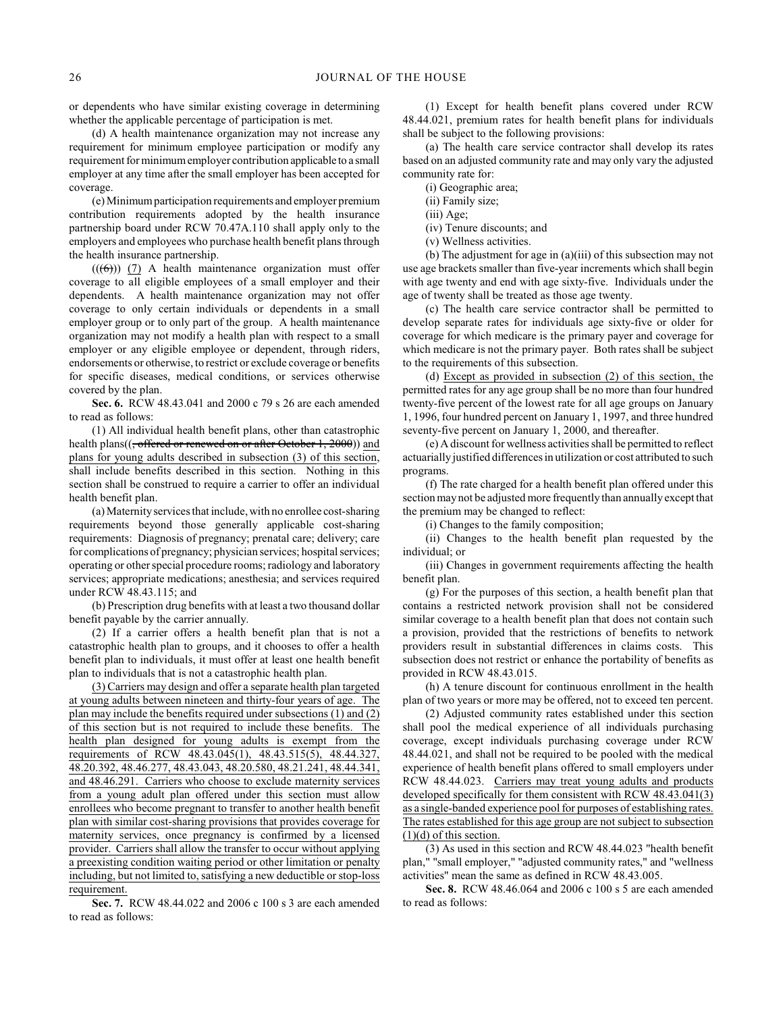or dependents who have similar existing coverage in determining whether the applicable percentage of participation is met.

(d) A health maintenance organization may not increase any requirement for minimum employee participation or modify any requirement for minimum employer contribution applicable to a small employer at any time after the small employer has been accepted for coverage.

(e) Minimum participation requirements and employer premium contribution requirements adopted by the health insurance partnership board under RCW 70.47A.110 shall apply only to the employers and employees who purchase health benefit plans through the health insurance partnership.

 $((\langle 6 \rangle)$  (7) A health maintenance organization must offer coverage to all eligible employees of a small employer and their dependents. A health maintenance organization may not offer coverage to only certain individuals or dependents in a small employer group or to only part of the group. A health maintenance organization may not modify a health plan with respect to a small employer or any eligible employee or dependent, through riders, endorsements or otherwise, to restrict or exclude coverage or benefits for specific diseases, medical conditions, or services otherwise covered by the plan.

**Sec. 6.** RCW 48.43.041 and 2000 c 79 s 26 are each amended to read as follows:

(1) All individual health benefit plans, other than catastrophic health plans( $($ , offered or renewed on or after October 1, 2000)) and plans for young adults described in subsection (3) of this section, shall include benefits described in this section. Nothing in this section shall be construed to require a carrier to offer an individual health benefit plan.

(a) Maternity services that include, with no enrollee cost-sharing requirements beyond those generally applicable cost-sharing requirements: Diagnosis of pregnancy; prenatal care; delivery; care for complications of pregnancy; physician services; hospital services; operating or other special procedure rooms; radiology and laboratory services; appropriate medications; anesthesia; and services required under RCW 48.43.115; and

(b) Prescription drug benefits with at least a two thousand dollar benefit payable by the carrier annually.

(2) If a carrier offers a health benefit plan that is not a catastrophic health plan to groups, and it chooses to offer a health benefit plan to individuals, it must offer at least one health benefit plan to individuals that is not a catastrophic health plan.

(3) Carriers may design and offer a separate health plan targeted at young adults between nineteen and thirty-four years of age. The plan may include the benefits required under subsections (1) and (2) of this section but is not required to include these benefits. The health plan designed for young adults is exempt from the requirements of RCW 48.43.045(1), 48.43.515(5), 48.44.327, 48.20.392, 48.46.277, 48.43.043, 48.20.580, 48.21.241, 48.44.341, and 48.46.291. Carriers who choose to exclude maternity services from a young adult plan offered under this section must allow enrollees who become pregnant to transfer to another health benefit plan with similar cost-sharing provisions that provides coverage for maternity services, once pregnancy is confirmed by a licensed provider. Carriers shall allow the transfer to occur without applying a preexisting condition waiting period or other limitation or penalty including, but not limited to, satisfying a new deductible or stop-loss requirement.

**Sec. 7.** RCW 48.44.022 and 2006 c 100 s 3 are each amended to read as follows:

(1) Except for health benefit plans covered under RCW 48.44.021, premium rates for health benefit plans for individuals shall be subject to the following provisions:

(a) The health care service contractor shall develop its rates based on an adjusted community rate and may only vary the adjusted community rate for:

(i) Geographic area;

- (ii) Family size;
- (iii) Age;
- (iv) Tenure discounts; and
- (v) Wellness activities.

(b) The adjustment for age in (a)(iii) of this subsection may not use age brackets smaller than five-year increments which shall begin with age twenty and end with age sixty-five. Individuals under the age of twenty shall be treated as those age twenty.

(c) The health care service contractor shall be permitted to develop separate rates for individuals age sixty-five or older for coverage for which medicare is the primary payer and coverage for which medicare is not the primary payer. Both rates shall be subject to the requirements of this subsection.

(d) Except as provided in subsection (2) of this section, the permitted rates for any age group shall be no more than four hundred twenty-five percent of the lowest rate for all age groups on January 1, 1996, four hundred percent on January 1, 1997, and three hundred seventy-five percent on January 1, 2000, and thereafter.

(e) A discount for wellness activities shall be permitted to reflect actuarially justified differences in utilization or cost attributed to such programs.

(f) The rate charged for a health benefit plan offered under this section may not be adjusted more frequently than annually except that the premium may be changed to reflect:

(i) Changes to the family composition;

(ii) Changes to the health benefit plan requested by the individual; or

(iii) Changes in government requirements affecting the health benefit plan.

(g) For the purposes of this section, a health benefit plan that contains a restricted network provision shall not be considered similar coverage to a health benefit plan that does not contain such a provision, provided that the restrictions of benefits to network providers result in substantial differences in claims costs. This subsection does not restrict or enhance the portability of benefits as provided in RCW 48.43.015.

(h) A tenure discount for continuous enrollment in the health plan of two years or more may be offered, not to exceed ten percent.

(2) Adjusted community rates established under this section shall pool the medical experience of all individuals purchasing coverage, except individuals purchasing coverage under RCW 48.44.021, and shall not be required to be pooled with the medical experience of health benefit plans offered to small employers under RCW 48.44.023. Carriers may treat young adults and products developed specifically for them consistent with RCW 48.43.041(3) as a single-banded experience pool for purposes of establishing rates. The rates established for this age group are not subject to subsection (1)(d) of this section.

(3) As used in this section and RCW 48.44.023 "health benefit plan," "small employer," "adjusted community rates," and "wellness activities" mean the same as defined in RCW 48.43.005.

**Sec. 8.** RCW 48.46.064 and 2006 c 100 s 5 are each amended to read as follows: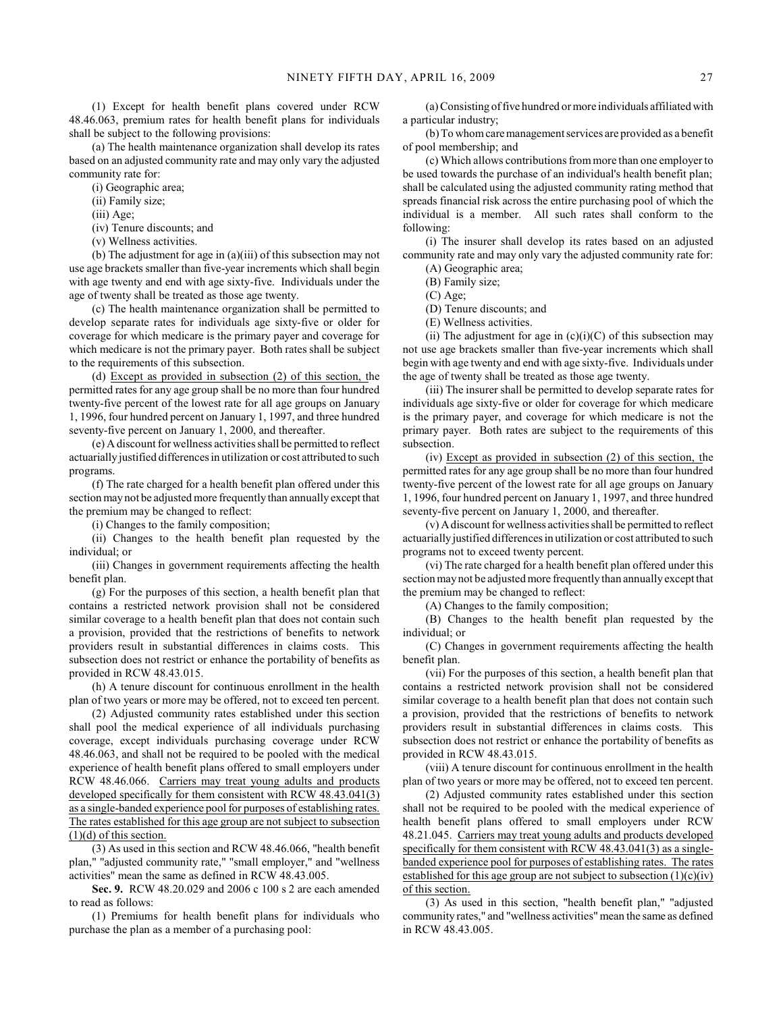(1) Except for health benefit plans covered under RCW 48.46.063, premium rates for health benefit plans for individuals shall be subject to the following provisions:

(a) The health maintenance organization shall develop its rates based on an adjusted community rate and may only vary the adjusted community rate for:

(i) Geographic area;

(ii) Family size;

(iii) Age;

(iv) Tenure discounts; and

(v) Wellness activities.

(b) The adjustment for age in (a)(iii) of this subsection may not use age brackets smaller than five-year increments which shall begin with age twenty and end with age sixty-five. Individuals under the age of twenty shall be treated as those age twenty.

(c) The health maintenance organization shall be permitted to develop separate rates for individuals age sixty-five or older for coverage for which medicare is the primary payer and coverage for which medicare is not the primary payer. Both rates shall be subject to the requirements of this subsection.

(d) Except as provided in subsection (2) of this section, the permitted rates for any age group shall be no more than four hundred twenty-five percent of the lowest rate for all age groups on January 1, 1996, four hundred percent on January 1, 1997, and three hundred seventy-five percent on January 1, 2000, and thereafter.

(e) A discount for wellness activities shall be permitted to reflect actuarially justified differences in utilization or cost attributed to such programs.

(f) The rate charged for a health benefit plan offered under this section maynot be adjusted more frequently than annually except that the premium may be changed to reflect:

(i) Changes to the family composition;

(ii) Changes to the health benefit plan requested by the individual; or

(iii) Changes in government requirements affecting the health benefit plan.

(g) For the purposes of this section, a health benefit plan that contains a restricted network provision shall not be considered similar coverage to a health benefit plan that does not contain such a provision, provided that the restrictions of benefits to network providers result in substantial differences in claims costs. This subsection does not restrict or enhance the portability of benefits as provided in RCW 48.43.015.

(h) A tenure discount for continuous enrollment in the health plan of two years or more may be offered, not to exceed ten percent.

(2) Adjusted community rates established under this section shall pool the medical experience of all individuals purchasing coverage, except individuals purchasing coverage under RCW 48.46.063, and shall not be required to be pooled with the medical experience of health benefit plans offered to small employers under RCW 48.46.066. Carriers may treat young adults and products developed specifically for them consistent with RCW 48.43.041(3) as a single-banded experience pool for purposes of establishing rates. The rates established for this age group are not subject to subsection (1)(d) of this section.

(3) As used in this section and RCW 48.46.066, "health benefit plan," "adjusted community rate," "small employer," and "wellness activities" mean the same as defined in RCW 48.43.005.

**Sec. 9.** RCW 48.20.029 and 2006 c 100 s 2 are each amended to read as follows:

(1) Premiums for health benefit plans for individuals who purchase the plan as a member of a purchasing pool:

(a) Consisting of five hundred or more individuals affiliated with a particular industry;

(b) To whom care management services are provided as a benefit of pool membership; and

(c) Which allows contributions from more than one employer to be used towards the purchase of an individual's health benefit plan; shall be calculated using the adjusted community rating method that spreads financial risk across the entire purchasing pool of which the individual is a member. All such rates shall conform to the following:

(i) The insurer shall develop its rates based on an adjusted community rate and may only vary the adjusted community rate for:

(A) Geographic area;

- (B) Family size;
- (C) Age;
- (D) Tenure discounts; and

(E) Wellness activities.

(ii) The adjustment for age in  $(c)(i)(C)$  of this subsection may not use age brackets smaller than five-year increments which shall begin with age twenty and end with age sixty-five. Individuals under the age of twenty shall be treated as those age twenty.

(iii) The insurer shall be permitted to develop separate rates for individuals age sixty-five or older for coverage for which medicare is the primary payer, and coverage for which medicare is not the primary payer. Both rates are subject to the requirements of this subsection.

(iv) Except as provided in subsection (2) of this section, the permitted rates for any age group shall be no more than four hundred twenty-five percent of the lowest rate for all age groups on January 1, 1996, four hundred percent on January 1, 1997, and three hundred seventy-five percent on January 1, 2000, and thereafter.

(v) Adiscount for wellness activities shall be permitted to reflect actuarially justified differences in utilization or cost attributed to such programs not to exceed twenty percent.

(vi) The rate charged for a health benefit plan offered under this section may not be adjusted more frequently than annually except that the premium may be changed to reflect:

(A) Changes to the family composition;

(B) Changes to the health benefit plan requested by the individual; or

(C) Changes in government requirements affecting the health benefit plan.

(vii) For the purposes of this section, a health benefit plan that contains a restricted network provision shall not be considered similar coverage to a health benefit plan that does not contain such a provision, provided that the restrictions of benefits to network providers result in substantial differences in claims costs. This subsection does not restrict or enhance the portability of benefits as provided in RCW 48.43.015.

(viii) A tenure discount for continuous enrollment in the health plan of two years or more may be offered, not to exceed ten percent.

(2) Adjusted community rates established under this section shall not be required to be pooled with the medical experience of health benefit plans offered to small employers under RCW 48.21.045. Carriers may treat young adults and products developed specifically for them consistent with RCW 48.43.041(3) as a singlebanded experience pool for purposes of establishing rates. The rates established for this age group are not subject to subsection  $(1)(c)(iv)$ of this section.

(3) As used in this section, "health benefit plan," "adjusted community rates," and "wellness activities" mean the same as defined in RCW 48.43.005.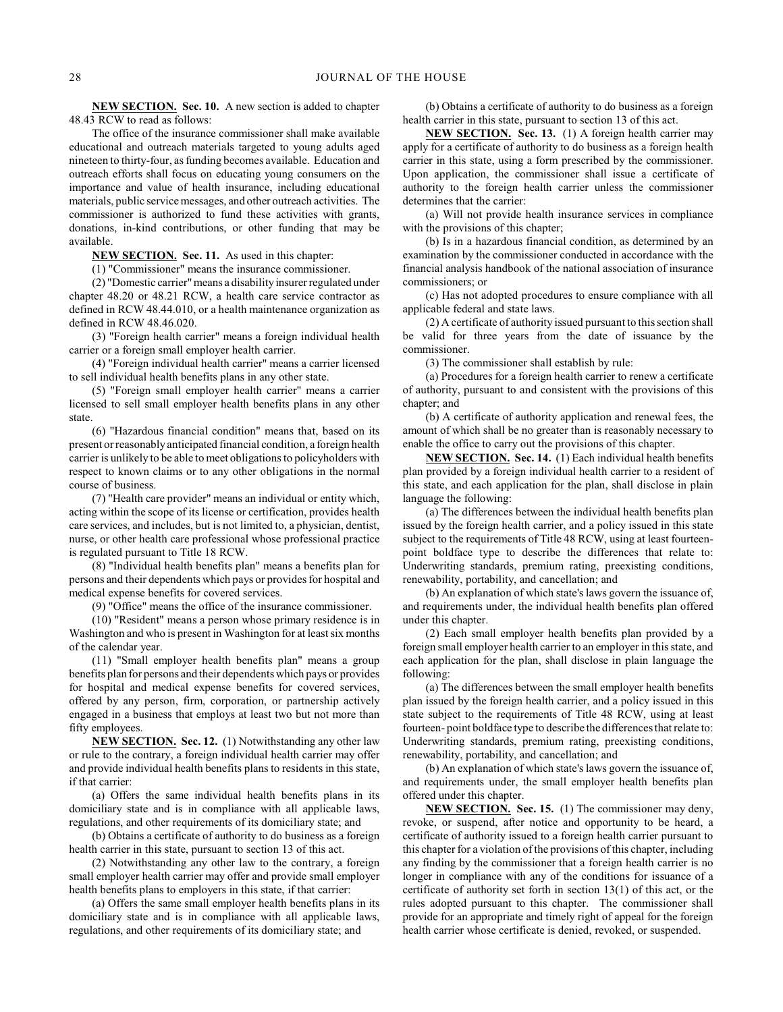**NEW SECTION. Sec. 10.** A new section is added to chapter 48.43 RCW to read as follows:

The office of the insurance commissioner shall make available educational and outreach materials targeted to young adults aged nineteen to thirty-four, asfunding becomes available. Education and outreach efforts shall focus on educating young consumers on the importance and value of health insurance, including educational materials, public service messages, and other outreach activities. The commissioner is authorized to fund these activities with grants, donations, in-kind contributions, or other funding that may be available.

**NEW SECTION. Sec. 11.** As used in this chapter:

(1) "Commissioner" means the insurance commissioner.

(2) "Domestic carrier" means a disability insurer regulated under chapter 48.20 or 48.21 RCW, a health care service contractor as defined in RCW 48.44.010, or a health maintenance organization as defined in RCW 48.46.020.

(3) "Foreign health carrier" means a foreign individual health carrier or a foreign small employer health carrier.

(4) "Foreign individual health carrier" means a carrier licensed to sell individual health benefits plans in any other state.

(5) "Foreign small employer health carrier" means a carrier licensed to sell small employer health benefits plans in any other state.

(6) "Hazardous financial condition" means that, based on its present or reasonably anticipated financial condition, a foreign health carrier is unlikely to be able to meet obligations to policyholders with respect to known claims or to any other obligations in the normal course of business.

(7) "Health care provider" means an individual or entity which, acting within the scope of its license or certification, provides health care services, and includes, but is not limited to, a physician, dentist, nurse, or other health care professional whose professional practice is regulated pursuant to Title 18 RCW.

(8) "Individual health benefits plan" means a benefits plan for persons and their dependents which pays or provides for hospital and medical expense benefits for covered services.

(9) "Office" means the office of the insurance commissioner.

(10) "Resident" means a person whose primary residence is in Washington and who is present in Washington for at least six months of the calendar year.

(11) "Small employer health benefits plan" means a group benefits plan for persons and their dependents which pays or provides for hospital and medical expense benefits for covered services, offered by any person, firm, corporation, or partnership actively engaged in a business that employs at least two but not more than fifty employees.

**NEW SECTION. Sec. 12.** (1) Notwithstanding any other law or rule to the contrary, a foreign individual health carrier may offer and provide individual health benefits plans to residents in this state, if that carrier:

(a) Offers the same individual health benefits plans in its domiciliary state and is in compliance with all applicable laws, regulations, and other requirements of its domiciliary state; and

(b) Obtains a certificate of authority to do business as a foreign health carrier in this state, pursuant to section 13 of this act.

(2) Notwithstanding any other law to the contrary, a foreign small employer health carrier may offer and provide small employer health benefits plans to employers in this state, if that carrier:

(a) Offers the same small employer health benefits plans in its domiciliary state and is in compliance with all applicable laws, regulations, and other requirements of its domiciliary state; and

(b) Obtains a certificate of authority to do business as a foreign health carrier in this state, pursuant to section 13 of this act.

**NEW SECTION. Sec. 13.** (1) A foreign health carrier may apply for a certificate of authority to do business as a foreign health carrier in this state, using a form prescribed by the commissioner. Upon application, the commissioner shall issue a certificate of authority to the foreign health carrier unless the commissioner determines that the carrier:

(a) Will not provide health insurance services in compliance with the provisions of this chapter;

(b) Is in a hazardous financial condition, as determined by an examination by the commissioner conducted in accordance with the financial analysis handbook of the national association of insurance commissioners; or

(c) Has not adopted procedures to ensure compliance with all applicable federal and state laws.

(2) A certificate of authority issued pursuant to this section shall be valid for three years from the date of issuance by the commissioner.

(3) The commissioner shall establish by rule:

(a) Procedures for a foreign health carrier to renew a certificate of authority, pursuant to and consistent with the provisions of this chapter; and

(b) A certificate of authority application and renewal fees, the amount of which shall be no greater than is reasonably necessary to enable the office to carry out the provisions of this chapter.

**NEW SECTION. Sec. 14.** (1) Each individual health benefits plan provided by a foreign individual health carrier to a resident of this state, and each application for the plan, shall disclose in plain language the following:

(a) The differences between the individual health benefits plan issued by the foreign health carrier, and a policy issued in this state subject to the requirements of Title 48 RCW, using at least fourteenpoint boldface type to describe the differences that relate to: Underwriting standards, premium rating, preexisting conditions, renewability, portability, and cancellation; and

(b) An explanation of which state's laws govern the issuance of, and requirements under, the individual health benefits plan offered under this chapter.

(2) Each small employer health benefits plan provided by a foreign small employer health carrier to an employer in this state, and each application for the plan, shall disclose in plain language the following:

(a) The differences between the small employer health benefits plan issued by the foreign health carrier, and a policy issued in this state subject to the requirements of Title 48 RCW, using at least fourteen- point boldface type to describe the differencesthat relate to: Underwriting standards, premium rating, preexisting conditions, renewability, portability, and cancellation; and

(b) An explanation of which state's laws govern the issuance of, and requirements under, the small employer health benefits plan offered under this chapter.

**NEW SECTION. Sec. 15.** (1) The commissioner may deny, revoke, or suspend, after notice and opportunity to be heard, a certificate of authority issued to a foreign health carrier pursuant to this chapter for a violation of the provisions of this chapter, including any finding by the commissioner that a foreign health carrier is no longer in compliance with any of the conditions for issuance of a certificate of authority set forth in section 13(1) of this act, or the rules adopted pursuant to this chapter. The commissioner shall provide for an appropriate and timely right of appeal for the foreign health carrier whose certificate is denied, revoked, or suspended.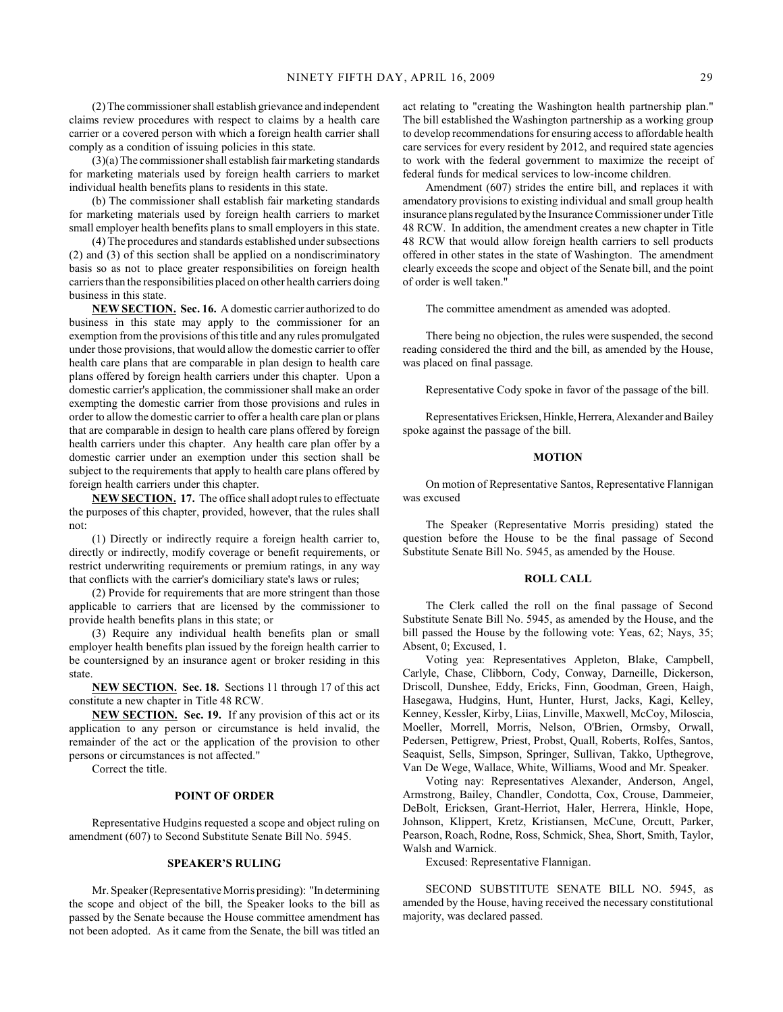(2) The commissioner shall establish grievance and independent claims review procedures with respect to claims by a health care carrier or a covered person with which a foreign health carrier shall comply as a condition of issuing policies in this state.

(3)(a) The commissioner shall establish fair marketing standards for marketing materials used by foreign health carriers to market individual health benefits plans to residents in this state.

(b) The commissioner shall establish fair marketing standards for marketing materials used by foreign health carriers to market small employer health benefits plans to small employers in this state.

(4) The procedures and standards established under subsections (2) and (3) of this section shall be applied on a nondiscriminatory basis so as not to place greater responsibilities on foreign health carriers than the responsibilities placed on other health carriers doing business in this state.

**NEW SECTION. Sec. 16.** A domestic carrier authorized to do business in this state may apply to the commissioner for an exemption from the provisions of this title and any rules promulgated under those provisions, that would allow the domestic carrier to offer health care plans that are comparable in plan design to health care plans offered by foreign health carriers under this chapter. Upon a domestic carrier's application, the commissioner shall make an order exempting the domestic carrier from those provisions and rules in order to allow the domestic carrier to offer a health care plan or plans that are comparable in design to health care plans offered by foreign health carriers under this chapter. Any health care plan offer by a domestic carrier under an exemption under this section shall be subject to the requirements that apply to health care plans offered by foreign health carriers under this chapter.

**NEW SECTION. 17.** The office shall adopt rules to effectuate the purposes of this chapter, provided, however, that the rules shall not:

(1) Directly or indirectly require a foreign health carrier to, directly or indirectly, modify coverage or benefit requirements, or restrict underwriting requirements or premium ratings, in any way that conflicts with the carrier's domiciliary state's laws or rules;

(2) Provide for requirements that are more stringent than those applicable to carriers that are licensed by the commissioner to provide health benefits plans in this state; or

(3) Require any individual health benefits plan or small employer health benefits plan issued by the foreign health carrier to be countersigned by an insurance agent or broker residing in this state.

**NEW SECTION. Sec. 18.** Sections 11 through 17 of this act constitute a new chapter in Title 48 RCW.

**NEW SECTION. Sec. 19.** If any provision of this act or its application to any person or circumstance is held invalid, the remainder of the act or the application of the provision to other persons or circumstances is not affected."

Correct the title.

# **POINT OF ORDER**

Representative Hudgins requested a scope and object ruling on amendment (607) to Second Substitute Senate Bill No. 5945.

### **SPEAKER'S RULING**

Mr. Speaker (Representative Morris presiding): "In determining the scope and object of the bill, the Speaker looks to the bill as passed by the Senate because the House committee amendment has not been adopted. As it came from the Senate, the bill was titled an act relating to "creating the Washington health partnership plan." The bill established the Washington partnership as a working group to develop recommendations for ensuring access to affordable health care services for every resident by 2012, and required state agencies to work with the federal government to maximize the receipt of federal funds for medical services to low-income children.

Amendment (607) strides the entire bill, and replaces it with amendatory provisions to existing individual and small group health insurance plans regulated by the Insurance Commissioner under Title 48 RCW. In addition, the amendment creates a new chapter in Title 48 RCW that would allow foreign health carriers to sell products offered in other states in the state of Washington. The amendment clearly exceeds the scope and object of the Senate bill, and the point of order is well taken."

The committee amendment as amended was adopted.

There being no objection, the rules were suspended, the second reading considered the third and the bill, as amended by the House, was placed on final passage.

Representative Cody spoke in favor of the passage of the bill.

Representatives Ericksen, Hinkle, Herrera, Alexander and Bailey spoke against the passage of the bill.

#### **MOTION**

On motion of Representative Santos, Representative Flannigan was excused

The Speaker (Representative Morris presiding) stated the question before the House to be the final passage of Second Substitute Senate Bill No. 5945, as amended by the House.

#### **ROLL CALL**

The Clerk called the roll on the final passage of Second Substitute Senate Bill No. 5945, as amended by the House, and the bill passed the House by the following vote: Yeas, 62; Nays, 35; Absent, 0; Excused, 1.

Voting yea: Representatives Appleton, Blake, Campbell, Carlyle, Chase, Clibborn, Cody, Conway, Darneille, Dickerson, Driscoll, Dunshee, Eddy, Ericks, Finn, Goodman, Green, Haigh, Hasegawa, Hudgins, Hunt, Hunter, Hurst, Jacks, Kagi, Kelley, Kenney, Kessler, Kirby, Liias, Linville, Maxwell, McCoy, Miloscia, Moeller, Morrell, Morris, Nelson, O'Brien, Ormsby, Orwall, Pedersen, Pettigrew, Priest, Probst, Quall, Roberts, Rolfes, Santos, Seaquist, Sells, Simpson, Springer, Sullivan, Takko, Upthegrove, Van De Wege, Wallace, White, Williams, Wood and Mr. Speaker.

Voting nay: Representatives Alexander, Anderson, Angel, Armstrong, Bailey, Chandler, Condotta, Cox, Crouse, Dammeier, DeBolt, Ericksen, Grant-Herriot, Haler, Herrera, Hinkle, Hope, Johnson, Klippert, Kretz, Kristiansen, McCune, Orcutt, Parker, Pearson, Roach, Rodne, Ross, Schmick, Shea, Short, Smith, Taylor, Walsh and Warnick.

Excused: Representative Flannigan.

SECOND SUBSTITUTE SENATE BILL NO. 5945, as amended by the House, having received the necessary constitutional majority, was declared passed.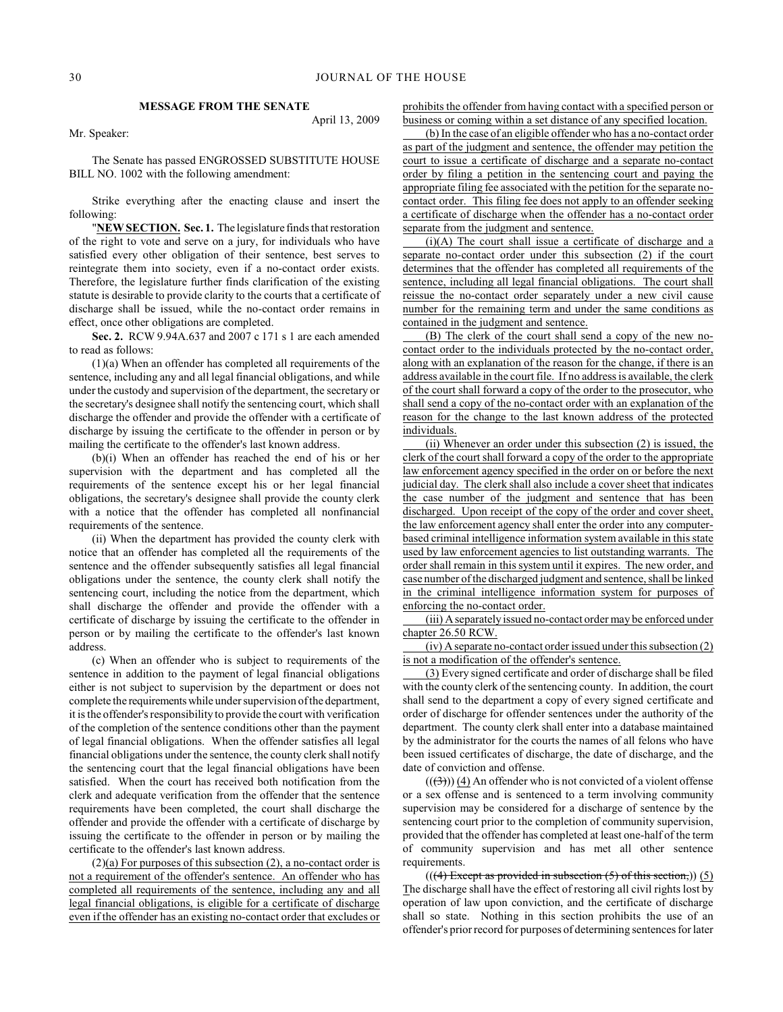Mr. Speaker:

April 13, 2009

The Senate has passed ENGROSSED SUBSTITUTE HOUSE BILL NO. 1002 with the following amendment:

Strike everything after the enacting clause and insert the following:

"**NEW SECTION. Sec. 1.** The legislature finds that restoration of the right to vote and serve on a jury, for individuals who have satisfied every other obligation of their sentence, best serves to reintegrate them into society, even if a no-contact order exists. Therefore, the legislature further finds clarification of the existing statute is desirable to provide clarity to the courts that a certificate of discharge shall be issued, while the no-contact order remains in effect, once other obligations are completed.

**Sec. 2.** RCW 9.94A.637 and 2007 c 171 s 1 are each amended to read as follows:

(1)(a) When an offender has completed all requirements of the sentence, including any and all legal financial obligations, and while under the custody and supervision of the department, the secretary or the secretary's designee shall notify the sentencing court, which shall discharge the offender and provide the offender with a certificate of discharge by issuing the certificate to the offender in person or by mailing the certificate to the offender's last known address.

(b)(i) When an offender has reached the end of his or her supervision with the department and has completed all the requirements of the sentence except his or her legal financial obligations, the secretary's designee shall provide the county clerk with a notice that the offender has completed all nonfinancial requirements of the sentence.

(ii) When the department has provided the county clerk with notice that an offender has completed all the requirements of the sentence and the offender subsequently satisfies all legal financial obligations under the sentence, the county clerk shall notify the sentencing court, including the notice from the department, which shall discharge the offender and provide the offender with a certificate of discharge by issuing the certificate to the offender in person or by mailing the certificate to the offender's last known address.

(c) When an offender who is subject to requirements of the sentence in addition to the payment of legal financial obligations either is not subject to supervision by the department or does not complete the requirements while under supervision of the department, it is the offender's responsibility to provide the court with verification of the completion of the sentence conditions other than the payment of legal financial obligations. When the offender satisfies all legal financial obligations under the sentence, the county clerk shall notify the sentencing court that the legal financial obligations have been satisfied. When the court has received both notification from the clerk and adequate verification from the offender that the sentence requirements have been completed, the court shall discharge the offender and provide the offender with a certificate of discharge by issuing the certificate to the offender in person or by mailing the certificate to the offender's last known address.

(2)(a) For purposes of this subsection (2), a no-contact order is not a requirement of the offender's sentence. An offender who has completed all requirements of the sentence, including any and all legal financial obligations, is eligible for a certificate of discharge even if the offender has an existing no-contact order that excludes or prohibits the offender from having contact with a specified person or business or coming within a set distance of any specified location.

(b) In the case of an eligible offender who has a no-contact order as part of the judgment and sentence, the offender may petition the court to issue a certificate of discharge and a separate no-contact order by filing a petition in the sentencing court and paying the appropriate filing fee associated with the petition for the separate nocontact order. This filing fee does not apply to an offender seeking a certificate of discharge when the offender has a no-contact order separate from the judgment and sentence.

(i)(A) The court shall issue a certificate of discharge and a separate no-contact order under this subsection (2) if the court determines that the offender has completed all requirements of the sentence, including all legal financial obligations. The court shall reissue the no-contact order separately under a new civil cause number for the remaining term and under the same conditions as contained in the judgment and sentence.

(B) The clerk of the court shall send a copy of the new nocontact order to the individuals protected by the no-contact order, along with an explanation of the reason for the change, if there is an address available in the court file. If no address is available, the clerk of the court shall forward a copy of the order to the prosecutor, who shall send a copy of the no-contact order with an explanation of the reason for the change to the last known address of the protected individuals.

(ii) Whenever an order under this subsection (2) is issued, the clerk of the court shall forward a copy of the order to the appropriate law enforcement agency specified in the order on or before the next judicial day. The clerk shall also include a cover sheet that indicates the case number of the judgment and sentence that has been discharged. Upon receipt of the copy of the order and cover sheet, the law enforcement agency shall enter the order into any computerbased criminal intelligence information system available in this state used by law enforcement agencies to list outstanding warrants. The order shall remain in this system until it expires. The new order, and case number of the discharged judgment and sentence, shall be linked in the criminal intelligence information system for purposes of enforcing the no-contact order.

(iii) Aseparately issued no-contact order may be enforced under chapter 26.50 RCW.

(iv) A separate no-contact order issued under this subsection (2) is not a modification of the offender's sentence.

(3) Every signed certificate and order of discharge shall be filed with the county clerk of the sentencing county. In addition, the court shall send to the department a copy of every signed certificate and order of discharge for offender sentences under the authority of the department. The county clerk shall enter into a database maintained by the administrator for the courts the names of all felons who have been issued certificates of discharge, the date of discharge, and the date of conviction and offense.

 $((\rightarroweq))$  (4) An offender who is not convicted of a violent offense or a sex offense and is sentenced to a term involving community supervision may be considered for a discharge of sentence by the sentencing court prior to the completion of community supervision, provided that the offender has completed at least one-half of the term of community supervision and has met all other sentence requirements.

 $(((4) \text{ Except as provided in subsection (5) of this section}))$  (5) The discharge shall have the effect of restoring all civil rights lost by operation of law upon conviction, and the certificate of discharge shall so state. Nothing in this section prohibits the use of an offender's prior record for purposes of determining sentences for later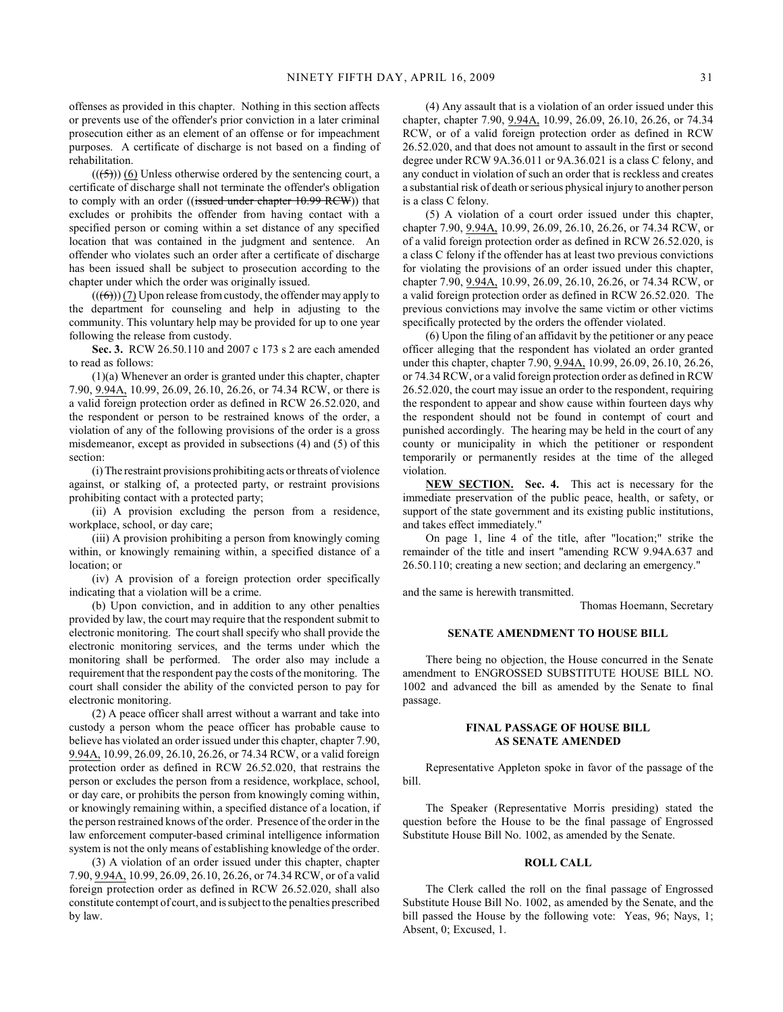offenses as provided in this chapter. Nothing in this section affects or prevents use of the offender's prior conviction in a later criminal prosecution either as an element of an offense or for impeachment purposes. A certificate of discharge is not based on a finding of rehabilitation.

 $((\left( \frac{\mathbf{5}}{2}\right))$  (6) Unless otherwise ordered by the sentencing court, a certificate of discharge shall not terminate the offender's obligation to comply with an order ((issued under chapter 10.99 RCW)) that excludes or prohibits the offender from having contact with a specified person or coming within a set distance of any specified location that was contained in the judgment and sentence. An offender who violates such an order after a certificate of discharge has been issued shall be subject to prosecution according to the chapter under which the order was originally issued.

 $(((6))$  $(7)$  Upon release from custody, the offender may apply to the department for counseling and help in adjusting to the community. This voluntary help may be provided for up to one year following the release from custody.

**Sec. 3.** RCW 26.50.110 and 2007 c 173 s 2 are each amended to read as follows:

(1)(a) Whenever an order is granted under this chapter, chapter 7.90, 9.94A, 10.99, 26.09, 26.10, 26.26, or 74.34 RCW, or there is a valid foreign protection order as defined in RCW 26.52.020, and the respondent or person to be restrained knows of the order, a violation of any of the following provisions of the order is a gross misdemeanor, except as provided in subsections (4) and (5) of this section:

(i) The restraint provisions prohibiting acts or threats of violence against, or stalking of, a protected party, or restraint provisions prohibiting contact with a protected party;

(ii) A provision excluding the person from a residence, workplace, school, or day care;

(iii) A provision prohibiting a person from knowingly coming within, or knowingly remaining within, a specified distance of a location; or

(iv) A provision of a foreign protection order specifically indicating that a violation will be a crime.

(b) Upon conviction, and in addition to any other penalties provided by law, the court may require that the respondent submit to electronic monitoring. The court shall specify who shall provide the electronic monitoring services, and the terms under which the monitoring shall be performed. The order also may include a requirement that the respondent pay the costs of the monitoring. The court shall consider the ability of the convicted person to pay for electronic monitoring.

(2) A peace officer shall arrest without a warrant and take into custody a person whom the peace officer has probable cause to believe has violated an order issued under this chapter, chapter 7.90, 9.94A, 10.99, 26.09, 26.10, 26.26, or 74.34 RCW, or a valid foreign protection order as defined in RCW 26.52.020, that restrains the person or excludes the person from a residence, workplace, school, or day care, or prohibits the person from knowingly coming within, or knowingly remaining within, a specified distance of a location, if the person restrained knows of the order. Presence of the order in the law enforcement computer-based criminal intelligence information system is not the only means of establishing knowledge of the order.

(3) A violation of an order issued under this chapter, chapter 7.90, 9.94A, 10.99, 26.09, 26.10, 26.26, or 74.34 RCW, or of a valid foreign protection order as defined in RCW 26.52.020, shall also constitute contempt of court, and is subject to the penalties prescribed by law.

(4) Any assault that is a violation of an order issued under this chapter, chapter 7.90, 9.94A, 10.99, 26.09, 26.10, 26.26, or 74.34 RCW, or of a valid foreign protection order as defined in RCW 26.52.020, and that does not amount to assault in the first or second degree under RCW 9A.36.011 or 9A.36.021 is a class C felony, and any conduct in violation of such an order that is reckless and creates a substantial risk of death or serious physical injury to another person is a class C felony.

(5) A violation of a court order issued under this chapter, chapter 7.90, 9.94A, 10.99, 26.09, 26.10, 26.26, or 74.34 RCW, or of a valid foreign protection order as defined in RCW 26.52.020, is a class C felony if the offender has at least two previous convictions for violating the provisions of an order issued under this chapter, chapter 7.90, 9.94A, 10.99, 26.09, 26.10, 26.26, or 74.34 RCW, or a valid foreign protection order as defined in RCW 26.52.020. The previous convictions may involve the same victim or other victims specifically protected by the orders the offender violated.

(6) Upon the filing of an affidavit by the petitioner or any peace officer alleging that the respondent has violated an order granted under this chapter, chapter 7.90, 9.94A, 10.99, 26.09, 26.10, 26.26, or 74.34 RCW, or a valid foreign protection order as defined in RCW 26.52.020, the court may issue an order to the respondent, requiring the respondent to appear and show cause within fourteen days why the respondent should not be found in contempt of court and punished accordingly. The hearing may be held in the court of any county or municipality in which the petitioner or respondent temporarily or permanently resides at the time of the alleged violation.

**NEW SECTION. Sec. 4.** This act is necessary for the immediate preservation of the public peace, health, or safety, or support of the state government and its existing public institutions, and takes effect immediately."

On page 1, line 4 of the title, after "location;" strike the remainder of the title and insert "amending RCW 9.94A.637 and 26.50.110; creating a new section; and declaring an emergency."

and the same is herewith transmitted.

Thomas Hoemann, Secretary

#### **SENATE AMENDMENT TO HOUSE BILL**

There being no objection, the House concurred in the Senate amendment to ENGROSSED SUBSTITUTE HOUSE BILL NO. 1002 and advanced the bill as amended by the Senate to final passage.

### **FINAL PASSAGE OF HOUSE BILL AS SENATE AMENDED**

Representative Appleton spoke in favor of the passage of the bill.

The Speaker (Representative Morris presiding) stated the question before the House to be the final passage of Engrossed Substitute House Bill No. 1002, as amended by the Senate.

#### **ROLL CALL**

The Clerk called the roll on the final passage of Engrossed Substitute House Bill No. 1002, as amended by the Senate, and the bill passed the House by the following vote: Yeas, 96; Nays, 1; Absent, 0; Excused, 1.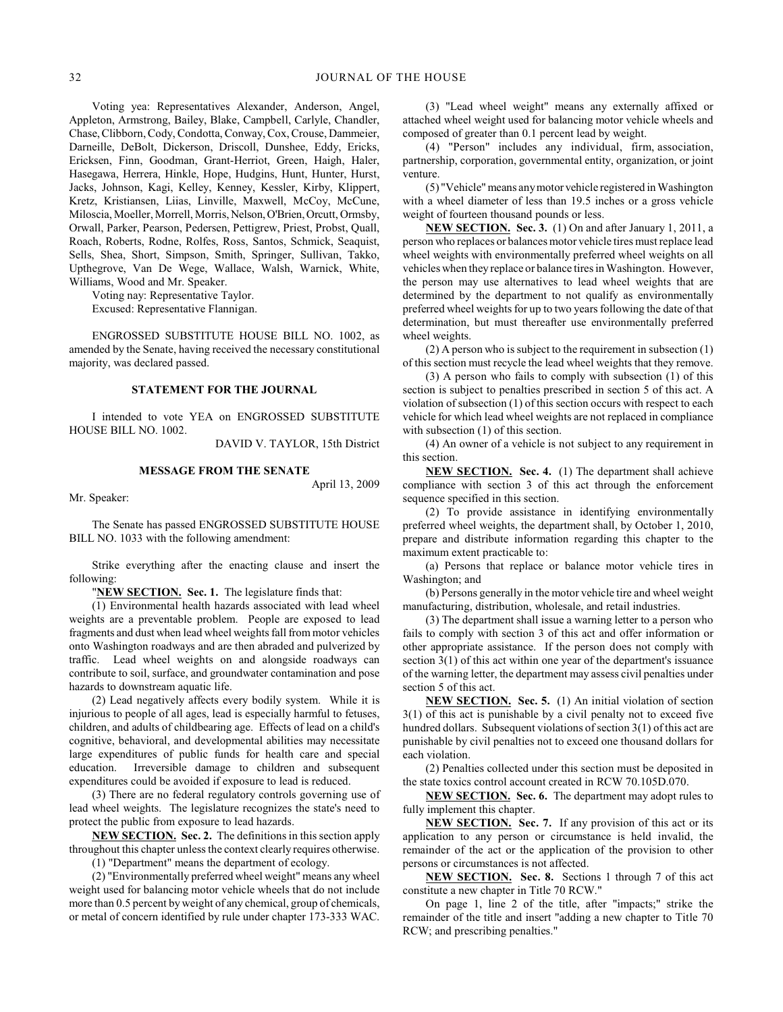Voting yea: Representatives Alexander, Anderson, Angel, Appleton, Armstrong, Bailey, Blake, Campbell, Carlyle, Chandler, Chase, Clibborn, Cody, Condotta, Conway, Cox, Crouse, Dammeier, Darneille, DeBolt, Dickerson, Driscoll, Dunshee, Eddy, Ericks, Ericksen, Finn, Goodman, Grant-Herriot, Green, Haigh, Haler, Hasegawa, Herrera, Hinkle, Hope, Hudgins, Hunt, Hunter, Hurst, Jacks, Johnson, Kagi, Kelley, Kenney, Kessler, Kirby, Klippert, Kretz, Kristiansen, Liias, Linville, Maxwell, McCoy, McCune, Miloscia, Moeller, Morrell, Morris, Nelson, O'Brien, Orcutt, Ormsby, Orwall, Parker, Pearson, Pedersen, Pettigrew, Priest, Probst, Quall, Roach, Roberts, Rodne, Rolfes, Ross, Santos, Schmick, Seaquist, Sells, Shea, Short, Simpson, Smith, Springer, Sullivan, Takko, Upthegrove, Van De Wege, Wallace, Walsh, Warnick, White, Williams, Wood and Mr. Speaker.

Voting nay: Representative Taylor. Excused: Representative Flannigan.

ENGROSSED SUBSTITUTE HOUSE BILL NO. 1002, as amended by the Senate, having received the necessary constitutional majority, was declared passed.

### **STATEMENT FOR THE JOURNAL**

I intended to vote YEA on ENGROSSED SUBSTITUTE HOUSE BILL NO. 1002.

DAVID V. TAYLOR, 15th District

### **MESSAGE FROM THE SENATE**

Mr. Speaker:

April 13, 2009

The Senate has passed ENGROSSED SUBSTITUTE HOUSE BILL NO. 1033 with the following amendment:

Strike everything after the enacting clause and insert the following:

"**NEW SECTION. Sec. 1.** The legislature finds that:

(1) Environmental health hazards associated with lead wheel weights are a preventable problem. People are exposed to lead fragments and dust when lead wheel weights fall from motor vehicles onto Washington roadways and are then abraded and pulverized by traffic. Lead wheel weights on and alongside roadways can contribute to soil, surface, and groundwater contamination and pose hazards to downstream aquatic life.

(2) Lead negatively affects every bodily system. While it is injurious to people of all ages, lead is especially harmful to fetuses, children, and adults of childbearing age. Effects of lead on a child's cognitive, behavioral, and developmental abilities may necessitate large expenditures of public funds for health care and special education. Irreversible damage to children and subsequent expenditures could be avoided if exposure to lead is reduced.

(3) There are no federal regulatory controls governing use of lead wheel weights. The legislature recognizes the state's need to protect the public from exposure to lead hazards.

**NEW SECTION.** Sec. 2. The definitions in this section apply throughout this chapter unless the context clearly requires otherwise.

(1) "Department" means the department of ecology.

(2) "Environmentally preferred wheel weight" means any wheel weight used for balancing motor vehicle wheels that do not include more than 0.5 percent by weight of any chemical, group of chemicals, or metal of concern identified by rule under chapter 173-333 WAC.

(3) "Lead wheel weight" means any externally affixed or attached wheel weight used for balancing motor vehicle wheels and composed of greater than 0.1 percent lead by weight.

(4) "Person" includes any individual, firm, association, partnership, corporation, governmental entity, organization, or joint venture.

(5) "Vehicle" means any motor vehicle registered in Washington with a wheel diameter of less than 19.5 inches or a gross vehicle weight of fourteen thousand pounds or less.

**NEW SECTION. Sec. 3.** (1) On and after January 1, 2011, a person who replaces or balances motor vehicle tires must replace lead wheel weights with environmentally preferred wheel weights on all vehicles when they replace or balance tires in Washington. However, the person may use alternatives to lead wheel weights that are determined by the department to not qualify as environmentally preferred wheel weights for up to two years following the date of that determination, but must thereafter use environmentally preferred wheel weights.

(2) A person who is subject to the requirement in subsection (1) of this section must recycle the lead wheel weights that they remove.

(3) A person who fails to comply with subsection (1) of this section is subject to penalties prescribed in section 5 of this act. A violation of subsection (1) of this section occurs with respect to each vehicle for which lead wheel weights are not replaced in compliance with subsection  $(1)$  of this section.

(4) An owner of a vehicle is not subject to any requirement in this section.

**NEW SECTION. Sec. 4.** (1) The department shall achieve compliance with section 3 of this act through the enforcement sequence specified in this section.

(2) To provide assistance in identifying environmentally preferred wheel weights, the department shall, by October 1, 2010, prepare and distribute information regarding this chapter to the maximum extent practicable to:

(a) Persons that replace or balance motor vehicle tires in Washington; and

(b) Persons generally in the motor vehicle tire and wheel weight manufacturing, distribution, wholesale, and retail industries.

(3) The department shall issue a warning letter to a person who fails to comply with section 3 of this act and offer information or other appropriate assistance. If the person does not comply with section 3(1) of this act within one year of the department's issuance of the warning letter, the department may assess civil penalties under section 5 of this act.

**NEW SECTION. Sec. 5.** (1) An initial violation of section 3(1) of this act is punishable by a civil penalty not to exceed five hundred dollars. Subsequent violations of section 3(1) of this act are punishable by civil penalties not to exceed one thousand dollars for each violation.

(2) Penalties collected under this section must be deposited in the state toxics control account created in RCW 70.105D.070.

**NEW SECTION. Sec. 6.** The department may adopt rules to fully implement this chapter.

**NEW SECTION. Sec. 7.** If any provision of this act or its application to any person or circumstance is held invalid, the remainder of the act or the application of the provision to other persons or circumstances is not affected.

**NEW SECTION. Sec. 8.** Sections 1 through 7 of this act constitute a new chapter in Title 70 RCW."

On page 1, line 2 of the title, after "impacts;" strike the remainder of the title and insert "adding a new chapter to Title 70 RCW; and prescribing penalties."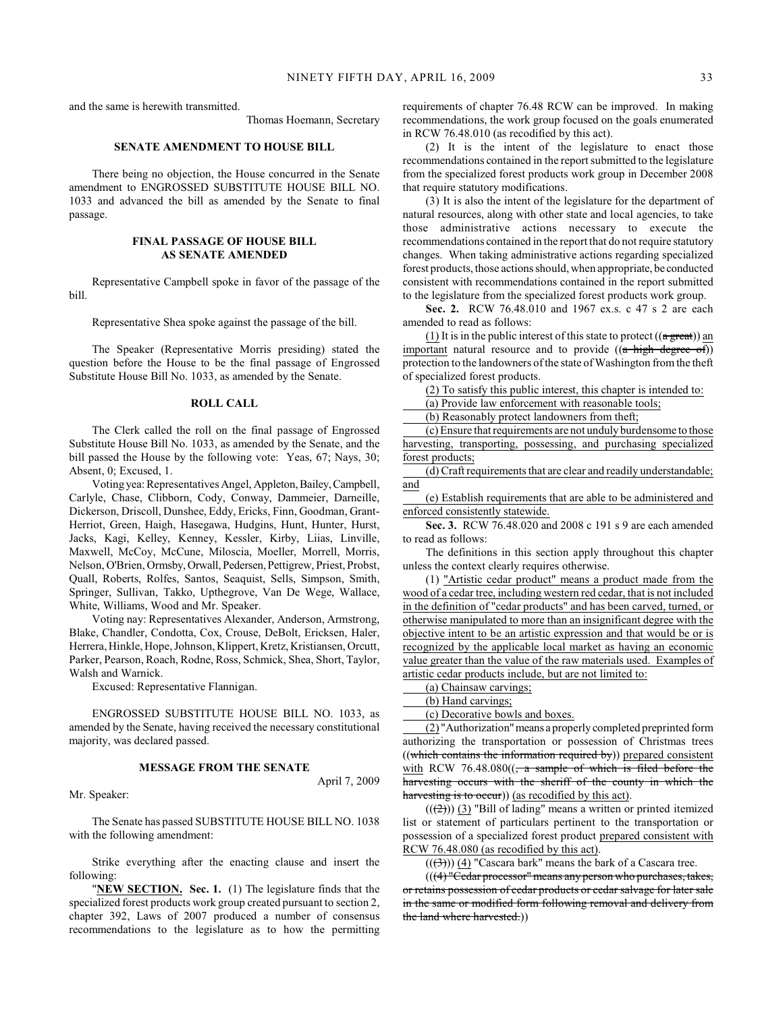and the same is herewith transmitted.

Thomas Hoemann, Secretary

### **SENATE AMENDMENT TO HOUSE BILL**

There being no objection, the House concurred in the Senate amendment to ENGROSSED SUBSTITUTE HOUSE BILL NO. 1033 and advanced the bill as amended by the Senate to final passage.

# **FINAL PASSAGE OF HOUSE BILL AS SENATE AMENDED**

Representative Campbell spoke in favor of the passage of the bill.

Representative Shea spoke against the passage of the bill.

The Speaker (Representative Morris presiding) stated the question before the House to be the final passage of Engrossed Substitute House Bill No. 1033, as amended by the Senate.

#### **ROLL CALL**

The Clerk called the roll on the final passage of Engrossed Substitute House Bill No. 1033, as amended by the Senate, and the bill passed the House by the following vote: Yeas, 67; Nays, 30; Absent, 0; Excused, 1.

Voting yea: Representatives Angel, Appleton, Bailey, Campbell, Carlyle, Chase, Clibborn, Cody, Conway, Dammeier, Darneille, Dickerson, Driscoll, Dunshee, Eddy, Ericks, Finn, Goodman, Grant-Herriot, Green, Haigh, Hasegawa, Hudgins, Hunt, Hunter, Hurst, Jacks, Kagi, Kelley, Kenney, Kessler, Kirby, Liias, Linville, Maxwell, McCoy, McCune, Miloscia, Moeller, Morrell, Morris, Nelson, O'Brien, Ormsby, Orwall, Pedersen, Pettigrew, Priest, Probst, Quall, Roberts, Rolfes, Santos, Seaquist, Sells, Simpson, Smith, Springer, Sullivan, Takko, Upthegrove, Van De Wege, Wallace, White, Williams, Wood and Mr. Speaker.

Voting nay: Representatives Alexander, Anderson, Armstrong, Blake, Chandler, Condotta, Cox, Crouse, DeBolt, Ericksen, Haler, Herrera, Hinkle, Hope, Johnson, Klippert, Kretz, Kristiansen, Orcutt, Parker, Pearson, Roach, Rodne, Ross, Schmick, Shea, Short, Taylor, Walsh and Warnick.

Excused: Representative Flannigan.

ENGROSSED SUBSTITUTE HOUSE BILL NO. 1033, as amended by the Senate, having received the necessary constitutional majority, was declared passed.

#### **MESSAGE FROM THE SENATE**

Mr. Speaker:

The Senate has passed SUBSTITUTE HOUSE BILL NO. 1038

April 7, 2009

with the following amendment:

Strike everything after the enacting clause and insert the following:

"**NEW SECTION. Sec. 1.** (1) The legislature finds that the specialized forest products work group created pursuant to section 2, chapter 392, Laws of 2007 produced a number of consensus recommendations to the legislature as to how the permitting

requirements of chapter 76.48 RCW can be improved. In making recommendations, the work group focused on the goals enumerated in RCW 76.48.010 (as recodified by this act).

(2) It is the intent of the legislature to enact those recommendations contained in the report submitted to the legislature from the specialized forest products work group in December 2008 that require statutory modifications.

(3) It is also the intent of the legislature for the department of natural resources, along with other state and local agencies, to take those administrative actions necessary to execute the recommendations contained in the report that do not require statutory changes. When taking administrative actions regarding specialized forest products, those actions should, when appropriate, be conducted consistent with recommendations contained in the report submitted to the legislature from the specialized forest products work group.

**Sec. 2.** RCW 76.48.010 and 1967 ex.s. c 47 s 2 are each amended to read as follows:

 $(1)$  It is in the public interest of this state to protect  $((a \text{ great}))$  and important natural resource and to provide  $((a + b)$ protection to the landowners of the state of Washington from the theft of specialized forest products.

(2) To satisfy this public interest, this chapter is intended to:

(a) Provide law enforcement with reasonable tools;

(b) Reasonably protect landowners from theft;

(c) Ensure that requirements are not unduly burdensome to those harvesting, transporting, possessing, and purchasing specialized forest products;

(d) Craft requirements that are clear and readily understandable; and

(e) Establish requirements that are able to be administered and enforced consistently statewide.

**Sec. 3.** RCW 76.48.020 and 2008 c 191 s 9 are each amended to read as follows:

The definitions in this section apply throughout this chapter unless the context clearly requires otherwise.

(1) "Artistic cedar product" means a product made from the wood of a cedar tree, including western red cedar, that is not included in the definition of "cedar products" and has been carved, turned, or otherwise manipulated to more than an insignificant degree with the objective intent to be an artistic expression and that would be or is recognized by the applicable local market as having an economic value greater than the value of the raw materials used. Examples of artistic cedar products include, but are not limited to:

(a) Chainsaw carvings;

(b) Hand carvings;

(c) Decorative bowls and boxes.

(2) "Authorization" means a properly completed preprinted form authorizing the transportation or possession of Christmas trees  $((which contains the information required by))$  prepared consistent with RCW 76.48.080 $((\frac{1}{2} \times \frac{1}{2})$  which is filed before the harvesting occurs with the sheriff of the county in which the harvesting is to occur)) (as recodified by this act).

 $((2))$  (3) "Bill of lading" means a written or printed itemized list or statement of particulars pertinent to the transportation or possession of a specialized forest product prepared consistent with RCW 76.48.080 (as recodified by this act).

 $((\overline{(3)}))$  (4) "Cascara bark" means the bark of a Cascara tree.

 $(((4) "Cedar processor" means any person who purchases, takes,$ or retains possession of cedar products or cedar salvage for later sale in the same or modified form following removal and delivery from the land where harvested.))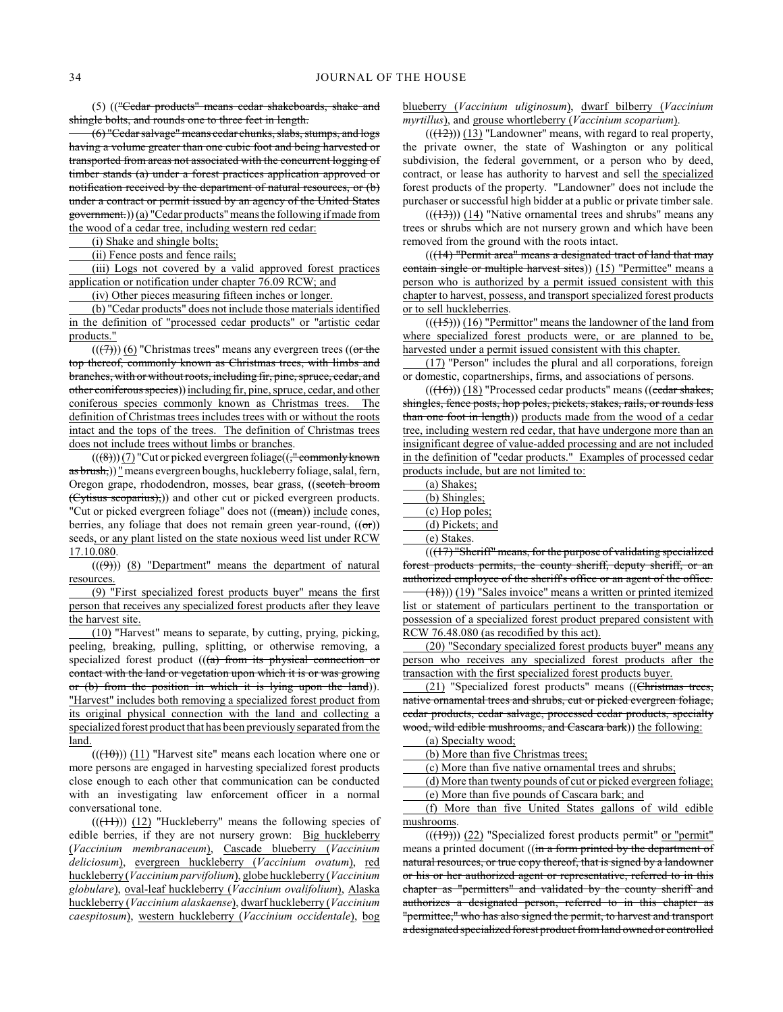(5) (("Cedar products" means cedar shakeboards, shake and shingle bolts, and rounds one to three feet in length.

(6) "Cedar salvage" means cedar chunks, slabs, stumps, and logs having a volume greater than one cubic foot and being harvested or transported from areas not associated with the concurrent logging of timber stands (a) under a forest practices application approved or notification received by the department of natural resources, or (b) under a contract or permit issued by an agency of the United States government.)) (a) "Cedar products" means the following if made from the wood of a cedar tree, including western red cedar:

(i) Shake and shingle bolts;

(ii) Fence posts and fence rails;

(iii) Logs not covered by a valid approved forest practices application or notification under chapter 76.09 RCW; and

(iv) Other pieces measuring fifteen inches or longer.

(b) "Cedar products" does not include those materials identified in the definition of "processed cedar products" or "artistic cedar products."

 $((\overline{(\overline{7})}))$  (6) "Christmas trees" means any evergreen trees ((or the top thereof, commonly known as Christmas trees, with limbs and branches, with or without roots, including fir, pine, spruce, cedar, and other coniferous species)) including fir, pine, spruce, cedar, and other coniferous species commonly known as Christmas trees. The definition of Christmas trees includes trees with or without the roots intact and the tops of the trees. The definition of Christmas trees does not include trees without limbs or branches.

 $(((8))$  $(7)$  "Cut or picked evergreen foliage $((\frac{1}{6})$ " commonly known as brush,)) " means evergreen boughs, huckleberry foliage, salal, fern, Oregon grape, rhododendron, mosses, bear grass, ((scotch broom (Cytisus scoparius),)) and other cut or picked evergreen products. "Cut or picked evergreen foliage" does not ((mean)) include cones, berries, any foliage that does not remain green year-round,  $((\sigma r))$ seeds, or any plant listed on the state noxious weed list under RCW 17.10.080.

 $((\rightarrow))$  (8) "Department" means the department of natural resources.

(9) "First specialized forest products buyer" means the first person that receives any specialized forest products after they leave the harvest site.

(10) "Harvest" means to separate, by cutting, prying, picking, peeling, breaking, pulling, splitting, or otherwise removing, a specialized forest product  $((a)$  from its physical connection or contact with the land or vegetation upon which it is or was growing or (b) from the position in which it is lying upon the land)). "Harvest" includes both removing a specialized forest product from its original physical connection with the land and collecting a specialized forest product that has been previously separated from the land.

 $((\text{+}10))$  (11) "Harvest site" means each location where one or more persons are engaged in harvesting specialized forest products close enough to each other that communication can be conducted with an investigating law enforcement officer in a normal conversational tone.

 $((\text{(+1)}))$  (12) "Huckleberry" means the following species of edible berries, if they are not nursery grown: Big huckleberry (*Vaccinium membranaceum*), Cascade blueberry (*Vaccinium deliciosum*), evergreen huckleberry (*Vaccinium ovatum*), red huckleberry (*Vaccinium parvifolium*), globe huckleberry (*Vaccinium globulare*), oval-leaf huckleberry (*Vaccinium ovalifolium*), Alaska huckleberry (*Vaccinium alaskaense*), dwarf huckleberry (*Vaccinium caespitosum*), western huckleberry (*Vaccinium occidentale*), bog

blueberry (*Vaccinium uliginosum*), dwarf bilberry (*Vaccinium myrtillus*), and grouse whortleberry (*Vaccinium scoparium*).

 $(((12))$ ) (13) "Landowner" means, with regard to real property, the private owner, the state of Washington or any political subdivision, the federal government, or a person who by deed, contract, or lease has authority to harvest and sell the specialized forest products of the property. "Landowner" does not include the purchaser or successful high bidder at a public or private timber sale.

 $((+3))$  (14) "Native ornamental trees and shrubs" means any trees or shrubs which are not nursery grown and which have been removed from the ground with the roots intact.

 $((14)$  "Permit area" means a designated tract of land that may contain single or multiple harvest sites)) (15) "Permittee" means a person who is authorized by a permit issued consistent with this chapter to harvest, possess, and transport specialized forest products or to sell huckleberries.

 $(((15))$ ) (16) "Permittor" means the landowner of the land from where specialized forest products were, or are planned to be, harvested under a permit issued consistent with this chapter.

(17) "Person" includes the plural and all corporations, foreign or domestic, copartnerships, firms, and associations of persons.

 $((\text{(+6)}))$  (18) "Processed cedar products" means ((cedar shakes, shingles, fence posts, hop poles, pickets, stakes, rails, or rounds less than one foot in length)) products made from the wood of a cedar tree, including western red cedar, that have undergone more than an insignificant degree of value-added processing and are not included in the definition of "cedar products." Examples of processed cedar products include, but are not limited to:

(a) Shakes;

(b) Shingles;

(c) Hop poles;

(d) Pickets; and

(e) Stakes.

 $(((17)$  "Sheriff" means, for the purpose of validating specialized forest products permits, the county sheriff, deputy sheriff, or an authorized employee of the sheriff's office or an agent of the office. (18))) (19) "Sales invoice" means a written or printed itemized list or statement of particulars pertinent to the transportation or possession of a specialized forest product prepared consistent with RCW 76.48.080 (as recodified by this act).

(20) "Secondary specialized forest products buyer" means any person who receives any specialized forest products after the transaction with the first specialized forest products buyer.

(21) "Specialized forest products" means ((Christmas trees, native ornamental trees and shrubs, cut or picked evergreen foliage, cedar products, cedar salvage, processed cedar products, specialty wood, wild edible mushrooms, and Cascara bark) the following:

(a) Specialty wood;

(b) More than five Christmas trees;

(c) More than five native ornamental trees and shrubs;

(d) More than twenty pounds of cut or picked evergreen foliage; (e) More than five pounds of Cascara bark; and

(f) More than five United States gallons of wild edible mushrooms.

 $((\overline{(19)}))$  (22) "Specialized forest products permit" or "permit" means a printed document ((in a form printed by the department of natural resources, or true copy thereof, that is signed by a landowner or his or her authorized agent or representative, referred to in this chapter as "permitters" and validated by the county sheriff and authorizes a designated person, referred to in this chapter as "permittee," who has also signed the permit, to harvest and transport a designated specialized forest product from land owned or controlled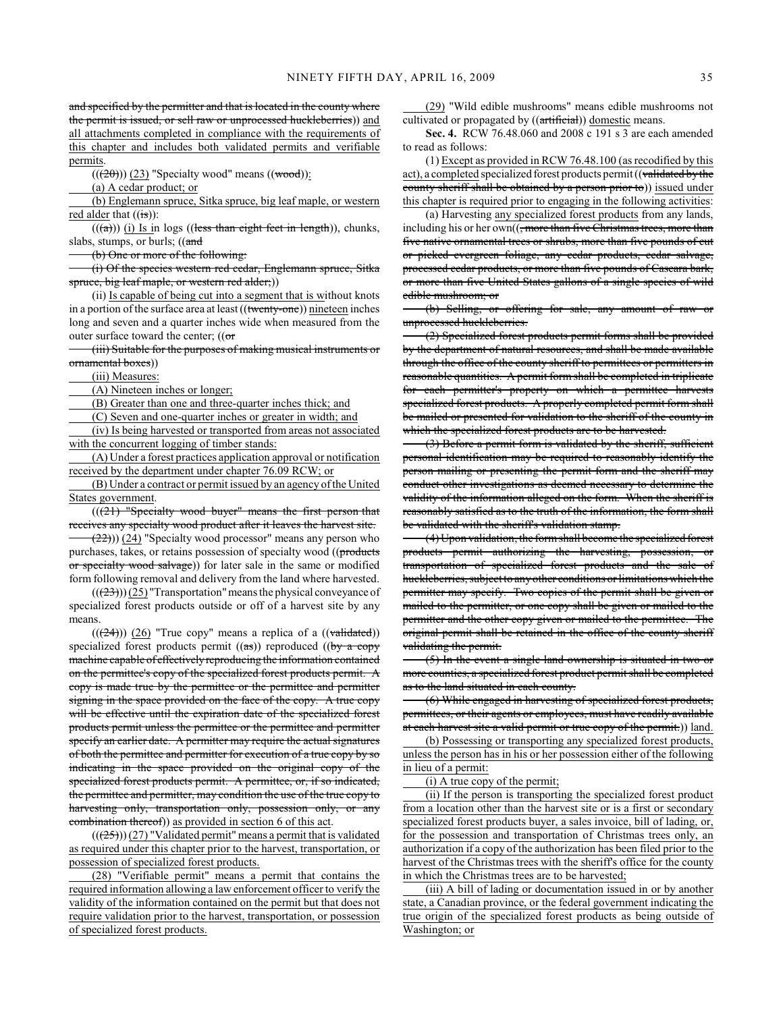and specified by the permitter and that is located in the county where the permit is issued, or sell raw or unprocessed huckleberries)) and all attachments completed in compliance with the requirements of this chapter and includes both validated permits and verifiable permits.

 $(((20))$  (23) "Specialty wood" means  $((\text{wood}))$ :

(a) A cedar product; or

(b) Englemann spruce, Sitka spruce, big leaf maple, or western red alder that  $((is))$ :

 $((\text{(a)}))$  (i) Is in logs ((less than eight feet in length)), chunks, slabs, stumps, or burls;  $((and$ 

(b) One or more of the following:

(i) Of the species western red cedar, Englemann spruce, Sitka spruce, big leaf maple, or western red alder;))

(ii) Is capable of being cut into a segment that is without knots in a portion of the surface area at least ((twenty-one)) nineteen inches long and seven and a quarter inches wide when measured from the outer surface toward the center;  $((\sigma r)^2)(\sigma r)^2$ 

(iii) Suitable for the purposes of making musical instruments or ornamental boxes))

(iii) Measures:

(A) Nineteen inches or longer;

(B) Greater than one and three-quarter inches thick; and

(C) Seven and one-quarter inches or greater in width; and

(iv) Is being harvested or transported from areas not associated with the concurrent logging of timber stands:

(A) Under a forest practices application approval or notification received by the department under chapter 76.09 RCW; or

(B) Under a contract or permit issued by an agency of the United States government.

 $(((21)$  "Specialty wood buyer" means the first person that receives any specialty wood product after it leaves the harvest site.

 $(22)$ )) (24) "Specialty wood processor" means any person who purchases, takes, or retains possession of specialty wood ((products or specialty wood salvage)) for later sale in the same or modified form following removal and delivery from the land where harvested.

 $((23))$  (25) "Transportation" means the physical conveyance of specialized forest products outside or off of a harvest site by any means.

 $((24))$   $(26)$  "True copy" means a replica of a  $((\text{valdated}))$ specialized forest products permit  $((a\mathbf{s}))$  reproduced  $((b\mathbf{y} \cdot \mathbf{a} \cdot \mathbf{c} \cdot \mathbf{b})$ machine capable of effectively reproducing the information contained on the permittee's copy of the specialized forest products permit. A copy is made true by the permittee or the permittee and permitter signing in the space provided on the face of the copy. A true copy will be effective until the expiration date of the specialized forest products permit unless the permittee or the permittee and permitter specify an earlier date. A permitter may require the actual signatures of both the permittee and permitter for execution of a true copy by so indicating in the space provided on the original copy of the specialized forest products permit. A permittee, or, if so indicated, the permittee and permitter, may condition the use of the true copy to harvesting only, transportation only, possession only, or any combination thereof)) as provided in section 6 of this act.

 $((25))$  (27) "Validated permit" means a permit that is validated as required under this chapter prior to the harvest, transportation, or possession of specialized forest products.

(28) "Verifiable permit" means a permit that contains the required information allowing a law enforcement officer to verify the validity of the information contained on the permit but that does not require validation prior to the harvest, transportation, or possession of specialized forest products.

(29) "Wild edible mushrooms" means edible mushrooms not cultivated or propagated by ((artificial)) domestic means.

**Sec. 4.** RCW 76.48.060 and 2008 c 191 s 3 are each amended to read as follows:

(1) Except as provided in RCW 76.48.100 (as recodified by this act), a completed specialized forest products permit ((validated by the county sheriff shall be obtained by a person prior to)) issued under this chapter is required prior to engaging in the following activities:

(a) Harvesting any specialized forest products from any lands, including his or her own $((, \text{more than five Christmas trees}, \text{more than}$ five native ornamental trees or shrubs, more than five pounds of cut or picked evergreen foliage, any cedar products, cedar salvage, processed cedar products, or more than five pounds of Cascara bark, or more than five United States gallons of a single species of wild edible mushroom; or

(b) Selling, or offering for sale, any amount of raw or unprocessed huckleberries.

(2) Specialized forest products permit forms shall be provided by the department of natural resources, and shall be made available through the office of the county sheriff to permittees or permitters in reasonable quantities. A permit form shall be completed in triplicate for each permitter's property on which a permittee harvests specialized forest products. A properly completed permit form shall be mailed or presented for validation to the sheriff of the county in which the specialized forest products are to be harvested.

(3) Before a permit form is validated by the sheriff, sufficient personal identification may be required to reasonably identify the person mailing or presenting the permit form and the sheriff may conduct other investigations as deemed necessary to determine the validity of the information alleged on the form. When the sheriff is reasonably satisfied as to the truth of the information, the form shall be validated with the sheriff's validation stamp.

(4) Upon validation, the form shall become the specialized forest products permit authorizing the harvesting, possession, or transportation of specialized forest products and the sale of huckleberries, subject to any other conditions or limitations which the permitter may specify. Two copies of the permit shall be given or mailed to the permitter, or one copy shall be given or mailed to the permitter and the other copy given or mailed to the permittee. The original permit shall be retained in the office of the county sheriff validating the permit.

(5) In the event a single land ownership is situated in two or more counties, a specialized forest product permit shall be completed as to the land situated in each county.

(6) While engaged in harvesting of specialized forest products, permittees, or their agents or employees, must have readily available at each harvest site a valid permit or true copy of the permit.)) land.

(b) Possessing or transporting any specialized forest products, unless the person has in his or her possession either of the following in lieu of a permit:

(i) A true copy of the permit;

(ii) If the person is transporting the specialized forest product from a location other than the harvest site or is a first or secondary specialized forest products buyer, a sales invoice, bill of lading, or, for the possession and transportation of Christmas trees only, an authorization if a copy of the authorization has been filed prior to the harvest of the Christmas trees with the sheriff's office for the county in which the Christmas trees are to be harvested;

(iii) A bill of lading or documentation issued in or by another state, a Canadian province, or the federal government indicating the true origin of the specialized forest products as being outside of Washington; or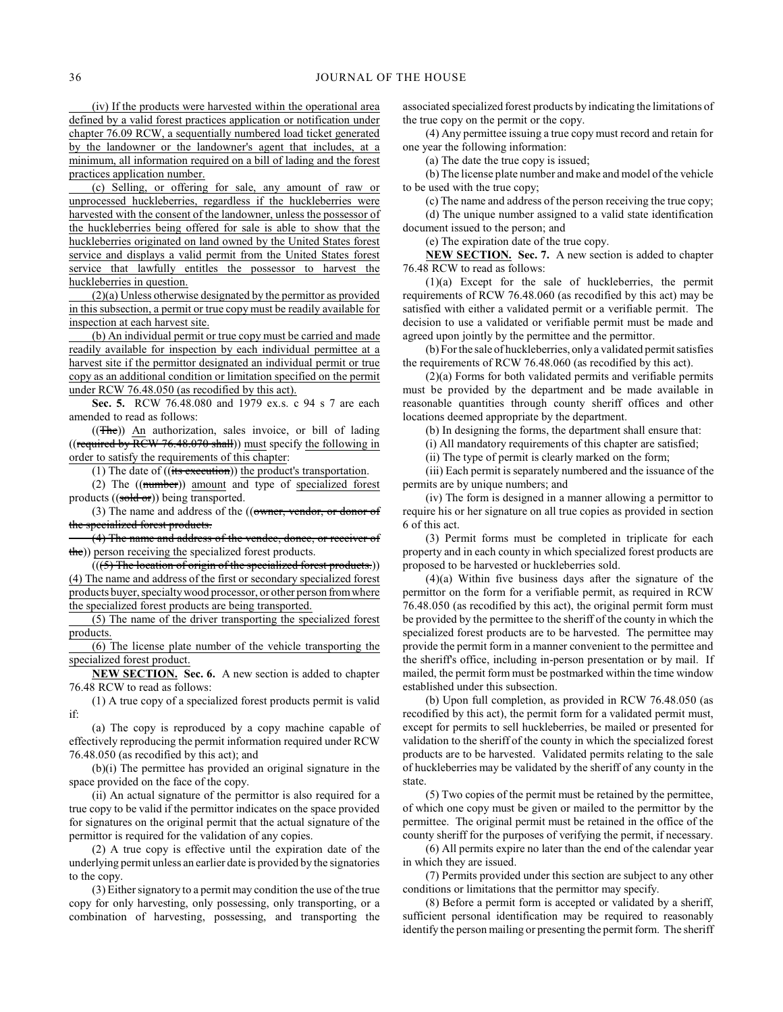(iv) If the products were harvested within the operational area defined by a valid forest practices application or notification under chapter 76.09 RCW, a sequentially numbered load ticket generated by the landowner or the landowner's agent that includes, at a minimum, all information required on a bill of lading and the forest practices application number.

(c) Selling, or offering for sale, any amount of raw or unprocessed huckleberries, regardless if the huckleberries were harvested with the consent of the landowner, unless the possessor of the huckleberries being offered for sale is able to show that the huckleberries originated on land owned by the United States forest service and displays a valid permit from the United States forest service that lawfully entitles the possessor to harvest the huckleberries in question.

(2)(a) Unless otherwise designated by the permittor as provided in this subsection, a permit or true copy must be readily available for inspection at each harvest site.

(b) An individual permit or true copy must be carried and made readily available for inspection by each individual permittee at a harvest site if the permittor designated an individual permit or true copy as an additional condition or limitation specified on the permit under RCW 76.48.050 (as recodified by this act).

**Sec. 5.** RCW 76.48.080 and 1979 ex.s. c 94 s 7 are each amended to read as follows:

 $((The)$  An authorization, sales invoice, or bill of lading ((required by RCW 76.48.070 shall)) must specify the following in order to satisfy the requirements of this chapter:

(1) The date of  $((its execution))$  the product's transportation.

(2) The ((number)) amount and type of specialized forest products  $((\text{solid or}))$  being transported.

(3) The name and address of the  $((\text{owner}, \text{vendor}, \text{or donor of})$ the specialized forest products.

(4) The name and address of the vendee, donee, or receiver of the)) person receiving the specialized forest products.

 $((5)$  The location of origin of the specialized forest products.) (4) The name and address of the first or secondary specialized forest products buyer, specialty wood processor, or other person from where the specialized forest products are being transported.

(5) The name of the driver transporting the specialized forest products.

(6) The license plate number of the vehicle transporting the specialized forest product.

**NEW SECTION. Sec. 6.** A new section is added to chapter 76.48 RCW to read as follows:

(1) A true copy of a specialized forest products permit is valid if:

(a) The copy is reproduced by a copy machine capable of effectively reproducing the permit information required under RCW 76.48.050 (as recodified by this act); and

(b)(i) The permittee has provided an original signature in the space provided on the face of the copy.

(ii) An actual signature of the permittor is also required for a true copy to be valid if the permittor indicates on the space provided for signatures on the original permit that the actual signature of the permittor is required for the validation of any copies.

(2) A true copy is effective until the expiration date of the underlying permit unless an earlier date is provided by the signatories to the copy.

(3) Eithersignatory to a permit may condition the use of the true copy for only harvesting, only possessing, only transporting, or a combination of harvesting, possessing, and transporting the associated specialized forest products by indicating the limitations of the true copy on the permit or the copy.

(4) Any permittee issuing a true copy must record and retain for one year the following information:

(a) The date the true copy is issued;

(b) The license plate number and make and model of the vehicle to be used with the true copy;

(c) The name and address of the person receiving the true copy; (d) The unique number assigned to a valid state identification document issued to the person; and

(e) The expiration date of the true copy.

**NEW SECTION. Sec. 7.** A new section is added to chapter 76.48 RCW to read as follows:

(1)(a) Except for the sale of huckleberries, the permit requirements of RCW 76.48.060 (as recodified by this act) may be satisfied with either a validated permit or a verifiable permit. The decision to use a validated or verifiable permit must be made and agreed upon jointly by the permittee and the permittor.

(b) For the sale of huckleberries, only a validated permit satisfies the requirements of RCW 76.48.060 (as recodified by this act).

(2)(a) Forms for both validated permits and verifiable permits must be provided by the department and be made available in reasonable quantities through county sheriff offices and other locations deemed appropriate by the department.

(b) In designing the forms, the department shall ensure that:

(i) All mandatory requirements of this chapter are satisfied;

(ii) The type of permit is clearly marked on the form;

(iii) Each permit is separately numbered and the issuance of the permits are by unique numbers; and

(iv) The form is designed in a manner allowing a permittor to require his or her signature on all true copies as provided in section 6 of this act.

(3) Permit forms must be completed in triplicate for each property and in each county in which specialized forest products are proposed to be harvested or huckleberries sold.

(4)(a) Within five business days after the signature of the permittor on the form for a verifiable permit, as required in RCW 76.48.050 (as recodified by this act), the original permit form must be provided by the permittee to the sheriff of the county in which the specialized forest products are to be harvested. The permittee may provide the permit form in a manner convenient to the permittee and the sheriff's office, including in-person presentation or by mail. If mailed, the permit form must be postmarked within the time window established under this subsection.

(b) Upon full completion, as provided in RCW 76.48.050 (as recodified by this act), the permit form for a validated permit must, except for permits to sell huckleberries, be mailed or presented for validation to the sheriff of the county in which the specialized forest products are to be harvested. Validated permits relating to the sale of huckleberries may be validated by the sheriff of any county in the state.

(5) Two copies of the permit must be retained by the permittee, of which one copy must be given or mailed to the permittor by the permittee. The original permit must be retained in the office of the county sheriff for the purposes of verifying the permit, if necessary.

(6) All permits expire no later than the end of the calendar year in which they are issued.

(7) Permits provided under this section are subject to any other conditions or limitations that the permittor may specify.

(8) Before a permit form is accepted or validated by a sheriff, sufficient personal identification may be required to reasonably identify the person mailing or presenting the permit form. The sheriff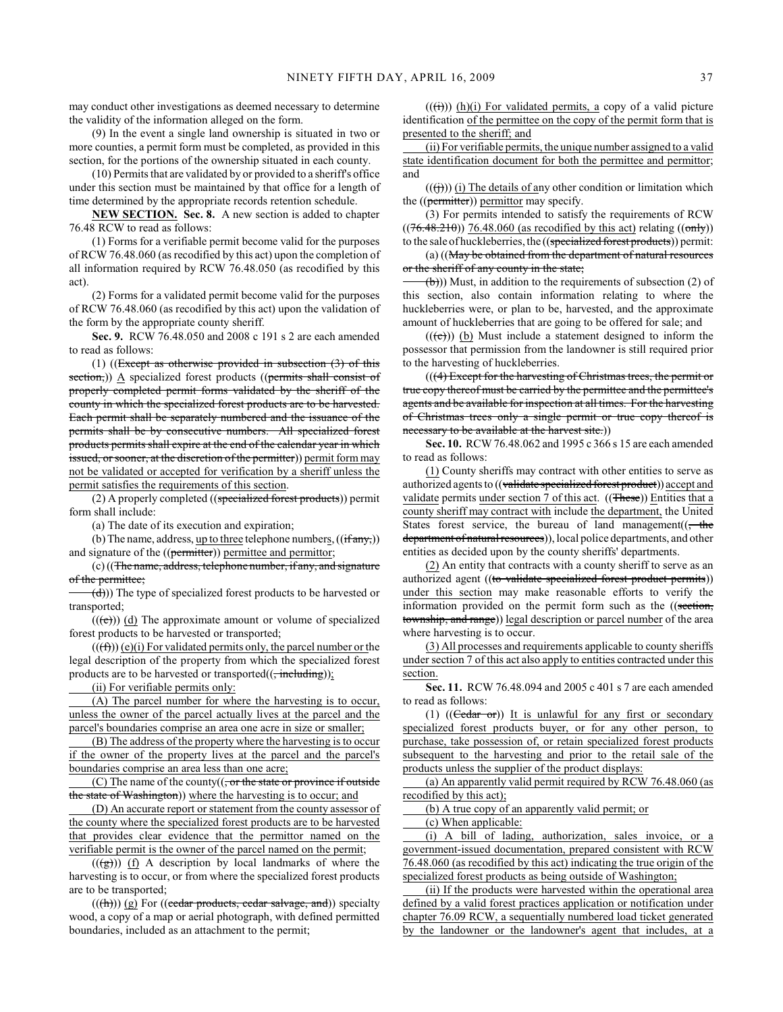may conduct other investigations as deemed necessary to determine the validity of the information alleged on the form.

(9) In the event a single land ownership is situated in two or more counties, a permit form must be completed, as provided in this section, for the portions of the ownership situated in each county.

(10) Permits that are validated by or provided to a sheriff's office under this section must be maintained by that office for a length of time determined by the appropriate records retention schedule.

**NEW SECTION. Sec. 8.** A new section is added to chapter 76.48 RCW to read as follows:

(1) Forms for a verifiable permit become valid for the purposes of RCW 76.48.060 (as recodified by this act) upon the completion of all information required by RCW 76.48.050 (as recodified by this act).

(2) Forms for a validated permit become valid for the purposes of RCW 76.48.060 (as recodified by this act) upon the validation of the form by the appropriate county sheriff.

**Sec. 9.** RCW 76.48.050 and 2008 c 191 s 2 are each amended to read as follows:

(1) ((Except as otherwise provided in subsection (3) of this section,)) A specialized forest products ((permits shall consist of properly completed permit forms validated by the sheriff of the county in which the specialized forest products are to be harvested. Each permit shall be separately numbered and the issuance of the permits shall be by consecutive numbers. All specialized forest products permits shall expire at the end of the calendar year in which issued, or sooner, at the discretion of the permitter)) permit form may not be validated or accepted for verification by a sheriff unless the permit satisfies the requirements of this section.

(2) A properly completed ((specialized forest products)) permit form shall include:

(a) The date of its execution and expiration;

(b) The name, address, up to three telephone numbers,  $((\text{if any},))$ and signature of the ((permitter)) permittee and permittor;

(c) ((The name, address, telephone number, if any, and signature of the permittee;

 $\left(\frac{d}{d}\right)$ ) The type of specialized forest products to be harvested or transported;

 $((\text{e}))$  (d) The approximate amount or volume of specialized forest products to be harvested or transported;

 $((\text{ }\\mathbf{f}))$  (e)(i) For validated permits only, the parcel number or the legal description of the property from which the specialized forest products are to be harvested or transported $(($ ,  $\frac{\text{including}}{\text{if}})$ ;

(ii) For verifiable permits only:

(A) The parcel number for where the harvesting is to occur, unless the owner of the parcel actually lives at the parcel and the parcel's boundaries comprise an area one acre in size or smaller;

(B) The address of the property where the harvesting is to occur if the owner of the property lives at the parcel and the parcel's boundaries comprise an area less than one acre;

(C) The name of the county( $\left(\frac{\pi}{6}$  or the state or province if outside the state of Washington)) where the harvesting is to occur; and

(D) An accurate report or statement from the county assessor of the county where the specialized forest products are to be harvested that provides clear evidence that the permittor named on the verifiable permit is the owner of the parcel named on the permit;

 $((\frac{1}{(g)}))$  (f) A description by local landmarks of where the harvesting is to occur, or from where the specialized forest products are to be transported;

 $((\text{th}))$  (g) For ((cedar products, cedar salvage, and)) specialty wood, a copy of a map or aerial photograph, with defined permitted boundaries, included as an attachment to the permit;

 $((\overrightarrow{(t)}))$  (h)(i) For validated permits, a copy of a valid picture identification of the permittee on the copy of the permit form that is presented to the sheriff; and

(ii) For verifiable permits, the unique number assigned to a valid state identification document for both the permittee and permittor; and

 $((\overrightarrow{(t)}))$  (i) The details of any other condition or limitation which the ((permitter)) permittor may specify.

(3) For permits intended to satisfy the requirements of RCW  $((76.48.210))$  76.48.060 (as recodified by this act) relating  $((\text{only}))$ to the sale of huckleberries, the ((specialized forest products)) permit:

(a) ((May be obtained from the department of natural resources or the sheriff of any county in the state;

 $(\theta)$ )) Must, in addition to the requirements of subsection (2) of this section, also contain information relating to where the huckleberries were, or plan to be, harvested, and the approximate amount of huckleberries that are going to be offered for sale; and

 $((\text{(e)}))$  (b) Must include a statement designed to inform the possessor that permission from the landowner is still required prior to the harvesting of huckleberries.

 $((4)$  Except for the harvesting of Christmas trees, the permit or true copy thereof must be carried by the permittee and the permittee's agents and be available for inspection at all times. For the harvesting of Christmas trees only a single permit or true copy thereof is necessary to be available at the harvest site.)

**Sec. 10.** RCW 76.48.062 and 1995 c 366 s 15 are each amended to read as follows:

(1) County sheriffs may contract with other entities to serve as authorized agents to ((validate specialized forest product)) accept and validate permits under section 7 of this act. ((These)) Entities that a county sheriff may contract with include the department, the United States forest service, the bureau of land management( $\left($ , the department of natural resources)), local police departments, and other entities as decided upon by the county sheriffs' departments.

(2) An entity that contracts with a county sheriff to serve as an authorized agent ((to validate specialized forest product permits)) under this section may make reasonable efforts to verify the information provided on the permit form such as the ((section, township, and range)) legal description or parcel number of the area where harvesting is to occur.

(3) All processes and requirements applicable to county sheriffs under section 7 of this act also apply to entities contracted under this section.

**Sec. 11.** RCW 76.48.094 and 2005 c 401 s 7 are each amended to read as follows:

(1)  $((\text{Cedar}-\text{or}))$  It is unlawful for any first or secondary specialized forest products buyer, or for any other person, to purchase, take possession of, or retain specialized forest products subsequent to the harvesting and prior to the retail sale of the products unless the supplier of the product displays:

(a) An apparently valid permit required by RCW 76.48.060 (as recodified by this act);

(b) A true copy of an apparently valid permit; or

(c) When applicable:

A bill of lading, authorization, sales invoice, or a government-issued documentation, prepared consistent with RCW 76.48.060 (as recodified by this act) indicating the true origin of the specialized forest products as being outside of Washington;

(ii) If the products were harvested within the operational area defined by a valid forest practices application or notification under chapter 76.09 RCW, a sequentially numbered load ticket generated by the landowner or the landowner's agent that includes, at a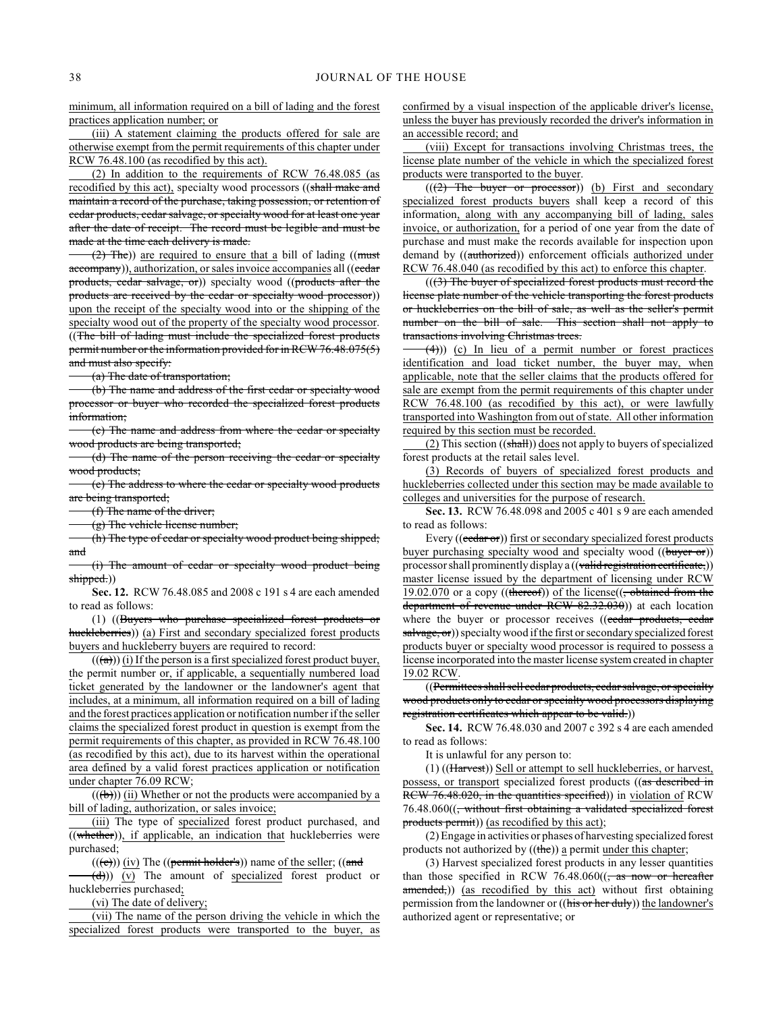minimum, all information required on a bill of lading and the forest practices application number; or

(iii) A statement claiming the products offered for sale are otherwise exempt from the permit requirements of this chapter under RCW 76.48.100 (as recodified by this act).

(2) In addition to the requirements of RCW 76.48.085 (as recodified by this act), specialty wood processors ((shall make and maintain a record of the purchase, taking possession, or retention of cedar products, cedar salvage, or specialty wood for at least one year after the date of receipt. The record must be legible and must be made at the time each delivery is made.

 $(2)$  The)) are required to ensure that a bill of lading ((must accompany)), authorization, or sales invoice accompanies all ((cedar products, cedar salvage, or)) specialty wood ((products after the products are received by the cedar or specialty wood processor)) upon the receipt of the specialty wood into or the shipping of the specialty wood out of the property of the specialty wood processor. ((The bill of lading must include the specialized forest products permit number or the information provided for in RCW 76.48.075(5) and must also specify:

(a) The date of transportation;

(b) The name and address of the first cedar or specialty wood processor or buyer who recorded the specialized forest products information;

(c) The name and address from where the cedar or specialty wood products are being transported;

(d) The name of the person receiving the cedar or specialty wood products;

(e) The address to where the cedar or specialty wood products are being transported;

(f) The name of the driver;

(g) The vehicle license number;

(h) The type of cedar or specialty wood product being shipped; and

(i) The amount of cedar or specialty wood product being shipped.)

**Sec. 12.** RCW 76.48.085 and 2008 c 191 s 4 are each amended to read as follows:

(1) ((Buyers who purchase specialized forest products or huckleberries)) (a) First and secondary specialized forest products buyers and huckleberry buyers are required to record:

 $((\overline{(a)}))$  (i) If the person is a first specialized forest product buyer, the permit number or, if applicable, a sequentially numbered load ticket generated by the landowner or the landowner's agent that includes, at a minimum, all information required on a bill of lading and the forest practices application or notification number if the seller claims the specialized forest product in question is exempt from the permit requirements of this chapter, as provided in RCW 76.48.100 (as recodified by this act), due to its harvest within the operational area defined by a valid forest practices application or notification under chapter 76.09 RCW;

 $((\theta))$  (ii) Whether or not the products were accompanied by a bill of lading, authorization, or sales invoice;

(iii) The type of specialized forest product purchased, and ((whether)), if applicable, an indication that huckleberries were purchased;

 $((\text{(c)}))$  (iv) The ((permit holder's)) name of the seller; ((and

 $(\text{d}))$  (v) The amount of specialized forest product or huckleberries purchased;

(vi) The date of delivery;

(vii) The name of the person driving the vehicle in which the specialized forest products were transported to the buyer, as

confirmed by a visual inspection of the applicable driver's license, unless the buyer has previously recorded the driver's information in an accessible record; and

(viii) Except for transactions involving Christmas trees, the license plate number of the vehicle in which the specialized forest products were transported to the buyer.

 $((2)$  The buyer or processor)) (b) First and secondary specialized forest products buyers shall keep a record of this information, along with any accompanying bill of lading, sales invoice, or authorization, for a period of one year from the date of purchase and must make the records available for inspection upon demand by ((authorized)) enforcement officials authorized under RCW 76.48.040 (as recodified by this act) to enforce this chapter.

 $((3)$  The buyer of specialized forest products must record the license plate number of the vehicle transporting the forest products or huckleberries on the bill of sale, as well as the seller's permit number on the bill of sale. This section shall not apply to transactions involving Christmas trees.

 $\left(\frac{4}{2}\right)$ ) (c) In lieu of a permit number or forest practices identification and load ticket number, the buyer may, when applicable, note that the seller claims that the products offered for sale are exempt from the permit requirements of this chapter under RCW 76.48.100 (as recodified by this act), or were lawfully transported into Washington from out of state. All other information required by this section must be recorded.

(2) This section  $((shall))$  does not apply to buyers of specialized forest products at the retail sales level.

(3) Records of buyers of specialized forest products and huckleberries collected under this section may be made available to colleges and universities for the purpose of research.

**Sec. 13.** RCW 76.48.098 and 2005 c 401 s 9 are each amended to read as follows:

Every ((cedar or)) first or secondary specialized forest products buyer purchasing specialty wood and specialty wood ((buyer or)) processor shall prominently display a  $((\forall \text{a} \text{ hid registration certificate}))$ master license issued by the department of licensing under RCW 19.02.070 or a copy  $((theref))$  of the license $((,obtained from the$ department of revenue under RCW 82.32.030)) at each location where the buyer or processor receives ((eedar products, cedar salvage, or)) specialty wood if the first or secondary specialized forest products buyer or specialty wood processor is required to possess a license incorporated into the master license system created in chapter 19.02 RCW.

((Permittees shall sell cedar products, cedarsalvage, or specialty wood products only to cedar or specialty wood processors displaying registration certificates which appear to be valid.))

**Sec. 14.** RCW 76.48.030 and 2007 c 392 s 4 are each amended to read as follows:

It is unlawful for any person to:

(1) ((Harvest)) Sell or attempt to sell huckleberries, or harvest, possess, or transport specialized forest products ((as described in RCW 76.48.020, in the quantities specified)) in violation of RCW 76.48.060((<del>, without first obtaining a validated specialized forest</del> products permit)) (as recodified by this act);

(2) Engage in activities or phases of harvesting specialized forest products not authorized by  $((the))$  a permit under this chapter;

(3) Harvest specialized forest products in any lesser quantities than those specified in RCW 76.48.060 $((, as now or hereafter$ amended,)) (as recodified by this act) without first obtaining permission from the landowner or ((his or her duly)) the landowner's authorized agent or representative; or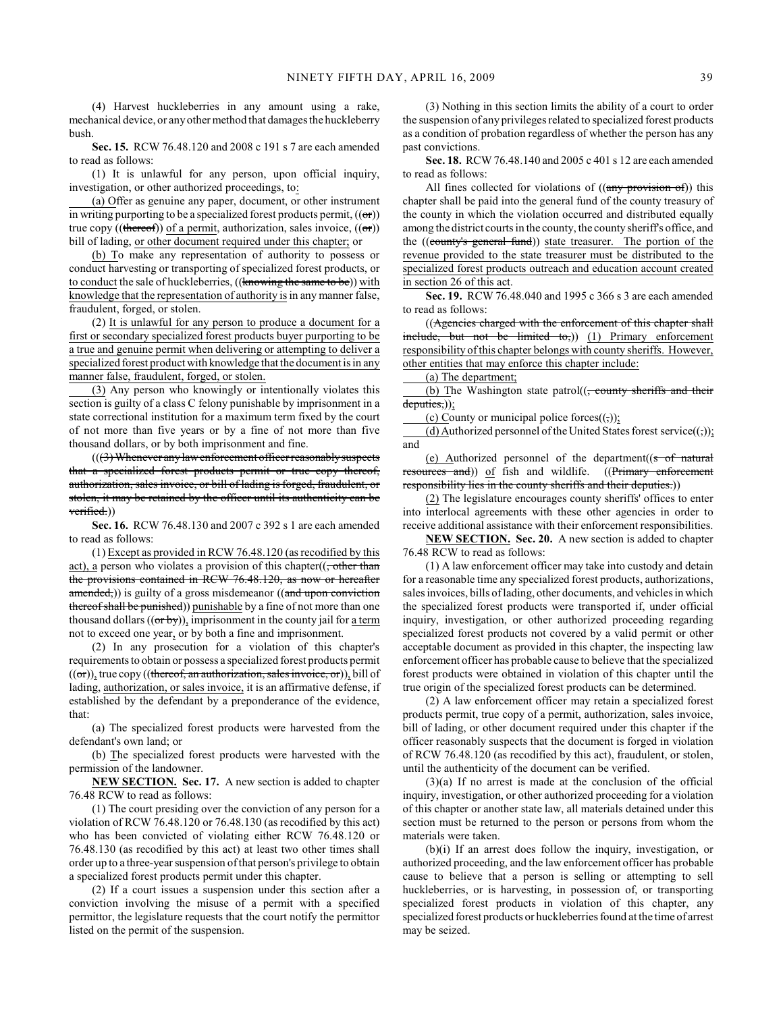(4) Harvest huckleberries in any amount using a rake, mechanical device, or any other method that damages the huckleberry bush.

**Sec. 15.** RCW 76.48.120 and 2008 c 191 s 7 are each amended to read as follows:

(1) It is unlawful for any person, upon official inquiry, investigation, or other authorized proceedings, to:

(a) Offer as genuine any paper, document, or other instrument in writing purporting to be a specialized forest products permit,  $((\sigma r))$ true copy ((thereof)) of a permit, authorization, sales invoice,  $((\sigma r))$ bill of lading, or other document required under this chapter; or

(b) To make any representation of authority to possess or conduct harvesting or transporting of specialized forest products, or to conduct the sale of huckleberries, ((knowing the same to be)) with knowledge that the representation of authority is in any manner false, fraudulent, forged, or stolen.

(2) It is unlawful for any person to produce a document for a first or secondary specialized forest products buyer purporting to be a true and genuine permit when delivering or attempting to deliver a specialized forest product with knowledge that the document is in any manner false, fraudulent, forged, or stolen.

(3) Any person who knowingly or intentionally violates this section is guilty of a class C felony punishable by imprisonment in a state correctional institution for a maximum term fixed by the court of not more than five years or by a fine of not more than five thousand dollars, or by both imprisonment and fine.

 $((3)$  Whenever any law enforcement officer reasonably suspects that a specialized forest products permit or true copy thereof, authorization, sales invoice, or bill of lading is forged, fraudulent, or stolen, it may be retained by the officer until its authenticity can be verified.)

**Sec. 16.** RCW 76.48.130 and 2007 c 392 s 1 are each amended to read as follows:

(1) Except as provided in RCW 76.48.120 (as recodified by this act), a person who violates a provision of this chapter $((, \text{other than})$ the provisions contained in RCW 76.48.120, as now or hereafter amended,)) is guilty of a gross misdemeanor ((and upon conviction thereof shall be punished)) punishable by a fine of not more than one thousand dollars  $((\sigma r \bar{b}y))$ , imprisonment in the county jail for a term not to exceed one year, or by both a fine and imprisonment.

(2) In any prosecution for a violation of this chapter's requirements to obtain or possess a specialized forest products permit  $((**or**)),$  true copy ((thereof, an authorization, sales invoice, or)), bill of lading, authorization, or sales invoice, it is an affirmative defense, if established by the defendant by a preponderance of the evidence, that:

(a) The specialized forest products were harvested from the defendant's own land; or

(b) The specialized forest products were harvested with the permission of the landowner.

**NEW SECTION. Sec. 17.** A new section is added to chapter 76.48 RCW to read as follows:

(1) The court presiding over the conviction of any person for a violation of RCW 76.48.120 or 76.48.130 (as recodified by this act) who has been convicted of violating either RCW 76.48.120 or 76.48.130 (as recodified by this act) at least two other times shall order up to a three-year suspension of that person's privilege to obtain a specialized forest products permit under this chapter.

(2) If a court issues a suspension under this section after a conviction involving the misuse of a permit with a specified permittor, the legislature requests that the court notify the permittor listed on the permit of the suspension.

(3) Nothing in this section limits the ability of a court to order the suspension of any privilegesrelated to specialized forest products as a condition of probation regardless of whether the person has any past convictions.

**Sec. 18.** RCW 76.48.140 and 2005 c 401 s 12 are each amended to read as follows:

All fines collected for violations of  $((\text{any provision of}))$  this chapter shall be paid into the general fund of the county treasury of the county in which the violation occurred and distributed equally among the district courts in the county, the county sheriff's office, and the ((county's general fund)) state treasurer. The portion of the revenue provided to the state treasurer must be distributed to the specialized forest products outreach and education account created in section 26 of this act.

**Sec. 19.** RCW 76.48.040 and 1995 c 366 s 3 are each amended to read as follows:

((Agencies charged with the enforcement of this chapter shall include, but not be limited to,)) (1) Primary enforcement responsibility of this chapter belongs with county sheriffs. However, other entities that may enforce this chapter include:

(a) The department;

(b) The Washington state patrol((<del>, county sheriffs and their</del> deputies,));

(c) County or municipal police forces $((,))$ ;

(d) Authorized personnel of the United States forest service $((,))$ ; and

(e) Authorized personnel of the department $((s - of)$  natural resources and)) of fish and wildlife. ((Primary enforcement responsibility lies in the county sheriffs and their deputies.))

(2) The legislature encourages county sheriffs' offices to enter into interlocal agreements with these other agencies in order to receive additional assistance with their enforcement responsibilities.

**NEW SECTION. Sec. 20.** A new section is added to chapter 76.48 RCW to read as follows:

(1) A law enforcement officer may take into custody and detain for a reasonable time any specialized forest products, authorizations, sales invoices, bills of lading, other documents, and vehicles in which the specialized forest products were transported if, under official inquiry, investigation, or other authorized proceeding regarding specialized forest products not covered by a valid permit or other acceptable document as provided in this chapter, the inspecting law enforcement officer has probable cause to believe that the specialized forest products were obtained in violation of this chapter until the true origin of the specialized forest products can be determined.

(2) A law enforcement officer may retain a specialized forest products permit, true copy of a permit, authorization, sales invoice, bill of lading, or other document required under this chapter if the officer reasonably suspects that the document is forged in violation of RCW 76.48.120 (as recodified by this act), fraudulent, or stolen, until the authenticity of the document can be verified.

(3)(a) If no arrest is made at the conclusion of the official inquiry, investigation, or other authorized proceeding for a violation of this chapter or another state law, all materials detained under this section must be returned to the person or persons from whom the materials were taken.

(b)(i) If an arrest does follow the inquiry, investigation, or authorized proceeding, and the law enforcement officer has probable cause to believe that a person is selling or attempting to sell huckleberries, or is harvesting, in possession of, or transporting specialized forest products in violation of this chapter, any specialized forest products or huckleberries found at the time of arrest may be seized.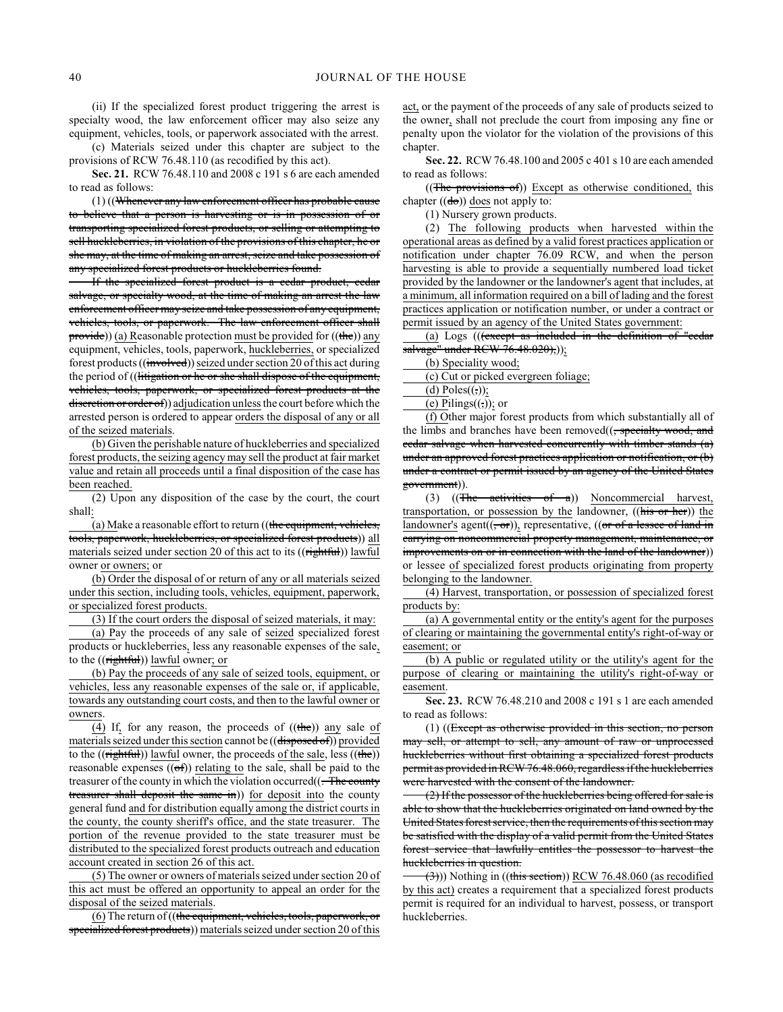(ii) If the specialized forest product triggering the arrest is specialty wood, the law enforcement officer may also seize any equipment, vehicles, tools, or paperwork associated with the arrest.

(c) Materials seized under this chapter are subject to the provisions of RCW 76.48.110 (as recodified by this act).

**Sec. 21.** RCW 76.48.110 and 2008 c 191 s 6 are each amended to read as follows:

(1) ((Whenever any law enforcement officer has probable cause to believe that a person is harvesting or is in possession of or transporting specialized forest products, or selling or attempting to sell huckleberries, in violation of the provisions of this chapter, he or she may, at the time of making an arrest, seize and take possession of any specialized forest products or huckleberries found.

If the specialized forest product is a cedar product, cedar salvage, or specialty wood, at the time of making an arrest the law enforcement officer may seize and take possession of any equipment, vehicles, tools, or paperwork. The law enforcement officer shall  $provide)$  (a) Reasonable protection must be provided for  $((the))$  any equipment, vehicles, tools, paperwork, huckleberries, or specialized forest products ((involved)) seized under section 20 of this act during the period of ((litigation or he or she shall dispose of the equipment, vehicles, tools, paperwork, or specialized forest products at the discretion or order of)) adjudication unless the court before which the arrested person is ordered to appear orders the disposal of any or all of the seized materials.

(b) Given the perishable nature of huckleberries and specialized forest products, the seizing agency may sell the product at fair market value and retain all proceeds until a final disposition of the case has been reached.

(2) Upon any disposition of the case by the court, the court shall:

(a) Make a reasonable effort to return ((the equipment, vehicles, tools, paperwork, huckleberries, or specialized forest products)) all materials seized under section 20 of this act to its ((rightful)) lawful owner or owners; or

(b) Order the disposal of or return of any or all materials seized under this section, including tools, vehicles, equipment, paperwork, or specialized forest products.

(3) If the court orders the disposal of seized materials, it may:

(a) Pay the proceeds of any sale of seized specialized forest products or huckleberries, less any reasonable expenses of the sale, to the  $((rightful))$  lawful owner; or

(b) Pay the proceeds of any sale of seized tools, equipment, or vehicles, less any reasonable expenses of the sale or, if applicable, towards any outstanding court costs, and then to the lawful owner or owners.

(4) If, for any reason, the proceeds of  $((the))$  any sale of materials seized under this section cannot be  $((\text{disposed of}))$  provided to the  $((\text{right}))$  lawful owner, the proceeds of the sale, less  $((\text{the}))$ reasonable expenses  $((\sigma f))$  relating to the sale, shall be paid to the treasurer of the county in which the violation occurred $(($ . The county treasurer shall deposit the same in)) for deposit into the county general fund and for distribution equally among the district courts in the county, the county sheriff's office, and the state treasurer. The portion of the revenue provided to the state treasurer must be distributed to the specialized forest products outreach and education account created in section 26 of this act.

(5) The owner or owners of materials seized under section 20 of this act must be offered an opportunity to appeal an order for the disposal of the seized materials.

 $(6)$  The return of  $((\text{the equipment}, \text{ vehicles}, \text{tools}, \text{paperwork}, \text{or})$ specialized forest products)) materials seized under section 20 of this act, or the payment of the proceeds of any sale of products seized to the owner, shall not preclude the court from imposing any fine or penalty upon the violator for the violation of the provisions of this chapter.

**Sec. 22.** RCW 76.48.100 and 2005 c 401 s 10 are each amended to read as follows:

 $((The **provisions of**))$  Except as otherwise conditioned, this chapter  $((d\sigma))$  does not apply to:

(1) Nursery grown products.

(2) The following products when harvested within the operational areas as defined by a valid forest practices application or notification under chapter 76.09 RCW, and when the person harvesting is able to provide a sequentially numbered load ticket provided by the landowner or the landowner's agent that includes, at a minimum, all information required on a bill of lading and the forest practices application or notification number, or under a contract or permit issued by an agency of the United States government:

(a) Logs (((except as included in the definition of "cedar salvage" under RCW 76.48.020),));

(b) Speciality wood;

(c) Cut or picked evergreen foliage;

(d)  $Poles((,))$ ;

(e) Pilings $((,))$ ; or

(f) Other major forest products from which substantially all of the limbs and branches have been removed $((,$  specialty wood, and cedar salvage when harvested concurrently with timber stands (a) under an approved forest practices application or notification, or (b) under a contract or permit issued by an agency of the United States government)).

(3) ((The activities of a)) Noncommercial harvest, transportation, or possession by the landowner, ((his or her)) the landowner's agent $((, \text{or}))$ , representative,  $((\text{or of a less})$  details in carrying on noncommercial property management, maintenance, or improvements on or in connection with the land of the landowner)) or lessee of specialized forest products originating from property belonging to the landowner.

(4) Harvest, transportation, or possession of specialized forest products by:

(a) A governmental entity or the entity's agent for the purposes of clearing or maintaining the governmental entity's right-of-way or easement; or

(b) A public or regulated utility or the utility's agent for the purpose of clearing or maintaining the utility's right-of-way or easement.

**Sec. 23.** RCW 76.48.210 and 2008 c 191 s 1 are each amended to read as follows:

(1) ((Except as otherwise provided in this section, no person may sell, or attempt to sell, any amount of raw or unprocessed huckleberries without first obtaining a specialized forest products permit as provided in RCW 76.48.060, regardless if the huckleberries were harvested with the consent of the landowner.

(2) If the possessor of the huckleberries being offered for sale is able to show that the huckleberries originated on land owned by the United States forest service, then the requirements of this section may be satisfied with the display of a valid permit from the United States forest service that lawfully entitles the possessor to harvest the huckleberries in question.

 $(\rightarrow$  (3))) Nothing in ((this section)) RCW 76.48.060 (as recodified by this act) creates a requirement that a specialized forest products permit is required for an individual to harvest, possess, or transport huckleberries.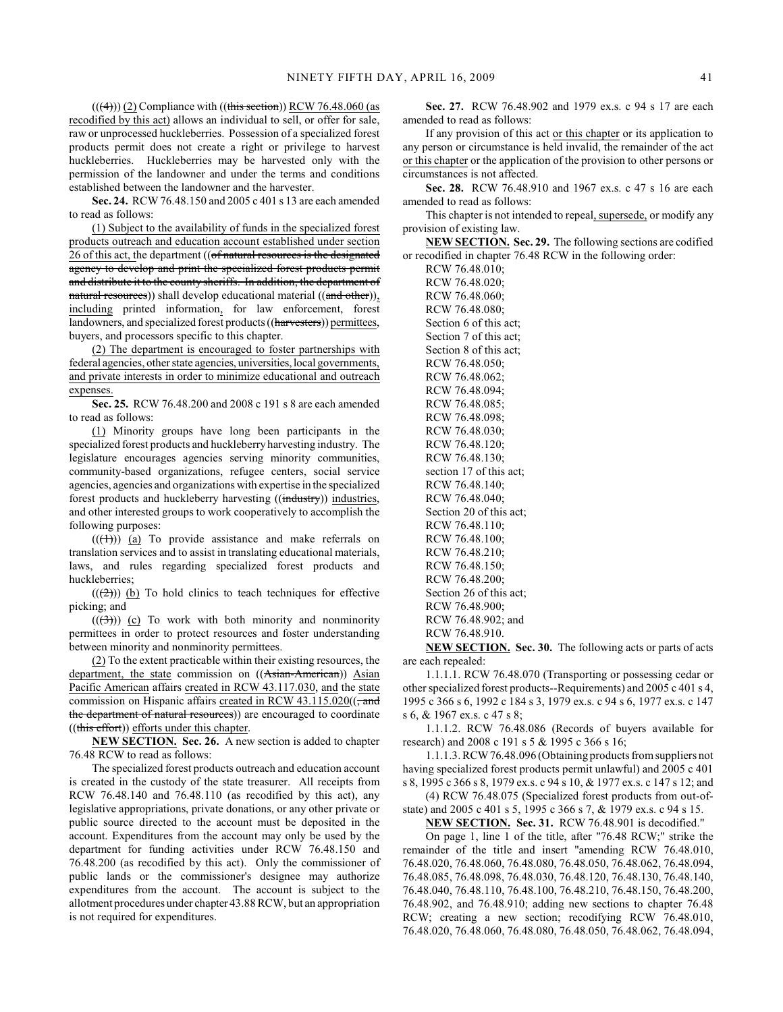$((\leftarrow{4}))(2)$  Compliance with  $((\text{this section}))$  RCW 76.48.060 (as recodified by this act) allows an individual to sell, or offer for sale, raw or unprocessed huckleberries. Possession of a specialized forest products permit does not create a right or privilege to harvest huckleberries. Huckleberries may be harvested only with the permission of the landowner and under the terms and conditions established between the landowner and the harvester.

**Sec. 24.** RCW 76.48.150 and 2005 c 401 s 13 are each amended to read as follows:

(1) Subject to the availability of funds in the specialized forest products outreach and education account established under section 26 of this act, the department ((of natural resources is the designated agency to develop and print the specialized forest products permit and distribute it to the county sheriffs. In addition, the department of natural resources)) shall develop educational material ((and other)), including printed information, for law enforcement, forest landowners, and specialized forest products ((harvesters)) permittees, buyers, and processors specific to this chapter.

(2) The department is encouraged to foster partnerships with federal agencies, other state agencies, universities, local governments, and private interests in order to minimize educational and outreach expenses.

**Sec. 25.** RCW 76.48.200 and 2008 c 191 s 8 are each amended to read as follows:

(1) Minority groups have long been participants in the specialized forest products and huckleberry harvesting industry. The legislature encourages agencies serving minority communities, community-based organizations, refugee centers, social service agencies, agencies and organizations with expertise in the specialized forest products and huckleberry harvesting ((industry)) industries, and other interested groups to work cooperatively to accomplish the following purposes:

 $((\text{(+)}))$  (a) To provide assistance and make referrals on translation services and to assist in translating educational materials, laws, and rules regarding specialized forest products and huckleberries;

 $((2))$  (b) To hold clinics to teach techniques for effective picking; and

 $((\rightarrow{(\rightarrow)})$  (c) To work with both minority and nonminority permittees in order to protect resources and foster understanding between minority and nonminority permittees.

(2) To the extent practicable within their existing resources, the department, the state commission on ((Asian-American)) Asian Pacific American affairs created in RCW 43.117.030, and the state commission on Hispanic affairs created in RCW  $43.115.020$ ( $\frac{1}{2}$  and the department of natural resources)) are encouraged to coordinate  $((\text{this effort}))$  efforts under this chapter.

**NEW SECTION. Sec. 26.** A new section is added to chapter 76.48 RCW to read as follows:

The specialized forest products outreach and education account is created in the custody of the state treasurer. All receipts from RCW 76.48.140 and 76.48.110 (as recodified by this act), any legislative appropriations, private donations, or any other private or public source directed to the account must be deposited in the account. Expenditures from the account may only be used by the department for funding activities under RCW 76.48.150 and 76.48.200 (as recodified by this act). Only the commissioner of public lands or the commissioner's designee may authorize expenditures from the account. The account is subject to the allotment procedures under chapter 43.88 RCW, but an appropriation is not required for expenditures.

**Sec. 27.** RCW 76.48.902 and 1979 ex.s. c 94 s 17 are each amended to read as follows:

If any provision of this act or this chapter or its application to any person or circumstance is held invalid, the remainder of the act or this chapter or the application of the provision to other persons or circumstances is not affected.

**Sec. 28.** RCW 76.48.910 and 1967 ex.s. c 47 s 16 are each amended to read as follows:

This chapter is not intended to repeal, supersede, or modify any provision of existing law.

**NEW SECTION. Sec. 29.** The following sections are codified or recodified in chapter 76.48 RCW in the following order:

RCW 76.48.010; RCW 76.48.020; RCW 76.48.060; RCW 76.48.080; Section 6 of this act; Section 7 of this act; Section 8 of this act; RCW 76.48.050; RCW 76.48.062; RCW 76.48.094; RCW 76.48.085; RCW 76.48.098; RCW 76.48.030; RCW 76.48.120; RCW 76.48.130; section 17 of this act; RCW 76.48.140; RCW 76.48.040; Section 20 of this act; RCW 76.48.110; RCW 76.48.100; RCW 76.48.210; RCW 76.48.150; RCW 76.48.200; Section 26 of this act; RCW 76.48.900; RCW 76.48.902; and RCW 76.48.910.

**NEW SECTION. Sec. 30.** The following acts or parts of acts are each repealed:

1.1.1.1. RCW 76.48.070 (Transporting or possessing cedar or other specialized forest products--Requirements) and 2005 c 401 s 4, 1995 c 366 s 6, 1992 c 184 s 3, 1979 ex.s. c 94 s 6, 1977 ex.s. c 147 s 6, & 1967 ex.s. c 47 s 8;

1.1.1.2. RCW 76.48.086 (Records of buyers available for research) and 2008 c 191 s 5 & 1995 c 366 s 16;

1.1.1.3. RCW 76.48.096 (Obtaining products from suppliers not having specialized forest products permit unlawful) and 2005 c 401 s 8, 1995 c 366 s 8, 1979 ex.s. c 94 s 10, & 1977 ex.s. c 147 s 12; and

(4) RCW 76.48.075 (Specialized forest products from out-ofstate) and 2005 c 401 s 5, 1995 c 366 s 7, & 1979 ex.s. c 94 s 15.

**NEW SECTION. Sec. 31.** RCW 76.48.901 is decodified."

On page 1, line 1 of the title, after "76.48 RCW;" strike the remainder of the title and insert "amending RCW 76.48.010, 76.48.020, 76.48.060, 76.48.080, 76.48.050, 76.48.062, 76.48.094, 76.48.085, 76.48.098, 76.48.030, 76.48.120, 76.48.130, 76.48.140, 76.48.040, 76.48.110, 76.48.100, 76.48.210, 76.48.150, 76.48.200, 76.48.902, and 76.48.910; adding new sections to chapter 76.48 RCW; creating a new section; recodifying RCW 76.48.010, 76.48.020, 76.48.060, 76.48.080, 76.48.050, 76.48.062, 76.48.094,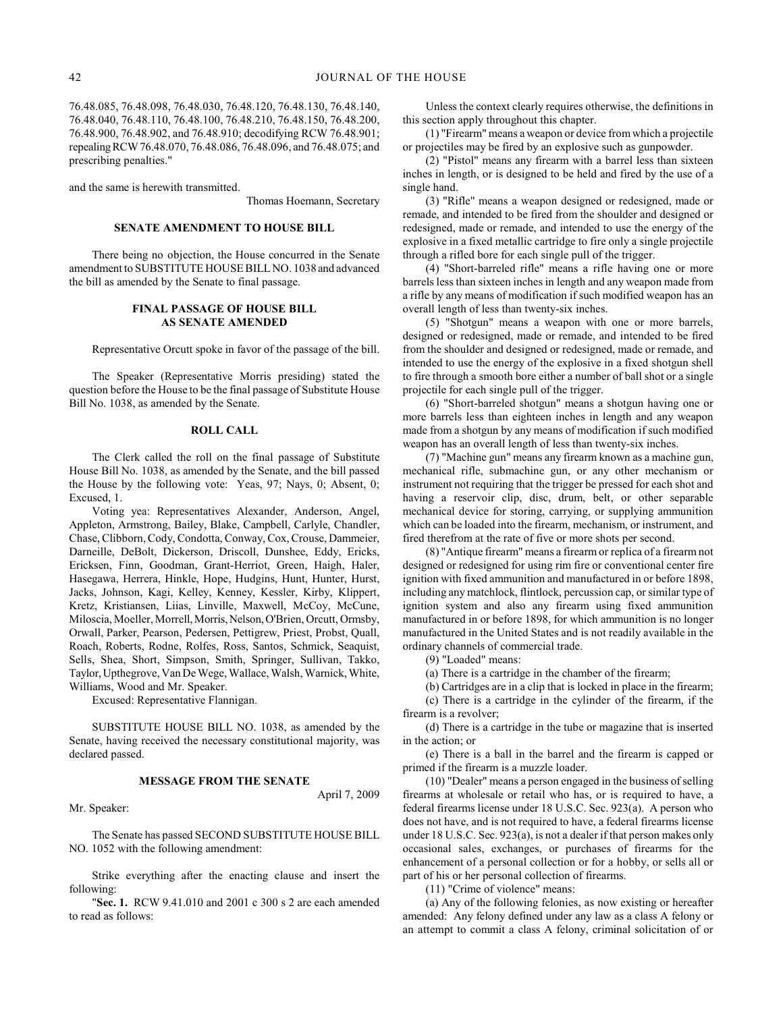76.48.085, 76.48.098, 76.48.030, 76.48.120, 76.48.130, 76.48.140, 76.48.040, 76.48.110, 76.48.100, 76.48.210, 76.48.150, 76.48.200, 76.48.900, 76.48.902, and 76.48.910; decodifying RCW 76.48.901; repealing RCW 76.48.070, 76.48.086, 76.48.096, and 76.48.075; and prescribing penalties."

and the same is herewith transmitted.

Thomas Hoemann, Secretary

### **SENATE AMENDMENT TO HOUSE BILL**

There being no objection, the House concurred in the Senate amendment to SUBSTITUTE HOUSE BILL NO. 1038 and advanced the bill as amended by the Senate to final passage.

# **FINAL PASSAGE OF HOUSE BILL AS SENATE AMENDED**

Representative Orcutt spoke in favor of the passage of the bill.

The Speaker (Representative Morris presiding) stated the question before the House to be the final passage of Substitute House Bill No. 1038, as amended by the Senate.

# **ROLL CALL**

The Clerk called the roll on the final passage of Substitute House Bill No. 1038, as amended by the Senate, and the bill passed the House by the following vote: Yeas, 97; Nays, 0; Absent, 0; Excused, 1.

Voting yea: Representatives Alexander, Anderson, Angel, Appleton, Armstrong, Bailey, Blake, Campbell, Carlyle, Chandler, Chase, Clibborn, Cody, Condotta, Conway, Cox, Crouse, Dammeier, Darneille, DeBolt, Dickerson, Driscoll, Dunshee, Eddy, Ericks, Ericksen, Finn, Goodman, Grant-Herriot, Green, Haigh, Haler, Hasegawa, Herrera, Hinkle, Hope, Hudgins, Hunt, Hunter, Hurst, Jacks, Johnson, Kagi, Kelley, Kenney, Kessler, Kirby, Klippert, Kretz, Kristiansen, Liias, Linville, Maxwell, McCoy, McCune, Miloscia, Moeller, Morrell, Morris, Nelson, O'Brien, Orcutt, Ormsby, Orwall, Parker, Pearson, Pedersen, Pettigrew, Priest, Probst, Quall, Roach, Roberts, Rodne, Rolfes, Ross, Santos, Schmick, Seaquist, Sells, Shea, Short, Simpson, Smith, Springer, Sullivan, Takko, Taylor, Upthegrove, Van De Wege, Wallace, Walsh, Warnick, White, Williams, Wood and Mr. Speaker.

Excused: Representative Flannigan.

SUBSTITUTE HOUSE BILL NO. 1038, as amended by the Senate, having received the necessary constitutional majority, was declared passed.

### **MESSAGE FROM THE SENATE**

April 7, 2009

#### Mr. Speaker:

The Senate has passed SECOND SUBSTITUTE HOUSE BILL NO. 1052 with the following amendment:

Strike everything after the enacting clause and insert the following:

"**Sec. 1.** RCW 9.41.010 and 2001 c 300 s 2 are each amended to read as follows:

Unless the context clearly requires otherwise, the definitions in this section apply throughout this chapter.

(1) "Firearm" means a weapon or device from which a projectile or projectiles may be fired by an explosive such as gunpowder.

(2) "Pistol" means any firearm with a barrel less than sixteen inches in length, or is designed to be held and fired by the use of a single hand.

(3) "Rifle" means a weapon designed or redesigned, made or remade, and intended to be fired from the shoulder and designed or redesigned, made or remade, and intended to use the energy of the explosive in a fixed metallic cartridge to fire only a single projectile through a rifled bore for each single pull of the trigger.

(4) "Short-barreled rifle" means a rifle having one or more barrels less than sixteen inches in length and any weapon made from a rifle by any means of modification if such modified weapon has an overall length of less than twenty-six inches.

(5) "Shotgun" means a weapon with one or more barrels, designed or redesigned, made or remade, and intended to be fired from the shoulder and designed or redesigned, made or remade, and intended to use the energy of the explosive in a fixed shotgun shell to fire through a smooth bore either a number of ball shot or a single projectile for each single pull of the trigger.

(6) "Short-barreled shotgun" means a shotgun having one or more barrels less than eighteen inches in length and any weapon made from a shotgun by any means of modification if such modified weapon has an overall length of less than twenty-six inches.

(7) "Machine gun" means any firearm known as a machine gun, mechanical rifle, submachine gun, or any other mechanism or instrument not requiring that the trigger be pressed for each shot and having a reservoir clip, disc, drum, belt, or other separable mechanical device for storing, carrying, or supplying ammunition which can be loaded into the firearm, mechanism, or instrument, and fired therefrom at the rate of five or more shots per second.

(8) "Antique firearm" means a firearm or replica of a firearm not designed or redesigned for using rim fire or conventional center fire ignition with fixed ammunition and manufactured in or before 1898, including any matchlock, flintlock, percussion cap, or similar type of ignition system and also any firearm using fixed ammunition manufactured in or before 1898, for which ammunition is no longer manufactured in the United States and is not readily available in the ordinary channels of commercial trade.

(9) "Loaded" means:

(a) There is a cartridge in the chamber of the firearm;

(b) Cartridges are in a clip that is locked in place in the firearm; (c) There is a cartridge in the cylinder of the firearm, if the firearm is a revolver;

(d) There is a cartridge in the tube or magazine that is inserted in the action; or

(e) There is a ball in the barrel and the firearm is capped or primed if the firearm is a muzzle loader.

(10) "Dealer" means a person engaged in the business of selling firearms at wholesale or retail who has, or is required to have, a federal firearms license under 18 U.S.C. Sec. 923(a). A person who does not have, and is not required to have, a federal firearms license under 18 U.S.C. Sec. 923(a), is not a dealer if that person makes only occasional sales, exchanges, or purchases of firearms for the enhancement of a personal collection or for a hobby, or sells all or part of his or her personal collection of firearms.

(11) "Crime of violence" means:

(a) Any of the following felonies, as now existing or hereafter amended: Any felony defined under any law as a class A felony or an attempt to commit a class A felony, criminal solicitation of or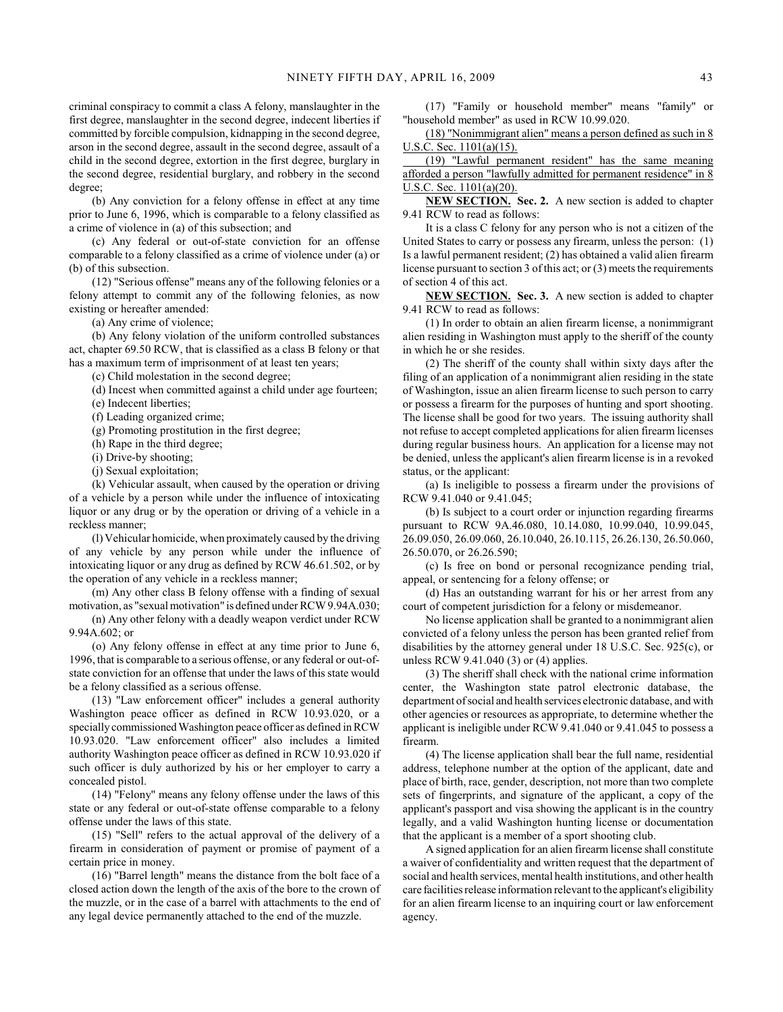criminal conspiracy to commit a class A felony, manslaughter in the first degree, manslaughter in the second degree, indecent liberties if committed by forcible compulsion, kidnapping in the second degree, arson in the second degree, assault in the second degree, assault of a child in the second degree, extortion in the first degree, burglary in the second degree, residential burglary, and robbery in the second degree;

(b) Any conviction for a felony offense in effect at any time prior to June 6, 1996, which is comparable to a felony classified as a crime of violence in (a) of this subsection; and

(c) Any federal or out-of-state conviction for an offense comparable to a felony classified as a crime of violence under (a) or (b) of this subsection.

(12) "Serious offense" means any of the following felonies or a felony attempt to commit any of the following felonies, as now existing or hereafter amended:

(a) Any crime of violence;

(b) Any felony violation of the uniform controlled substances act, chapter 69.50 RCW, that is classified as a class B felony or that has a maximum term of imprisonment of at least ten years;

(c) Child molestation in the second degree;

(d) Incest when committed against a child under age fourteen;

(e) Indecent liberties;

(f) Leading organized crime;

(g) Promoting prostitution in the first degree;

(h) Rape in the third degree;

(i) Drive-by shooting;

(j) Sexual exploitation;

(k) Vehicular assault, when caused by the operation or driving of a vehicle by a person while under the influence of intoxicating liquor or any drug or by the operation or driving of a vehicle in a reckless manner;

(l) Vehicular homicide, when proximately caused by the driving of any vehicle by any person while under the influence of intoxicating liquor or any drug as defined by RCW 46.61.502, or by the operation of any vehicle in a reckless manner;

(m) Any other class B felony offense with a finding of sexual motivation, as "sexual motivation" is defined under RCW 9.94A.030;

(n) Any other felony with a deadly weapon verdict under RCW 9.94A.602; or

(o) Any felony offense in effect at any time prior to June 6, 1996, that is comparable to a serious offense, or any federal or out-ofstate conviction for an offense that under the laws of this state would be a felony classified as a serious offense.

(13) "Law enforcement officer" includes a general authority Washington peace officer as defined in RCW 10.93.020, or a specially commissioned Washington peace officer as defined in RCW 10.93.020. "Law enforcement officer" also includes a limited authority Washington peace officer as defined in RCW 10.93.020 if such officer is duly authorized by his or her employer to carry a concealed pistol.

(14) "Felony" means any felony offense under the laws of this state or any federal or out-of-state offense comparable to a felony offense under the laws of this state.

(15) "Sell" refers to the actual approval of the delivery of a firearm in consideration of payment or promise of payment of a certain price in money.

(16) "Barrel length" means the distance from the bolt face of a closed action down the length of the axis of the bore to the crown of the muzzle, or in the case of a barrel with attachments to the end of any legal device permanently attached to the end of the muzzle.

(17) "Family or household member" means "family" or "household member" as used in RCW 10.99.020.

(18) "Nonimmigrant alien" means a person defined as such in 8 U.S.C. Sec. 1101(a)(15).

(19) "Lawful permanent resident" has the same meaning afforded a person "lawfully admitted for permanent residence" in 8 U.S.C. Sec. 1101(a)(20).

**NEW SECTION. Sec. 2.** A new section is added to chapter 9.41 RCW to read as follows:

It is a class C felony for any person who is not a citizen of the United States to carry or possess any firearm, unless the person: (1) Is a lawful permanent resident; (2) has obtained a valid alien firearm license pursuant to section 3 of this act; or (3) meets the requirements of section 4 of this act.

**NEW SECTION. Sec. 3.** A new section is added to chapter 9.41 RCW to read as follows:

(1) In order to obtain an alien firearm license, a nonimmigrant alien residing in Washington must apply to the sheriff of the county in which he or she resides.

(2) The sheriff of the county shall within sixty days after the filing of an application of a nonimmigrant alien residing in the state of Washington, issue an alien firearm license to such person to carry or possess a firearm for the purposes of hunting and sport shooting. The license shall be good for two years. The issuing authority shall not refuse to accept completed applications for alien firearm licenses during regular business hours. An application for a license may not be denied, unless the applicant's alien firearm license is in a revoked status, or the applicant:

(a) Is ineligible to possess a firearm under the provisions of RCW 9.41.040 or 9.41.045;

(b) Is subject to a court order or injunction regarding firearms pursuant to RCW 9A.46.080, 10.14.080, 10.99.040, 10.99.045, 26.09.050, 26.09.060, 26.10.040, 26.10.115, 26.26.130, 26.50.060, 26.50.070, or 26.26.590;

(c) Is free on bond or personal recognizance pending trial, appeal, or sentencing for a felony offense; or

(d) Has an outstanding warrant for his or her arrest from any court of competent jurisdiction for a felony or misdemeanor.

No license application shall be granted to a nonimmigrant alien convicted of a felony unless the person has been granted relief from disabilities by the attorney general under 18 U.S.C. Sec. 925(c), or unless RCW 9.41.040 (3) or (4) applies.

(3) The sheriff shall check with the national crime information center, the Washington state patrol electronic database, the department of social and health services electronic database, and with other agencies or resources as appropriate, to determine whether the applicant is ineligible under RCW 9.41.040 or 9.41.045 to possess a firearm.

(4) The license application shall bear the full name, residential address, telephone number at the option of the applicant, date and place of birth, race, gender, description, not more than two complete sets of fingerprints, and signature of the applicant, a copy of the applicant's passport and visa showing the applicant is in the country legally, and a valid Washington hunting license or documentation that the applicant is a member of a sport shooting club.

A signed application for an alien firearm license shall constitute a waiver of confidentiality and written request that the department of social and health services, mental health institutions, and other health care facilities release information relevant to the applicant's eligibility for an alien firearm license to an inquiring court or law enforcement agency.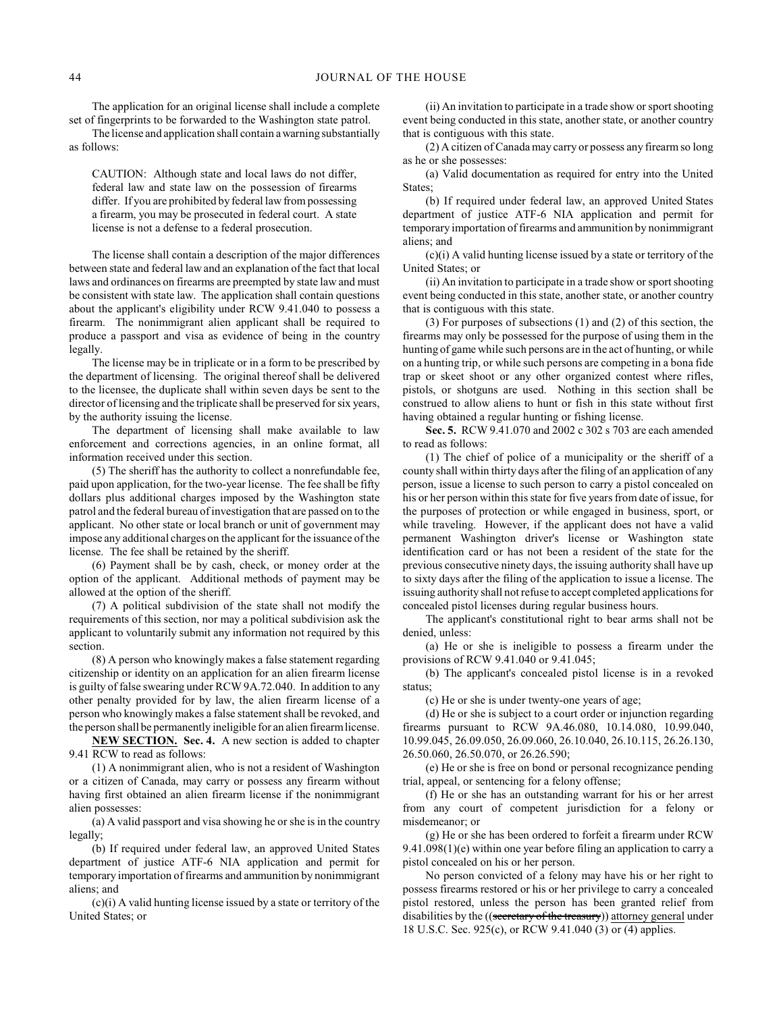The application for an original license shall include a complete set of fingerprints to be forwarded to the Washington state patrol.

The license and application shall contain a warning substantially as follows:

CAUTION: Although state and local laws do not differ, federal law and state law on the possession of firearms differ. If you are prohibited by federal law from possessing a firearm, you may be prosecuted in federal court. A state license is not a defense to a federal prosecution.

The license shall contain a description of the major differences between state and federal law and an explanation of the fact that local laws and ordinances on firearms are preempted by state law and must be consistent with state law. The application shall contain questions about the applicant's eligibility under RCW 9.41.040 to possess a firearm. The nonimmigrant alien applicant shall be required to produce a passport and visa as evidence of being in the country legally.

The license may be in triplicate or in a form to be prescribed by the department of licensing. The original thereof shall be delivered to the licensee, the duplicate shall within seven days be sent to the director of licensing and the triplicate shall be preserved for six years, by the authority issuing the license.

The department of licensing shall make available to law enforcement and corrections agencies, in an online format, all information received under this section.

(5) The sheriff has the authority to collect a nonrefundable fee, paid upon application, for the two-year license. The fee shall be fifty dollars plus additional charges imposed by the Washington state patrol and the federal bureau of investigation that are passed on to the applicant. No other state or local branch or unit of government may impose any additional charges on the applicant for the issuance of the license. The fee shall be retained by the sheriff.

(6) Payment shall be by cash, check, or money order at the option of the applicant. Additional methods of payment may be allowed at the option of the sheriff.

(7) A political subdivision of the state shall not modify the requirements of this section, nor may a political subdivision ask the applicant to voluntarily submit any information not required by this section.

(8) A person who knowingly makes a false statement regarding citizenship or identity on an application for an alien firearm license is guilty of false swearing under RCW 9A.72.040. In addition to any other penalty provided for by law, the alien firearm license of a person who knowingly makes a false statement shall be revoked, and the person shall be permanently ineligible for an alien firearm license.

**NEW SECTION. Sec. 4.** A new section is added to chapter 9.41 RCW to read as follows:

(1) A nonimmigrant alien, who is not a resident of Washington or a citizen of Canada, may carry or possess any firearm without having first obtained an alien firearm license if the nonimmigrant alien possesses:

(a) A valid passport and visa showing he or she is in the country legally;

(b) If required under federal law, an approved United States department of justice ATF-6 NIA application and permit for temporary importation of firearms and ammunition by nonimmigrant aliens; and

(c)(i) A valid hunting license issued by a state or territory of the United States; or

(ii) An invitation to participate in a trade show or sport shooting event being conducted in this state, another state, or another country that is contiguous with this state.

(2) A citizen of Canada may carry or possess any firearm so long as he or she possesses:

(a) Valid documentation as required for entry into the United States;

(b) If required under federal law, an approved United States department of justice ATF-6 NIA application and permit for temporary importation of firearms and ammunition by nonimmigrant aliens; and

(c)(i) A valid hunting license issued by a state or territory of the United States; or

(ii) An invitation to participate in a trade show or sport shooting event being conducted in this state, another state, or another country that is contiguous with this state.

(3) For purposes of subsections (1) and (2) of this section, the firearms may only be possessed for the purpose of using them in the hunting of game while such persons are in the act of hunting, or while on a hunting trip, or while such persons are competing in a bona fide trap or skeet shoot or any other organized contest where rifles, pistols, or shotguns are used. Nothing in this section shall be construed to allow aliens to hunt or fish in this state without first having obtained a regular hunting or fishing license.

**Sec. 5.** RCW 9.41.070 and 2002 c 302 s 703 are each amended to read as follows:

(1) The chief of police of a municipality or the sheriff of a county shall within thirty days after the filing of an application of any person, issue a license to such person to carry a pistol concealed on his or her person within this state for five years from date of issue, for the purposes of protection or while engaged in business, sport, or while traveling. However, if the applicant does not have a valid permanent Washington driver's license or Washington state identification card or has not been a resident of the state for the previous consecutive ninety days, the issuing authority shall have up to sixty days after the filing of the application to issue a license. The issuing authority shall not refuse to accept completed applications for concealed pistol licenses during regular business hours.

The applicant's constitutional right to bear arms shall not be denied, unless:

(a) He or she is ineligible to possess a firearm under the provisions of RCW 9.41.040 or 9.41.045;

(b) The applicant's concealed pistol license is in a revoked status;

(c) He or she is under twenty-one years of age;

(d) He or she is subject to a court order or injunction regarding firearms pursuant to RCW 9A.46.080, 10.14.080, 10.99.040, 10.99.045, 26.09.050, 26.09.060, 26.10.040, 26.10.115, 26.26.130, 26.50.060, 26.50.070, or 26.26.590;

(e) He or she is free on bond or personal recognizance pending trial, appeal, or sentencing for a felony offense;

(f) He or she has an outstanding warrant for his or her arrest from any court of competent jurisdiction for a felony or misdemeanor; or

(g) He or she has been ordered to forfeit a firearm under RCW 9.41.098(1)(e) within one year before filing an application to carry a pistol concealed on his or her person.

No person convicted of a felony may have his or her right to possess firearms restored or his or her privilege to carry a concealed pistol restored, unless the person has been granted relief from disabilities by the ((secretary of the treasury)) attorney general under 18 U.S.C. Sec. 925(c), or RCW 9.41.040 (3) or (4) applies.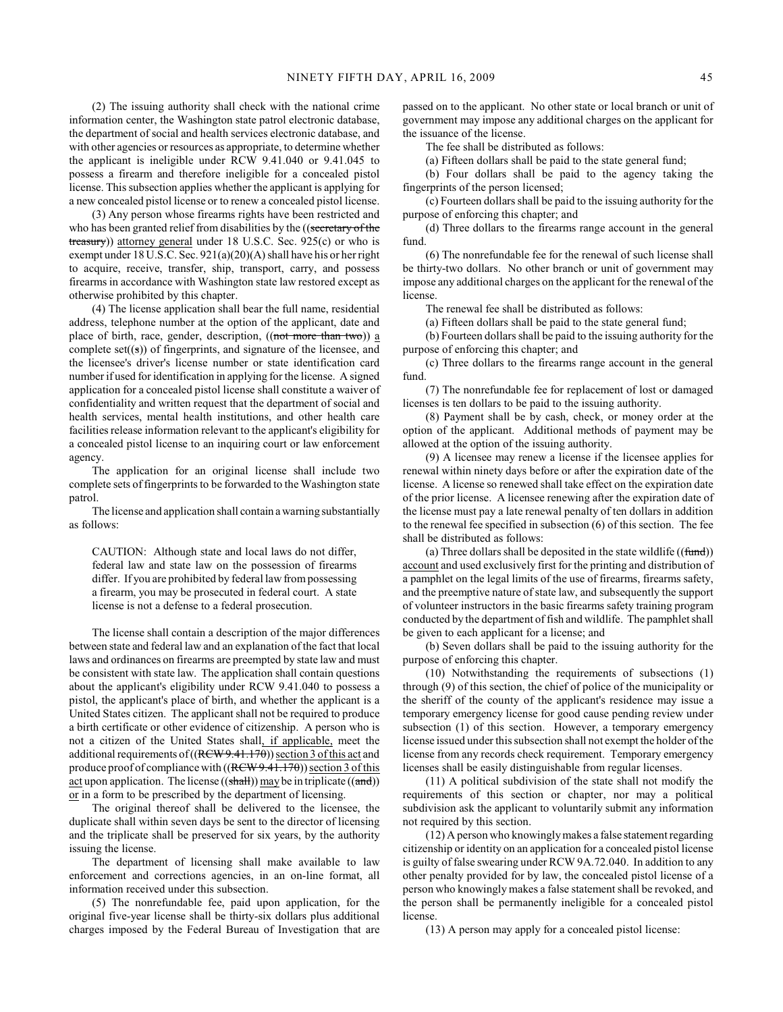(2) The issuing authority shall check with the national crime information center, the Washington state patrol electronic database, the department of social and health services electronic database, and with other agencies or resources as appropriate, to determine whether the applicant is ineligible under RCW 9.41.040 or 9.41.045 to possess a firearm and therefore ineligible for a concealed pistol license. This subsection applies whether the applicant is applying for a new concealed pistol license or to renew a concealed pistol license.

(3) Any person whose firearms rights have been restricted and who has been granted relief from disabilities by the ((secretary of the treasury)) attorney general under 18 U.S.C. Sec. 925(c) or who is exempt under 18 U.S.C. Sec. 921(a)(20)(A) shall have his or her right to acquire, receive, transfer, ship, transport, carry, and possess firearms in accordance with Washington state law restored except as otherwise prohibited by this chapter.

(4) The license application shall bear the full name, residential address, telephone number at the option of the applicant, date and place of birth, race, gender, description, ((not more than two)) a complete  $set((s))$  of fingerprints, and signature of the licensee, and the licensee's driver's license number or state identification card number if used for identification in applying for the license. A signed application for a concealed pistol license shall constitute a waiver of confidentiality and written request that the department of social and health services, mental health institutions, and other health care facilities release information relevant to the applicant's eligibility for a concealed pistol license to an inquiring court or law enforcement agency.

The application for an original license shall include two complete sets of fingerprints to be forwarded to the Washington state patrol.

The license and application shall contain a warning substantially as follows:

CAUTION: Although state and local laws do not differ, federal law and state law on the possession of firearms differ. If you are prohibited by federal law from possessing a firearm, you may be prosecuted in federal court. A state license is not a defense to a federal prosecution.

The license shall contain a description of the major differences between state and federal law and an explanation of the fact that local laws and ordinances on firearms are preempted by state law and must be consistent with state law. The application shall contain questions about the applicant's eligibility under RCW 9.41.040 to possess a pistol, the applicant's place of birth, and whether the applicant is a United States citizen. The applicant shall not be required to produce a birth certificate or other evidence of citizenship. A person who is not a citizen of the United States shall, if applicable, meet the additional requirements of ((RCW9.41.170)) section 3 of this act and produce proof of compliance with ((RCW9.41.170)) section 3 of this act upon application. The license  $((shall))$  may be in triplicate  $((and))$ or in a form to be prescribed by the department of licensing.

The original thereof shall be delivered to the licensee, the duplicate shall within seven days be sent to the director of licensing and the triplicate shall be preserved for six years, by the authority issuing the license.

The department of licensing shall make available to law enforcement and corrections agencies, in an on-line format, all information received under this subsection.

(5) The nonrefundable fee, paid upon application, for the original five-year license shall be thirty-six dollars plus additional charges imposed by the Federal Bureau of Investigation that are passed on to the applicant. No other state or local branch or unit of government may impose any additional charges on the applicant for the issuance of the license.

The fee shall be distributed as follows:

(a) Fifteen dollars shall be paid to the state general fund;

(b) Four dollars shall be paid to the agency taking the fingerprints of the person licensed;

(c) Fourteen dollars shall be paid to the issuing authority for the purpose of enforcing this chapter; and

(d) Three dollars to the firearms range account in the general fund.

(6) The nonrefundable fee for the renewal of such license shall be thirty-two dollars. No other branch or unit of government may impose any additional charges on the applicant for the renewal of the license.

The renewal fee shall be distributed as follows:

(a) Fifteen dollars shall be paid to the state general fund;

(b) Fourteen dollars shall be paid to the issuing authority for the purpose of enforcing this chapter; and

(c) Three dollars to the firearms range account in the general fund.

(7) The nonrefundable fee for replacement of lost or damaged licenses is ten dollars to be paid to the issuing authority.

(8) Payment shall be by cash, check, or money order at the option of the applicant. Additional methods of payment may be allowed at the option of the issuing authority.

(9) A licensee may renew a license if the licensee applies for renewal within ninety days before or after the expiration date of the license. A license so renewed shall take effect on the expiration date of the prior license. A licensee renewing after the expiration date of the license must pay a late renewal penalty of ten dollars in addition to the renewal fee specified in subsection (6) of this section. The fee shall be distributed as follows:

(a) Three dollars shall be deposited in the state wildlife  $((\text{fund}))$ account and used exclusively first for the printing and distribution of a pamphlet on the legal limits of the use of firearms, firearms safety, and the preemptive nature of state law, and subsequently the support of volunteer instructors in the basic firearms safety training program conducted by the department of fish and wildlife. The pamphlet shall be given to each applicant for a license; and

(b) Seven dollars shall be paid to the issuing authority for the purpose of enforcing this chapter.

(10) Notwithstanding the requirements of subsections (1) through (9) of this section, the chief of police of the municipality or the sheriff of the county of the applicant's residence may issue a temporary emergency license for good cause pending review under subsection (1) of this section. However, a temporary emergency license issued under this subsection shall not exempt the holder of the license from any records check requirement. Temporary emergency licenses shall be easily distinguishable from regular licenses.

(11) A political subdivision of the state shall not modify the requirements of this section or chapter, nor may a political subdivision ask the applicant to voluntarily submit any information not required by this section.

(12) A person who knowingly makes a false statement regarding citizenship or identity on an application for a concealed pistol license is guilty of false swearing under RCW 9A.72.040. In addition to any other penalty provided for by law, the concealed pistol license of a person who knowingly makes a false statement shall be revoked, and the person shall be permanently ineligible for a concealed pistol license.

(13) A person may apply for a concealed pistol license: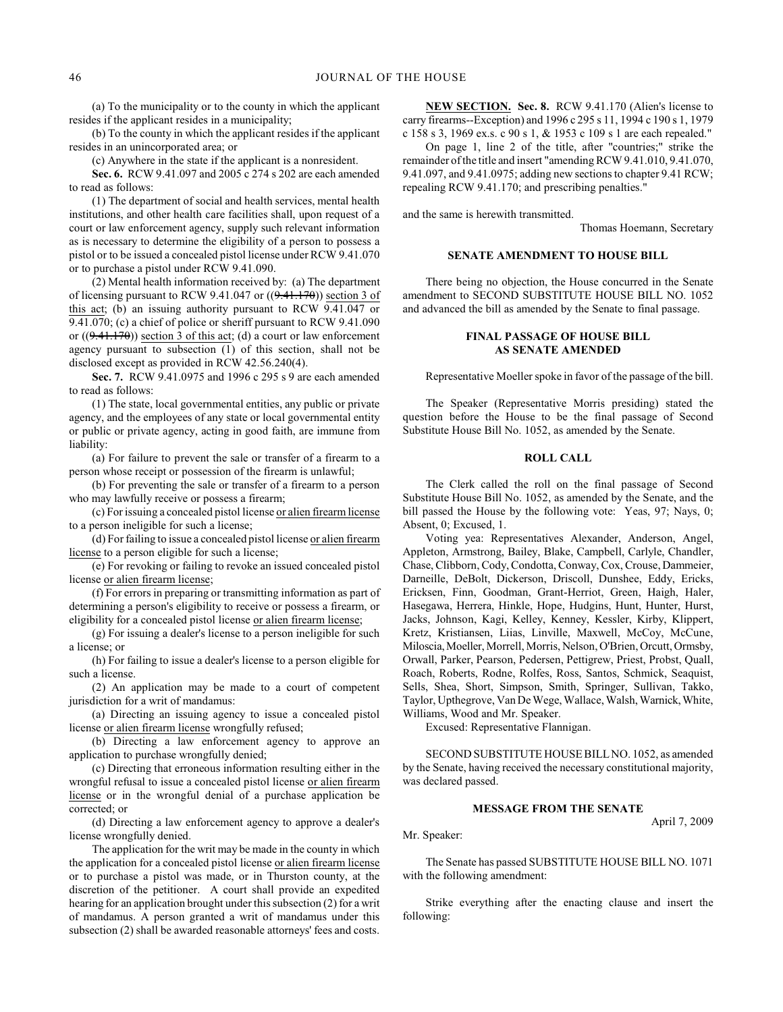(a) To the municipality or to the county in which the applicant resides if the applicant resides in a municipality;

(b) To the county in which the applicant resides if the applicant resides in an unincorporated area; or

(c) Anywhere in the state if the applicant is a nonresident.

**Sec. 6.** RCW 9.41.097 and 2005 c 274 s 202 are each amended to read as follows:

(1) The department of social and health services, mental health institutions, and other health care facilities shall, upon request of a court or law enforcement agency, supply such relevant information as is necessary to determine the eligibility of a person to possess a pistol or to be issued a concealed pistol license under RCW 9.41.070 or to purchase a pistol under RCW 9.41.090.

(2) Mental health information received by: (a) The department of licensing pursuant to RCW 9.41.047 or  $((9.41.170))$  section 3 of this act; (b) an issuing authority pursuant to RCW 9.41.047 or 9.41.070; (c) a chief of police or sheriff pursuant to RCW 9.41.090 or  $((9.41.170))$  section 3 of this act; (d) a court or law enforcement agency pursuant to subsection (1) of this section, shall not be disclosed except as provided in RCW 42.56.240(4).

**Sec. 7.** RCW 9.41.0975 and 1996 c 295 s 9 are each amended to read as follows:

(1) The state, local governmental entities, any public or private agency, and the employees of any state or local governmental entity or public or private agency, acting in good faith, are immune from liability:

(a) For failure to prevent the sale or transfer of a firearm to a person whose receipt or possession of the firearm is unlawful;

(b) For preventing the sale or transfer of a firearm to a person who may lawfully receive or possess a firearm;

(c) For issuing a concealed pistol license or alien firearm license to a person ineligible for such a license;

(d) For failing to issue a concealed pistol license or alien firearm license to a person eligible for such a license;

(e) For revoking or failing to revoke an issued concealed pistol license or alien firearm license;

(f) For errors in preparing or transmitting information as part of determining a person's eligibility to receive or possess a firearm, or eligibility for a concealed pistol license or alien firearm license;

(g) For issuing a dealer's license to a person ineligible for such a license; or

(h) For failing to issue a dealer's license to a person eligible for such a license.

(2) An application may be made to a court of competent jurisdiction for a writ of mandamus:

(a) Directing an issuing agency to issue a concealed pistol license or alien firearm license wrongfully refused;

(b) Directing a law enforcement agency to approve an application to purchase wrongfully denied;

(c) Directing that erroneous information resulting either in the wrongful refusal to issue a concealed pistol license or alien firearm license or in the wrongful denial of a purchase application be corrected; or

(d) Directing a law enforcement agency to approve a dealer's license wrongfully denied.

The application for the writ may be made in the county in which the application for a concealed pistol license or alien firearm license or to purchase a pistol was made, or in Thurston county, at the discretion of the petitioner. A court shall provide an expedited hearing for an application brought under this subsection (2) for a writ of mandamus. A person granted a writ of mandamus under this subsection (2) shall be awarded reasonable attorneys' fees and costs.

**NEW SECTION. Sec. 8.** RCW 9.41.170 (Alien's license to carry firearms--Exception) and 1996 c 295 s 11, 1994 c 190 s 1, 1979 c 158 s 3, 1969 ex.s. c 90 s 1, & 1953 c 109 s 1 are each repealed."

On page 1, line 2 of the title, after "countries;" strike the remainder of the title and insert "amending RCW 9.41.010, 9.41.070, 9.41.097, and 9.41.0975; adding new sections to chapter 9.41 RCW; repealing RCW 9.41.170; and prescribing penalties."

and the same is herewith transmitted.

Thomas Hoemann, Secretary

## **SENATE AMENDMENT TO HOUSE BILL**

There being no objection, the House concurred in the Senate amendment to SECOND SUBSTITUTE HOUSE BILL NO. 1052 and advanced the bill as amended by the Senate to final passage.

# **FINAL PASSAGE OF HOUSE BILL AS SENATE AMENDED**

Representative Moeller spoke in favor of the passage of the bill.

The Speaker (Representative Morris presiding) stated the question before the House to be the final passage of Second Substitute House Bill No. 1052, as amended by the Senate.

### **ROLL CALL**

The Clerk called the roll on the final passage of Second Substitute House Bill No. 1052, as amended by the Senate, and the bill passed the House by the following vote: Yeas, 97; Nays, 0; Absent, 0; Excused, 1.

Voting yea: Representatives Alexander, Anderson, Angel, Appleton, Armstrong, Bailey, Blake, Campbell, Carlyle, Chandler, Chase, Clibborn, Cody, Condotta, Conway, Cox, Crouse, Dammeier, Darneille, DeBolt, Dickerson, Driscoll, Dunshee, Eddy, Ericks, Ericksen, Finn, Goodman, Grant-Herriot, Green, Haigh, Haler, Hasegawa, Herrera, Hinkle, Hope, Hudgins, Hunt, Hunter, Hurst, Jacks, Johnson, Kagi, Kelley, Kenney, Kessler, Kirby, Klippert, Kretz, Kristiansen, Liias, Linville, Maxwell, McCoy, McCune, Miloscia, Moeller, Morrell, Morris, Nelson, O'Brien, Orcutt, Ormsby, Orwall, Parker, Pearson, Pedersen, Pettigrew, Priest, Probst, Quall, Roach, Roberts, Rodne, Rolfes, Ross, Santos, Schmick, Seaquist, Sells, Shea, Short, Simpson, Smith, Springer, Sullivan, Takko, Taylor, Upthegrove, Van De Wege, Wallace, Walsh, Warnick, White, Williams, Wood and Mr. Speaker.

Excused: Representative Flannigan.

SECOND SUBSTITUTE HOUSE BILLNO. 1052, as amended by the Senate, having received the necessary constitutional majority, was declared passed.

### **MESSAGE FROM THE SENATE**

April 7, 2009

Mr. Speaker:

The Senate has passed SUBSTITUTE HOUSE BILL NO. 1071 with the following amendment:

Strike everything after the enacting clause and insert the following: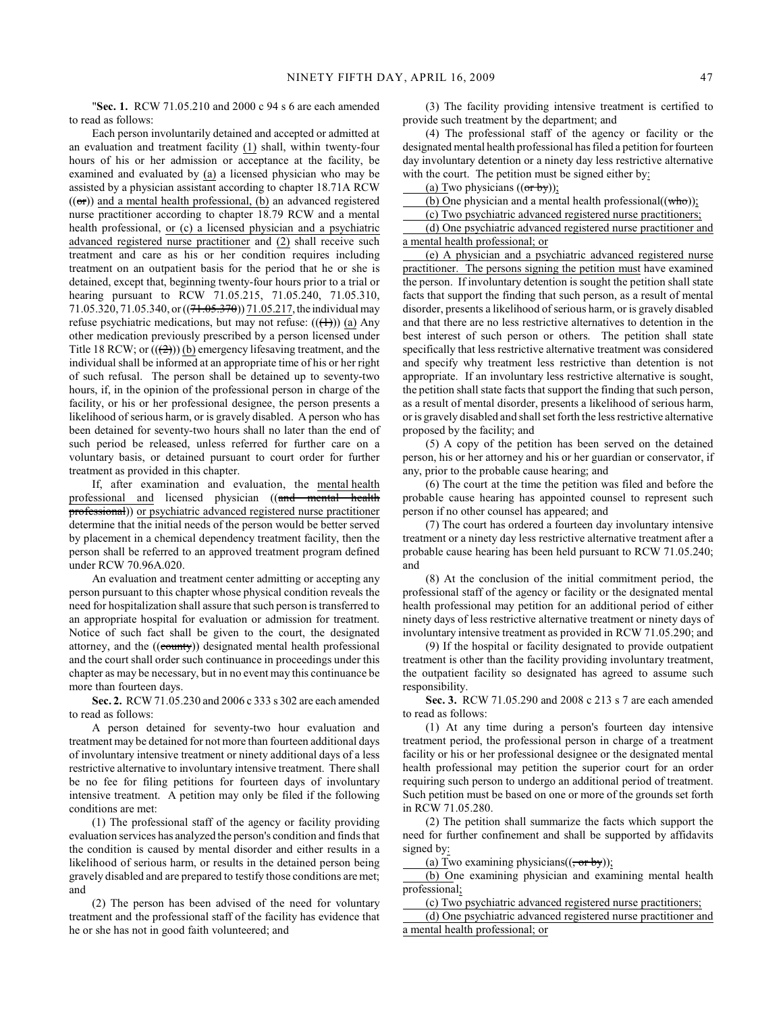"**Sec. 1.** RCW 71.05.210 and 2000 c 94 s 6 are each amended to read as follows:

Each person involuntarily detained and accepted or admitted at an evaluation and treatment facility (1) shall, within twenty-four hours of his or her admission or acceptance at the facility, be examined and evaluated by (a) a licensed physician who may be assisted by a physician assistant according to chapter 18.71A RCW  $((\sigma r))$  and a mental health professional, (b) an advanced registered nurse practitioner according to chapter 18.79 RCW and a mental health professional, or (c) a licensed physician and a psychiatric advanced registered nurse practitioner and (2) shall receive such treatment and care as his or her condition requires including treatment on an outpatient basis for the period that he or she is detained, except that, beginning twenty-four hours prior to a trial or hearing pursuant to RCW 71.05.215, 71.05.240, 71.05.310, 71.05.320, 71.05.340, or ((71.05.370)) 71.05.217, the individual may refuse psychiatric medications, but may not refuse:  $((\text{(+)}))$  (a) Any other medication previously prescribed by a person licensed under Title 18 RCW; or  $((2))$  (b) emergency lifesaving treatment, and the individual shall be informed at an appropriate time of his or her right of such refusal. The person shall be detained up to seventy-two hours, if, in the opinion of the professional person in charge of the facility, or his or her professional designee, the person presents a likelihood of serious harm, or is gravely disabled. A person who has been detained for seventy-two hours shall no later than the end of such period be released, unless referred for further care on a voluntary basis, or detained pursuant to court order for further treatment as provided in this chapter.

If, after examination and evaluation, the mental health professional and licensed physician ((and mental health professional)) or psychiatric advanced registered nurse practitioner determine that the initial needs of the person would be better served by placement in a chemical dependency treatment facility, then the person shall be referred to an approved treatment program defined under RCW 70.96A.020.

An evaluation and treatment center admitting or accepting any person pursuant to this chapter whose physical condition reveals the need for hospitalization shall assure that such person is transferred to an appropriate hospital for evaluation or admission for treatment. Notice of such fact shall be given to the court, the designated attorney, and the ((county)) designated mental health professional and the court shall order such continuance in proceedings under this chapter as may be necessary, but in no event may this continuance be more than fourteen days.

**Sec. 2.** RCW 71.05.230 and 2006 c 333 s 302 are each amended to read as follows:

A person detained for seventy-two hour evaluation and treatment may be detained for not more than fourteen additional days of involuntary intensive treatment or ninety additional days of a less restrictive alternative to involuntary intensive treatment. There shall be no fee for filing petitions for fourteen days of involuntary intensive treatment. A petition may only be filed if the following conditions are met:

(1) The professional staff of the agency or facility providing evaluation services has analyzed the person's condition and finds that the condition is caused by mental disorder and either results in a likelihood of serious harm, or results in the detained person being gravely disabled and are prepared to testify those conditions are met; and

(2) The person has been advised of the need for voluntary treatment and the professional staff of the facility has evidence that he or she has not in good faith volunteered; and

(3) The facility providing intensive treatment is certified to provide such treatment by the department; and

(4) The professional staff of the agency or facility or the designated mental health professional has filed a petition for fourteen day involuntary detention or a ninety day less restrictive alternative with the court. The petition must be signed either by:

(a) Two physicians  $((or by))$ ;

(b) One physician and a mental health professional( $(\overline{\text{who}})$ );

(c) Two psychiatric advanced registered nurse practitioners;

(d) One psychiatric advanced registered nurse practitioner and a mental health professional; or

(e) A physician and a psychiatric advanced registered nurse practitioner. The persons signing the petition must have examined the person. If involuntary detention is sought the petition shall state facts that support the finding that such person, as a result of mental disorder, presents a likelihood of serious harm, or is gravely disabled and that there are no less restrictive alternatives to detention in the best interest of such person or others. The petition shall state specifically that less restrictive alternative treatment was considered and specify why treatment less restrictive than detention is not appropriate. If an involuntary less restrictive alternative is sought, the petition shall state facts that support the finding that such person, as a result of mental disorder, presents a likelihood of serious harm, or is gravely disabled and shall set forth the less restrictive alternative proposed by the facility; and

(5) A copy of the petition has been served on the detained person, his or her attorney and his or her guardian or conservator, if any, prior to the probable cause hearing; and

(6) The court at the time the petition was filed and before the probable cause hearing has appointed counsel to represent such person if no other counsel has appeared; and

(7) The court has ordered a fourteen day involuntary intensive treatment or a ninety day less restrictive alternative treatment after a probable cause hearing has been held pursuant to RCW 71.05.240; and

(8) At the conclusion of the initial commitment period, the professional staff of the agency or facility or the designated mental health professional may petition for an additional period of either ninety days of less restrictive alternative treatment or ninety days of involuntary intensive treatment as provided in RCW 71.05.290; and

(9) If the hospital or facility designated to provide outpatient treatment is other than the facility providing involuntary treatment, the outpatient facility so designated has agreed to assume such responsibility.

**Sec. 3.** RCW 71.05.290 and 2008 c 213 s 7 are each amended to read as follows:

(1) At any time during a person's fourteen day intensive treatment period, the professional person in charge of a treatment facility or his or her professional designee or the designated mental health professional may petition the superior court for an order requiring such person to undergo an additional period of treatment. Such petition must be based on one or more of the grounds set forth in RCW 71.05.280.

(2) The petition shall summarize the facts which support the need for further confinement and shall be supported by affidavits signed by:

(a) Two examining physicians( $(\frac{\pi}{6}, \frac{\pi}{6})$ );

(b) One examining physician and examining mental health professional;

(c) Two psychiatric advanced registered nurse practitioners;

(d) One psychiatric advanced registered nurse practitioner and a mental health professional; or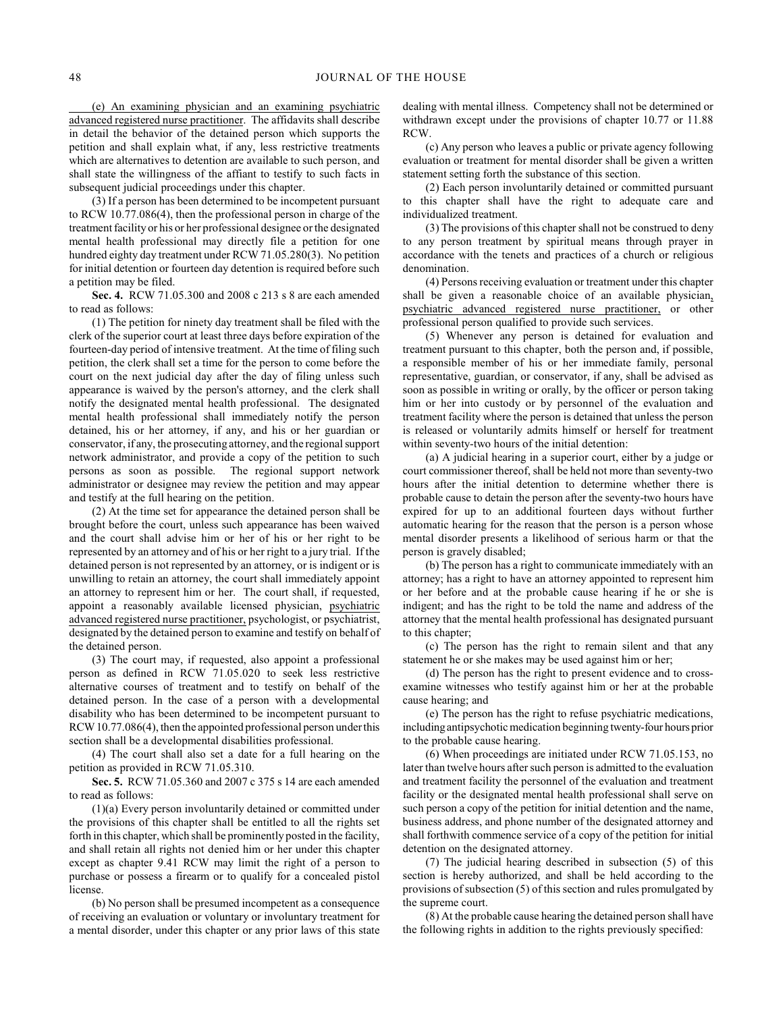(e) An examining physician and an examining psychiatric advanced registered nurse practitioner. The affidavits shall describe in detail the behavior of the detained person which supports the petition and shall explain what, if any, less restrictive treatments which are alternatives to detention are available to such person, and shall state the willingness of the affiant to testify to such facts in subsequent judicial proceedings under this chapter.

(3) If a person has been determined to be incompetent pursuant to RCW 10.77.086(4), then the professional person in charge of the treatment facility or his or her professional designee or the designated mental health professional may directly file a petition for one hundred eighty day treatment under RCW 71.05.280(3). No petition for initial detention or fourteen day detention is required before such a petition may be filed.

**Sec. 4.** RCW 71.05.300 and 2008 c 213 s 8 are each amended to read as follows:

(1) The petition for ninety day treatment shall be filed with the clerk of the superior court at least three days before expiration of the fourteen-day period of intensive treatment. At the time of filing such petition, the clerk shall set a time for the person to come before the court on the next judicial day after the day of filing unless such appearance is waived by the person's attorney, and the clerk shall notify the designated mental health professional. The designated mental health professional shall immediately notify the person detained, his or her attorney, if any, and his or her guardian or conservator, if any, the prosecuting attorney, and the regional support network administrator, and provide a copy of the petition to such persons as soon as possible. The regional support network administrator or designee may review the petition and may appear and testify at the full hearing on the petition.

(2) At the time set for appearance the detained person shall be brought before the court, unless such appearance has been waived and the court shall advise him or her of his or her right to be represented by an attorney and of his or her right to a jury trial. If the detained person is not represented by an attorney, or is indigent or is unwilling to retain an attorney, the court shall immediately appoint an attorney to represent him or her. The court shall, if requested, appoint a reasonably available licensed physician, psychiatric advanced registered nurse practitioner, psychologist, or psychiatrist, designated by the detained person to examine and testify on behalf of the detained person.

(3) The court may, if requested, also appoint a professional person as defined in RCW 71.05.020 to seek less restrictive alternative courses of treatment and to testify on behalf of the detained person. In the case of a person with a developmental disability who has been determined to be incompetent pursuant to RCW 10.77.086(4), then the appointed professional person under this section shall be a developmental disabilities professional.

(4) The court shall also set a date for a full hearing on the petition as provided in RCW 71.05.310.

**Sec. 5.** RCW 71.05.360 and 2007 c 375 s 14 are each amended to read as follows:

(1)(a) Every person involuntarily detained or committed under the provisions of this chapter shall be entitled to all the rights set forth in this chapter, which shall be prominently posted in the facility, and shall retain all rights not denied him or her under this chapter except as chapter 9.41 RCW may limit the right of a person to purchase or possess a firearm or to qualify for a concealed pistol license.

(b) No person shall be presumed incompetent as a consequence of receiving an evaluation or voluntary or involuntary treatment for a mental disorder, under this chapter or any prior laws of this state dealing with mental illness. Competency shall not be determined or withdrawn except under the provisions of chapter 10.77 or 11.88 RCW.

(c) Any person who leaves a public or private agency following evaluation or treatment for mental disorder shall be given a written statement setting forth the substance of this section.

(2) Each person involuntarily detained or committed pursuant to this chapter shall have the right to adequate care and individualized treatment.

(3) The provisions of this chapter shall not be construed to deny to any person treatment by spiritual means through prayer in accordance with the tenets and practices of a church or religious denomination.

(4) Persons receiving evaluation or treatment under this chapter shall be given a reasonable choice of an available physician, psychiatric advanced registered nurse practitioner, or other professional person qualified to provide such services.

(5) Whenever any person is detained for evaluation and treatment pursuant to this chapter, both the person and, if possible, a responsible member of his or her immediate family, personal representative, guardian, or conservator, if any, shall be advised as soon as possible in writing or orally, by the officer or person taking him or her into custody or by personnel of the evaluation and treatment facility where the person is detained that unless the person is released or voluntarily admits himself or herself for treatment within seventy-two hours of the initial detention:

(a) A judicial hearing in a superior court, either by a judge or court commissioner thereof, shall be held not more than seventy-two hours after the initial detention to determine whether there is probable cause to detain the person after the seventy-two hours have expired for up to an additional fourteen days without further automatic hearing for the reason that the person is a person whose mental disorder presents a likelihood of serious harm or that the person is gravely disabled;

(b) The person has a right to communicate immediately with an attorney; has a right to have an attorney appointed to represent him or her before and at the probable cause hearing if he or she is indigent; and has the right to be told the name and address of the attorney that the mental health professional has designated pursuant to this chapter;

(c) The person has the right to remain silent and that any statement he or she makes may be used against him or her;

(d) The person has the right to present evidence and to crossexamine witnesses who testify against him or her at the probable cause hearing; and

(e) The person has the right to refuse psychiatric medications, including antipsychotic medication beginning twenty-four hours prior to the probable cause hearing.

(6) When proceedings are initiated under RCW 71.05.153, no later than twelve hours after such person is admitted to the evaluation and treatment facility the personnel of the evaluation and treatment facility or the designated mental health professional shall serve on such person a copy of the petition for initial detention and the name, business address, and phone number of the designated attorney and shall forthwith commence service of a copy of the petition for initial detention on the designated attorney.

(7) The judicial hearing described in subsection (5) of this section is hereby authorized, and shall be held according to the provisions of subsection (5) of this section and rules promulgated by the supreme court.

(8) At the probable cause hearing the detained person shall have the following rights in addition to the rights previously specified: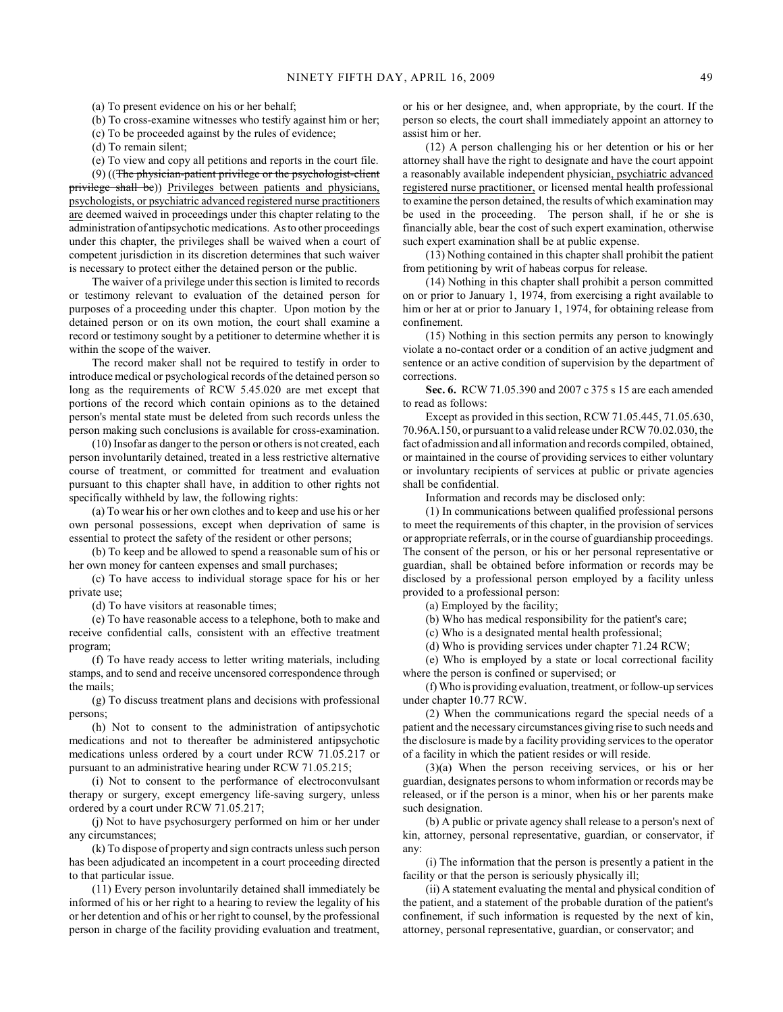(a) To present evidence on his or her behalf;

(b) To cross-examine witnesses who testify against him or her;

(c) To be proceeded against by the rules of evidence;

(d) To remain silent;

(e) To view and copy all petitions and reports in the court file. (9) ((The physician-patient privilege or the psychologist-client privilege shall be)) Privileges between patients and physicians, psychologists, or psychiatric advanced registered nurse practitioners are deemed waived in proceedings under this chapter relating to the administration of antipsychotic medications. As to other proceedings under this chapter, the privileges shall be waived when a court of competent jurisdiction in its discretion determines that such waiver is necessary to protect either the detained person or the public.

The waiver of a privilege under this section is limited to records or testimony relevant to evaluation of the detained person for purposes of a proceeding under this chapter. Upon motion by the detained person or on its own motion, the court shall examine a record or testimony sought by a petitioner to determine whether it is within the scope of the waiver.

The record maker shall not be required to testify in order to introduce medical or psychological records of the detained person so long as the requirements of RCW 5.45.020 are met except that portions of the record which contain opinions as to the detained person's mental state must be deleted from such records unless the person making such conclusions is available for cross-examination.

(10) Insofar as danger to the person or others is not created, each person involuntarily detained, treated in a less restrictive alternative course of treatment, or committed for treatment and evaluation pursuant to this chapter shall have, in addition to other rights not specifically withheld by law, the following rights:

(a) To wear his or her own clothes and to keep and use his or her own personal possessions, except when deprivation of same is essential to protect the safety of the resident or other persons;

(b) To keep and be allowed to spend a reasonable sum of his or her own money for canteen expenses and small purchases;

(c) To have access to individual storage space for his or her private use;

(d) To have visitors at reasonable times;

(e) To have reasonable access to a telephone, both to make and receive confidential calls, consistent with an effective treatment program;

(f) To have ready access to letter writing materials, including stamps, and to send and receive uncensored correspondence through the mails;

(g) To discuss treatment plans and decisions with professional persons;

(h) Not to consent to the administration of antipsychotic medications and not to thereafter be administered antipsychotic medications unless ordered by a court under RCW 71.05.217 or pursuant to an administrative hearing under RCW 71.05.215;

(i) Not to consent to the performance of electroconvulsant therapy or surgery, except emergency life-saving surgery, unless ordered by a court under RCW 71.05.217;

(j) Not to have psychosurgery performed on him or her under any circumstances;

(k) To dispose of property and sign contracts unless such person has been adjudicated an incompetent in a court proceeding directed to that particular issue.

(11) Every person involuntarily detained shall immediately be informed of his or her right to a hearing to review the legality of his or her detention and of his or her right to counsel, by the professional person in charge of the facility providing evaluation and treatment, or his or her designee, and, when appropriate, by the court. If the person so elects, the court shall immediately appoint an attorney to assist him or her.

(12) A person challenging his or her detention or his or her attorney shall have the right to designate and have the court appoint a reasonably available independent physician, psychiatric advanced registered nurse practitioner, or licensed mental health professional to examine the person detained, the results of which examination may be used in the proceeding. The person shall, if he or she is financially able, bear the cost of such expert examination, otherwise such expert examination shall be at public expense.

(13) Nothing contained in this chapter shall prohibit the patient from petitioning by writ of habeas corpus for release.

(14) Nothing in this chapter shall prohibit a person committed on or prior to January 1, 1974, from exercising a right available to him or her at or prior to January 1, 1974, for obtaining release from confinement.

(15) Nothing in this section permits any person to knowingly violate a no-contact order or a condition of an active judgment and sentence or an active condition of supervision by the department of corrections.

**Sec. 6.** RCW 71.05.390 and 2007 c 375 s 15 are each amended to read as follows:

Except as provided in this section, RCW 71.05.445, 71.05.630, 70.96A.150, or pursuant to a valid release under RCW 70.02.030, the fact of admission and all information and records compiled, obtained, or maintained in the course of providing services to either voluntary or involuntary recipients of services at public or private agencies shall be confidential.

Information and records may be disclosed only:

(1) In communications between qualified professional persons to meet the requirements of this chapter, in the provision of services or appropriate referrals, or in the course of guardianship proceedings. The consent of the person, or his or her personal representative or guardian, shall be obtained before information or records may be disclosed by a professional person employed by a facility unless provided to a professional person:

(a) Employed by the facility;

(b) Who has medical responsibility for the patient's care;

(c) Who is a designated mental health professional;

(d) Who is providing services under chapter 71.24 RCW;

(e) Who is employed by a state or local correctional facility where the person is confined or supervised; or

(f) Who is providing evaluation, treatment, or follow-up services under chapter 10.77 RCW.

(2) When the communications regard the special needs of a patient and the necessary circumstances giving rise to such needs and the disclosure is made by a facility providing services to the operator of a facility in which the patient resides or will reside.

(3)(a) When the person receiving services, or his or her guardian, designates persons to whom information or records may be released, or if the person is a minor, when his or her parents make such designation.

(b) A public or private agency shall release to a person's next of kin, attorney, personal representative, guardian, or conservator, if any:

(i) The information that the person is presently a patient in the facility or that the person is seriously physically ill;

(ii) A statement evaluating the mental and physical condition of the patient, and a statement of the probable duration of the patient's confinement, if such information is requested by the next of kin, attorney, personal representative, guardian, or conservator; and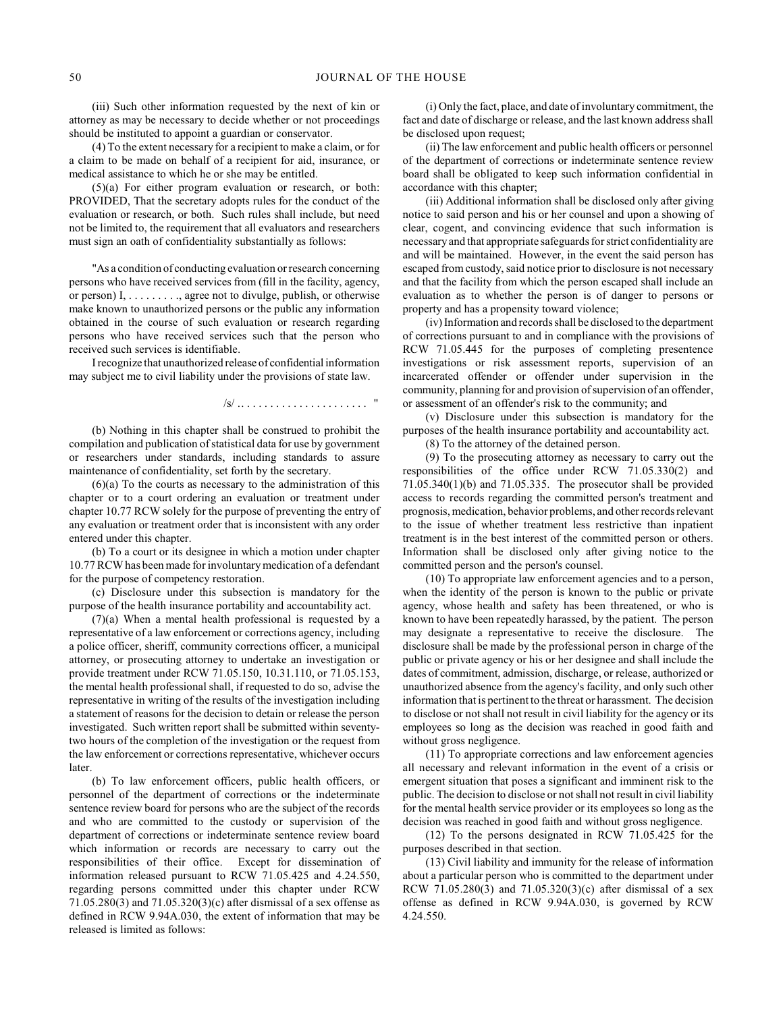(iii) Such other information requested by the next of kin or attorney as may be necessary to decide whether or not proceedings should be instituted to appoint a guardian or conservator.

(4) To the extent necessary for a recipient to make a claim, or for a claim to be made on behalf of a recipient for aid, insurance, or medical assistance to which he or she may be entitled.

(5)(a) For either program evaluation or research, or both: PROVIDED, That the secretary adopts rules for the conduct of the evaluation or research, or both. Such rules shall include, but need not be limited to, the requirement that all evaluators and researchers must sign an oath of confidentiality substantially as follows:

"As a condition of conducting evaluation or research concerning persons who have received services from (fill in the facility, agency, or person) I, . . . . . . . . ., agree not to divulge, publish, or otherwise make known to unauthorized persons or the public any information obtained in the course of such evaluation or research regarding persons who have received services such that the person who received such services is identifiable.

I recognize that unauthorized release of confidential information may subject me to civil liability under the provisions of state law.

/s/ ..... .... .... .... .... . . "

(b) Nothing in this chapter shall be construed to prohibit the compilation and publication of statistical data for use by government or researchers under standards, including standards to assure maintenance of confidentiality, set forth by the secretary.

 $(6)(a)$  To the courts as necessary to the administration of this chapter or to a court ordering an evaluation or treatment under chapter 10.77 RCW solely for the purpose of preventing the entry of any evaluation or treatment order that is inconsistent with any order entered under this chapter.

(b) To a court or its designee in which a motion under chapter 10.77 RCWhas been made for involuntary medication of a defendant for the purpose of competency restoration.

(c) Disclosure under this subsection is mandatory for the purpose of the health insurance portability and accountability act.

(7)(a) When a mental health professional is requested by a representative of a law enforcement or corrections agency, including a police officer, sheriff, community corrections officer, a municipal attorney, or prosecuting attorney to undertake an investigation or provide treatment under RCW 71.05.150, 10.31.110, or 71.05.153, the mental health professional shall, if requested to do so, advise the representative in writing of the results of the investigation including a statement of reasons for the decision to detain or release the person investigated. Such written report shall be submitted within seventytwo hours of the completion of the investigation or the request from the law enforcement or corrections representative, whichever occurs later.

(b) To law enforcement officers, public health officers, or personnel of the department of corrections or the indeterminate sentence review board for persons who are the subject of the records and who are committed to the custody or supervision of the department of corrections or indeterminate sentence review board which information or records are necessary to carry out the responsibilities of their office. Except for dissemination of information released pursuant to RCW 71.05.425 and 4.24.550, regarding persons committed under this chapter under RCW 71.05.280(3) and 71.05.320(3)(c) after dismissal of a sex offense as defined in RCW 9.94A.030, the extent of information that may be released is limited as follows:

(i) Only the fact, place, and date of involuntary commitment, the fact and date of discharge or release, and the last known address shall be disclosed upon request;

(ii) The law enforcement and public health officers or personnel of the department of corrections or indeterminate sentence review board shall be obligated to keep such information confidential in accordance with this chapter;

(iii) Additional information shall be disclosed only after giving notice to said person and his or her counsel and upon a showing of clear, cogent, and convincing evidence that such information is necessary and that appropriate safeguards for strict confidentiality are and will be maintained. However, in the event the said person has escaped from custody, said notice prior to disclosure is not necessary and that the facility from which the person escaped shall include an evaluation as to whether the person is of danger to persons or property and has a propensity toward violence;

(iv) Information and records shall be disclosed to the department of corrections pursuant to and in compliance with the provisions of RCW 71.05.445 for the purposes of completing presentence investigations or risk assessment reports, supervision of an incarcerated offender or offender under supervision in the community, planning for and provision of supervision of an offender, or assessment of an offender's risk to the community; and

(v) Disclosure under this subsection is mandatory for the purposes of the health insurance portability and accountability act.

(8) To the attorney of the detained person.

(9) To the prosecuting attorney as necessary to carry out the responsibilities of the office under RCW 71.05.330(2) and 71.05.340(1)(b) and 71.05.335. The prosecutor shall be provided access to records regarding the committed person's treatment and prognosis, medication, behavior problems, and other records relevant to the issue of whether treatment less restrictive than inpatient treatment is in the best interest of the committed person or others. Information shall be disclosed only after giving notice to the committed person and the person's counsel.

(10) To appropriate law enforcement agencies and to a person, when the identity of the person is known to the public or private agency, whose health and safety has been threatened, or who is known to have been repeatedly harassed, by the patient. The person may designate a representative to receive the disclosure. The disclosure shall be made by the professional person in charge of the public or private agency or his or her designee and shall include the dates of commitment, admission, discharge, or release, authorized or unauthorized absence from the agency's facility, and only such other information that is pertinent to the threat or harassment. The decision to disclose or not shall not result in civil liability for the agency or its employees so long as the decision was reached in good faith and without gross negligence.

(11) To appropriate corrections and law enforcement agencies all necessary and relevant information in the event of a crisis or emergent situation that poses a significant and imminent risk to the public. The decision to disclose or not shall not result in civil liability for the mental health service provider or its employees so long as the decision was reached in good faith and without gross negligence.

(12) To the persons designated in RCW 71.05.425 for the purposes described in that section.

(13) Civil liability and immunity for the release of information about a particular person who is committed to the department under RCW 71.05.280(3) and 71.05.320(3)(c) after dismissal of a sex offense as defined in RCW 9.94A.030, is governed by RCW 4.24.550.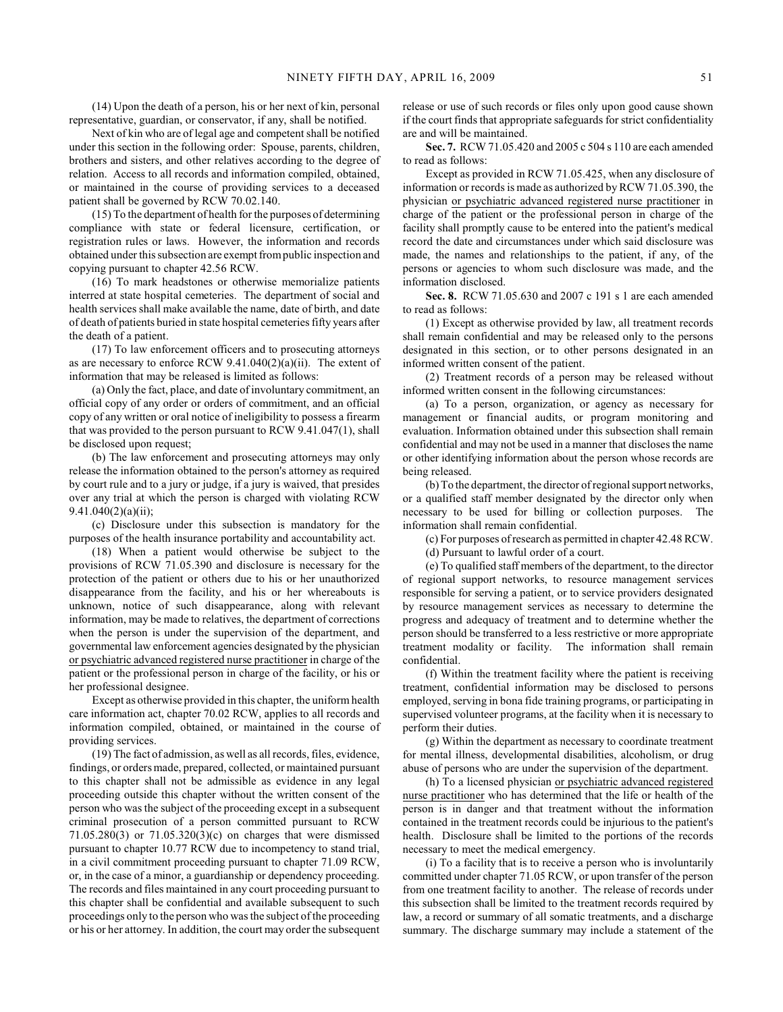(14) Upon the death of a person, his or her next of kin, personal representative, guardian, or conservator, if any, shall be notified.

Next of kin who are of legal age and competent shall be notified under this section in the following order: Spouse, parents, children, brothers and sisters, and other relatives according to the degree of relation. Access to all records and information compiled, obtained, or maintained in the course of providing services to a deceased patient shall be governed by RCW 70.02.140.

(15) To the department of health for the purposes of determining compliance with state or federal licensure, certification, or registration rules or laws. However, the information and records obtained under this subsection are exempt frompublic inspection and copying pursuant to chapter 42.56 RCW.

(16) To mark headstones or otherwise memorialize patients interred at state hospital cemeteries. The department of social and health services shall make available the name, date of birth, and date of death of patients buried in state hospital cemeteries fifty years after the death of a patient.

(17) To law enforcement officers and to prosecuting attorneys as are necessary to enforce RCW 9.41.040(2)(a)(ii). The extent of information that may be released is limited as follows:

(a) Only the fact, place, and date of involuntary commitment, an official copy of any order or orders of commitment, and an official copy of any written or oral notice of ineligibility to possess a firearm that was provided to the person pursuant to RCW 9.41.047(1), shall be disclosed upon request;

(b) The law enforcement and prosecuting attorneys may only release the information obtained to the person's attorney as required by court rule and to a jury or judge, if a jury is waived, that presides over any trial at which the person is charged with violating RCW 9.41.040(2)(a)(ii);

(c) Disclosure under this subsection is mandatory for the purposes of the health insurance portability and accountability act.

(18) When a patient would otherwise be subject to the provisions of RCW 71.05.390 and disclosure is necessary for the protection of the patient or others due to his or her unauthorized disappearance from the facility, and his or her whereabouts is unknown, notice of such disappearance, along with relevant information, may be made to relatives, the department of corrections when the person is under the supervision of the department, and governmental law enforcement agencies designated by the physician or psychiatric advanced registered nurse practitioner in charge of the patient or the professional person in charge of the facility, or his or her professional designee.

Except as otherwise provided in this chapter, the uniform health care information act, chapter 70.02 RCW, applies to all records and information compiled, obtained, or maintained in the course of providing services.

(19) The fact of admission, as well as all records, files, evidence, findings, or ordersmade, prepared, collected, or maintained pursuant to this chapter shall not be admissible as evidence in any legal proceeding outside this chapter without the written consent of the person who was the subject of the proceeding except in a subsequent criminal prosecution of a person committed pursuant to RCW 71.05.280(3) or 71.05.320(3)(c) on charges that were dismissed pursuant to chapter 10.77 RCW due to incompetency to stand trial, in a civil commitment proceeding pursuant to chapter 71.09 RCW, or, in the case of a minor, a guardianship or dependency proceeding. The records and files maintained in any court proceeding pursuant to this chapter shall be confidential and available subsequent to such proceedings only to the person who was the subject of the proceeding or his or her attorney. In addition, the court may order the subsequent

release or use of such records or files only upon good cause shown if the court finds that appropriate safeguards for strict confidentiality are and will be maintained.

**Sec. 7.** RCW 71.05.420 and 2005 c 504 s 110 are each amended to read as follows:

Except as provided in RCW 71.05.425, when any disclosure of information or records is made as authorized by RCW 71.05.390, the physician or psychiatric advanced registered nurse practitioner in charge of the patient or the professional person in charge of the facility shall promptly cause to be entered into the patient's medical record the date and circumstances under which said disclosure was made, the names and relationships to the patient, if any, of the persons or agencies to whom such disclosure was made, and the information disclosed.

**Sec. 8.** RCW 71.05.630 and 2007 c 191 s 1 are each amended to read as follows:

(1) Except as otherwise provided by law, all treatment records shall remain confidential and may be released only to the persons designated in this section, or to other persons designated in an informed written consent of the patient.

(2) Treatment records of a person may be released without informed written consent in the following circumstances:

(a) To a person, organization, or agency as necessary for management or financial audits, or program monitoring and evaluation. Information obtained under this subsection shall remain confidential and may not be used in a manner that discloses the name or other identifying information about the person whose records are being released.

(b) To the department, the director of regional support networks, or a qualified staff member designated by the director only when necessary to be used for billing or collection purposes. The information shall remain confidential.

(c) For purposes of research as permitted in chapter 42.48 RCW.

(d) Pursuant to lawful order of a court.

(e) To qualified staff members of the department, to the director of regional support networks, to resource management services responsible for serving a patient, or to service providers designated by resource management services as necessary to determine the progress and adequacy of treatment and to determine whether the person should be transferred to a less restrictive or more appropriate treatment modality or facility. The information shall remain confidential.

(f) Within the treatment facility where the patient is receiving treatment, confidential information may be disclosed to persons employed, serving in bona fide training programs, or participating in supervised volunteer programs, at the facility when it is necessary to perform their duties.

(g) Within the department as necessary to coordinate treatment for mental illness, developmental disabilities, alcoholism, or drug abuse of persons who are under the supervision of the department.

(h) To a licensed physician or psychiatric advanced registered nurse practitioner who has determined that the life or health of the person is in danger and that treatment without the information contained in the treatment records could be injurious to the patient's health. Disclosure shall be limited to the portions of the records necessary to meet the medical emergency.

(i) To a facility that is to receive a person who is involuntarily committed under chapter 71.05 RCW, or upon transfer of the person from one treatment facility to another. The release of records under this subsection shall be limited to the treatment records required by law, a record or summary of all somatic treatments, and a discharge summary. The discharge summary may include a statement of the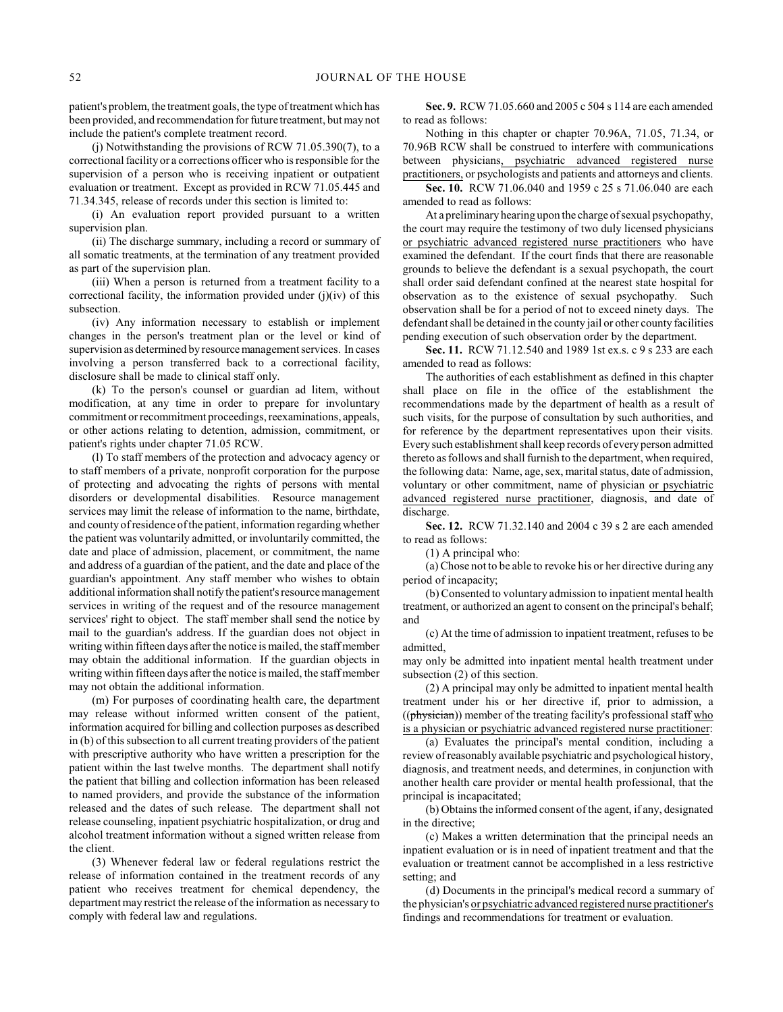patient's problem, the treatment goals, the type of treatment which has been provided, and recommendation for future treatment, but may not include the patient's complete treatment record.

(j) Notwithstanding the provisions of RCW 71.05.390(7), to a correctional facility or a corrections officer who is responsible for the supervision of a person who is receiving inpatient or outpatient evaluation or treatment. Except as provided in RCW 71.05.445 and 71.34.345, release of records under this section is limited to:

(i) An evaluation report provided pursuant to a written supervision plan.

(ii) The discharge summary, including a record or summary of all somatic treatments, at the termination of any treatment provided as part of the supervision plan.

(iii) When a person is returned from a treatment facility to a correctional facility, the information provided under (j)(iv) of this subsection.

(iv) Any information necessary to establish or implement changes in the person's treatment plan or the level or kind of supervision as determined by resource management services. In cases involving a person transferred back to a correctional facility, disclosure shall be made to clinical staff only.

(k) To the person's counsel or guardian ad litem, without modification, at any time in order to prepare for involuntary commitment or recommitment proceedings, reexaminations, appeals, or other actions relating to detention, admission, commitment, or patient's rights under chapter 71.05 RCW.

(l) To staff members of the protection and advocacy agency or to staff members of a private, nonprofit corporation for the purpose of protecting and advocating the rights of persons with mental disorders or developmental disabilities. Resource management services may limit the release of information to the name, birthdate, and county of residence of the patient, information regarding whether the patient was voluntarily admitted, or involuntarily committed, the date and place of admission, placement, or commitment, the name and address of a guardian of the patient, and the date and place of the guardian's appointment. Any staff member who wishes to obtain additional information shall notify the patient's resource management services in writing of the request and of the resource management services' right to object. The staff member shall send the notice by mail to the guardian's address. If the guardian does not object in writing within fifteen days after the notice is mailed, the staff member may obtain the additional information. If the guardian objects in writing within fifteen days after the notice is mailed, the staff member may not obtain the additional information.

(m) For purposes of coordinating health care, the department may release without informed written consent of the patient, information acquired for billing and collection purposes as described in (b) of this subsection to all current treating providers of the patient with prescriptive authority who have written a prescription for the patient within the last twelve months. The department shall notify the patient that billing and collection information has been released to named providers, and provide the substance of the information released and the dates of such release. The department shall not release counseling, inpatient psychiatric hospitalization, or drug and alcohol treatment information without a signed written release from the client.

(3) Whenever federal law or federal regulations restrict the release of information contained in the treatment records of any patient who receives treatment for chemical dependency, the department may restrict the release of the information as necessary to comply with federal law and regulations.

**Sec. 9.** RCW 71.05.660 and 2005 c 504 s 114 are each amended to read as follows:

Nothing in this chapter or chapter 70.96A, 71.05, 71.34, or 70.96B RCW shall be construed to interfere with communications between physicians, psychiatric advanced registered nurse practitioners, or psychologists and patients and attorneys and clients.

**Sec. 10.** RCW 71.06.040 and 1959 c 25 s 71.06.040 are each amended to read as follows:

At a preliminary hearing upon the charge of sexual psychopathy, the court may require the testimony of two duly licensed physicians or psychiatric advanced registered nurse practitioners who have examined the defendant. If the court finds that there are reasonable grounds to believe the defendant is a sexual psychopath, the court shall order said defendant confined at the nearest state hospital for observation as to the existence of sexual psychopathy. Such observation shall be for a period of not to exceed ninety days. The defendant shall be detained in the county jail or other county facilities pending execution of such observation order by the department.

**Sec. 11.** RCW 71.12.540 and 1989 1st ex.s. c 9 s 233 are each amended to read as follows:

The authorities of each establishment as defined in this chapter shall place on file in the office of the establishment the recommendations made by the department of health as a result of such visits, for the purpose of consultation by such authorities, and for reference by the department representatives upon their visits. Every such establishment shall keep records of every person admitted thereto as follows and shall furnish to the department, when required, the following data: Name, age, sex, marital status, date of admission, voluntary or other commitment, name of physician or psychiatric advanced registered nurse practitioner, diagnosis, and date of discharge.

**Sec. 12.** RCW 71.32.140 and 2004 c 39 s 2 are each amended to read as follows:

(1) A principal who:

(a) Chose not to be able to revoke his or her directive during any period of incapacity;

(b) Consented to voluntary admission to inpatient mental health treatment, or authorized an agent to consent on the principal's behalf; and

(c) At the time of admission to inpatient treatment, refuses to be admitted,

may only be admitted into inpatient mental health treatment under subsection (2) of this section.

(2) A principal may only be admitted to inpatient mental health treatment under his or her directive if, prior to admission, a ((physician)) member of the treating facility's professional staff who is a physician or psychiatric advanced registered nurse practitioner:

(a) Evaluates the principal's mental condition, including a review of reasonably available psychiatric and psychological history, diagnosis, and treatment needs, and determines, in conjunction with another health care provider or mental health professional, that the principal is incapacitated;

(b) Obtains the informed consent of the agent, if any, designated in the directive;

(c) Makes a written determination that the principal needs an inpatient evaluation or is in need of inpatient treatment and that the evaluation or treatment cannot be accomplished in a less restrictive setting; and

(d) Documents in the principal's medical record a summary of the physician's or psychiatric advanced registered nurse practitioner's findings and recommendations for treatment or evaluation.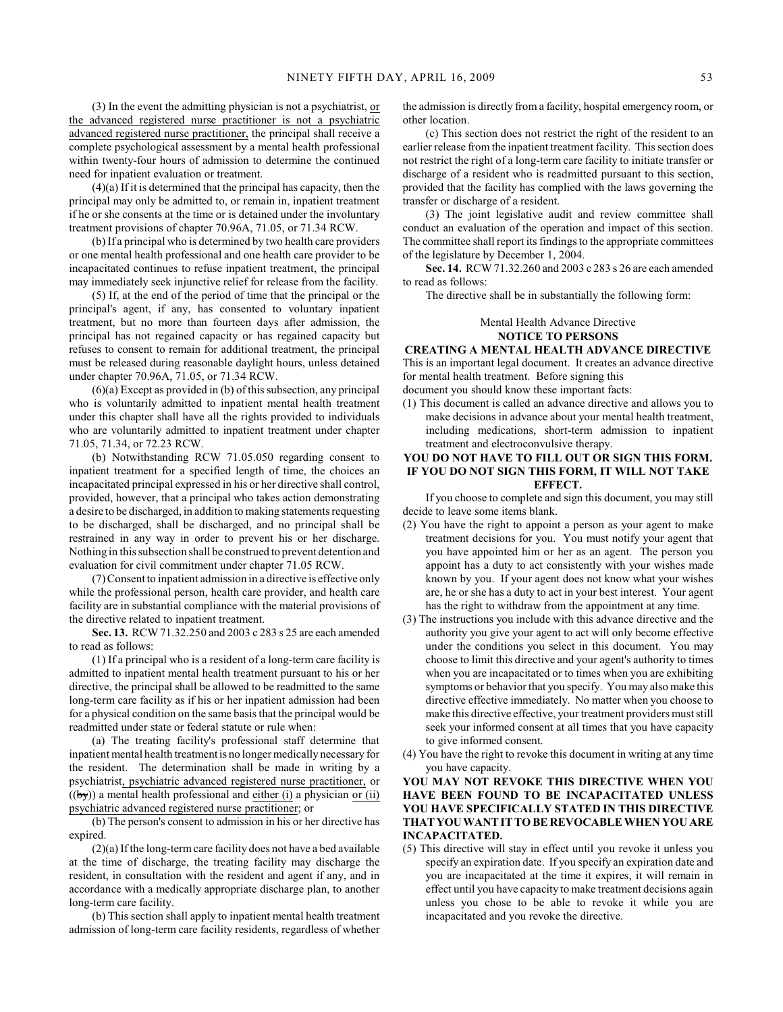(3) In the event the admitting physician is not a psychiatrist, or the advanced registered nurse practitioner is not a psychiatric advanced registered nurse practitioner, the principal shall receive a complete psychological assessment by a mental health professional within twenty-four hours of admission to determine the continued need for inpatient evaluation or treatment.

(4)(a) If it is determined that the principal has capacity, then the principal may only be admitted to, or remain in, inpatient treatment if he or she consents at the time or is detained under the involuntary treatment provisions of chapter 70.96A, 71.05, or 71.34 RCW.

(b) If a principal who is determined by two health care providers or one mental health professional and one health care provider to be incapacitated continues to refuse inpatient treatment, the principal may immediately seek injunctive relief for release from the facility.

(5) If, at the end of the period of time that the principal or the principal's agent, if any, has consented to voluntary inpatient treatment, but no more than fourteen days after admission, the principal has not regained capacity or has regained capacity but refuses to consent to remain for additional treatment, the principal must be released during reasonable daylight hours, unless detained under chapter 70.96A, 71.05, or 71.34 RCW.

(6)(a) Except as provided in (b) of this subsection, any principal who is voluntarily admitted to inpatient mental health treatment under this chapter shall have all the rights provided to individuals who are voluntarily admitted to inpatient treatment under chapter 71.05, 71.34, or 72.23 RCW.

(b) Notwithstanding RCW 71.05.050 regarding consent to inpatient treatment for a specified length of time, the choices an incapacitated principal expressed in his or her directive shall control, provided, however, that a principal who takes action demonstrating a desire to be discharged, in addition to making statements requesting to be discharged, shall be discharged, and no principal shall be restrained in any way in order to prevent his or her discharge. Nothing in this subsection shall be construed to prevent detention and evaluation for civil commitment under chapter 71.05 RCW.

(7) Consent to inpatient admission in a directive is effective only while the professional person, health care provider, and health care facility are in substantial compliance with the material provisions of the directive related to inpatient treatment.

**Sec. 13.** RCW 71.32.250 and 2003 c 283 s 25 are each amended to read as follows:

(1) If a principal who is a resident of a long-term care facility is admitted to inpatient mental health treatment pursuant to his or her directive, the principal shall be allowed to be readmitted to the same long-term care facility as if his or her inpatient admission had been for a physical condition on the same basis that the principal would be readmitted under state or federal statute or rule when:

(a) The treating facility's professional staff determine that inpatient mental health treatmentis no longer medically necessary for the resident. The determination shall be made in writing by a psychiatrist, psychiatric advanced registered nurse practitioner, or  $((by))$  a mental health professional and either (i) a physician or (ii) psychiatric advanced registered nurse practitioner; or

(b) The person's consent to admission in his or her directive has expired.

(2)(a) If the long-term care facility does not have a bed available at the time of discharge, the treating facility may discharge the resident, in consultation with the resident and agent if any, and in accordance with a medically appropriate discharge plan, to another long-term care facility.

(b) This section shall apply to inpatient mental health treatment admission of long-term care facility residents, regardless of whether the admission is directly from a facility, hospital emergency room, or other location.

(c) This section does not restrict the right of the resident to an earlier release from the inpatient treatment facility. This section does not restrict the right of a long-term care facility to initiate transfer or discharge of a resident who is readmitted pursuant to this section, provided that the facility has complied with the laws governing the transfer or discharge of a resident.

(3) The joint legislative audit and review committee shall conduct an evaluation of the operation and impact of this section. The committee shall report its findings to the appropriate committees of the legislature by December 1, 2004.

**Sec. 14.** RCW 71.32.260 and 2003 c 283 s 26 are each amended to read as follows:

The directive shall be in substantially the following form:

# Mental Health Advance Directive **NOTICE TO PERSONS**

**CREATING A MENTAL HEALTH ADVANCE DIRECTIVE** This is an important legal document. It creates an advance directive for mental health treatment. Before signing this

document you should know these important facts:

(1) This document is called an advance directive and allows you to make decisions in advance about your mental health treatment, including medications, short-term admission to inpatient treatment and electroconvulsive therapy.

## **YOU DO NOT HAVE TO FILL OUT OR SIGN THIS FORM. IF YOU DO NOT SIGN THIS FORM, IT WILL NOT TAKE EFFECT.**

If you choose to complete and sign this document, you may still decide to leave some items blank.

- (2) You have the right to appoint a person as your agent to make treatment decisions for you. You must notify your agent that you have appointed him or her as an agent. The person you appoint has a duty to act consistently with your wishes made known by you. If your agent does not know what your wishes are, he or she has a duty to act in your best interest. Your agent has the right to withdraw from the appointment at any time.
- (3) The instructions you include with this advance directive and the authority you give your agent to act will only become effective under the conditions you select in this document. You may choose to limit this directive and your agent's authority to times when you are incapacitated or to times when you are exhibiting symptoms or behavior that you specify. You may also make this directive effective immediately. No matter when you choose to make this directive effective, your treatment providers must still seek your informed consent at all times that you have capacity to give informed consent.
- (4) You have the right to revoke this document in writing at any time you have capacity.

# **YOU MAY NOT REVOKE THIS DIRECTIVE WHEN YOU HAVE BEEN FOUND TO BE INCAPACITATED UNLESS YOU HAVE SPECIFICALLY STATED IN THIS DIRECTIVE THAT YOU WANT IT TO BE REVOCABLE WHEN YOU ARE INCAPACITATED.**

(5) This directive will stay in effect until you revoke it unless you specify an expiration date. If you specify an expiration date and you are incapacitated at the time it expires, it will remain in effect until you have capacity to make treatment decisions again unless you chose to be able to revoke it while you are incapacitated and you revoke the directive.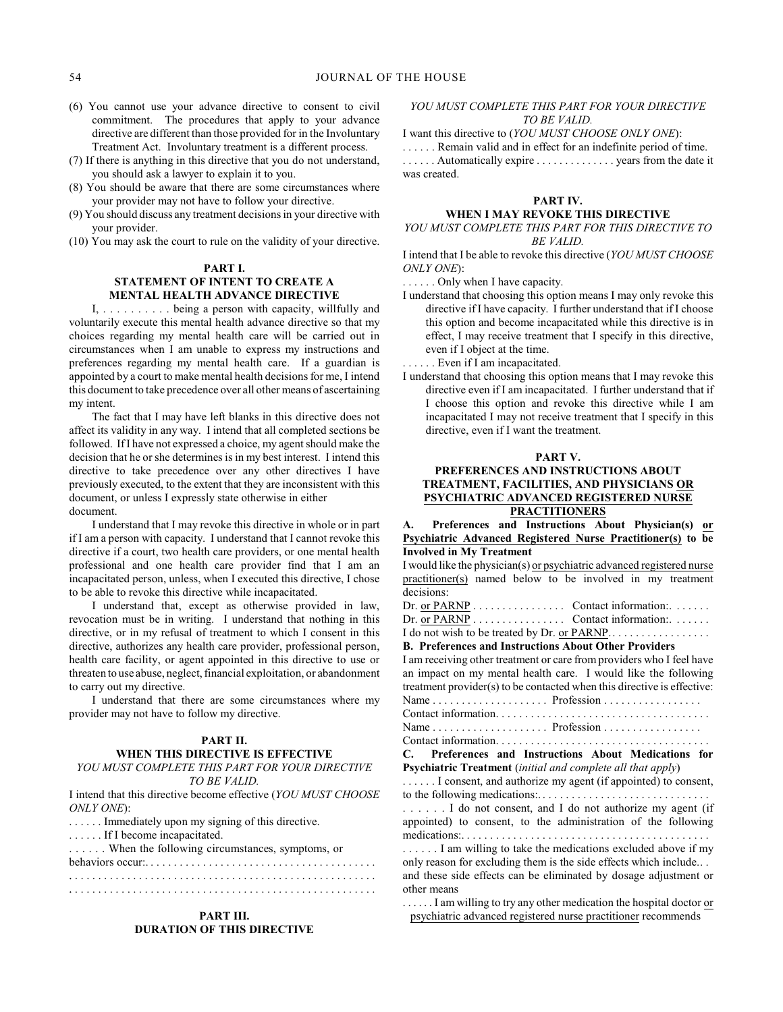- (6) You cannot use your advance directive to consent to civil commitment. The procedures that apply to your advance directive are different than those provided for in the Involuntary Treatment Act. Involuntary treatment is a different process.
- (7) If there is anything in this directive that you do not understand, you should ask a lawyer to explain it to you.
- (8) You should be aware that there are some circumstances where your provider may not have to follow your directive.
- (9) You should discuss any treatment decisions in your directive with your provider.
- (10) You may ask the court to rule on the validity of your directive.

# **PART I. STATEMENT OF INTENT TO CREATE A MENTAL HEALTH ADVANCE DIRECTIVE**

I, . . . . . . . . . . being a person with capacity, willfully and voluntarily execute this mental health advance directive so that my choices regarding my mental health care will be carried out in circumstances when I am unable to express my instructions and preferences regarding my mental health care. If a guardian is appointed by a court to make mental health decisions for me, I intend this document to take precedence over all other means of ascertaining my intent.

The fact that I may have left blanks in this directive does not affect its validity in any way. I intend that all completed sections be followed. IfI have not expressed a choice, my agent should make the decision that he or she determines is in my best interest. I intend this directive to take precedence over any other directives I have previously executed, to the extent that they are inconsistent with this document, or unless I expressly state otherwise in either document.

I understand that I may revoke this directive in whole or in part if I am a person with capacity. I understand that I cannot revoke this directive if a court, two health care providers, or one mental health professional and one health care provider find that I am an incapacitated person, unless, when I executed this directive, I chose to be able to revoke this directive while incapacitated.

I understand that, except as otherwise provided in law, revocation must be in writing. I understand that nothing in this directive, or in my refusal of treatment to which I consent in this directive, authorizes any health care provider, professional person, health care facility, or agent appointed in this directive to use or threaten to use abuse, neglect, financial exploitation, or abandonment to carry out my directive.

I understand that there are some circumstances where my provider may not have to follow my directive.

#### **PART II.**

# **WHEN THIS DIRECTIVE IS EFFECTIVE**

*YOU MUST COMPLETE THIS PART FOR YOUR DIRECTIVE TO BE VALID.*

I intend that this directive become effective (*YOU MUST CHOOSE ONLY ONE*):

. . . . . . Immediately upon my signing of this directive.

. . . . . . If I become incapacitated.

. . . . . . When the following circumstances, symptoms, or

behaviors occur:. .... .... .... .... .... .... .... .... .... ...

# .... .... .... .... .... .... .... .... .... .... .... .... .... . .... .... .... .... .... .... .... .... .... .... .... .... .... .

## **PART III. DURATION OF THIS DIRECTIVE**

# *YOU MUST COMPLETE THIS PART FOR YOUR DIRECTIVE TO BE VALID.*

I want this directive to (*YOU MUST CHOOSE ONLY ONE*):

. . . . . . Remain valid and in effect for an indefinite period of time. . . . . . . Automatically expire . . . . . . . . . . . . . . years from the date it was created.

# **PART IV.**

# **WHEN I MAY REVOKE THIS DIRECTIVE**

*YOU MUST COMPLETE THIS PART FOR THIS DIRECTIVE TO BE VALID.*

I intend that I be able to revoke this directive (*YOU MUST CHOOSE ONLY ONE*):

. . . . . . Only when I have capacity.

I understand that choosing this option means I may only revoke this directive if I have capacity. I further understand that if I choose this option and become incapacitated while this directive is in effect, I may receive treatment that I specify in this directive, even if I object at the time.

. . . . . . Even if I am incapacitated.

I understand that choosing this option means that I may revoke this directive even if I am incapacitated. I further understand that if I choose this option and revoke this directive while I am incapacitated I may not receive treatment that I specify in this directive, even if I want the treatment.

#### **PART V.**

# **PREFERENCES AND INSTRUCTIONS ABOUT TREATMENT, FACILITIES, AND PHYSICIANS OR PSYCHIATRIC ADVANCED REGISTERED NURSE PRACTITIONERS**

**A. Preferences and Instructions About Physician(s) or Psychiatric Advanced Registered Nurse Practitioner(s) to be Involved in My Treatment**

I would like the physician(s) or psychiatric advanced registered nurse practitioner(s) named below to be involved in my treatment decisions: Dr. or PARNP . . . . . . . . . . . . . . . . Contact information: . . . . . . .

Dr. or PARNP . . . . . . . . . . . . . . . Contact information: . . . . . . . I do not wish to be treated by Dr. or PARNP.................

# **B. Preferences and Instructions About Other Providers**

I am receiving other treatment or care from providers who I feel have an impact on my mental health care. I would like the following treatment provider(s) to be contacted when this directive is effective:<br>Name **Profession** 

**C. Preferences and Instructions About Medications for Psychiatric Treatment** (*initial and complete all that apply*)

. . . . . . I consent, and authorize my agent (if appointed) to consent, to the following medications:. .... .... .... .... .... .... .... .

. . . . . . I do not consent, and I do not authorize my agent (if appointed) to consent, to the administration of the following

medications:. .... .... .... .... .... .... .... .... .... .... . . . . . . . . I am willing to take the medications excluded above if my only reason for excluding them is the side effects which include.. . and these side effects can be eliminated by dosage adjustment or other means

. . . . . . I am willing to try any other medication the hospital doctor or psychiatric advanced registered nurse practitioner recommends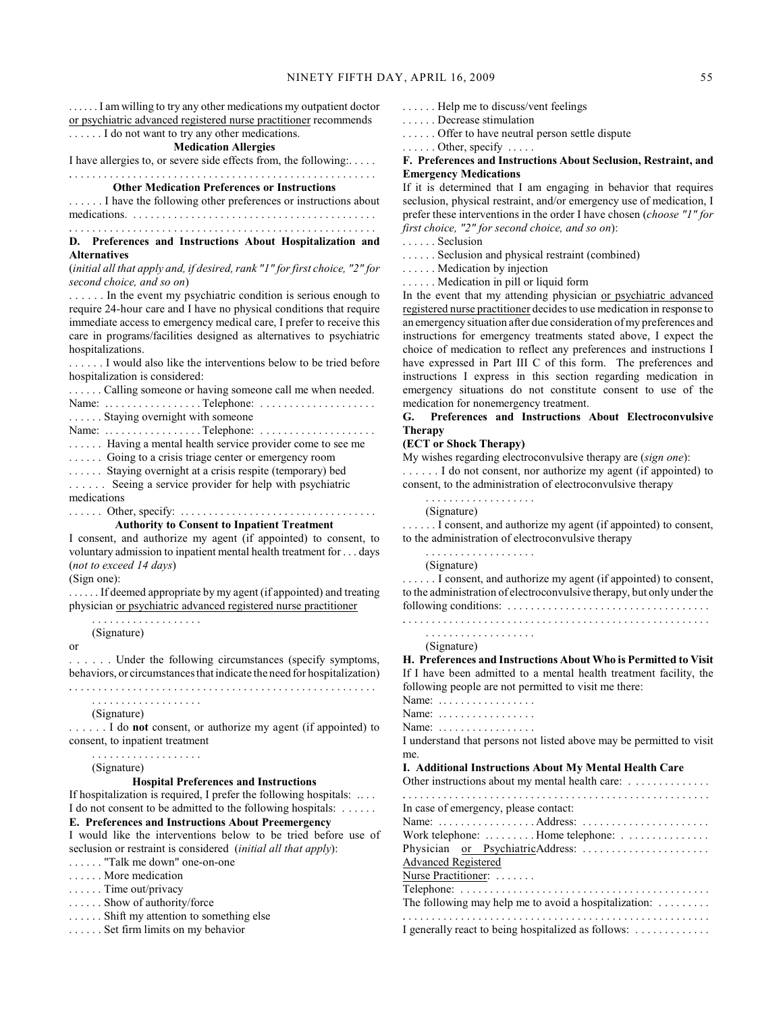. . . . . . I am willing to try any other medications my outpatient doctor or psychiatric advanced registered nurse practitioner recommends

. . . . . . I do not want to try any other medications.

# **Medication Allergies**

I have allergies to, or severe side effects from, the following:. . . . .

.... .... .... .... .... .... .... .... .... .... .... .... .... .

### **Other Medication Preferences or Instructions**

| I have the following other preferences or instructions about |  |  |  |  |  |
|--------------------------------------------------------------|--|--|--|--|--|
|                                                              |  |  |  |  |  |

#### .... .... .... .... .... .... .... .... .... .... .... .... .... . **D. Preferences and Instructions About Hospitalization and Alternatives**

(*initial all that apply and, if desired,rank "1" forfirst choice, "2" for second choice, and so on*)

. . . . . . In the event my psychiatric condition is serious enough to require 24-hour care and I have no physical conditions that require immediate access to emergency medical care, I prefer to receive this care in programs/facilities designed as alternatives to psychiatric hospitalizations.

. . . . . . I would also like the interventions below to be tried before hospitalization is considered:

| Calling someone or having someone call me when needed.                                                                                                                                                                            |
|-----------------------------------------------------------------------------------------------------------------------------------------------------------------------------------------------------------------------------------|
|                                                                                                                                                                                                                                   |
| Staying overnight with someone                                                                                                                                                                                                    |
| Name: Telephone:                                                                                                                                                                                                                  |
| Having a mental health service provider come to see me                                                                                                                                                                            |
| Going to a crisis triage center or emergency room                                                                                                                                                                                 |
| Staying overnight at a crisis respite (temporary) bed                                                                                                                                                                             |
| Seeing a service provider for help with psychiatric                                                                                                                                                                               |
| medications                                                                                                                                                                                                                       |
|                                                                                                                                                                                                                                   |
| $\mathbf{A}$ and the state of the set of the state of the state of the state of the state of the state of the state of the state of the state of the state of the state of the state of the state of the state of the state of th |

**Authority to Consent to Inpatient Treatment**

I consent, and authorize my agent (if appointed) to consent, to voluntary admission to inpatient mental health treatment for . . . days (*not to exceed 14 days*)

(Sign one):

or

...... If deemed appropriate by my agent (if appointed) and treating physician or psychiatric advanced registered nurse practitioner

. .... .... .... .... . . (Signature)

. . . . . . Under the following circumstances (specify symptoms, behaviors, or circumstances that indicate the need for hospitalization)

.... .... .... .... .... .... .... .... .... .... .... .... .... . . .... .... .... .... . .

### (Signature)

. . . . . . I do **not** consent, or authorize my agent (if appointed) to consent, to inpatient treatment

. .... .... .... .... . . (Signature)

#### **Hospital Preferences and Instructions**

If hospitalization is required, I prefer the following hospitals: .. . . I do not consent to be admitted to the following hospitals: . . . . . .

## **E. Preferences and Instructions About Preemergency**

I would like the interventions below to be tried before use of seclusion or restraint is considered (*initial all that apply*):

- . . . . . . "Talk me down" one-on-one
- . . . . . . More medication
- . . . . . . Time out/privacy
- . . . . . . Show of authority/force
- . . . . . . Shift my attention to something else
- . . . . . . Set firm limits on my behavior

. . . . . . Help me to discuss/vent feelings

. . . . . . Decrease stimulation

. . . . . . Offer to have neutral person settle dispute

. . . . . . Other, specify . . . . .

# **F. Preferences and Instructions About Seclusion, Restraint, and Emergency Medications**

If it is determined that I am engaging in behavior that requires seclusion, physical restraint, and/or emergency use of medication, I prefer these interventions in the order I have chosen (*choose "1" for first choice, "2" for second choice, and so on*):

. . . . . . Seclusion

- . . . . . . Seclusion and physical restraint (combined)
- . . . . . . Medication by injection
- . . . . . . Medication in pill or liquid form

In the event that my attending physician or psychiatric advanced registered nurse practitioner decides to use medication in response to an emergency situation after due consideration of my preferences and instructions for emergency treatments stated above, I expect the choice of medication to reflect any preferences and instructions I have expressed in Part III C of this form. The preferences and instructions I express in this section regarding medication in emergency situations do not constitute consent to use of the medication for nonemergency treatment.

# **G. Preferences and Instructions About Electroconvulsive Therapy**

# **(ECT or Shock Therapy)**

My wishes regarding electroconvulsive therapy are (*sign one*):

. . . . . . I do not consent, nor authorize my agent (if appointed) to consent, to the administration of electroconvulsive therapy

. .... .... .... .... . .

(Signature)

. . . . . . I consent, and authorize my agent (if appointed) to consent, to the administration of electroconvulsive therapy

. .... .... .... .... . . (Signature)

. . . . . . I consent, and authorize my agent (if appointed) to consent, to the administration of electroconvulsive therapy, but only under the following conditions:  $\dots \dots \dots \dots \dots \dots \dots \dots \dots \dots \dots \dots \dots$ 

.... .... .... .... .... .... .... .... .... .... .... .... .... .

. .... .... .... .... . .

(Signature)

**H. Preferences and Instructions About Who is Permitted to Visit** If I have been admitted to a mental health treatment facility, the following people are not permitted to visit me there:

```
Name: .................
```
Name: ................

```
Name: ................
```
I understand that persons not listed above may be permitted to visit me.

# **I. Additional Instructions About My Mental Health Care**

Other instructions about my mental health care: . . . . . . . . . . . . . . . .

.... .... .... .... .... .... .... .... .... .... .... .... .... . In case of emergency, please contact: Name: . .... .... .... .... Address: .. .... .... .... .... .... Work telephone: ......... Home telephone: . . . . . . . . . . . . . . . . Physician or PsychiatricAddress: ....................... Advanced Registered Nurse Practitioner: . . . . . . . Telephone: . .... .... .... .... .... .... .... .... .... .... . . The following may help me to avoid a hospitalization: . . . . . . . . . .

.... .... .... .... .... .... .... .... .... .... .... .... .... . I generally react to being hospitalized as follows: . . . . . . . . . . . . .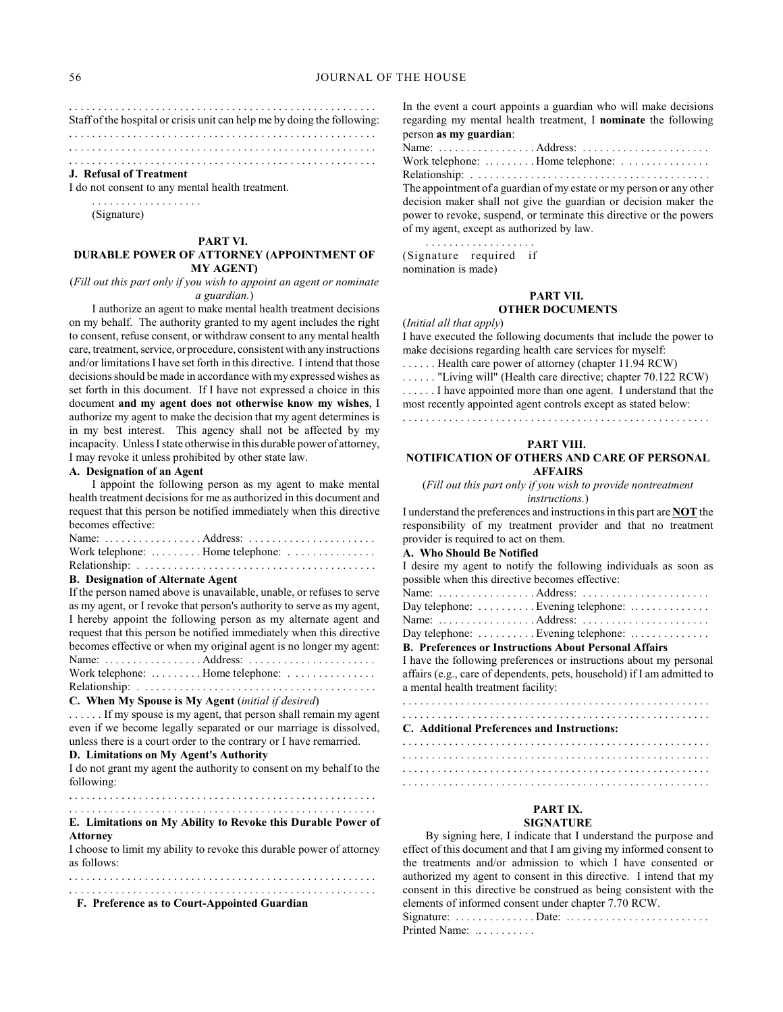# .... .... .... .... .... .... .... .... .... .... .... .... .... . Staff of the hospital or crisis unit can help me by doing the following: .... .... .... .... .... .... .... .... .... .... .... .... .... . ... ... ... ... ... ... ... ... ... ... ... ... ... ... ... ... ... ... ... ... . .... .... .... .... .... .... .... .... .... .... .... .... .... .

### **J. Refusal of Treatment**

I do not consent to any mental health treatment.

. .... .... .... .... . . (Signature)

# **PART VI. DURABLE POWER OF ATTORNEY (APPOINTMENT OF MY AGENT)**

(*Fill out this part only if you wish to appoint an agent or nominate a guardian.*)

I authorize an agent to make mental health treatment decisions on my behalf. The authority granted to my agent includes the right to consent, refuse consent, or withdraw consent to any mental health care, treatment, service, or procedure, consistent with any instructions and/or limitations I have set forth in this directive. I intend that those decisions should be made in accordance with my expressed wishes as set forth in this document. If I have not expressed a choice in this document **and my agent does not otherwise know my wishes**, I authorize my agent to make the decision that my agent determines is in my best interest. This agency shall not be affected by my incapacity. Unless I state otherwise in this durable power of attorney, I may revoke it unless prohibited by other state law.

# **A. Designation of an Agent**

I appoint the following person as my agent to make mental health treatment decisions for me as authorized in this document and request that this person be notified immediately when this directive becomes effective:

| Work telephone:  Home telephone: |  |  |  |  |  |  |  |
|----------------------------------|--|--|--|--|--|--|--|
|                                  |  |  |  |  |  |  |  |

#### **B. Designation of Alternate Agent**

If the person named above is unavailable, unable, or refuses to serve as my agent, or I revoke that person's authority to serve as my agent, I hereby appoint the following person as my alternate agent and request that this person be notified immediately when this directive becomes effective or when my original agent is no longer my agent: Name: . .... .... .... .... Address: .. .... .... .... .... .... Work telephone: ........ Home telephone: . . . . . . . . . . . . . . . . Relationship: . .... .... .... .... .... .... .... .... .... ....

### **C. When My Spouse is My Agent** (*initial if desired*)

. . . . . . If my spouse is my agent, that person shall remain my agent even if we become legally separated or our marriage is dissolved, unless there is a court order to the contrary or I have remarried.

#### **D. Limitations on My Agent's Authority**

I do not grant my agent the authority to consent on my behalf to the following:

.... .... .... .... .... .... .... .... .... .... .... .... .... .

.... .... .... .... .... .... .... .... .... .... .... .... .... .

# **E. Limitations on My Ability to Revoke this Durable Power of Attorney**

I choose to limit my ability to revoke this durable power of attorney as follows:

.... .... .... .... .... .... .... .... .... .... .... .... .... . .... .... .... .... .... .... .... .... .... .... .... .... .... .

**F. Preference as to Court-Appointed Guardian**

In the event a court appoints a guardian who will make decisions regarding my mental health treatment, I **nominate** the following person **as my guardian**:

Name: . .... .... .... .... Address: .. .... .... .... .... .... Work telephone: ........ Home telephone: . . . . . . . . . . . . . . . . Relationship: . .... .... .... .... .... .... .... .... .... ....

The appointment of a guardian of my estate or my person or any other decision maker shall not give the guardian or decision maker the power to revoke, suspend, or terminate this directive or the powers of my agent, except as authorized by law.

. .... .... .... .... . . (Signature required if nomination is made)

# **PART VII. OTHER DOCUMENTS**

#### (*Initial all that apply*)

I have executed the following documents that include the power to make decisions regarding health care services for myself:

. . . . . . Health care power of attorney (chapter 11.94 RCW)

. . . . . . "Living will" (Health care directive; chapter 70.122 RCW) . . . . . . I have appointed more than one agent. I understand that the most recently appointed agent controls except as stated below:

.... .... .... .... .... .... .... .... .... .... .... .... .... .

# **PART VIII. NOTIFICATION OF OTHERS AND CARE OF PERSONAL**

**AFFAIRS**

(*Fill out this part only if you wish to provide nontreatment instructions.*)

I understand the preferences and instructions in this part are **NOT** the responsibility of my treatment provider and that no treatment provider is required to act on them.

### **A. Who Should Be Notified**

I desire my agent to notify the following individuals as soon as possible when this directive becomes effective:

Name: . .... .... .... .... Address: .. .... .... .... .... .... Day telephone: . . . . . . . . . . . Evening telephone: . . . . . . . . . . . . . Name: . .... .... .... .... Address: .. .... .... .... .... .... Day telephone: . . . . . . . . . . . Evening telephone: . . . . . . . . . . . . .

# **B. Preferences or Instructions About Personal Affairs**

I have the following preferences or instructions about my personal affairs (e.g., care of dependents, pets, household) if I am admitted to a mental health treatment facility:

.... .... .... .... .... .... .... .... .... .... .... .... .... . ... ... ... ... ... ... ... ... ... ... ... ... ... ... ... ... ... ... ... ... . **C. Additional Preferences and Instructions:** .... .... .... .... .... .... .... .... .... .... .... .... .... . .... .... .... .... .... .... .... .... .... .... .... .... .... .

#### .... .... .... .... .... .... .... .... .... .... .... .... .... . .... .... .... .... .... .... .... .... .... .... .... .... .... .

### **PART IX. SIGNATURE**

By signing here, I indicate that I understand the purpose and effect of this document and that I am giving my informed consent to the treatments and/or admission to which I have consented or authorized my agent to consent in this directive. I intend that my consent in this directive be construed as being consistent with the elements of informed consent under chapter 7.70 RCW.

Signature:  $\dots \dots \dots \dots$  . Date:  $\dots \dots \dots \dots \dots \dots \dots \dots \dots \dots$ Printed Name: ..........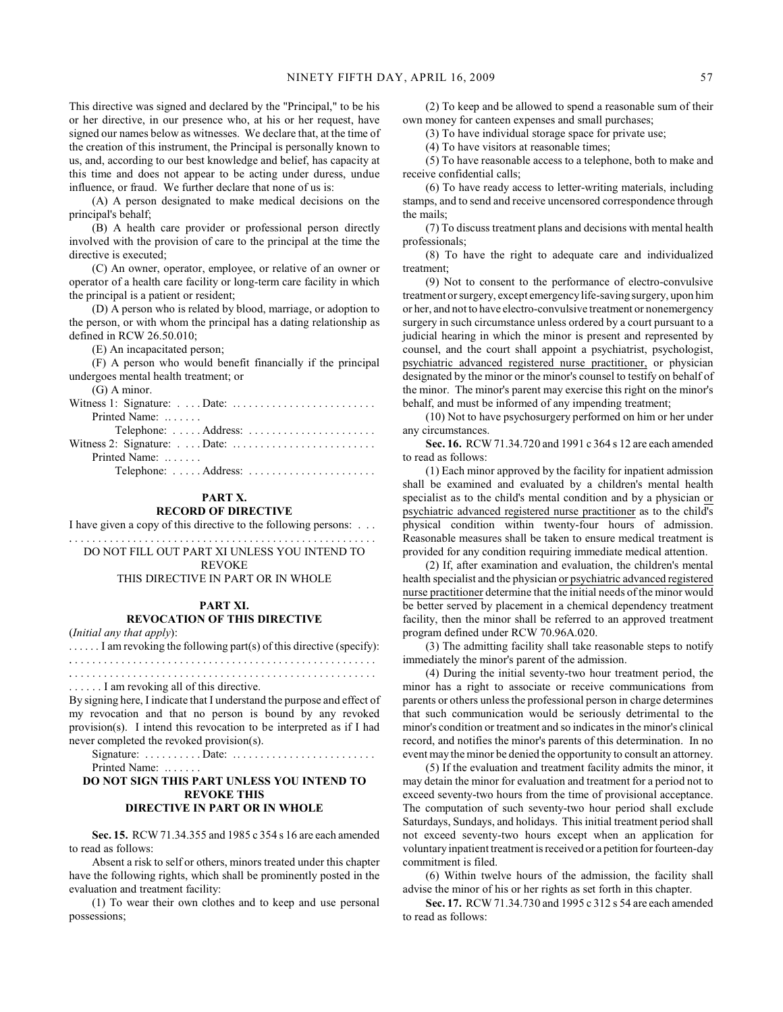This directive was signed and declared by the "Principal," to be his or her directive, in our presence who, at his or her request, have signed our names below as witnesses. We declare that, at the time of the creation of this instrument, the Principal is personally known to us, and, according to our best knowledge and belief, has capacity at this time and does not appear to be acting under duress, undue influence, or fraud. We further declare that none of us is:

(A) A person designated to make medical decisions on the principal's behalf;

(B) A health care provider or professional person directly involved with the provision of care to the principal at the time the directive is executed;

(C) An owner, operator, employee, or relative of an owner or operator of a health care facility or long-term care facility in which the principal is a patient or resident;

(D) A person who is related by blood, marriage, or adoption to the person, or with whom the principal has a dating relationship as defined in RCW 26.50.010;

(E) An incapacitated person;

(F) A person who would benefit financially if the principal undergoes mental health treatment; or

(G) A minor.

| Printed Name:        |
|----------------------|
| Telephone:  Address: |
|                      |
| Printed Name:        |
| Telephone:  Address: |

### **PART X.**

**RECORD OF DIRECTIVE**

I have given a copy of this directive to the following persons: . . .

.... .... .... .... .... .... .... .... .... .... .... .... .... . DO NOT FILL OUT PART XI UNLESS YOU INTEND TO REVOKE

THIS DIRECTIVE IN PART OR IN WHOLE

# **PART XI. REVOCATION OF THIS DIRECTIVE**

(*Initial any that apply*):

...... I am revoking the following part(s) of this directive (specify):

.... .... .... .... .... .... .... .... .... .... .... .... .... .

.... .... .... .... .... .... .... .... .... .... .... .... .... . . . . . . . I am revoking all of this directive.

By signing here, I indicate that I understand the purpose and effect of my revocation and that no person is bound by any revoked provision(s). I intend this revocation to be interpreted as if I had never completed the revoked provision(s).

Signature: . . . . . . . . . . Date: ..... .... .... .... .... ....

Printed Name: ......

# **DO NOT SIGN THIS PART UNLESS YOU INTEND TO REVOKE THIS DIRECTIVE IN PART OR IN WHOLE**

**Sec. 15.** RCW 71.34.355 and 1985 c 354 s 16 are each amended to read as follows:

Absent a risk to self or others, minors treated under this chapter have the following rights, which shall be prominently posted in the evaluation and treatment facility:

(1) To wear their own clothes and to keep and use personal possessions;

(2) To keep and be allowed to spend a reasonable sum of their own money for canteen expenses and small purchases;

(3) To have individual storage space for private use;

(4) To have visitors at reasonable times;

(5) To have reasonable access to a telephone, both to make and receive confidential calls;

(6) To have ready access to letter-writing materials, including stamps, and to send and receive uncensored correspondence through the mails;

(7) To discuss treatment plans and decisions with mental health professionals;

(8) To have the right to adequate care and individualized treatment;

(9) Not to consent to the performance of electro-convulsive treatment or surgery, except emergency life-saving surgery, upon him or her, and not to have electro-convulsive treatment or nonemergency surgery in such circumstance unless ordered by a court pursuant to a judicial hearing in which the minor is present and represented by counsel, and the court shall appoint a psychiatrist, psychologist, psychiatric advanced registered nurse practitioner, or physician designated by the minor or the minor's counsel to testify on behalf of the minor. The minor's parent may exercise this right on the minor's behalf, and must be informed of any impending treatment;

(10) Not to have psychosurgery performed on him or her under any circumstances.

**Sec. 16.** RCW 71.34.720 and 1991 c 364 s 12 are each amended to read as follows:

(1) Each minor approved by the facility for inpatient admission shall be examined and evaluated by a children's mental health specialist as to the child's mental condition and by a physician or psychiatric advanced registered nurse practitioner as to the child's physical condition within twenty-four hours of admission. Reasonable measures shall be taken to ensure medical treatment is provided for any condition requiring immediate medical attention.

(2) If, after examination and evaluation, the children's mental health specialist and the physician or psychiatric advanced registered nurse practitioner determine that the initial needs of the minor would be better served by placement in a chemical dependency treatment facility, then the minor shall be referred to an approved treatment program defined under RCW 70.96A.020.

(3) The admitting facility shall take reasonable steps to notify immediately the minor's parent of the admission.

(4) During the initial seventy-two hour treatment period, the minor has a right to associate or receive communications from parents or others unless the professional person in charge determines that such communication would be seriously detrimental to the minor's condition or treatment and so indicates in the minor's clinical record, and notifies the minor's parents of this determination. In no event may the minor be denied the opportunity to consult an attorney.

(5) If the evaluation and treatment facility admits the minor, it may detain the minor for evaluation and treatment for a period not to exceed seventy-two hours from the time of provisional acceptance. The computation of such seventy-two hour period shall exclude Saturdays, Sundays, and holidays. This initial treatment period shall not exceed seventy-two hours except when an application for voluntary inpatient treatment is received or a petition for fourteen-day commitment is filed.

(6) Within twelve hours of the admission, the facility shall advise the minor of his or her rights as set forth in this chapter.

**Sec. 17.** RCW 71.34.730 and 1995 c 312 s 54 are each amended to read as follows: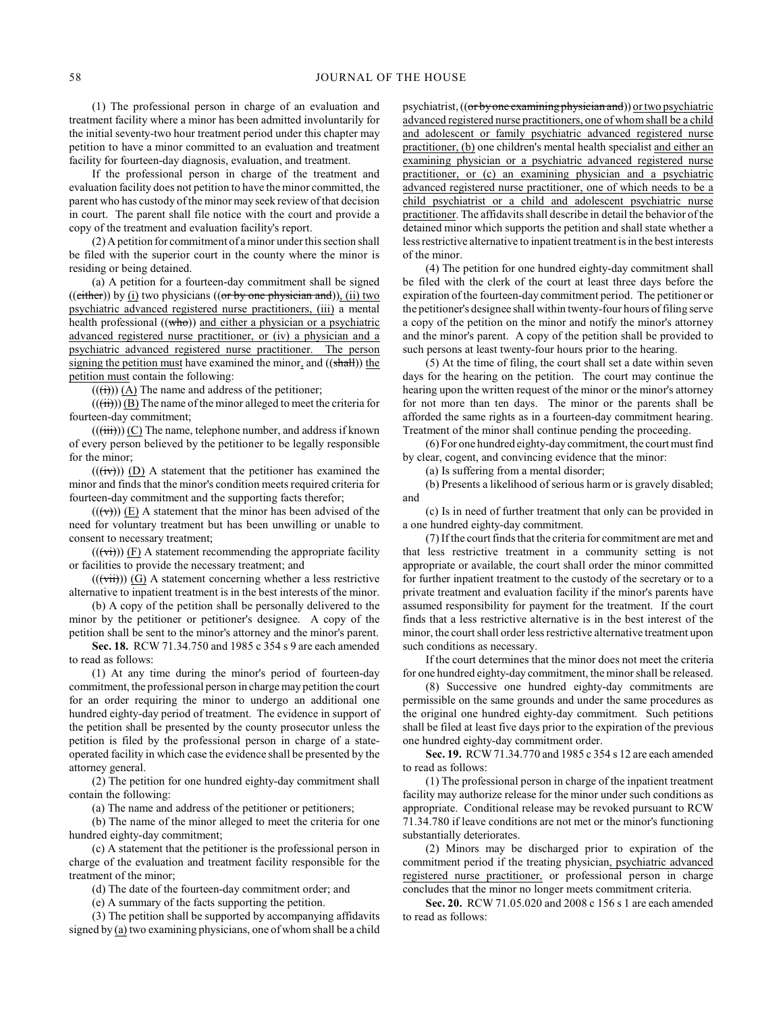(1) The professional person in charge of an evaluation and treatment facility where a minor has been admitted involuntarily for the initial seventy-two hour treatment period under this chapter may petition to have a minor committed to an evaluation and treatment facility for fourteen-day diagnosis, evaluation, and treatment.

If the professional person in charge of the treatment and evaluation facility does not petition to have the minor committed, the parent who has custody of the minor may seek review of that decision in court. The parent shall file notice with the court and provide a copy of the treatment and evaluation facility's report.

(2) A petition for commitment of a minor under this section shall be filed with the superior court in the county where the minor is residing or being detained.

(a) A petition for a fourteen-day commitment shall be signed  $((either))$  by  $(i)$  two physicians  $((or by one physical and)), (ii) two$ psychiatric advanced registered nurse practitioners, (iii) a mental health professional  $((\text{who}))$  and either a physician or a psychiatric advanced registered nurse practitioner, or (iv) a physician and a psychiatric advanced registered nurse practitioner. signing the petition must have examined the minor, and  $((shall))$  the petition must contain the following:

 $((\overrightarrow{t}))$  (A) The name and address of the petitioner;

 $((\textbf{(ii)}))$  (B) The name of the minor alleged to meet the criteria for fourteen-day commitment;

 $((\overrightarrow{iii}))$  (C) The name, telephone number, and address if known of every person believed by the petitioner to be legally responsible for the minor;

 $((**(iv)**))$  (D) A statement that the petitioner has examined the minor and finds that the minor's condition meets required criteria for fourteen-day commitment and the supporting facts therefor;

 $((\forall y))$  (E) A statement that the minor has been advised of the need for voluntary treatment but has been unwilling or unable to consent to necessary treatment;

 $((\overrightarrow{vi}))$  (F) A statement recommending the appropriate facility or facilities to provide the necessary treatment; and

 $((\overrightarrow{vii}))$  (G) A statement concerning whether a less restrictive alternative to inpatient treatment is in the best interests of the minor.

(b) A copy of the petition shall be personally delivered to the minor by the petitioner or petitioner's designee. A copy of the petition shall be sent to the minor's attorney and the minor's parent.

**Sec. 18.** RCW 71.34.750 and 1985 c 354 s 9 are each amended to read as follows:

(1) At any time during the minor's period of fourteen-day commitment, the professional person in charge may petition the court for an order requiring the minor to undergo an additional one hundred eighty-day period of treatment. The evidence in support of the petition shall be presented by the county prosecutor unless the petition is filed by the professional person in charge of a stateoperated facility in which case the evidence shall be presented by the attorney general.

(2) The petition for one hundred eighty-day commitment shall contain the following:

(a) The name and address of the petitioner or petitioners;

(b) The name of the minor alleged to meet the criteria for one hundred eighty-day commitment;

(c) A statement that the petitioner is the professional person in charge of the evaluation and treatment facility responsible for the treatment of the minor;

(d) The date of the fourteen-day commitment order; and

(e) A summary of the facts supporting the petition.

(3) The petition shall be supported by accompanying affidavits signed by (a) two examining physicians, one of whom shall be a child psychiatrist, ((or by one examining physician and)) or two psychiatric advanced registered nurse practitioners, one of whom shall be a child and adolescent or family psychiatric advanced registered nurse practitioner, (b) one children's mental health specialist and either an examining physician or a psychiatric advanced registered nurse practitioner, or (c) an examining physician and a psychiatric advanced registered nurse practitioner, one of which needs to be a child psychiatrist or a child and adolescent psychiatric nurse practitioner. The affidavits shall describe in detail the behavior of the detained minor which supports the petition and shall state whether a less restrictive alternative to inpatient treatment is in the best interests of the minor.

(4) The petition for one hundred eighty-day commitment shall be filed with the clerk of the court at least three days before the expiration of the fourteen-day commitment period. The petitioner or the petitioner's designee shall within twenty-four hours of filing serve a copy of the petition on the minor and notify the minor's attorney and the minor's parent. A copy of the petition shall be provided to such persons at least twenty-four hours prior to the hearing.

(5) At the time of filing, the court shall set a date within seven days for the hearing on the petition. The court may continue the hearing upon the written request of the minor or the minor's attorney for not more than ten days. The minor or the parents shall be afforded the same rights as in a fourteen-day commitment hearing. Treatment of the minor shall continue pending the proceeding.

(6) For one hundred eighty-day commitment, the court must find by clear, cogent, and convincing evidence that the minor:

(a) Is suffering from a mental disorder;

(b) Presents a likelihood of serious harm or is gravely disabled; and

(c) Is in need of further treatment that only can be provided in a one hundred eighty-day commitment.

(7) If the court finds that the criteria for commitment are met and that less restrictive treatment in a community setting is not appropriate or available, the court shall order the minor committed for further inpatient treatment to the custody of the secretary or to a private treatment and evaluation facility if the minor's parents have assumed responsibility for payment for the treatment. If the court finds that a less restrictive alternative is in the best interest of the minor, the court shall order less restrictive alternative treatment upon such conditions as necessary.

If the court determines that the minor does not meet the criteria for one hundred eighty-day commitment, the minor shall be released.

(8) Successive one hundred eighty-day commitments are permissible on the same grounds and under the same procedures as the original one hundred eighty-day commitment. Such petitions shall be filed at least five days prior to the expiration of the previous one hundred eighty-day commitment order.

**Sec. 19.** RCW71.34.770 and 1985 c 354 s 12 are each amended to read as follows:

(1) The professional person in charge of the inpatient treatment facility may authorize release for the minor under such conditions as appropriate. Conditional release may be revoked pursuant to RCW 71.34.780 if leave conditions are not met or the minor's functioning substantially deteriorates.

(2) Minors may be discharged prior to expiration of the commitment period if the treating physician, psychiatric advanced registered nurse practitioner, or professional person in charge concludes that the minor no longer meets commitment criteria.

**Sec. 20.** RCW 71.05.020 and 2008 c 156 s 1 are each amended to read as follows: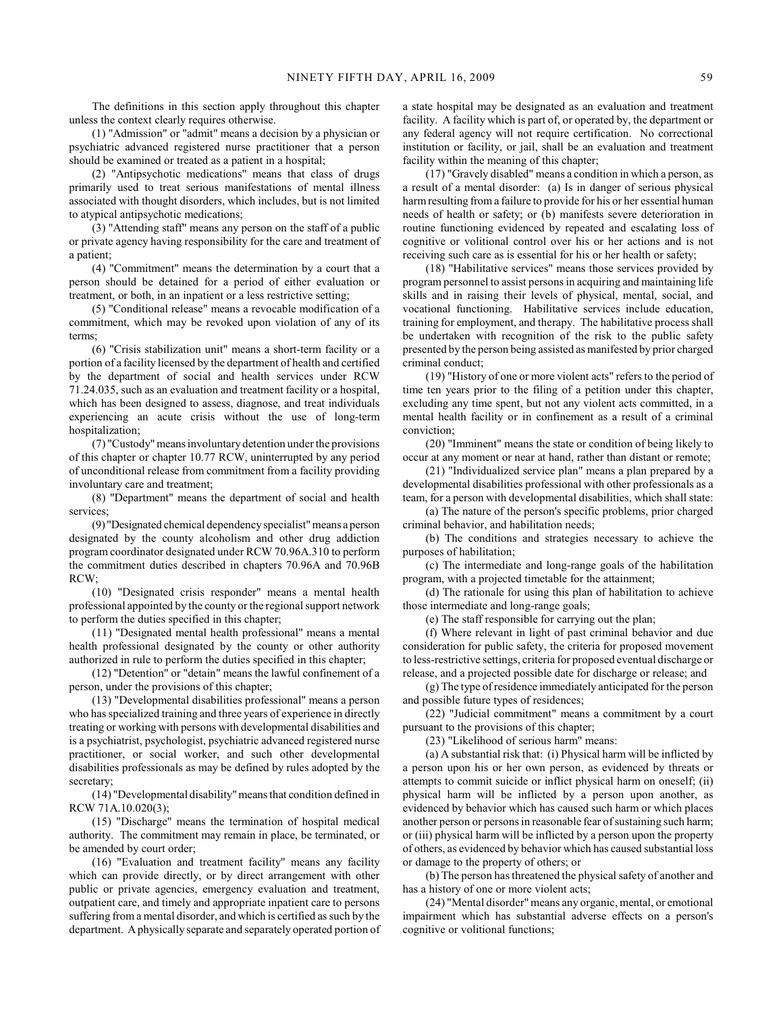The definitions in this section apply throughout this chapter unless the context clearly requires otherwise.

(1) "Admission" or "admit" means a decision by a physician or psychiatric advanced registered nurse practitioner that a person should be examined or treated as a patient in a hospital;

(2) "Antipsychotic medications" means that class of drugs primarily used to treat serious manifestations of mental illness associated with thought disorders, which includes, but is not limited to atypical antipsychotic medications;

(3) "Attending staff" means any person on the staff of a public or private agency having responsibility for the care and treatment of a patient;

(4) "Commitment" means the determination by a court that a person should be detained for a period of either evaluation or treatment, or both, in an inpatient or a less restrictive setting;

(5) "Conditional release" means a revocable modification of a commitment, which may be revoked upon violation of any of its terms;

(6) "Crisis stabilization unit" means a short-term facility or a portion of a facility licensed by the department of health and certified by the department of social and health services under RCW 71.24.035, such as an evaluation and treatment facility or a hospital, which has been designed to assess, diagnose, and treat individuals experiencing an acute crisis without the use of long-term hospitalization;

(7) "Custody"means involuntary detention under the provisions of this chapter or chapter 10.77 RCW, uninterrupted by any period of unconditional release from commitment from a facility providing involuntary care and treatment;

(8) "Department" means the department of social and health services;

(9) "Designated chemical dependency specialist" means a person designated by the county alcoholism and other drug addiction program coordinator designated under RCW 70.96A.310 to perform the commitment duties described in chapters 70.96A and 70.96B RCW;

(10) "Designated crisis responder" means a mental health professional appointed by the county or the regional support network to perform the duties specified in this chapter;

(11) "Designated mental health professional" means a mental health professional designated by the county or other authority authorized in rule to perform the duties specified in this chapter;

(12) "Detention" or "detain" means the lawful confinement of a person, under the provisions of this chapter;

(13) "Developmental disabilities professional" means a person who has specialized training and three years of experience in directly treating or working with persons with developmental disabilities and is a psychiatrist, psychologist, psychiatric advanced registered nurse practitioner, or social worker, and such other developmental disabilities professionals as may be defined by rules adopted by the secretary;

(14) "Developmental disability"means that condition defined in RCW 71A.10.020(3);

(15) "Discharge" means the termination of hospital medical authority. The commitment may remain in place, be terminated, or be amended by court order;

(16) "Evaluation and treatment facility" means any facility which can provide directly, or by direct arrangement with other public or private agencies, emergency evaluation and treatment, outpatient care, and timely and appropriate inpatient care to persons suffering from a mental disorder, and which is certified as such by the department. Aphysically separate and separately operated portion of a state hospital may be designated as an evaluation and treatment facility. A facility which is part of, or operated by, the department or any federal agency will not require certification. No correctional institution or facility, or jail, shall be an evaluation and treatment facility within the meaning of this chapter;

(17) "Gravely disabled" means a condition in which a person, as a result of a mental disorder: (a) Is in danger of serious physical harm resulting from a failure to provide for his or her essential human needs of health or safety; or (b) manifests severe deterioration in routine functioning evidenced by repeated and escalating loss of cognitive or volitional control over his or her actions and is not receiving such care as is essential for his or her health or safety;

(18) "Habilitative services" means those services provided by program personnel to assist persons in acquiring and maintaining life skills and in raising their levels of physical, mental, social, and vocational functioning. Habilitative services include education, training for employment, and therapy. The habilitative process shall be undertaken with recognition of the risk to the public safety presented by the person being assisted as manifested by prior charged criminal conduct;

(19) "History of one or more violent acts" refers to the period of time ten years prior to the filing of a petition under this chapter, excluding any time spent, but not any violent acts committed, in a mental health facility or in confinement as a result of a criminal conviction;

(20) "Imminent" means the state or condition of being likely to occur at any moment or near at hand, rather than distant or remote;

(21) "Individualized service plan" means a plan prepared by a developmental disabilities professional with other professionals as a team, for a person with developmental disabilities, which shall state:

(a) The nature of the person's specific problems, prior charged criminal behavior, and habilitation needs;

(b) The conditions and strategies necessary to achieve the purposes of habilitation;

(c) The intermediate and long-range goals of the habilitation program, with a projected timetable for the attainment;

(d) The rationale for using this plan of habilitation to achieve those intermediate and long-range goals;

(e) The staff responsible for carrying out the plan;

(f) Where relevant in light of past criminal behavior and due consideration for public safety, the criteria for proposed movement to less-restrictive settings, criteria for proposed eventual discharge or release, and a projected possible date for discharge or release; and

(g) The type of residence immediately anticipated for the person and possible future types of residences;

(22) "Judicial commitment" means a commitment by a court pursuant to the provisions of this chapter;

(23) "Likelihood of serious harm" means:

(a) A substantial risk that: (i) Physical harm will be inflicted by a person upon his or her own person, as evidenced by threats or attempts to commit suicide or inflict physical harm on oneself; (ii) physical harm will be inflicted by a person upon another, as evidenced by behavior which has caused such harm or which places another person or persons in reasonable fear of sustaining such harm; or (iii) physical harm will be inflicted by a person upon the property of others, as evidenced by behavior which has caused substantial loss or damage to the property of others; or

(b) The person has threatened the physical safety of another and has a history of one or more violent acts;

(24) "Mental disorder" means any organic, mental, or emotional impairment which has substantial adverse effects on a person's cognitive or volitional functions;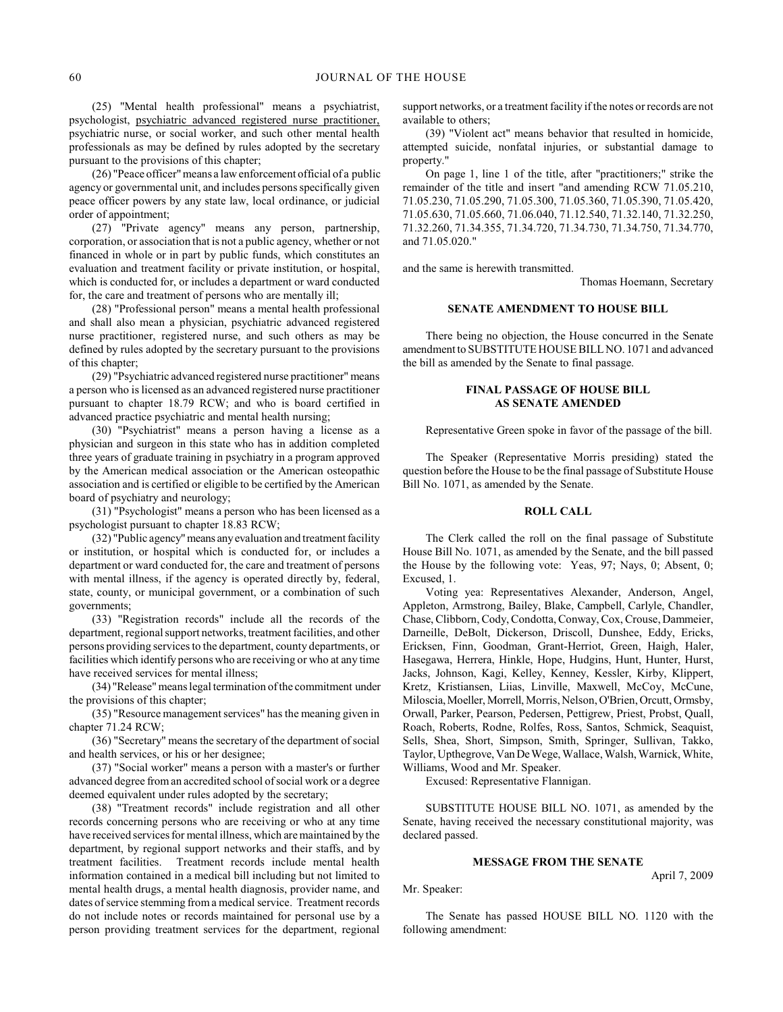(25) "Mental health professional" means a psychiatrist, psychologist, psychiatric advanced registered nurse practitioner, psychiatric nurse, or social worker, and such other mental health professionals as may be defined by rules adopted by the secretary pursuant to the provisions of this chapter;

(26) "Peace officer" means a law enforcement official of a public agency or governmental unit, and includes persons specifically given peace officer powers by any state law, local ordinance, or judicial order of appointment;

(27) "Private agency" means any person, partnership, corporation, or association that is not a public agency, whether or not financed in whole or in part by public funds, which constitutes an evaluation and treatment facility or private institution, or hospital, which is conducted for, or includes a department or ward conducted for, the care and treatment of persons who are mentally ill;

(28) "Professional person" means a mental health professional and shall also mean a physician, psychiatric advanced registered nurse practitioner, registered nurse, and such others as may be defined by rules adopted by the secretary pursuant to the provisions of this chapter;

(29) "Psychiatric advanced registered nurse practitioner" means a person who is licensed as an advanced registered nurse practitioner pursuant to chapter 18.79 RCW; and who is board certified in advanced practice psychiatric and mental health nursing;

(30) "Psychiatrist" means a person having a license as a physician and surgeon in this state who has in addition completed three years of graduate training in psychiatry in a program approved by the American medical association or the American osteopathic association and is certified or eligible to be certified by the American board of psychiatry and neurology;

(31) "Psychologist" means a person who has been licensed as a psychologist pursuant to chapter 18.83 RCW;

(32) "Public agency" means any evaluation and treatment facility or institution, or hospital which is conducted for, or includes a department or ward conducted for, the care and treatment of persons with mental illness, if the agency is operated directly by, federal, state, county, or municipal government, or a combination of such governments;

(33) "Registration records" include all the records of the department, regional support networks, treatment facilities, and other persons providing services to the department, county departments, or facilities which identify persons who are receiving or who at any time have received services for mental illness;

(34) "Release" means legal termination of the commitment under the provisions of this chapter;

(35) "Resource management services" has the meaning given in chapter 71.24 RCW;

(36) "Secretary" means the secretary of the department of social and health services, or his or her designee;

(37) "Social worker" means a person with a master's or further advanced degree from an accredited school of social work or a degree deemed equivalent under rules adopted by the secretary;

(38) "Treatment records" include registration and all other records concerning persons who are receiving or who at any time have received services for mental illness, which are maintained by the department, by regional support networks and their staffs, and by treatment facilities. Treatment records include mental health information contained in a medical bill including but not limited to mental health drugs, a mental health diagnosis, provider name, and dates of service stemming from a medical service. Treatment records do not include notes or records maintained for personal use by a person providing treatment services for the department, regional

support networks, or a treatment facility if the notes or records are not available to others;

(39) "Violent act" means behavior that resulted in homicide, attempted suicide, nonfatal injuries, or substantial damage to property."

On page 1, line 1 of the title, after "practitioners;" strike the remainder of the title and insert "and amending RCW 71.05.210, 71.05.230, 71.05.290, 71.05.300, 71.05.360, 71.05.390, 71.05.420, 71.05.630, 71.05.660, 71.06.040, 71.12.540, 71.32.140, 71.32.250, 71.32.260, 71.34.355, 71.34.720, 71.34.730, 71.34.750, 71.34.770, and 71.05.020."

and the same is herewith transmitted.

Thomas Hoemann, Secretary

# **SENATE AMENDMENT TO HOUSE BILL**

There being no objection, the House concurred in the Senate amendment to SUBSTITUTE HOUSE BILL NO. 1071 and advanced the bill as amended by the Senate to final passage.

# **FINAL PASSAGE OF HOUSE BILL AS SENATE AMENDED**

Representative Green spoke in favor of the passage of the bill.

The Speaker (Representative Morris presiding) stated the question before the House to be the final passage of Substitute House Bill No. 1071, as amended by the Senate.

### **ROLL CALL**

The Clerk called the roll on the final passage of Substitute House Bill No. 1071, as amended by the Senate, and the bill passed the House by the following vote: Yeas, 97; Nays, 0; Absent, 0; Excused, 1.

Voting yea: Representatives Alexander, Anderson, Angel, Appleton, Armstrong, Bailey, Blake, Campbell, Carlyle, Chandler, Chase, Clibborn, Cody, Condotta, Conway, Cox, Crouse, Dammeier, Darneille, DeBolt, Dickerson, Driscoll, Dunshee, Eddy, Ericks, Ericksen, Finn, Goodman, Grant-Herriot, Green, Haigh, Haler, Hasegawa, Herrera, Hinkle, Hope, Hudgins, Hunt, Hunter, Hurst, Jacks, Johnson, Kagi, Kelley, Kenney, Kessler, Kirby, Klippert, Kretz, Kristiansen, Liias, Linville, Maxwell, McCoy, McCune, Miloscia, Moeller, Morrell, Morris, Nelson, O'Brien, Orcutt, Ormsby, Orwall, Parker, Pearson, Pedersen, Pettigrew, Priest, Probst, Quall, Roach, Roberts, Rodne, Rolfes, Ross, Santos, Schmick, Seaquist, Sells, Shea, Short, Simpson, Smith, Springer, Sullivan, Takko, Taylor, Upthegrove, Van De Wege, Wallace, Walsh, Warnick, White, Williams, Wood and Mr. Speaker.

Excused: Representative Flannigan.

SUBSTITUTE HOUSE BILL NO. 1071, as amended by the Senate, having received the necessary constitutional majority, was declared passed.

# **MESSAGE FROM THE SENATE**

April 7, 2009

Mr. Speaker:

The Senate has passed HOUSE BILL NO. 1120 with the following amendment: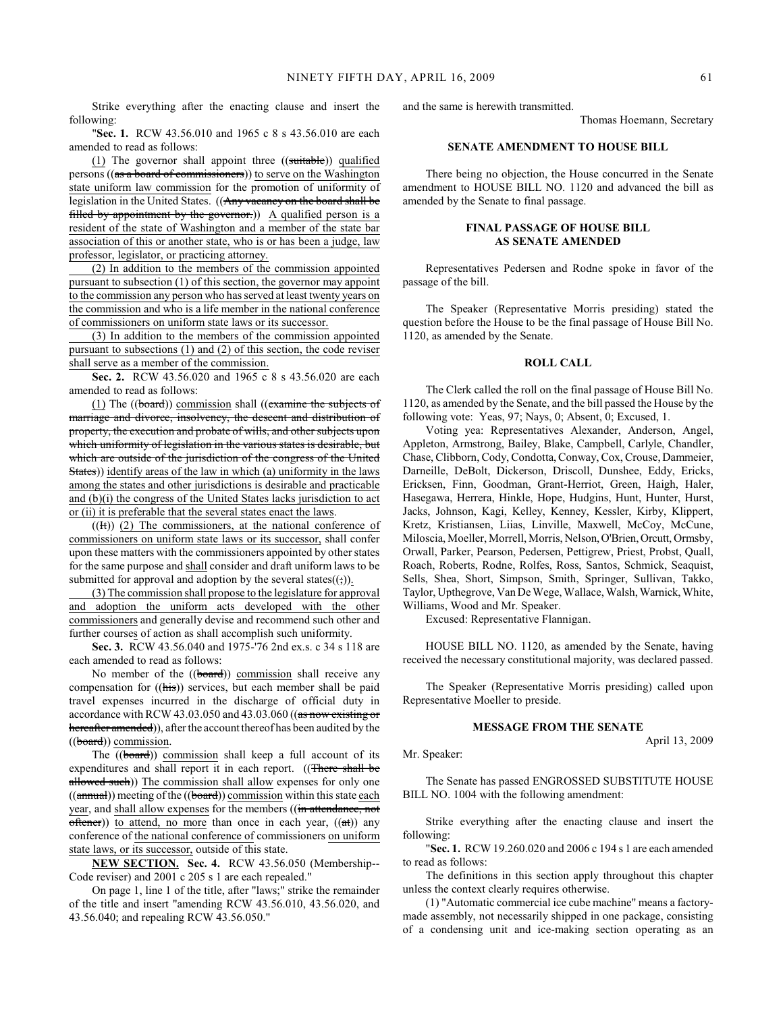Strike everything after the enacting clause and insert the following:

"**Sec. 1.** RCW 43.56.010 and 1965 c 8 s 43.56.010 are each amended to read as follows:

(1) The governor shall appoint three ((suitable)) qualified persons ((as a board of commissioners)) to serve on the Washington state uniform law commission for the promotion of uniformity of legislation in the United States. ((Any vacancy on the board shall be filled by appointment by the governor.)) A qualified person is a resident of the state of Washington and a member of the state bar association of this or another state, who is or has been a judge, law professor, legislator, or practicing attorney.

(2) In addition to the members of the commission appointed pursuant to subsection (1) of this section, the governor may appoint to the commission any person who has served at least twenty years on the commission and who is a life member in the national conference of commissioners on uniform state laws or its successor.

(3) In addition to the members of the commission appointed pursuant to subsections (1) and (2) of this section, the code reviser shall serve as a member of the commission.

**Sec. 2.** RCW 43.56.020 and 1965 c 8 s 43.56.020 are each amended to read as follows:

(1) The  $((board))$  commission shall  $((examine the subjects of$ marriage and divorce, insolvency, the descent and distribution of property, the execution and probate of wills, and other subjects upon which uniformity of legislation in the various states is desirable, but which are outside of the jurisdiction of the congress of the United States)) identify areas of the law in which (a) uniformity in the laws among the states and other jurisdictions is desirable and practicable and (b)(i) the congress of the United States lacks jurisdiction to act or (ii) it is preferable that the several states enact the laws.

 $((H))$  (2) The commissioners, at the national conference of commissioners on uniform state laws or its successor, shall confer upon these matters with the commissioners appointed by other states for the same purpose and shall consider and draft uniform laws to be submitted for approval and adoption by the several states $((,))$ .

(3) The commission shall propose to the legislature for approval and adoption the uniform acts developed with the other commissioners and generally devise and recommend such other and further courses of action as shall accomplish such uniformity.

**Sec. 3.** RCW 43.56.040 and 1975-'76 2nd ex.s. c 34 s 118 are each amended to read as follows:

No member of the  $((\text{board}))$  commission shall receive any compensation for ((his)) services, but each member shall be paid travel expenses incurred in the discharge of official duty in accordance with RCW 43.03.050 and 43.03.060 ((as now existing or hereafter amended)), after the account thereof has been audited by the  $((board))$  commission.

The  $((board))$  commission shall keep a full account of its expenditures and shall report it in each report. ((There shall be allowed such)) The commission shall allow expenses for only one  $((a<sub>nnu</sub> and))$  meeting of the  $((<sub>board</sub>))$  commission within this state each year, and shall allow expenses for the members ((in attendance, not  $o$  ftener)) to attend, no more than once in each year,  $((a + b))$  any conference of the national conference of commissioners on uniform state laws, or its successor, outside of this state.

**NEW SECTION. Sec. 4.** RCW 43.56.050 (Membership-- Code reviser) and 2001 c 205 s 1 are each repealed."

On page 1, line 1 of the title, after "laws;" strike the remainder of the title and insert "amending RCW 43.56.010, 43.56.020, and 43.56.040; and repealing RCW 43.56.050."

and the same is herewith transmitted.

Thomas Hoemann, Secretary

# **SENATE AMENDMENT TO HOUSE BILL**

There being no objection, the House concurred in the Senate amendment to HOUSE BILL NO. 1120 and advanced the bill as amended by the Senate to final passage.

# **FINAL PASSAGE OF HOUSE BILL AS SENATE AMENDED**

Representatives Pedersen and Rodne spoke in favor of the passage of the bill.

The Speaker (Representative Morris presiding) stated the question before the House to be the final passage of House Bill No. 1120, as amended by the Senate.

### **ROLL CALL**

The Clerk called the roll on the final passage of House Bill No. 1120, as amended by the Senate, and the bill passed the House by the following vote: Yeas, 97; Nays, 0; Absent, 0; Excused, 1.

Voting yea: Representatives Alexander, Anderson, Angel, Appleton, Armstrong, Bailey, Blake, Campbell, Carlyle, Chandler, Chase, Clibborn, Cody, Condotta, Conway, Cox, Crouse, Dammeier, Darneille, DeBolt, Dickerson, Driscoll, Dunshee, Eddy, Ericks, Ericksen, Finn, Goodman, Grant-Herriot, Green, Haigh, Haler, Hasegawa, Herrera, Hinkle, Hope, Hudgins, Hunt, Hunter, Hurst, Jacks, Johnson, Kagi, Kelley, Kenney, Kessler, Kirby, Klippert, Kretz, Kristiansen, Liias, Linville, Maxwell, McCoy, McCune, Miloscia, Moeller, Morrell, Morris, Nelson, O'Brien, Orcutt, Ormsby, Orwall, Parker, Pearson, Pedersen, Pettigrew, Priest, Probst, Quall, Roach, Roberts, Rodne, Rolfes, Ross, Santos, Schmick, Seaquist, Sells, Shea, Short, Simpson, Smith, Springer, Sullivan, Takko, Taylor, Upthegrove, Van De Wege, Wallace, Walsh, Warnick, White, Williams, Wood and Mr. Speaker.

Excused: Representative Flannigan.

Mr. Speaker:

HOUSE BILL NO. 1120, as amended by the Senate, having received the necessary constitutional majority, was declared passed.

The Speaker (Representative Morris presiding) called upon Representative Moeller to preside.

#### **MESSAGE FROM THE SENATE**

April 13, 2009

The Senate has passed ENGROSSED SUBSTITUTE HOUSE BILL NO. 1004 with the following amendment:

Strike everything after the enacting clause and insert the following:

"**Sec. 1.** RCW 19.260.020 and 2006 c 194 s 1 are each amended to read as follows:

The definitions in this section apply throughout this chapter unless the context clearly requires otherwise.

(1) "Automatic commercial ice cube machine" means a factorymade assembly, not necessarily shipped in one package, consisting of a condensing unit and ice-making section operating as an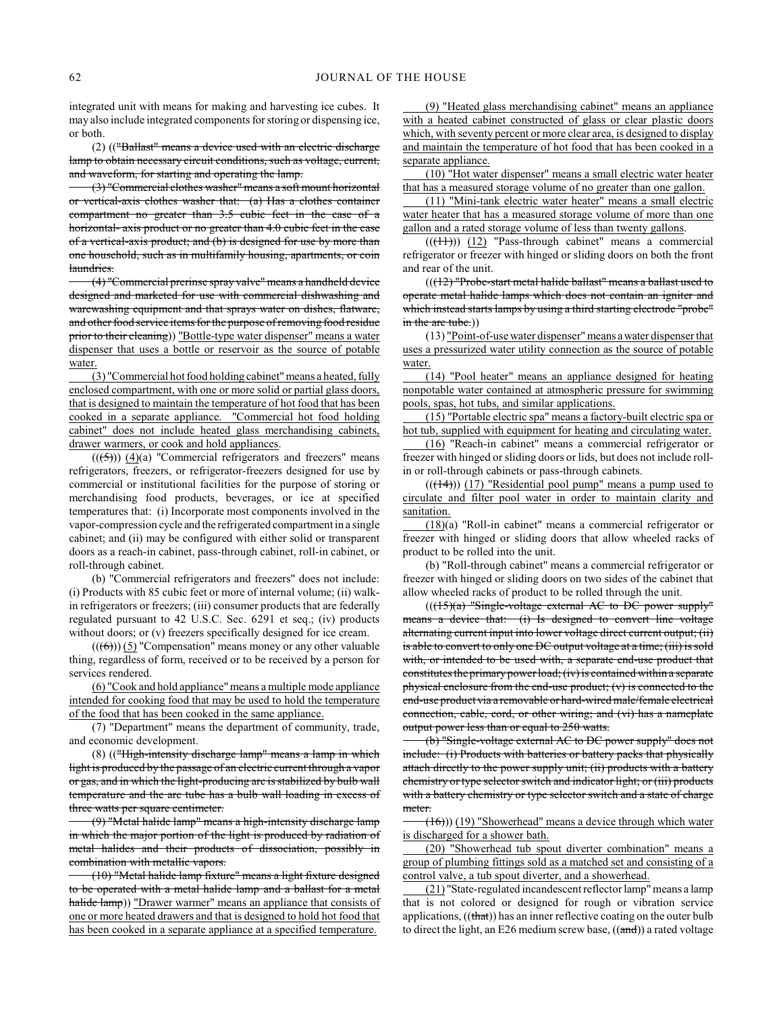integrated unit with means for making and harvesting ice cubes. It may also include integrated components for storing or dispensing ice, or both.

(2) (("Ballast" means a device used with an electric discharge lamp to obtain necessary circuit conditions, such as voltage, current, and waveform, for starting and operating the lamp.

(3) "Commercial clothes washer" means a soft mount horizontal or vertical-axis clothes washer that: (a) Has a clothes container compartment no greater than 3.5 cubic feet in the case of a horizontal- axis product or no greater than 4.0 cubic feet in the case of a vertical-axis product; and (b) is designed for use by more than one household, such as in multifamily housing, apartments, or coin laundries.

(4) "Commercial prerinse spray valve" means a handheld device designed and marketed for use with commercial dishwashing and warewashing equipment and that sprays water on dishes, flatware, and other food service items for the purpose of removing food residue prior to their cleaning)) "Bottle-type water dispenser" means a water dispenser that uses a bottle or reservoir as the source of potable water.

(3) "Commercial hot food holding cabinet" means a heated, fully enclosed compartment, with one or more solid or partial glass doors, that is designed to maintain the temperature of hot food that has been cooked in a separate appliance. "Commercial hot food holding cabinet" does not include heated glass merchandising cabinets, drawer warmers, or cook and hold appliances.

 $((\left(\frac{5}{2}\right))$  (4)(a) "Commercial refrigerators and freezers" means refrigerators, freezers, or refrigerator-freezers designed for use by commercial or institutional facilities for the purpose of storing or merchandising food products, beverages, or ice at specified temperatures that: (i) Incorporate most components involved in the vapor-compression cycle and the refrigerated compartment in a single cabinet; and (ii) may be configured with either solid or transparent doors as a reach-in cabinet, pass-through cabinet, roll-in cabinet, or roll-through cabinet.

(b) "Commercial refrigerators and freezers" does not include: (i) Products with 85 cubic feet or more of internal volume; (ii) walkin refrigerators or freezers; (iii) consumer products that are federally regulated pursuant to 42 U.S.C. Sec. 6291 et seq.; (iv) products without doors; or (v) freezers specifically designed for ice cream.

 $(((6))$  $(5)$  "Compensation" means money or any other valuable thing, regardless of form, received or to be received by a person for services rendered.

(6) "Cook and hold appliance"means a multiple mode appliance intended for cooking food that may be used to hold the temperature of the food that has been cooked in the same appliance.

(7) "Department" means the department of community, trade, and economic development.

(8) (("High-intensity discharge lamp" means a lamp in which light is produced by the passage of an electric current through a vapor or gas, and in which the light-producing arc is stabilized by bulb wall temperature and the arc tube has a bulb wall loading in excess of three watts per square centimeter.

(9) "Metal halide lamp" means a high-intensity discharge lamp in which the major portion of the light is produced by radiation of metal halides and their products of dissociation, possibly in combination with metallic vapors.

(10) "Metal halide lamp fixture" means a light fixture designed to be operated with a metal halide lamp and a ballast for a metal halide lamp)) "Drawer warmer" means an appliance that consists of one or more heated drawers and that is designed to hold hot food that has been cooked in a separate appliance at a specified temperature.

(9) "Heated glass merchandising cabinet" means an appliance with a heated cabinet constructed of glass or clear plastic doors which, with seventy percent or more clear area, is designed to display and maintain the temperature of hot food that has been cooked in a separate appliance.

(10) "Hot water dispenser" means a small electric water heater that has a measured storage volume of no greater than one gallon.

(11) "Mini-tank electric water heater" means a small electric water heater that has a measured storage volume of more than one gallon and a rated storage volume of less than twenty gallons.

 $((\text{(+1)}))$  (12) "Pass-through cabinet" means a commercial refrigerator or freezer with hinged or sliding doors on both the front and rear of the unit.

 $(((12)$  "Probe-start metal halide ballast" means a ballast used to operate metal halide lamps which does not contain an igniter and which instead starts lamps by using a third starting electrode "probe" in the arc tube.)

(13) "Point-of-use water dispenser" means a water dispenser that uses a pressurized water utility connection as the source of potable water.

(14) "Pool heater" means an appliance designed for heating nonpotable water contained at atmospheric pressure for swimming pools, spas, hot tubs, and similar applications.

(15) "Portable electric spa" means a factory-built electric spa or hot tub, supplied with equipment for heating and circulating water.

(16) "Reach-in cabinet" means a commercial refrigerator or freezer with hinged or sliding doors or lids, but does not include rollin or roll-through cabinets or pass-through cabinets.

 $((\text{(+4)}))$  (17) "Residential pool pump" means a pump used to circulate and filter pool water in order to maintain clarity and sanitation.

(18)(a) "Roll-in cabinet" means a commercial refrigerator or freezer with hinged or sliding doors that allow wheeled racks of product to be rolled into the unit.

(b) "Roll-through cabinet" means a commercial refrigerator or freezer with hinged or sliding doors on two sides of the cabinet that allow wheeled racks of product to be rolled through the unit.

 $(((15)(a)$  "Single-voltage external AC to DC power supply" means a device that: (i) Is designed to convert line voltage alternating current input into lower voltage direct current output; (ii) is able to convert to only one DC output voltage at a time; (iii) is sold with, or intended to be used with, a separate end-use product that constitutes the primary power load; (iv) is contained within a separate physical enclosure from the end-use product; (v) is connected to the end-use product via a removable or hard-wired male/female electrical connection, cable, cord, or other wiring; and (vi) has a nameplate output power less than or equal to 250 watts.

(b) "Single-voltage external AC to DC power supply" does not include: (i) Products with batteries or battery packs that physically attach directly to the power supply unit; (ii) products with a battery chemistry or type selector switch and indicator light; or (iii) products with a battery chemistry or type selector switch and a state of charge meter.

 $(16))$  (19) "Showerhead" means a device through which water is discharged for a shower bath.

(20) "Showerhead tub spout diverter combination" means a group of plumbing fittings sold as a matched set and consisting of a control valve, a tub spout diverter, and a showerhead.

(21) "State-regulated incandescent reflector lamp" means a lamp that is not colored or designed for rough or vibration service applications,  $((that))$  has an inner reflective coating on the outer bulb to direct the light, an E26 medium screw base,  $((\text{and}))$  a rated voltage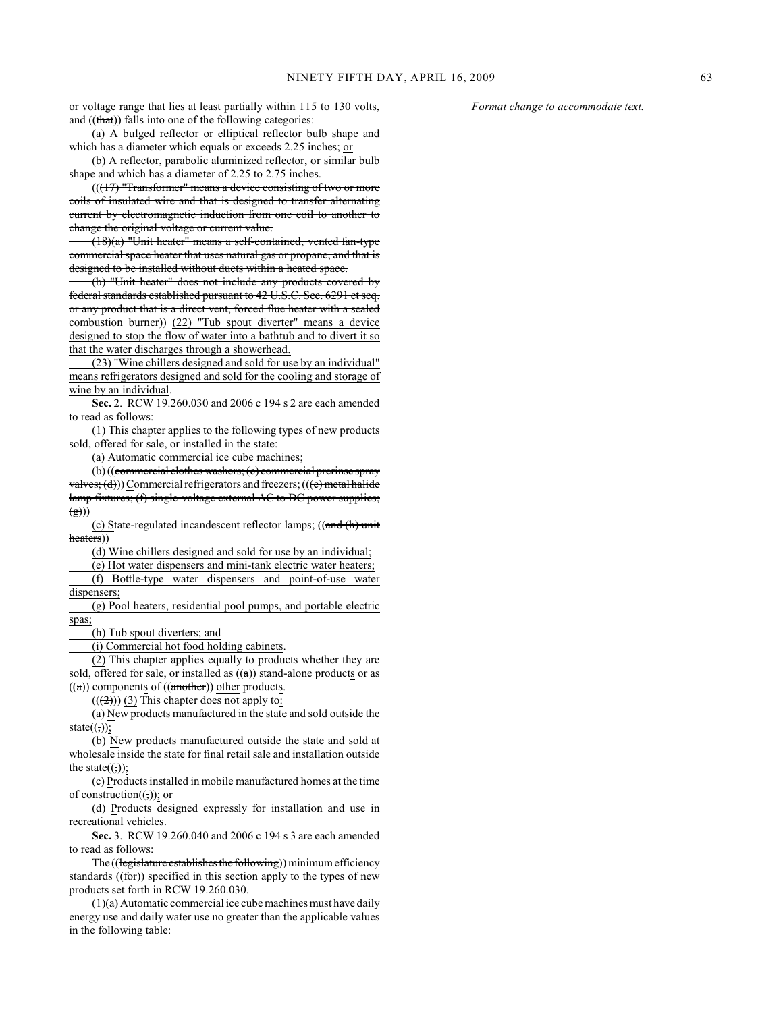or voltage range that lies at least partially within 115 to 130 volts, and  $((that))$  falls into one of the following categories:

(a) A bulged reflector or elliptical reflector bulb shape and which has a diameter which equals or exceeds 2.25 inches; or

(b) A reflector, parabolic aluminized reflector, or similar bulb shape and which has a diameter of 2.25 to 2.75 inches.

 $(((17)$  "Transformer" means a device consisting of two or more coils of insulated wire and that is designed to transfer alternating current by electromagnetic induction from one coil to another to change the original voltage or current value.

 $(18)(a)$  "Unit heater" means a self-contained, vented fan-type commercial space heater that uses natural gas or propane, and that is designed to be installed without ducts within a heated space.

(b) "Unit heater" does not include any products covered by federal standards established pursuant to 42 U.S.C. Sec. 6291 et seq. or any product that is a direct vent, forced flue heater with a sealed combustion burner)) (22) "Tub spout diverter" means a device designed to stop the flow of water into a bathtub and to divert it so that the water discharges through a showerhead.

(23) "Wine chillers designed and sold for use by an individual" means refrigerators designed and sold for the cooling and storage of wine by an individual.

**Sec.** 2. RCW 19.260.030 and 2006 c 194 s 2 are each amended to read as follows:

(1) This chapter applies to the following types of new products sold, offered for sale, or installed in the state:

(a) Automatic commercial ice cube machines;

(b) ((commercial clothes washers; (c) commercial prerinse spray  $\overline{\text{values}}$ ; (d))) Commercial refrigerators and freezers; (((e) metal halide lamp fixtures; (f) single-voltage external AC to DC power supplies;  $\left(\frac{1}{2}\right)$ 

(c) State-regulated incandescent reflector lamps; ((and (h) unit heaters))

(d) Wine chillers designed and sold for use by an individual;

(e) Hot water dispensers and mini-tank electric water heaters;

(f) Bottle-type water dispensers and point-of-use water dispensers;

(g) Pool heaters, residential pool pumps, and portable electric spas;

(h) Tub spout diverters; and

(i) Commercial hot food holding cabinets.

(2) This chapter applies equally to products whether they are sold, offered for sale, or installed as  $((a))$  stand-alone products or as  $((a))$  components of  $((\text{another}))$  other products.

 $((2))$   $(3)$  This chapter does not apply to:

(a) New products manufactured in the state and sold outside the state $((,))$ ;

(b) New products manufactured outside the state and sold at wholesale inside the state for final retail sale and installation outside the state $((,))$ ;

(c) Products installed in mobile manufactured homes at the time of construction( $($ , $)$ ); or

(d) Products designed expressly for installation and use in recreational vehicles.

**Sec.** 3. RCW 19.260.040 and 2006 c 194 s 3 are each amended to read as follows:

The ((legislature establishes the following)) minimum efficiency standards  $((**for**))$  specified in this section apply to the types of new products set forth in RCW 19.260.030.

(1)(a) Automatic commercial ice cube machines must have daily energy use and daily water use no greater than the applicable values in the following table:

*Format change to accommodate text.*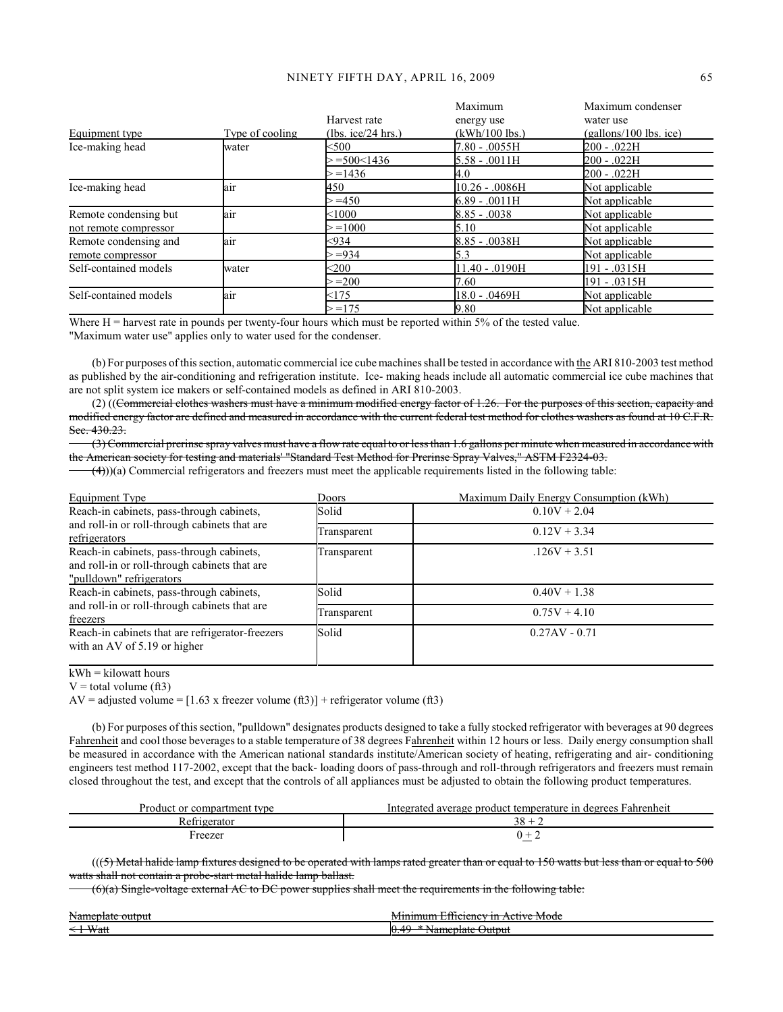### NINETY FIFTH DAY, APRIL 16, 2009 65

|                       |                 |                    | Maximum          | Maximum condenser        |
|-----------------------|-----------------|--------------------|------------------|--------------------------|
|                       |                 | Harvest rate       | energy use       | water use                |
| Equipment type        | Type of cooling | (lbs. ice/24 hrs.) | $(kWh/100$ lbs.) | $(gallons/100$ lbs. ice) |
| Ice-making head       | water           | $500$              | 7.80 - .0055H    | 200 - .022H              |
|                       |                 | $=500<1436$        | $5.58 - .0011H$  | 200 - .022H              |
|                       |                 | $= 1436$           | 4.0              | 200 - .022H              |
| Ice-making head       | air             | 450                | 10.26 - .0086H   | Not applicable           |
|                       |                 | $=450$             | $6.89 - .0011H$  | Not applicable           |
| Remote condensing but | air             | $<$ 1000           | $8.85 - 0.0038$  | Not applicable           |
| not remote compressor |                 | $-1000$            | 5.10             | Not applicable           |
| Remote condensing and | air             | <934               | $8.85 - .0038H$  | Not applicable           |
| remote compressor     |                 | $> = 934$          | 5.3              | Not applicable           |
| Self-contained models | water           | $<$ 200 $\,$       | 11.40 - .0190H   | 191 - .0315H             |
|                       |                 | $=200$             | 7.60             | 191 - .0315H             |
| Self-contained models | air             | < 175              | 18.0 - .0469H    | Not applicable           |
|                       |                 | $=175$             | 9.80             | Not applicable           |

Where H = harvest rate in pounds per twenty-four hours which must be reported within 5% of the tested value. "Maximum water use" applies only to water used for the condenser.

(b) For purposes of this section, automatic commercial ice cube machines shall be tested in accordance with the ARI 810-2003 test method as published by the air-conditioning and refrigeration institute. Ice- making heads include all automatic commercial ice cube machines that are not split system ice makers or self-contained models as defined in ARI 810-2003.

(2) ((Commercial clothes washers must have a minimum modified energy factor of 1.26. For the purposes of this section, capacity and modified energy factor are defined and measured in accordance with the current federal test method for clothes washers as found at 10 C.F.R. Sec. 430.23.

(3) Commercial prerinse spray valves must have a flow rate equal to or lessthan 1.6 gallons per minute when measured in accordance with the American society for testing and materials' "Standard Test Method for Prerinse Spray Valves," ASTM F2324-03.

 $\left(\frac{4}{2}\right)$ )(a) Commercial refrigerators and freezers must meet the applicable requirements listed in the following table:

| Equipment Type                                                                                                         | Doors       | Maximum Daily Energy Consumption (kWh) |
|------------------------------------------------------------------------------------------------------------------------|-------------|----------------------------------------|
| Reach-in cabinets, pass-through cabinets,                                                                              | Solid       | $0.10V + 2.04$                         |
| and roll-in or roll-through cabinets that are<br>refrigerators                                                         | Transparent | $0.12V + 3.34$                         |
| Reach-in cabinets, pass-through cabinets,<br>and roll-in or roll-through cabinets that are<br>"pulldown" refrigerators | Transparent | $.126V + 3.51$                         |
| Reach-in cabinets, pass-through cabinets,                                                                              | Solid       | $0.40V + 1.38$                         |
| and roll-in or roll-through cabinets that are<br>freezers                                                              | Transparent | $0.75V + 4.10$                         |
| Reach-in cabinets that are refrigerator-freezers<br>with an AV of $5.19$ or higher                                     | Solid       | $0.27AV - 0.71$                        |

 $kWh = kilowatt hours$ 

 $V =$  total volume (ft.3)

 $AV = adjusted volume = [1.63 x freezer volume (ft3)] + refrigerator volume (ft3)$ 

(b) For purposes of this section, "pulldown" designates products designed to take a fully stocked refrigerator with beverages at 90 degrees Fahrenheit and cool those beverages to a stable temperature of 38 degrees Fahrenheit within 12 hours or less. Daily energy consumption shall be measured in accordance with the American national standards institute/American society of heating, refrigerating and air- conditioning engineers test method 117-2002, except that the back- loading doors of pass-through and roll-through refrigerators and freezers must remain closed throughout the test, and except that the controls of all appliances must be adjusted to obtain the following product temperatures.

| compartment<br><b>Urc</b><br>type<br>. or<br>roduc' | Fahrenheit<br>temperature in<br>ntegrated.<br>deorees<br>: product<br>average |
|-----------------------------------------------------|-------------------------------------------------------------------------------|
| $\sim$                                              | າດ<br>20                                                                      |
| <b>TPP7PF</b><br>.                                  |                                                                               |

 $((5)$  Metal halide lamp fixtures designed to be operated with lamps rated greater than or equal to 150 watts but less than or equal to 500 watts shall not contain a probe-start metal halide lamp ballast.

 $(6)(a)$  Single-voltage external AC to DC power supplies shall meet the requirements in the following table:

| Mamamlata autuut<br><b>Namebiate</b><br><del>. vuuvut</del> | $\Gamma$ $\alpha$<br>. .<br>Manusawa Litteraturun Motern Made<br>ா<br><del>m Emicigne</del><br>$T$ active<br><u>wmmmun</u><br>$\tau$ ivrous |
|-------------------------------------------------------------|---------------------------------------------------------------------------------------------------------------------------------------------|
| <b>Watt</b>                                                 | Nomenandota Instrume<br><b>Namepiate Output</b><br>. IV. T                                                                                  |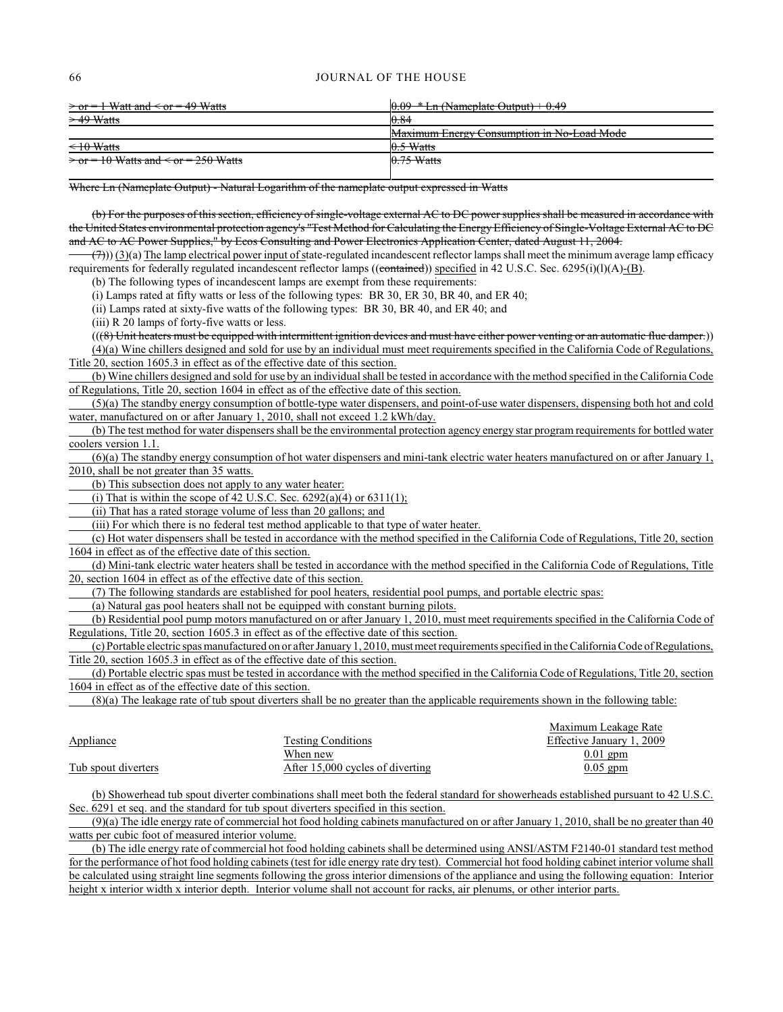# 66 JOURNAL OF THE HOUSE

| $\rightarrow$ or $=$ 1 Watt and $\le$ or $=$ 49 Watts | $0.00 * L_2$ (Momentate Outset) $0.40$<br><del>Lii (iyamcdiate Quibut) + 0.45</del> |
|-------------------------------------------------------|-------------------------------------------------------------------------------------|
| $>49$ Watts                                           | 0.84                                                                                |
|                                                       | <b>Maximum Energy Consumption in No-Load Mode</b>                                   |
| $\leftarrow 10$ Watts                                 | $0.5$ Watts                                                                         |
| $\ge$ or = 10 Watts and $\le$ or = 250 Watts          | $0.75$ Watto<br>0.75 waits                                                          |

#### Where Ln (Nameplate Output) - Natural Logarithm of the nameplate output expressed in Watts

(b) For the purposes of this section, efficiency of single-voltage external AC to DC power supplies shall be measured in accordance with the United States environmental protection agency's "Test Method for Calculating the Energy Efficiency of Single-Voltage External AC to DC and AC to AC Power Supplies," by Ecos Consulting and Power Electronics Application Center, dated August 11, 2004.

 $(7)$ ) (3)(a) The lamp electrical power input of state-regulated incandescent reflector lamps shall meet the minimum average lamp efficacy requirements for federally regulated incandescent reflector lamps ((contained)) specified in 42 U.S.C. Sec. 6295(i)(l)(A)-(B).

(b) The following types of incandescent lamps are exempt from these requirements:

(i) Lamps rated at fifty watts or less of the following types: BR 30, ER 30, BR 40, and ER 40;

(ii) Lamps rated at sixty-five watts of the following types: BR 30, BR 40, and ER 40; and

(iii) R 20 lamps of forty-five watts or less.

 $(((8)$  Unit heaters must be equipped with intermittent ignition devices and must have either power venting or an automatic flue damper.) (4)(a) Wine chillers designed and sold for use by an individual must meet requirements specified in the California Code of Regulations, Title 20, section 1605.3 in effect as of the effective date of this section.

(b) Wine chillers designed and sold for use by an individual shall be tested in accordance with the method specified in the California Code of Regulations, Title 20, section 1604 in effect as of the effective date of this section.

(5)(a) The standby energy consumption of bottle-type water dispensers, and point-of-use water dispensers, dispensing both hot and cold water, manufactured on or after January 1, 2010, shall not exceed 1.2 kWh/day.

(b) The test method for water dispensers shall be the environmental protection agency energy star program requirements for bottled water coolers version 1.1.

(6)(a) The standby energy consumption of hot water dispensers and mini-tank electric water heaters manufactured on or after January 1, 2010, shall be not greater than 35 watts.

(b) This subsection does not apply to any water heater:

(i) That is within the scope of 42 U.S.C. Sec.  $6292(a)(4)$  or  $6311(1)$ ;

(ii) That has a rated storage volume of less than 20 gallons; and

(iii) For which there is no federal test method applicable to that type of water heater.

(c) Hot water dispensers shall be tested in accordance with the method specified in the California Code of Regulations, Title 20, section 1604 in effect as of the effective date of this section.

(d) Mini-tank electric water heaters shall be tested in accordance with the method specified in the California Code of Regulations, Title 20, section 1604 in effect as of the effective date of this section.

(7) The following standards are established for pool heaters, residential pool pumps, and portable electric spas:

(a) Natural gas pool heaters shall not be equipped with constant burning pilots.

(b) Residential pool pump motors manufactured on or after January 1, 2010, must meet requirements specified in the California Code of Regulations, Title 20, section 1605.3 in effect as of the effective date of this section.

(c) Portable electric spas manufactured on or after January 1, 2010, must meet requirements specified in the California Code of Regulations, Title 20, section 1605.3 in effect as of the effective date of this section.

(d) Portable electric spas must be tested in accordance with the method specified in the California Code of Regulations, Title 20, section 1604 in effect as of the effective date of this section.

(8)(a) The leakage rate of tub spout diverters shall be no greater than the applicable requirements shown in the following table:

|                     |                                  | Maximum Leakage Rate      |
|---------------------|----------------------------------|---------------------------|
| Appliance           | <b>Testing Conditions</b>        | Effective January 1, 2009 |
|                     | When new                         | $0.01$ gpm                |
| Tub spout diverters | After 15,000 cycles of diverting | $0.05$ gpm                |

(b) Showerhead tub spout diverter combinations shall meet both the federal standard for showerheads established pursuant to 42 U.S.C. Sec. 6291 et seq. and the standard for tub spout diverters specified in this section.

(9)(a) The idle energy rate of commercial hot food holding cabinets manufactured on or after January 1, 2010, shall be no greater than 40 watts per cubic foot of measured interior volume.

(b) The idle energy rate of commercial hot food holding cabinets shall be determined using ANSI/ASTM F2140-01 standard test method for the performance of hot food holding cabinets (test for idle energy rate dry test). Commercial hot food holding cabinet interior volume shall be calculated using straight line segments following the gross interior dimensions of the appliance and using the following equation: Interior height x interior width x interior depth. Interior volume shall not account for racks, air plenums, or other interior parts.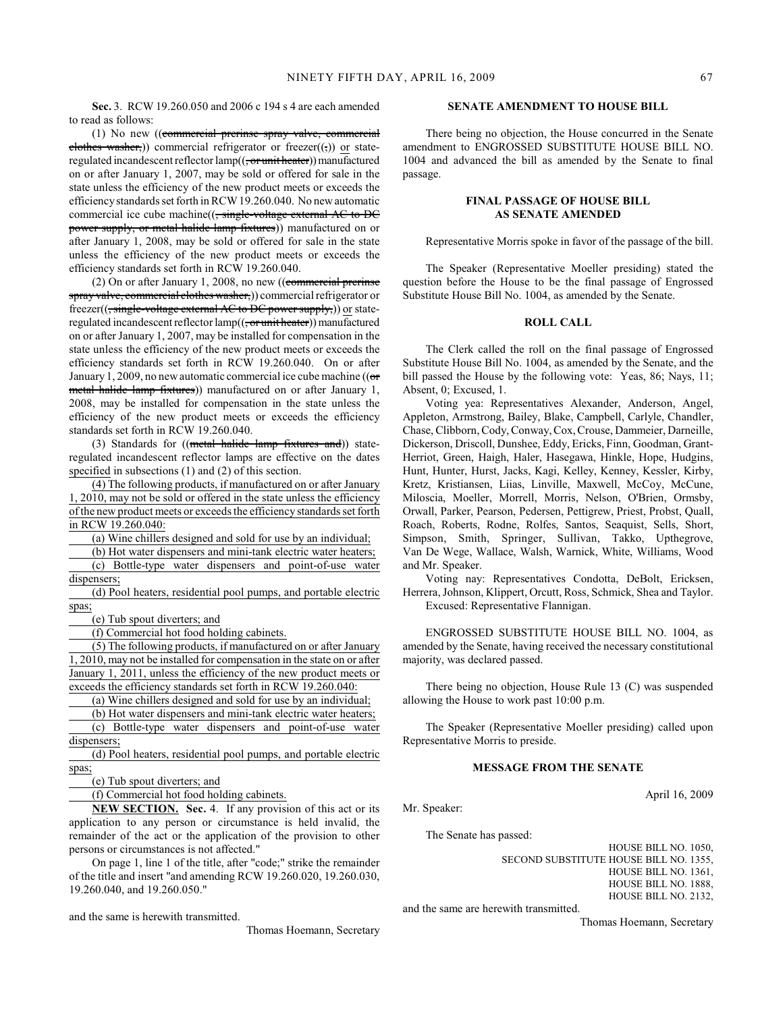**Sec.** 3. RCW 19.260.050 and 2006 c 194 s 4 are each amended to read as follows:

(1) No new ((commercial prerinse spray valve, commercial clothes washer,)) commercial refrigerator or freezer $((,))$  or stateregulated incandescent reflector lamp((, or unit heater)) manufactured on or after January 1, 2007, may be sold or offered for sale in the state unless the efficiency of the new product meets or exceeds the efficiency standards set forth in RCW 19.260.040. No new automatic commercial ice cube machine $((, \frac{single-voltage}{erg}$ external AC to DC power supply, or metal halide lamp fixtures)) manufactured on or after January 1, 2008, may be sold or offered for sale in the state unless the efficiency of the new product meets or exceeds the efficiency standards set forth in RCW 19.260.040.

(2) On or after January 1, 2008, no new ((commercial prerinse spray valve, commercial clothes washer,)) commercial refrigerator or freezer((<del>, single-voltage external AC to DC power supply,</del>)) or stateregulated incandescent reflector  $\text{lamp}((, \text{or unit heater}))$  manufactured on or after January 1, 2007, may be installed for compensation in the state unless the efficiency of the new product meets or exceeds the efficiency standards set forth in RCW 19.260.040. On or after January 1, 2009, no new automatic commercial ice cube machine ( $(\sigma$ metal halide lamp fixtures)) manufactured on or after January 1, 2008, may be installed for compensation in the state unless the efficiency of the new product meets or exceeds the efficiency standards set forth in RCW 19.260.040.

(3) Standards for ((metal halide lamp fixtures and)) stateregulated incandescent reflector lamps are effective on the dates specified in subsections (1) and (2) of this section.

 $\overline{(4)}$  The following products, if manufactured on or after January 1, 2010, may not be sold or offered in the state unless the efficiency of the new product meets or exceeds the efficiency standards set forth in RCW 19.260.040:

(a) Wine chillers designed and sold for use by an individual;

(b) Hot water dispensers and mini-tank electric water heaters;

(c) Bottle-type water dispensers and point-of-use water dispensers;

(d) Pool heaters, residential pool pumps, and portable electric spas;

(e) Tub spout diverters; and

(f) Commercial hot food holding cabinets.

(5) The following products, if manufactured on or after January 1, 2010, may not be installed for compensation in the state on or after January 1, 2011, unless the efficiency of the new product meets or exceeds the efficiency standards set forth in RCW 19.260.040:

(a) Wine chillers designed and sold for use by an individual;

(b) Hot water dispensers and mini-tank electric water heaters;

(c) Bottle-type water dispensers and point-of-use water dispensers;

(d) Pool heaters, residential pool pumps, and portable electric spas;

(e) Tub spout diverters; and

(f) Commercial hot food holding cabinets.

**NEW SECTION. Sec.** 4. If any provision of this act or its application to any person or circumstance is held invalid, the remainder of the act or the application of the provision to other persons or circumstances is not affected."

On page 1, line 1 of the title, after "code;" strike the remainder of the title and insert "and amending RCW 19.260.020, 19.260.030, 19.260.040, and 19.260.050."

and the same is herewith transmitted.

Thomas Hoemann, Secretary

# **SENATE AMENDMENT TO HOUSE BILL**

There being no objection, the House concurred in the Senate amendment to ENGROSSED SUBSTITUTE HOUSE BILL NO. 1004 and advanced the bill as amended by the Senate to final passage.

# **FINAL PASSAGE OF HOUSE BILL AS SENATE AMENDED**

Representative Morris spoke in favor of the passage of the bill.

The Speaker (Representative Moeller presiding) stated the question before the House to be the final passage of Engrossed Substitute House Bill No. 1004, as amended by the Senate.

# **ROLL CALL**

The Clerk called the roll on the final passage of Engrossed Substitute House Bill No. 1004, as amended by the Senate, and the bill passed the House by the following vote: Yeas, 86; Nays, 11; Absent, 0; Excused, 1.

Voting yea: Representatives Alexander, Anderson, Angel, Appleton, Armstrong, Bailey, Blake, Campbell, Carlyle, Chandler, Chase, Clibborn, Cody, Conway, Cox, Crouse, Dammeier, Darneille, Dickerson, Driscoll, Dunshee, Eddy, Ericks, Finn, Goodman, Grant-Herriot, Green, Haigh, Haler, Hasegawa, Hinkle, Hope, Hudgins, Hunt, Hunter, Hurst, Jacks, Kagi, Kelley, Kenney, Kessler, Kirby, Kretz, Kristiansen, Liias, Linville, Maxwell, McCoy, McCune, Miloscia, Moeller, Morrell, Morris, Nelson, O'Brien, Ormsby, Orwall, Parker, Pearson, Pedersen, Pettigrew, Priest, Probst, Quall, Roach, Roberts, Rodne, Rolfes, Santos, Seaquist, Sells, Short, Simpson, Smith, Springer, Sullivan, Takko, Upthegrove, Van De Wege, Wallace, Walsh, Warnick, White, Williams, Wood and Mr. Speaker.

Voting nay: Representatives Condotta, DeBolt, Ericksen, Herrera, Johnson, Klippert, Orcutt, Ross, Schmick, Shea and Taylor. Excused: Representative Flannigan.

ENGROSSED SUBSTITUTE HOUSE BILL NO. 1004, as amended by the Senate, having received the necessary constitutional majority, was declared passed.

There being no objection, House Rule 13 (C) was suspended allowing the House to work past 10:00 p.m.

The Speaker (Representative Moeller presiding) called upon Representative Morris to preside.

# **MESSAGE FROM THE SENATE**

April 16, 2009

Mr. Speaker:

The Senate has passed:

HOUSE BILL NO. 1050, SECOND SUBSTITUTE HOUSE BILL NO. 1355, HOUSE BILL NO. 1361, HOUSE BILL NO. 1888, HOUSE BILL NO. 2132,

and the same are herewith transmitted. Thomas Hoemann, Secretary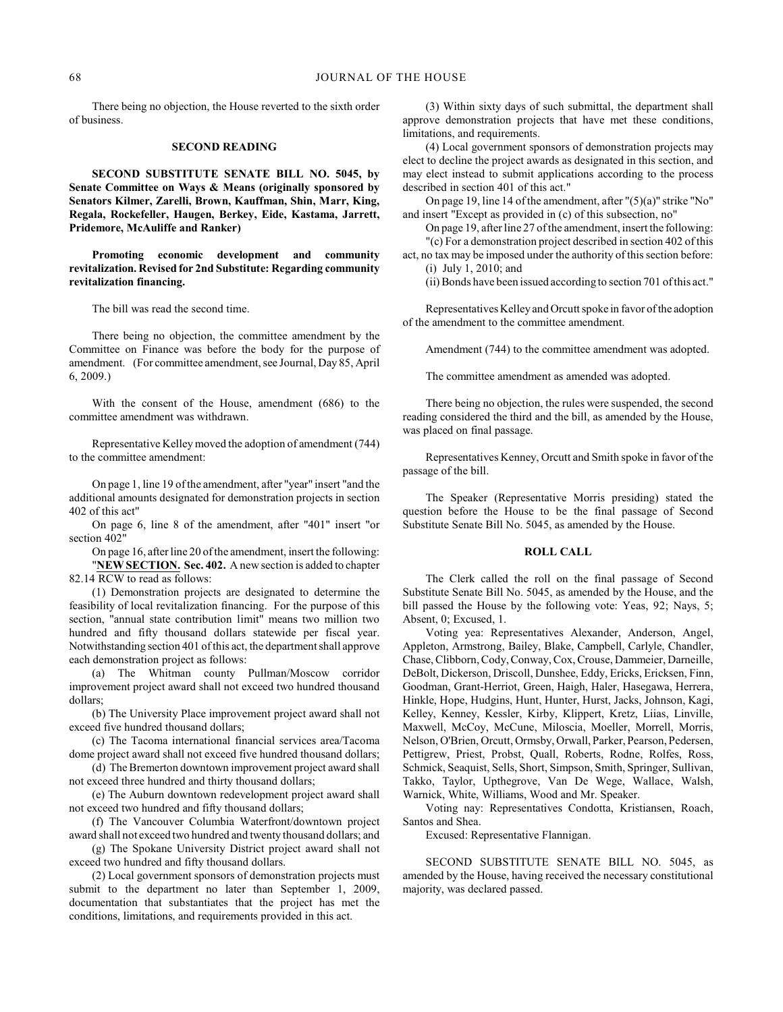There being no objection, the House reverted to the sixth order of business.

### **SECOND READING**

**SECOND SUBSTITUTE SENATE BILL NO. 5045, by Senate Committee on Ways & Means (originally sponsored by Senators Kilmer, Zarelli, Brown, Kauffman, Shin, Marr, King, Regala, Rockefeller, Haugen, Berkey, Eide, Kastama, Jarrett, Pridemore, McAuliffe and Ranker)**

**Promoting economic development and community revitalization. Revised for 2nd Substitute: Regarding community revitalization financing.**

The bill was read the second time.

There being no objection, the committee amendment by the Committee on Finance was before the body for the purpose of amendment. (For committee amendment, see Journal, Day 85, April 6, 2009.)

With the consent of the House, amendment (686) to the committee amendment was withdrawn.

Representative Kelley moved the adoption of amendment (744) to the committee amendment:

On page 1, line 19 of the amendment, after "year" insert "and the additional amounts designated for demonstration projects in section 402 of this act"

On page 6, line 8 of the amendment, after "401" insert "or section 402"

On page 16, after line 20 of the amendment, insert the following: "**NEWSECTION. Sec. 402.** A new section is added to chapter 82.14 RCW to read as follows:

(1) Demonstration projects are designated to determine the feasibility of local revitalization financing. For the purpose of this section, "annual state contribution limit" means two million two hundred and fifty thousand dollars statewide per fiscal year. Notwithstanding section 401 of this act, the department shall approve each demonstration project as follows:

(a) The Whitman county Pullman/Moscow corridor improvement project award shall not exceed two hundred thousand dollars;

(b) The University Place improvement project award shall not exceed five hundred thousand dollars;

(c) The Tacoma international financial services area/Tacoma dome project award shall not exceed five hundred thousand dollars;

(d) The Bremerton downtown improvement project award shall not exceed three hundred and thirty thousand dollars;

(e) The Auburn downtown redevelopment project award shall not exceed two hundred and fifty thousand dollars;

(f) The Vancouver Columbia Waterfront/downtown project award shall not exceed two hundred and twenty thousand dollars; and

(g) The Spokane University District project award shall not exceed two hundred and fifty thousand dollars.

(2) Local government sponsors of demonstration projects must submit to the department no later than September 1, 2009, documentation that substantiates that the project has met the conditions, limitations, and requirements provided in this act.

(3) Within sixty days of such submittal, the department shall approve demonstration projects that have met these conditions, limitations, and requirements.

(4) Local government sponsors of demonstration projects may elect to decline the project awards as designated in this section, and may elect instead to submit applications according to the process described in section 401 of this act."

On page 19, line 14 of the amendment, after "(5)(a)" strike "No" and insert "Except as provided in (c) of this subsection, no"

On page 19, after line 27 of the amendment, insert the following: "(c) For a demonstration project described in section 402 of this

act, no tax may be imposed under the authority of this section before: (i) July 1, 2010; and

(ii) Bonds have been issued according to section 701 of this act."

Representatives Kelley and Orcutt spoke in favor of the adoption of the amendment to the committee amendment.

Amendment (744) to the committee amendment was adopted.

The committee amendment as amended was adopted.

There being no objection, the rules were suspended, the second reading considered the third and the bill, as amended by the House, was placed on final passage.

Representatives Kenney, Orcutt and Smith spoke in favor of the passage of the bill.

The Speaker (Representative Morris presiding) stated the question before the House to be the final passage of Second Substitute Senate Bill No. 5045, as amended by the House.

#### **ROLL CALL**

The Clerk called the roll on the final passage of Second Substitute Senate Bill No. 5045, as amended by the House, and the bill passed the House by the following vote: Yeas, 92; Nays, 5; Absent, 0; Excused, 1.

Voting yea: Representatives Alexander, Anderson, Angel, Appleton, Armstrong, Bailey, Blake, Campbell, Carlyle, Chandler, Chase, Clibborn, Cody, Conway, Cox, Crouse, Dammeier, Darneille, DeBolt, Dickerson, Driscoll, Dunshee, Eddy, Ericks, Ericksen, Finn, Goodman, Grant-Herriot, Green, Haigh, Haler, Hasegawa, Herrera, Hinkle, Hope, Hudgins, Hunt, Hunter, Hurst, Jacks, Johnson, Kagi, Kelley, Kenney, Kessler, Kirby, Klippert, Kretz, Liias, Linville, Maxwell, McCoy, McCune, Miloscia, Moeller, Morrell, Morris, Nelson, O'Brien, Orcutt, Ormsby, Orwall, Parker, Pearson, Pedersen, Pettigrew, Priest, Probst, Quall, Roberts, Rodne, Rolfes, Ross, Schmick, Seaquist, Sells, Short, Simpson, Smith, Springer, Sullivan, Takko, Taylor, Upthegrove, Van De Wege, Wallace, Walsh, Warnick, White, Williams, Wood and Mr. Speaker.

Voting nay: Representatives Condotta, Kristiansen, Roach, Santos and Shea.

Excused: Representative Flannigan.

SECOND SUBSTITUTE SENATE BILL NO. 5045, as amended by the House, having received the necessary constitutional majority, was declared passed.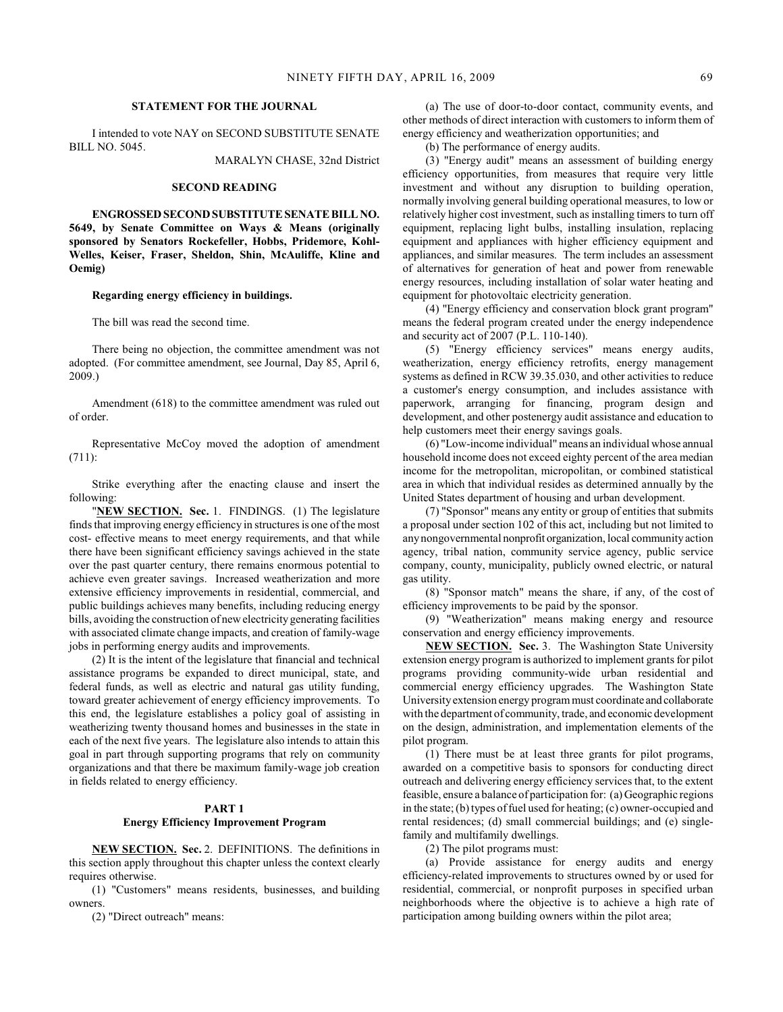# **STATEMENT FOR THE JOURNAL**

I intended to vote NAY on SECOND SUBSTITUTE SENATE BILL NO. 5045.

MARALYN CHASE, 32nd District

# **SECOND READING**

**ENGROSSED SECOND SUBSTITUTE SENATE BILL NO. 5649, by Senate Committee on Ways & Means (originally sponsored by Senators Rockefeller, Hobbs, Pridemore, Kohl-Welles, Keiser, Fraser, Sheldon, Shin, McAuliffe, Kline and Oemig)**

#### **Regarding energy efficiency in buildings.**

The bill was read the second time.

There being no objection, the committee amendment was not adopted. (For committee amendment, see Journal, Day 85, April 6, 2009.)

Amendment (618) to the committee amendment was ruled out of order.

Representative McCoy moved the adoption of amendment (711):

Strike everything after the enacting clause and insert the following:

"**NEW SECTION. Sec.** 1. FINDINGS. (1) The legislature finds that improving energy efficiency in structures is one of the most cost- effective means to meet energy requirements, and that while there have been significant efficiency savings achieved in the state over the past quarter century, there remains enormous potential to achieve even greater savings. Increased weatherization and more extensive efficiency improvements in residential, commercial, and public buildings achieves many benefits, including reducing energy bills, avoiding the construction of newelectricitygenerating facilities with associated climate change impacts, and creation of family-wage jobs in performing energy audits and improvements.

(2) It is the intent of the legislature that financial and technical assistance programs be expanded to direct municipal, state, and federal funds, as well as electric and natural gas utility funding, toward greater achievement of energy efficiency improvements. To this end, the legislature establishes a policy goal of assisting in weatherizing twenty thousand homes and businesses in the state in each of the next five years. The legislature also intends to attain this goal in part through supporting programs that rely on community organizations and that there be maximum family-wage job creation in fields related to energy efficiency.

### **PART 1**

### **Energy Efficiency Improvement Program**

**NEW SECTION. Sec.** 2. DEFINITIONS. The definitions in this section apply throughout this chapter unless the context clearly requires otherwise.

(1) "Customers" means residents, businesses, and building owners.

(2) "Direct outreach" means:

(a) The use of door-to-door contact, community events, and other methods of direct interaction with customers to inform them of energy efficiency and weatherization opportunities; and

(b) The performance of energy audits.

(3) "Energy audit" means an assessment of building energy efficiency opportunities, from measures that require very little investment and without any disruption to building operation, normally involving general building operational measures, to low or relatively higher cost investment, such as installing timers to turn off equipment, replacing light bulbs, installing insulation, replacing equipment and appliances with higher efficiency equipment and appliances, and similar measures. The term includes an assessment of alternatives for generation of heat and power from renewable energy resources, including installation of solar water heating and equipment for photovoltaic electricity generation.

(4) "Energy efficiency and conservation block grant program" means the federal program created under the energy independence and security act of 2007 (P.L. 110-140).

(5) "Energy efficiency services" means energy audits, weatherization, energy efficiency retrofits, energy management systems as defined in RCW 39.35.030, and other activities to reduce a customer's energy consumption, and includes assistance with paperwork, arranging for financing, program design and development, and other postenergy audit assistance and education to help customers meet their energy savings goals.

(6) "Low-income individual" means an individual whose annual household income does not exceed eighty percent of the area median income for the metropolitan, micropolitan, or combined statistical area in which that individual resides as determined annually by the United States department of housing and urban development.

(7) "Sponsor" means any entity or group of entities that submits a proposal under section 102 of this act, including but not limited to any nongovernmental nonprofit organization, local community action agency, tribal nation, community service agency, public service company, county, municipality, publicly owned electric, or natural gas utility.

(8) "Sponsor match" means the share, if any, of the cost of efficiency improvements to be paid by the sponsor.

(9) "Weatherization" means making energy and resource conservation and energy efficiency improvements.

**NEW SECTION. Sec.** 3. The Washington State University extension energy program is authorized to implement grants for pilot programs providing community-wide urban residential and commercial energy efficiency upgrades. The Washington State University extension energy program must coordinate and collaborate with the department of community, trade, and economic development on the design, administration, and implementation elements of the pilot program.

(1) There must be at least three grants for pilot programs, awarded on a competitive basis to sponsors for conducting direct outreach and delivering energy efficiency services that, to the extent feasible, ensure a balance of participation for: (a) Geographic regions in the state; (b) types of fuel used for heating; (c) owner-occupied and rental residences; (d) small commercial buildings; and (e) singlefamily and multifamily dwellings.

(2) The pilot programs must:

(a) Provide assistance for energy audits and energy efficiency-related improvements to structures owned by or used for residential, commercial, or nonprofit purposes in specified urban neighborhoods where the objective is to achieve a high rate of participation among building owners within the pilot area;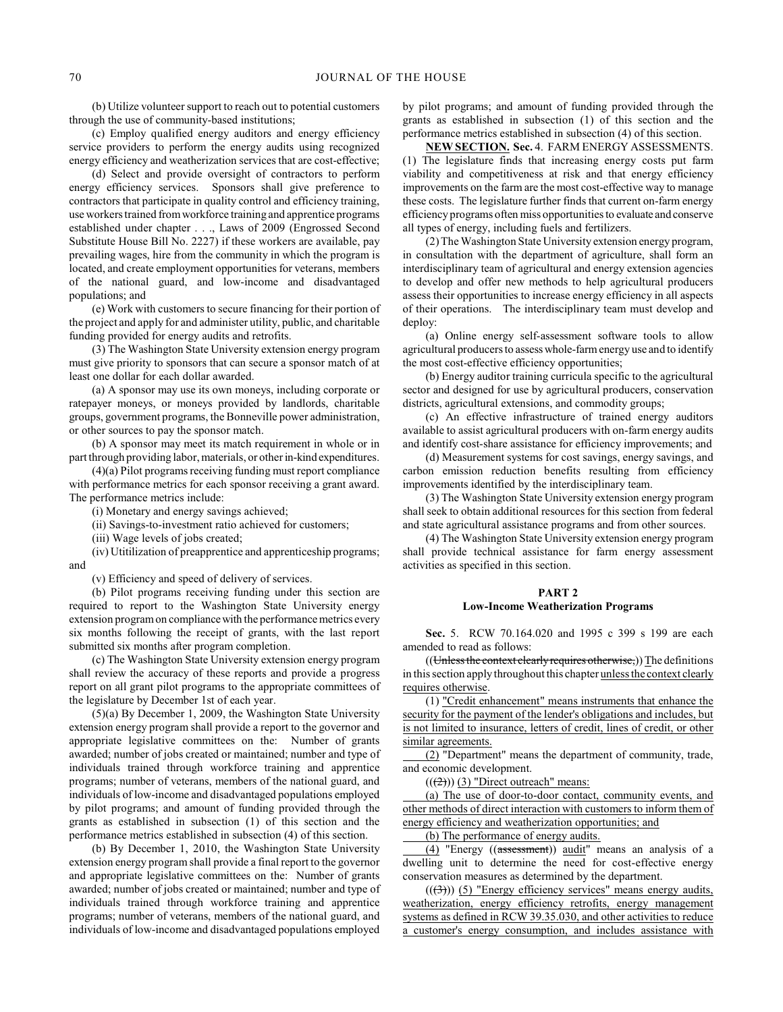(b) Utilize volunteer support to reach out to potential customers through the use of community-based institutions;

(c) Employ qualified energy auditors and energy efficiency service providers to perform the energy audits using recognized energy efficiency and weatherization services that are cost-effective;

(d) Select and provide oversight of contractors to perform energy efficiency services. Sponsors shall give preference to contractors that participate in quality control and efficiency training, use workers trained from workforce training and apprentice programs established under chapter . . ., Laws of 2009 (Engrossed Second Substitute House Bill No. 2227) if these workers are available, pay prevailing wages, hire from the community in which the program is located, and create employment opportunities for veterans, members of the national guard, and low-income and disadvantaged populations; and

(e) Work with customers to secure financing for their portion of the project and apply for and administer utility, public, and charitable funding provided for energy audits and retrofits.

(3) The Washington State University extension energy program must give priority to sponsors that can secure a sponsor match of at least one dollar for each dollar awarded.

(a) A sponsor may use its own moneys, including corporate or ratepayer moneys, or moneys provided by landlords, charitable groups, government programs, the Bonneville power administration, or other sources to pay the sponsor match.

(b) A sponsor may meet its match requirement in whole or in part through providing labor, materials, or other in-kind expenditures.

(4)(a) Pilot programs receiving funding must report compliance with performance metrics for each sponsor receiving a grant award. The performance metrics include:

(i) Monetary and energy savings achieved;

(ii) Savings-to-investment ratio achieved for customers;

(iii) Wage levels of jobs created;

(iv) Utitilization of preapprentice and apprenticeship programs; and

(v) Efficiency and speed of delivery of services.

(b) Pilot programs receiving funding under this section are required to report to the Washington State University energy extension program on compliance with the performance metrics every six months following the receipt of grants, with the last report submitted six months after program completion.

(c) The Washington State University extension energy program shall review the accuracy of these reports and provide a progress report on all grant pilot programs to the appropriate committees of the legislature by December 1st of each year.

(5)(a) By December 1, 2009, the Washington State University extension energy program shall provide a report to the governor and appropriate legislative committees on the: Number of grants awarded; number of jobs created or maintained; number and type of individuals trained through workforce training and apprentice programs; number of veterans, members of the national guard, and individuals of low-income and disadvantaged populations employed by pilot programs; and amount of funding provided through the grants as established in subsection (1) of this section and the performance metrics established in subsection (4) of this section.

(b) By December 1, 2010, the Washington State University extension energy program shall provide a final report to the governor and appropriate legislative committees on the: Number of grants awarded; number of jobs created or maintained; number and type of individuals trained through workforce training and apprentice programs; number of veterans, members of the national guard, and individuals of low-income and disadvantaged populations employed by pilot programs; and amount of funding provided through the grants as established in subsection (1) of this section and the performance metrics established in subsection (4) of this section.

**NEW SECTION. Sec.** 4. FARM ENERGY ASSESSMENTS. (1) The legislature finds that increasing energy costs put farm viability and competitiveness at risk and that energy efficiency improvements on the farm are the most cost-effective way to manage these costs. The legislature further finds that current on-farm energy efficiency programs often miss opportunities to evaluate and conserve all types of energy, including fuels and fertilizers.

(2) The Washington State University extension energy program, in consultation with the department of agriculture, shall form an interdisciplinary team of agricultural and energy extension agencies to develop and offer new methods to help agricultural producers assess their opportunities to increase energy efficiency in all aspects of their operations. The interdisciplinary team must develop and deploy:

(a) Online energy self-assessment software tools to allow agricultural producers to assess whole-farm energy use and to identify the most cost-effective efficiency opportunities;

(b) Energy auditor training curricula specific to the agricultural sector and designed for use by agricultural producers, conservation districts, agricultural extensions, and commodity groups;

(c) An effective infrastructure of trained energy auditors available to assist agricultural producers with on-farm energy audits and identify cost-share assistance for efficiency improvements; and

(d) Measurement systems for cost savings, energy savings, and carbon emission reduction benefits resulting from efficiency improvements identified by the interdisciplinary team.

(3) The Washington State University extension energy program shall seek to obtain additional resources for this section from federal and state agricultural assistance programs and from other sources.

(4) The Washington State University extension energy program shall provide technical assistance for farm energy assessment activities as specified in this section.

## **PART 2 Low-Income Weatherization Programs**

**Sec.** 5. RCW 70.164.020 and 1995 c 399 s 199 are each amended to read as follows:

 $((\theta)$  less the context clearly requires otherwise,)) The definitions in this section apply throughout this chapter unless the context clearly requires otherwise.

(1) "Credit enhancement" means instruments that enhance the security for the payment of the lender's obligations and includes, but is not limited to insurance, letters of credit, lines of credit, or other similar agreements.

(2) "Department" means the department of community, trade, and economic development.

 $((\overline{(2)}))$  (3) "Direct outreach" means:

(a) The use of door-to-door contact, community events, and other methods of direct interaction with customers to inform them of energy efficiency and weatherization opportunities; and

(b) The performance of energy audits.

(4) "Energy ((assessment)) audit" means an analysis of a dwelling unit to determine the need for cost-effective energy conservation measures as determined by the department.

 $((\rightarrow{(\rightarrow)}))$  (5) "Energy efficiency services" means energy audits, weatherization, energy efficiency retrofits, energy management systems as defined in RCW 39.35.030, and other activities to reduce a customer's energy consumption, and includes assistance with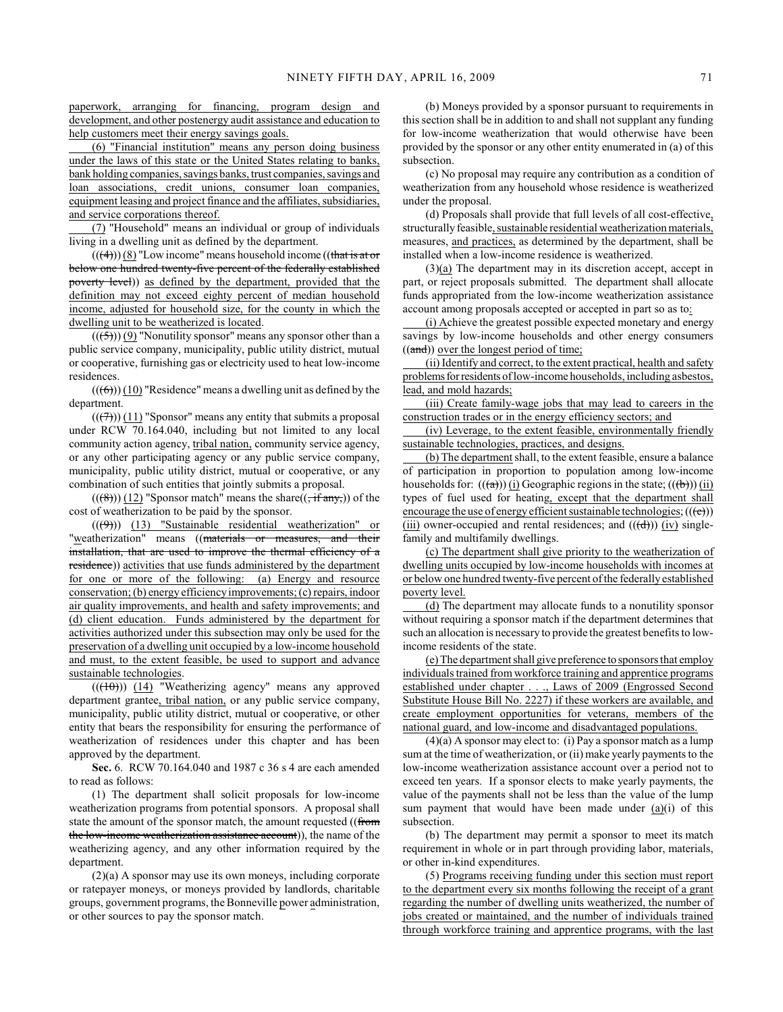paperwork, arranging for financing, program design and development, and other postenergy audit assistance and education to help customers meet their energy savings goals.

(6) "Financial institution" means any person doing business under the laws of this state or the United States relating to banks, bank holding companies, savings banks, trust companies, savings and loan associations, credit unions, consumer loan companies, equipment leasing and project finance and the affiliates, subsidiaries, and service corporations thereof.

(7) "Household" means an individual or group of individuals living in a dwelling unit as defined by the department.

 $((\left(4\right)))$  (8) "Low income" means household income ((that is at or below one hundred twenty-five percent of the federally established poverty level)) as defined by the department, provided that the definition may not exceed eighty percent of median household income, adjusted for household size, for the county in which the dwelling unit to be weatherized is located.

 $((\left(\frac{5}{2}\right))$  (9) "Nonutility sponsor" means any sponsor other than a public service company, municipality, public utility district, mutual or cooperative, furnishing gas or electricity used to heat low-income residences.

 $((\left(\frac{\Theta}{\Theta}\right))(10)$  "Residence" means a dwelling unit as defined by the department.

 $((\overline{(\tau)}))$  (11) "Sponsor" means any entity that submits a proposal under RCW 70.164.040, including but not limited to any local community action agency, tribal nation, community service agency, or any other participating agency or any public service company, municipality, public utility district, mutual or cooperative, or any combination of such entities that jointly submits a proposal.

 $(((8))$  (12) "Sponsor match" means the share $((, \text{if any}))$  of the cost of weatherization to be paid by the sponsor.

 $((\rightarrow))$  (13) "Sustainable residential weatherization" or "weatherization" means ((materials or measures, and their installation, that are used to improve the thermal efficiency of a residence)) activities that use funds administered by the department for one or more of the following: (a) Energy and resource conservation; (b) energy efficiencyimprovements;(c) repairs, indoor air quality improvements, and health and safety improvements; and (d) client education. Funds administered by the department for activities authorized under this subsection may only be used for the preservation of a dwelling unit occupied by a low-income household and must, to the extent feasible, be used to support and advance sustainable technologies.

 $((\text{(10)}))$  (14) "Weatherizing agency" means any approved department grantee, tribal nation, or any public service company, municipality, public utility district, mutual or cooperative, or other entity that bears the responsibility for ensuring the performance of weatherization of residences under this chapter and has been approved by the department.

**Sec.** 6. RCW 70.164.040 and 1987 c 36 s 4 are each amended to read as follows:

(1) The department shall solicit proposals for low-income weatherization programs from potential sponsors. A proposal shall state the amount of the sponsor match, the amount requested ((from the low-income weatherization assistance account)), the name of the weatherizing agency, and any other information required by the department.

(2)(a) A sponsor may use its own moneys, including corporate or ratepayer moneys, or moneys provided by landlords, charitable groups, government programs, the Bonneville power administration, or other sources to pay the sponsor match.

(b) Moneys provided by a sponsor pursuant to requirements in this section shall be in addition to and shall not supplant any funding for low-income weatherization that would otherwise have been provided by the sponsor or any other entity enumerated in (a) of this subsection.

(c) No proposal may require any contribution as a condition of weatherization from any household whose residence is weatherized under the proposal.

(d) Proposals shall provide that full levels of all cost-effective, structurally feasible, sustainable residential weatherization materials, measures, and practices, as determined by the department, shall be installed when a low-income residence is weatherized.

(3)(a) The department may in its discretion accept, accept in part, or reject proposals submitted. The department shall allocate funds appropriated from the low-income weatherization assistance account among proposals accepted or accepted in part so as to:

(i) Achieve the greatest possible expected monetary and energy savings by low-income households and other energy consumers  $((and))$  over the longest period of time;

(ii) Identify and correct, to the extent practical, health and safety problems for residents of low-income households, including asbestos, lead, and mold hazards;

(iii) Create family-wage jobs that may lead to careers in the construction trades or in the energy efficiency sectors; and

(iv) Leverage, to the extent feasible, environmentally friendly sustainable technologies, practices, and designs.

(b) The department shall, to the extent feasible, ensure a balance of participation in proportion to population among low-income households for:  $((\overline{a}))$  (i) Geographic regions in the state;  $((\overline{b}))$  (ii) types of fuel used for heating, except that the department shall encourage the use of energy efficient sustainable technologies;  $((\epsilon))$ (iii) owner-occupied and rental residences; and  $((\text{d}))$  (iv) singlefamily and multifamily dwellings.

(c) The department shall give priority to the weatherization of dwelling units occupied by low-income households with incomes at or below one hundred twenty-five percent of the federally established poverty level.

(d) The department may allocate funds to a nonutility sponsor without requiring a sponsor match if the department determines that such an allocation is necessary to provide the greatest benefits to lowincome residents of the state.

(e) The department shall give preference to sponsors that employ individuals trained from workforce training and apprentice programs established under chapter . . ., Laws of 2009 (Engrossed Second Substitute House Bill No. 2227) if these workers are available, and create employment opportunities for veterans, members of the national guard, and low-income and disadvantaged populations.

(4)(a) A sponsor may elect to: (i) Pay a sponsor match as a lump sum at the time of weatherization, or (ii) make yearly payments to the low-income weatherization assistance account over a period not to exceed ten years. If a sponsor elects to make yearly payments, the value of the payments shall not be less than the value of the lump sum payment that would have been made under  $(a)(i)$  of this subsection.

(b) The department may permit a sponsor to meet its match requirement in whole or in part through providing labor, materials, or other in-kind expenditures.

(5) Programs receiving funding under this section must report to the department every six months following the receipt of a grant regarding the number of dwelling units weatherized, the number of jobs created or maintained, and the number of individuals trained through workforce training and apprentice programs, with the last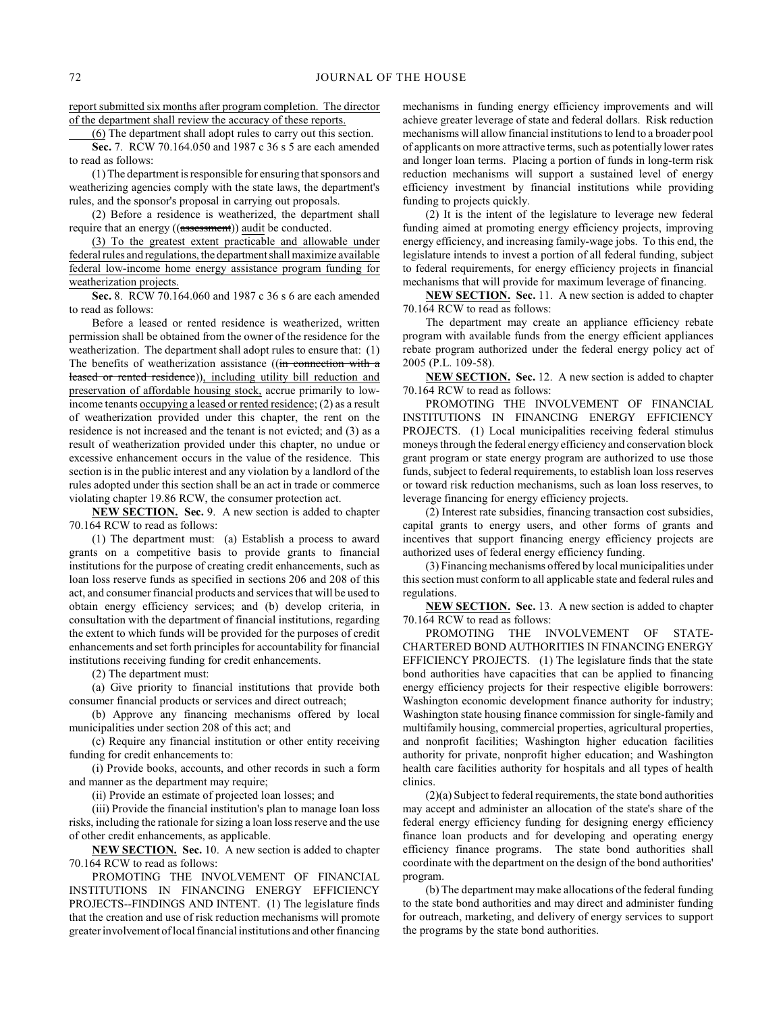### report submitted six months after program completion. The director of the department shall review the accuracy of these reports.

(6) The department shall adopt rules to carry out this section.

**Sec.** 7. RCW 70.164.050 and 1987 c 36 s 5 are each amended to read as follows:

(1) The department is responsible for ensuring that sponsors and weatherizing agencies comply with the state laws, the department's rules, and the sponsor's proposal in carrying out proposals.

(2) Before a residence is weatherized, the department shall require that an energy ((assessment)) audit be conducted.

(3) To the greatest extent practicable and allowable under federal rules and regulations, the department shall maximize available federal low-income home energy assistance program funding for weatherization projects.

**Sec.** 8. RCW 70.164.060 and 1987 c 36 s 6 are each amended to read as follows:

Before a leased or rented residence is weatherized, written permission shall be obtained from the owner of the residence for the weatherization. The department shall adopt rules to ensure that: (1) The benefits of weatherization assistance ( $(m$  connection with a leased or rented residence)), including utility bill reduction and preservation of affordable housing stock, accrue primarily to lowincome tenants occupying a leased or rented residence; (2) as a result of weatherization provided under this chapter, the rent on the residence is not increased and the tenant is not evicted; and (3) as a result of weatherization provided under this chapter, no undue or excessive enhancement occurs in the value of the residence. This section is in the public interest and any violation by a landlord of the rules adopted under this section shall be an act in trade or commerce violating chapter 19.86 RCW, the consumer protection act.

**NEW SECTION. Sec.** 9. A new section is added to chapter 70.164 RCW to read as follows:

(1) The department must: (a) Establish a process to award grants on a competitive basis to provide grants to financial institutions for the purpose of creating credit enhancements, such as loan loss reserve funds as specified in sections 206 and 208 of this act, and consumer financial products and services that will be used to obtain energy efficiency services; and (b) develop criteria, in consultation with the department of financial institutions, regarding the extent to which funds will be provided for the purposes of credit enhancements and set forth principles for accountability for financial institutions receiving funding for credit enhancements.

(2) The department must:

(a) Give priority to financial institutions that provide both consumer financial products or services and direct outreach;

(b) Approve any financing mechanisms offered by local municipalities under section 208 of this act; and

(c) Require any financial institution or other entity receiving funding for credit enhancements to:

(i) Provide books, accounts, and other records in such a form and manner as the department may require;

(ii) Provide an estimate of projected loan losses; and

(iii) Provide the financial institution's plan to manage loan loss risks, including the rationale for sizing a loan loss reserve and the use of other credit enhancements, as applicable.

**NEW SECTION. Sec.** 10. A new section is added to chapter 70.164 RCW to read as follows:

PROMOTING THE INVOLVEMENT OF FINANCIAL INSTITUTIONS IN FINANCING ENERGY EFFICIENCY PROJECTS--FINDINGS AND INTENT. (1) The legislature finds that the creation and use of risk reduction mechanisms will promote greaterinvolvement oflocalfinancialinstitutions and other financing mechanisms in funding energy efficiency improvements and will achieve greater leverage of state and federal dollars. Risk reduction mechanisms will allow financial institutions to lend to a broader pool of applicants on more attractive terms, such as potentially lower rates and longer loan terms. Placing a portion of funds in long-term risk reduction mechanisms will support a sustained level of energy efficiency investment by financial institutions while providing funding to projects quickly.

(2) It is the intent of the legislature to leverage new federal funding aimed at promoting energy efficiency projects, improving energy efficiency, and increasing family-wage jobs. To this end, the legislature intends to invest a portion of all federal funding, subject to federal requirements, for energy efficiency projects in financial mechanisms that will provide for maximum leverage of financing.

**NEW SECTION. Sec.** 11. A new section is added to chapter 70.164 RCW to read as follows:

The department may create an appliance efficiency rebate program with available funds from the energy efficient appliances rebate program authorized under the federal energy policy act of 2005 (P.L. 109-58).

**NEW SECTION. Sec.** 12. A new section is added to chapter 70.164 RCW to read as follows:

PROMOTING THE INVOLVEMENT OF FINANCIAL INSTITUTIONS IN FINANCING ENERGY EFFICIENCY PROJECTS. (1) Local municipalities receiving federal stimulus moneys through the federal energy efficiency and conservation block grant program or state energy program are authorized to use those funds, subject to federal requirements, to establish loan loss reserves or toward risk reduction mechanisms, such as loan loss reserves, to leverage financing for energy efficiency projects.

(2) Interest rate subsidies, financing transaction cost subsidies, capital grants to energy users, and other forms of grants and incentives that support financing energy efficiency projects are authorized uses of federal energy efficiency funding.

(3) Financing mechanisms offered by local municipalities under this section must conform to all applicable state and federal rules and regulations.

**NEW SECTION. Sec.** 13. A new section is added to chapter 70.164 RCW to read as follows:

PROMOTING THE INVOLVEMENT OF STATE-CHARTERED BOND AUTHORITIES IN FINANCING ENERGY EFFICIENCY PROJECTS. (1) The legislature finds that the state bond authorities have capacities that can be applied to financing energy efficiency projects for their respective eligible borrowers: Washington economic development finance authority for industry; Washington state housing finance commission for single-family and multifamily housing, commercial properties, agricultural properties, and nonprofit facilities; Washington higher education facilities authority for private, nonprofit higher education; and Washington health care facilities authority for hospitals and all types of health clinics.

(2)(a) Subject to federal requirements, the state bond authorities may accept and administer an allocation of the state's share of the federal energy efficiency funding for designing energy efficiency finance loan products and for developing and operating energy efficiency finance programs. The state bond authorities shall coordinate with the department on the design of the bond authorities' program.

(b) The department may make allocations of the federal funding to the state bond authorities and may direct and administer funding for outreach, marketing, and delivery of energy services to support the programs by the state bond authorities.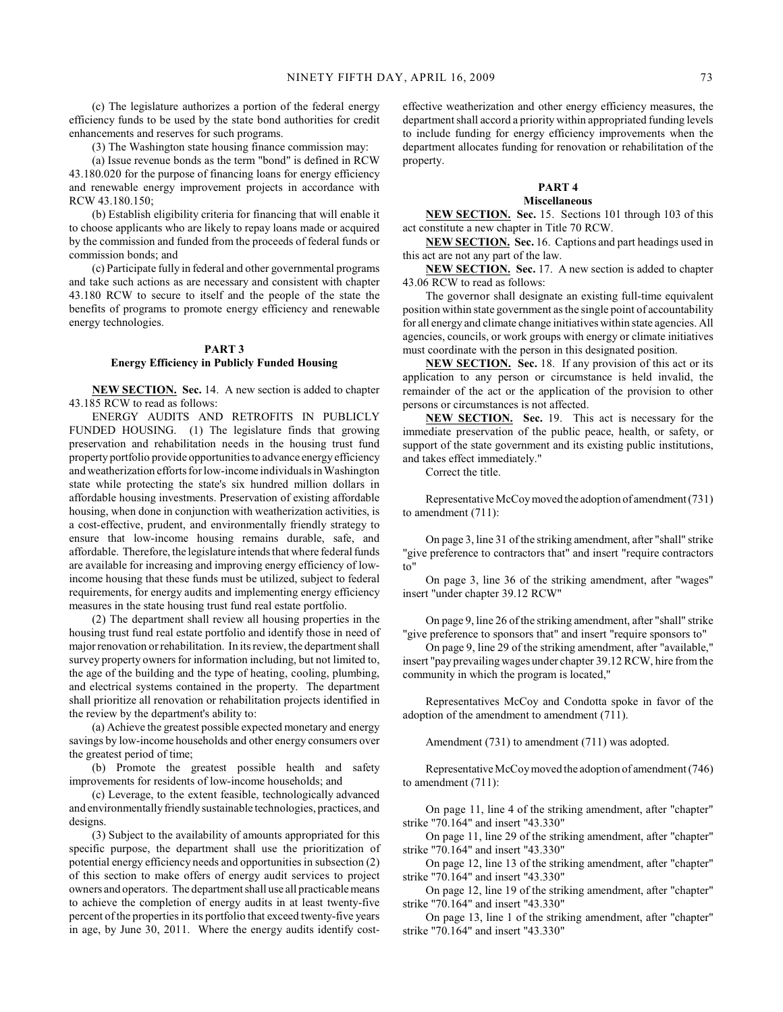(c) The legislature authorizes a portion of the federal energy efficiency funds to be used by the state bond authorities for credit enhancements and reserves for such programs.

(3) The Washington state housing finance commission may:

(a) Issue revenue bonds as the term "bond" is defined in RCW 43.180.020 for the purpose of financing loans for energy efficiency and renewable energy improvement projects in accordance with RCW 43.180.150;

(b) Establish eligibility criteria for financing that will enable it to choose applicants who are likely to repay loans made or acquired by the commission and funded from the proceeds of federal funds or commission bonds; and

(c) Participate fully in federal and other governmental programs and take such actions as are necessary and consistent with chapter 43.180 RCW to secure to itself and the people of the state the benefits of programs to promote energy efficiency and renewable energy technologies.

#### **PART 3**

#### **Energy Efficiency in Publicly Funded Housing**

**NEW SECTION. Sec.** 14. A new section is added to chapter 43.185 RCW to read as follows:

ENERGY AUDITS AND RETROFITS IN PUBLICLY FUNDED HOUSING. (1) The legislature finds that growing preservation and rehabilitation needs in the housing trust fund property portfolio provide opportunities to advance energy efficiency and weatherization efforts for low-income individuals in Washington state while protecting the state's six hundred million dollars in affordable housing investments. Preservation of existing affordable housing, when done in conjunction with weatherization activities, is a cost-effective, prudent, and environmentally friendly strategy to ensure that low-income housing remains durable, safe, and affordable. Therefore, the legislature intends that where federal funds are available for increasing and improving energy efficiency of lowincome housing that these funds must be utilized, subject to federal requirements, for energy audits and implementing energy efficiency measures in the state housing trust fund real estate portfolio.

(2) The department shall review all housing properties in the housing trust fund real estate portfolio and identify those in need of major renovation or rehabilitation. In its review, the department shall survey property owners for information including, but not limited to, the age of the building and the type of heating, cooling, plumbing, and electrical systems contained in the property. The department shall prioritize all renovation or rehabilitation projects identified in the review by the department's ability to:

(a) Achieve the greatest possible expected monetary and energy savings by low-income households and other energy consumers over the greatest period of time;

(b) Promote the greatest possible health and safety improvements for residents of low-income households; and

(c) Leverage, to the extent feasible, technologically advanced and environmentally friendly sustainable technologies, practices, and designs.

(3) Subject to the availability of amounts appropriated for this specific purpose, the department shall use the prioritization of potential energy efficiency needs and opportunities in subsection (2) of this section to make offers of energy audit services to project owners and operators. The department shall use all practicable means to achieve the completion of energy audits in at least twenty-five percent ofthe properties in its portfolio that exceed twenty-five years in age, by June 30, 2011. Where the energy audits identify costeffective weatherization and other energy efficiency measures, the department shall accord a priority within appropriated funding levels to include funding for energy efficiency improvements when the department allocates funding for renovation or rehabilitation of the property.

# **PART 4**

## **Miscellaneous**

**NEW SECTION. Sec.** 15. Sections 101 through 103 of this act constitute a new chapter in Title 70 RCW.

**NEW SECTION. Sec.** 16. Captions and part headings used in this act are not any part of the law.

**NEW SECTION. Sec.** 17. A new section is added to chapter 43.06 RCW to read as follows:

The governor shall designate an existing full-time equivalent position within state government as the single point of accountability for all energy and climate change initiatives within state agencies. All agencies, councils, or work groups with energy or climate initiatives must coordinate with the person in this designated position.

**NEW SECTION. Sec.** 18. If any provision of this act or its application to any person or circumstance is held invalid, the remainder of the act or the application of the provision to other persons or circumstances is not affected.

**NEW SECTION. Sec.** 19. This act is necessary for the immediate preservation of the public peace, health, or safety, or support of the state government and its existing public institutions, and takes effect immediately."

Correct the title.

Representative McCoy moved the adoption of amendment (731) to amendment (711):

On page 3, line 31 of the striking amendment, after "shall" strike "give preference to contractors that" and insert "require contractors to"

On page 3, line 36 of the striking amendment, after "wages" insert "under chapter 39.12 RCW"

On page 9, line 26 of the striking amendment, after "shall" strike "give preference to sponsors that" and insert "require sponsors to"

On page 9, line 29 of the striking amendment, after "available," insert "pay prevailing wages under chapter 39.12 RCW, hire from the community in which the program is located,"

Representatives McCoy and Condotta spoke in favor of the adoption of the amendment to amendment (711).

Amendment (731) to amendment (711) was adopted.

Representative McCoy moved the adoption of amendment (746) to amendment (711):

On page 11, line 4 of the striking amendment, after "chapter" strike "70.164" and insert "43.330"

On page 11, line 29 of the striking amendment, after "chapter" strike "70.164" and insert "43.330"

On page 12, line 13 of the striking amendment, after "chapter" strike "70.164" and insert "43.330"

On page 12, line 19 of the striking amendment, after "chapter" strike "70.164" and insert "43.330"

On page 13, line 1 of the striking amendment, after "chapter" strike "70.164" and insert "43.330"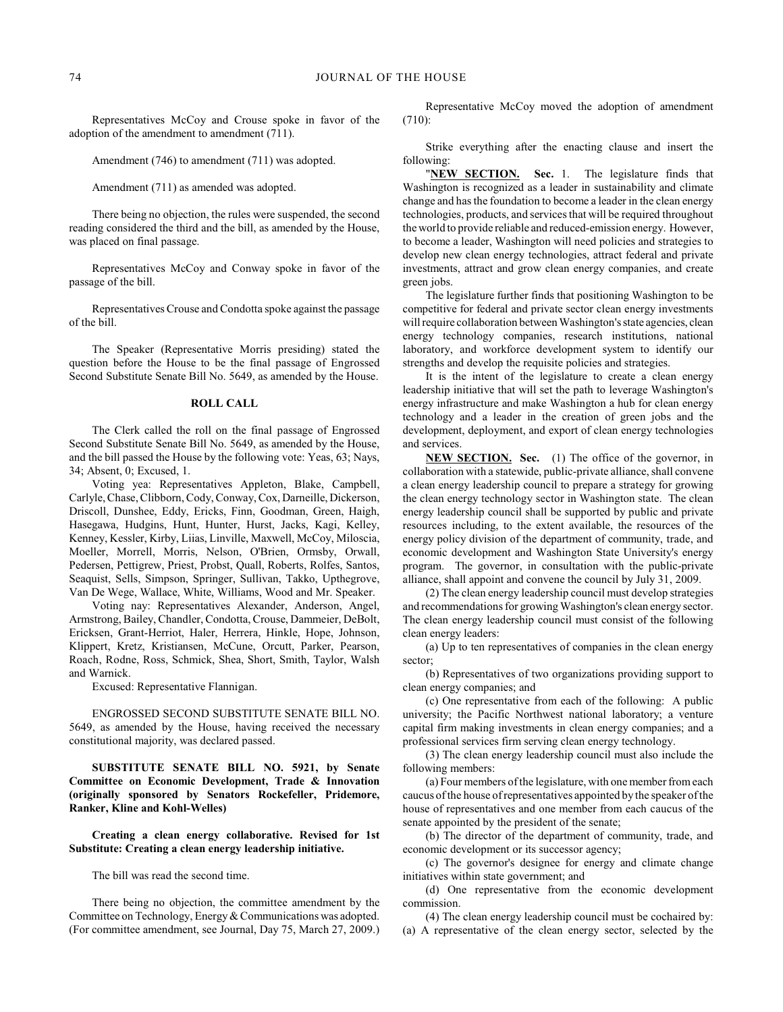Representatives McCoy and Crouse spoke in favor of the adoption of the amendment to amendment (711).

Amendment (746) to amendment (711) was adopted.

Amendment (711) as amended was adopted.

There being no objection, the rules were suspended, the second reading considered the third and the bill, as amended by the House, was placed on final passage.

Representatives McCoy and Conway spoke in favor of the passage of the bill.

Representatives Crouse and Condotta spoke against the passage of the bill.

The Speaker (Representative Morris presiding) stated the question before the House to be the final passage of Engrossed Second Substitute Senate Bill No. 5649, as amended by the House.

#### **ROLL CALL**

The Clerk called the roll on the final passage of Engrossed Second Substitute Senate Bill No. 5649, as amended by the House, and the bill passed the House by the following vote: Yeas, 63; Nays, 34; Absent, 0; Excused, 1.

Voting yea: Representatives Appleton, Blake, Campbell, Carlyle, Chase, Clibborn, Cody, Conway, Cox, Darneille, Dickerson, Driscoll, Dunshee, Eddy, Ericks, Finn, Goodman, Green, Haigh, Hasegawa, Hudgins, Hunt, Hunter, Hurst, Jacks, Kagi, Kelley, Kenney, Kessler, Kirby, Liias, Linville, Maxwell, McCoy, Miloscia, Moeller, Morrell, Morris, Nelson, O'Brien, Ormsby, Orwall, Pedersen, Pettigrew, Priest, Probst, Quall, Roberts, Rolfes, Santos, Seaquist, Sells, Simpson, Springer, Sullivan, Takko, Upthegrove, Van De Wege, Wallace, White, Williams, Wood and Mr. Speaker.

Voting nay: Representatives Alexander, Anderson, Angel, Armstrong, Bailey, Chandler, Condotta, Crouse, Dammeier, DeBolt, Ericksen, Grant-Herriot, Haler, Herrera, Hinkle, Hope, Johnson, Klippert, Kretz, Kristiansen, McCune, Orcutt, Parker, Pearson, Roach, Rodne, Ross, Schmick, Shea, Short, Smith, Taylor, Walsh and Warnick.

Excused: Representative Flannigan.

ENGROSSED SECOND SUBSTITUTE SENATE BILL NO. 5649, as amended by the House, having received the necessary constitutional majority, was declared passed.

**SUBSTITUTE SENATE BILL NO. 5921, by Senate Committee on Economic Development, Trade & Innovation (originally sponsored by Senators Rockefeller, Pridemore, Ranker, Kline and Kohl-Welles)**

**Creating a clean energy collaborative. Revised for 1st Substitute: Creating a clean energy leadership initiative.**

The bill was read the second time.

There being no objection, the committee amendment by the Committee on Technology, Energy & Communications was adopted. (For committee amendment, see Journal, Day 75, March 27, 2009.)

Representative McCoy moved the adoption of amendment (710):

Strike everything after the enacting clause and insert the following:

"**NEW SECTION. Sec.** 1. The legislature finds that Washington is recognized as a leader in sustainability and climate change and has the foundation to become a leader in the clean energy technologies, products, and servicesthat will be required throughout the world to provide reliable and reduced-emission energy. However, to become a leader, Washington will need policies and strategies to develop new clean energy technologies, attract federal and private investments, attract and grow clean energy companies, and create green jobs.

The legislature further finds that positioning Washington to be competitive for federal and private sector clean energy investments will require collaboration between Washington's state agencies, clean energy technology companies, research institutions, national laboratory, and workforce development system to identify our strengths and develop the requisite policies and strategies.

It is the intent of the legislature to create a clean energy leadership initiative that will set the path to leverage Washington's energy infrastructure and make Washington a hub for clean energy technology and a leader in the creation of green jobs and the development, deployment, and export of clean energy technologies and services.

**NEW SECTION. Sec.** (1) The office of the governor, in collaboration with a statewide, public-private alliance, shall convene a clean energy leadership council to prepare a strategy for growing the clean energy technology sector in Washington state. The clean energy leadership council shall be supported by public and private resources including, to the extent available, the resources of the energy policy division of the department of community, trade, and economic development and Washington State University's energy program. The governor, in consultation with the public-private alliance, shall appoint and convene the council by July 31, 2009.

(2) The clean energy leadership council must develop strategies and recommendations for growing Washington's clean energy sector. The clean energy leadership council must consist of the following clean energy leaders:

(a) Up to ten representatives of companies in the clean energy sector;

(b) Representatives of two organizations providing support to clean energy companies; and

(c) One representative from each of the following: A public university; the Pacific Northwest national laboratory; a venture capital firm making investments in clean energy companies; and a professional services firm serving clean energy technology.

(3) The clean energy leadership council must also include the following members:

(a) Four members of the legislature, with one member from each caucus of the house of representatives appointed by the speaker of the house of representatives and one member from each caucus of the senate appointed by the president of the senate;

(b) The director of the department of community, trade, and economic development or its successor agency;

(c) The governor's designee for energy and climate change initiatives within state government; and

(d) One representative from the economic development commission.

(4) The clean energy leadership council must be cochaired by: (a) A representative of the clean energy sector, selected by the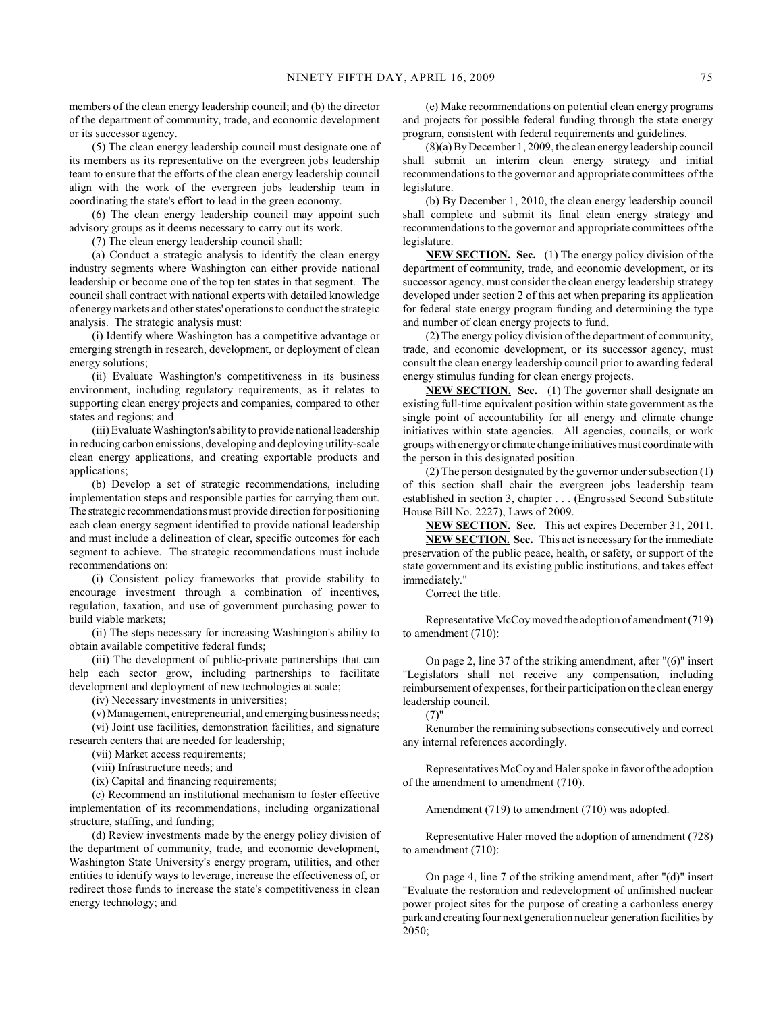members of the clean energy leadership council; and (b) the director of the department of community, trade, and economic development or its successor agency.

(5) The clean energy leadership council must designate one of its members as its representative on the evergreen jobs leadership team to ensure that the efforts of the clean energy leadership council align with the work of the evergreen jobs leadership team in coordinating the state's effort to lead in the green economy.

(6) The clean energy leadership council may appoint such advisory groups as it deems necessary to carry out its work.

(7) The clean energy leadership council shall:

(a) Conduct a strategic analysis to identify the clean energy industry segments where Washington can either provide national leadership or become one of the top ten states in that segment. The council shall contract with national experts with detailed knowledge of energy markets and other states' operations to conduct the strategic analysis. The strategic analysis must:

(i) Identify where Washington has a competitive advantage or emerging strength in research, development, or deployment of clean energy solutions;

(ii) Evaluate Washington's competitiveness in its business environment, including regulatory requirements, as it relates to supporting clean energy projects and companies, compared to other states and regions; and

(iii) Evaluate Washington's ability to provide national leadership in reducing carbon emissions, developing and deploying utility-scale clean energy applications, and creating exportable products and applications;

(b) Develop a set of strategic recommendations, including implementation steps and responsible parties for carrying them out. The strategic recommendations must provide direction for positioning each clean energy segment identified to provide national leadership and must include a delineation of clear, specific outcomes for each segment to achieve. The strategic recommendations must include recommendations on:

(i) Consistent policy frameworks that provide stability to encourage investment through a combination of incentives, regulation, taxation, and use of government purchasing power to build viable markets;

(ii) The steps necessary for increasing Washington's ability to obtain available competitive federal funds;

(iii) The development of public-private partnerships that can help each sector grow, including partnerships to facilitate development and deployment of new technologies at scale;

(iv) Necessary investments in universities;

(v) Management, entrepreneurial, and emerging business needs; (vi) Joint use facilities, demonstration facilities, and signature

research centers that are needed for leadership;

(vii) Market access requirements;

(viii) Infrastructure needs; and

(ix) Capital and financing requirements;

(c) Recommend an institutional mechanism to foster effective implementation of its recommendations, including organizational structure, staffing, and funding;

(d) Review investments made by the energy policy division of the department of community, trade, and economic development, Washington State University's energy program, utilities, and other entities to identify ways to leverage, increase the effectiveness of, or redirect those funds to increase the state's competitiveness in clean energy technology; and

(e) Make recommendations on potential clean energy programs and projects for possible federal funding through the state energy program, consistent with federal requirements and guidelines.

(8)(a) By December 1, 2009, the clean energy leadership council shall submit an interim clean energy strategy and initial recommendations to the governor and appropriate committees of the legislature.

(b) By December 1, 2010, the clean energy leadership council shall complete and submit its final clean energy strategy and recommendations to the governor and appropriate committees of the legislature.

**NEW SECTION. Sec.** (1) The energy policy division of the department of community, trade, and economic development, or its successor agency, must consider the clean energy leadership strategy developed under section 2 of this act when preparing its application for federal state energy program funding and determining the type and number of clean energy projects to fund.

(2) The energy policy division of the department of community, trade, and economic development, or its successor agency, must consult the clean energy leadership council prior to awarding federal energy stimulus funding for clean energy projects.

**NEW SECTION.** Sec. (1) The governor shall designate an existing full-time equivalent position within state government as the single point of accountability for all energy and climate change initiatives within state agencies. All agencies, councils, or work groups with energy or climate change initiatives must coordinate with the person in this designated position.

(2) The person designated by the governor under subsection (1) of this section shall chair the evergreen jobs leadership team established in section 3, chapter . . . (Engrossed Second Substitute House Bill No. 2227), Laws of 2009.

**NEW SECTION. Sec.** This act expires December 31, 2011.

**NEW SECTION. Sec.** This act is necessary for the immediate preservation of the public peace, health, or safety, or support of the state government and its existing public institutions, and takes effect immediately."

Correct the title.

Representative McCoy moved the adoption of amendment (719) to amendment (710):

On page 2, line 37 of the striking amendment, after "(6)" insert "Legislators shall not receive any compensation, including reimbursement of expenses, for their participation on the clean energy leadership council.

 $(7)$ "

Renumber the remaining subsections consecutively and correct any internal references accordingly.

Representatives McCoy and Haler spoke in favor of the adoption of the amendment to amendment (710).

Amendment (719) to amendment (710) was adopted.

Representative Haler moved the adoption of amendment (728) to amendment (710):

On page 4, line 7 of the striking amendment, after "(d)" insert "Evaluate the restoration and redevelopment of unfinished nuclear power project sites for the purpose of creating a carbonless energy park and creating four next generation nuclear generation facilities by 2050;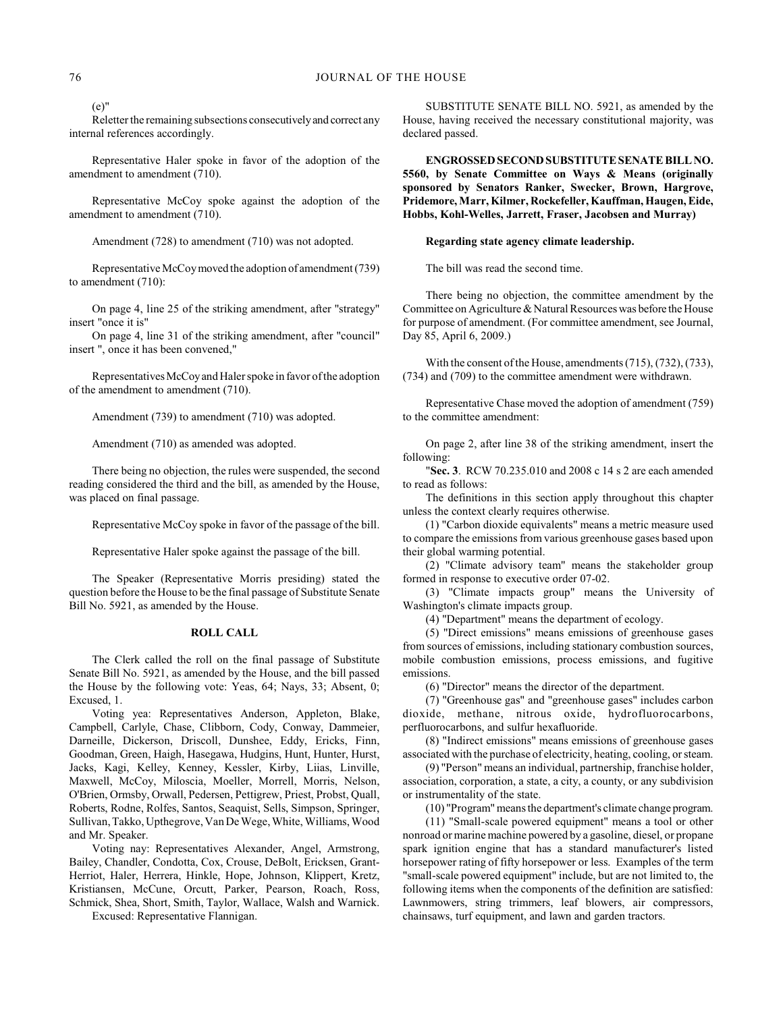(e)"

Reletter the remaining subsections consecutively and correct any internal references accordingly.

Representative Haler spoke in favor of the adoption of the amendment to amendment (710).

Representative McCoy spoke against the adoption of the amendment to amendment (710).

Amendment (728) to amendment (710) was not adopted.

Representative McCoy moved the adoption of amendment (739) to amendment (710):

On page 4, line 25 of the striking amendment, after "strategy" insert "once it is"

On page 4, line 31 of the striking amendment, after "council" insert ", once it has been convened,"

Representatives McCoy and Haler spoke in favor of the adoption of the amendment to amendment (710).

Amendment (739) to amendment (710) was adopted.

Amendment (710) as amended was adopted.

There being no objection, the rules were suspended, the second reading considered the third and the bill, as amended by the House, was placed on final passage.

Representative McCoy spoke in favor of the passage of the bill.

Representative Haler spoke against the passage of the bill.

The Speaker (Representative Morris presiding) stated the question before the House to be the final passage of Substitute Senate Bill No. 5921, as amended by the House.

# **ROLL CALL**

The Clerk called the roll on the final passage of Substitute Senate Bill No. 5921, as amended by the House, and the bill passed the House by the following vote: Yeas, 64; Nays, 33; Absent, 0; Excused, 1.

Voting yea: Representatives Anderson, Appleton, Blake, Campbell, Carlyle, Chase, Clibborn, Cody, Conway, Dammeier, Darneille, Dickerson, Driscoll, Dunshee, Eddy, Ericks, Finn, Goodman, Green, Haigh, Hasegawa, Hudgins, Hunt, Hunter, Hurst, Jacks, Kagi, Kelley, Kenney, Kessler, Kirby, Liias, Linville, Maxwell, McCoy, Miloscia, Moeller, Morrell, Morris, Nelson, O'Brien, Ormsby, Orwall, Pedersen, Pettigrew, Priest, Probst, Quall, Roberts, Rodne, Rolfes, Santos, Seaquist, Sells, Simpson, Springer, Sullivan,Takko, Upthegrove,Van DeWege,White, Williams, Wood and Mr. Speaker.

Voting nay: Representatives Alexander, Angel, Armstrong, Bailey, Chandler, Condotta, Cox, Crouse, DeBolt, Ericksen, Grant-Herriot, Haler, Herrera, Hinkle, Hope, Johnson, Klippert, Kretz, Kristiansen, McCune, Orcutt, Parker, Pearson, Roach, Ross, Schmick, Shea, Short, Smith, Taylor, Wallace, Walsh and Warnick.

Excused: Representative Flannigan.

SUBSTITUTE SENATE BILL NO. 5921, as amended by the House, having received the necessary constitutional majority, was declared passed.

**ENGROSSED SECOND SUBSTITUTE SENATE BILL NO. 5560, by Senate Committee on Ways & Means (originally sponsored by Senators Ranker, Swecker, Brown, Hargrove, Pridemore, Marr, Kilmer, Rockefeller, Kauffman, Haugen, Eide, Hobbs, Kohl-Welles, Jarrett, Fraser, Jacobsen and Murray)**

**Regarding state agency climate leadership.**

The bill was read the second time.

There being no objection, the committee amendment by the Committee on Agriculture & Natural Resources was before the House for purpose of amendment. (For committee amendment, see Journal, Day 85, April 6, 2009.)

With the consent of the House, amendments (715), (732), (733), (734) and (709) to the committee amendment were withdrawn.

Representative Chase moved the adoption of amendment (759) to the committee amendment:

On page 2, after line 38 of the striking amendment, insert the following:

"**Sec. 3**. RCW 70.235.010 and 2008 c 14 s 2 are each amended to read as follows:

The definitions in this section apply throughout this chapter unless the context clearly requires otherwise.

(1) "Carbon dioxide equivalents" means a metric measure used to compare the emissions from various greenhouse gases based upon their global warming potential.

(2) "Climate advisory team" means the stakeholder group formed in response to executive order 07-02.

(3) "Climate impacts group" means the University of Washington's climate impacts group.

(4) "Department" means the department of ecology.

(5) "Direct emissions" means emissions of greenhouse gases from sources of emissions, including stationary combustion sources, mobile combustion emissions, process emissions, and fugitive emissions.

(6) "Director" means the director of the department.

(7) "Greenhouse gas" and "greenhouse gases" includes carbon dioxide, methane, nitrous oxide, hydrofluorocarbons, perfluorocarbons, and sulfur hexafluoride.

(8) "Indirect emissions" means emissions of greenhouse gases associated with the purchase of electricity, heating, cooling, or steam.

(9) "Person" means an individual, partnership, franchise holder, association, corporation, a state, a city, a county, or any subdivision or instrumentality of the state.

(10) "Program" means the department's climate change program.

(11) "Small-scale powered equipment" means a tool or other nonroad or marine machine powered by a gasoline, diesel, or propane spark ignition engine that has a standard manufacturer's listed horsepower rating of fifty horsepower or less. Examples of the term "small-scale powered equipment" include, but are not limited to, the following items when the components of the definition are satisfied: Lawnmowers, string trimmers, leaf blowers, air compressors, chainsaws, turf equipment, and lawn and garden tractors.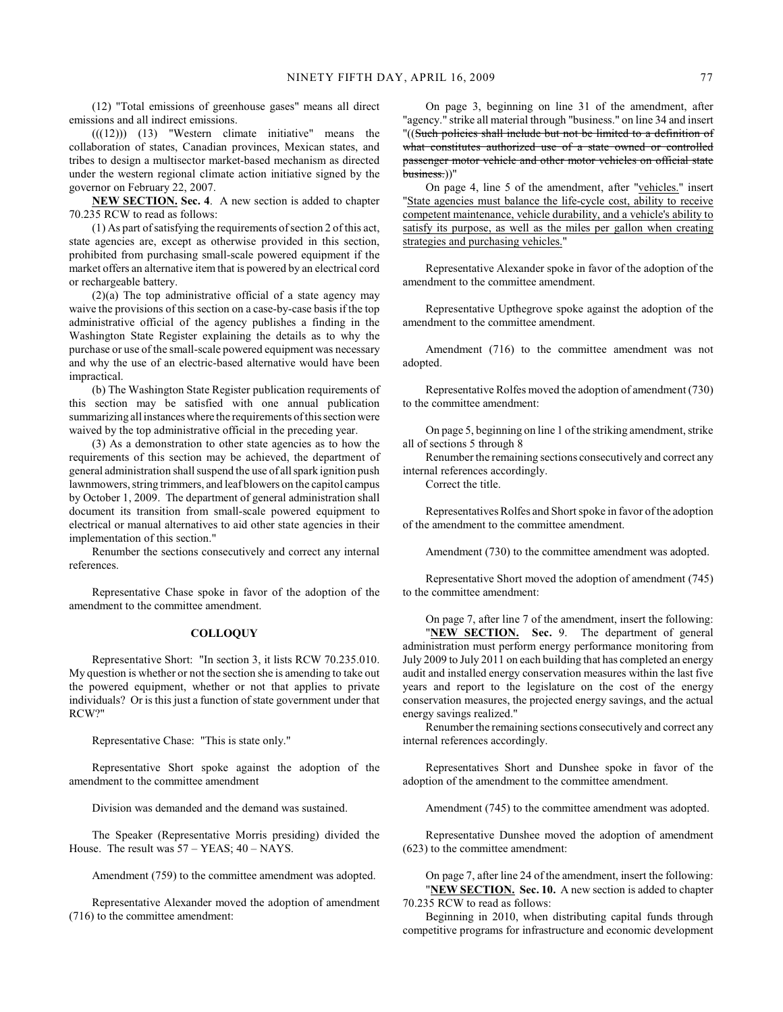(12) "Total emissions of greenhouse gases" means all direct emissions and all indirect emissions.

 $(((12)))$   $(13)$  "Western climate initiative" means the collaboration of states, Canadian provinces, Mexican states, and tribes to design a multisector market-based mechanism as directed under the western regional climate action initiative signed by the governor on February 22, 2007.

**NEW SECTION. Sec. 4**. A new section is added to chapter 70.235 RCW to read as follows:

 $(1)$  As part of satisfying the requirements of section 2 of this act, state agencies are, except as otherwise provided in this section, prohibited from purchasing small-scale powered equipment if the market offers an alternative itemthat is powered by an electrical cord or rechargeable battery.

(2)(a) The top administrative official of a state agency may waive the provisions of this section on a case-by-case basis if the top administrative official of the agency publishes a finding in the Washington State Register explaining the details as to why the purchase or use of the small-scale powered equipment was necessary and why the use of an electric-based alternative would have been impractical.

(b) The Washington State Register publication requirements of this section may be satisfied with one annual publication summarizing all instances where the requirements of this section were waived by the top administrative official in the preceding year.

(3) As a demonstration to other state agencies as to how the requirements of this section may be achieved, the department of general administration shall suspend the use of all spark ignition push lawnmowers, string trimmers, and leaf blowers on the capitol campus by October 1, 2009. The department of general administration shall document its transition from small-scale powered equipment to electrical or manual alternatives to aid other state agencies in their implementation of this section."

Renumber the sections consecutively and correct any internal references.

Representative Chase spoke in favor of the adoption of the amendment to the committee amendment.

## **COLLOQUY**

Representative Short: "In section 3, it lists RCW 70.235.010. My question is whether or not the section she is amending to take out the powered equipment, whether or not that applies to private individuals? Or is this just a function of state government under that RCW?"

Representative Chase: "This is state only."

Representative Short spoke against the adoption of the amendment to the committee amendment

Division was demanded and the demand was sustained.

The Speaker (Representative Morris presiding) divided the House. The result was  $57 - \text{YEAS}$ ;  $40 - \text{NAYS}$ .

Amendment (759) to the committee amendment was adopted.

Representative Alexander moved the adoption of amendment (716) to the committee amendment:

On page 3, beginning on line 31 of the amendment, after "agency." strike all material through "business." on line 34 and insert "((Such policies shall include but not be limited to a definition of what constitutes authorized use of a state owned or controlled passenger motor vehicle and other motor vehicles on official state business.))"

On page 4, line 5 of the amendment, after "vehicles." insert "State agencies must balance the life-cycle cost, ability to receive competent maintenance, vehicle durability, and a vehicle's ability to satisfy its purpose, as well as the miles per gallon when creating strategies and purchasing vehicles."

Representative Alexander spoke in favor of the adoption of the amendment to the committee amendment.

Representative Upthegrove spoke against the adoption of the amendment to the committee amendment.

Amendment (716) to the committee amendment was not adopted.

Representative Rolfes moved the adoption of amendment (730) to the committee amendment:

On page 5, beginning on line 1 of the striking amendment, strike all of sections 5 through 8

Renumber the remaining sections consecutively and correct any internal references accordingly.

Correct the title.

Representatives Rolfes and Short spoke in favor of the adoption of the amendment to the committee amendment.

Amendment (730) to the committee amendment was adopted.

Representative Short moved the adoption of amendment (745) to the committee amendment:

On page 7, after line 7 of the amendment, insert the following: "**NEW SECTION. Sec.** 9. The department of general administration must perform energy performance monitoring from July 2009 to July 2011 on each building that has completed an energy audit and installed energy conservation measures within the last five years and report to the legislature on the cost of the energy conservation measures, the projected energy savings, and the actual energy savings realized."

Renumber the remaining sections consecutively and correct any internal references accordingly.

Representatives Short and Dunshee spoke in favor of the adoption of the amendment to the committee amendment.

Amendment (745) to the committee amendment was adopted.

Representative Dunshee moved the adoption of amendment (623) to the committee amendment:

On page 7, after line 24 of the amendment, insert the following: "**NEW SECTION. Sec. 10.** A new section is added to chapter 70.235 RCW to read as follows:

Beginning in 2010, when distributing capital funds through competitive programs for infrastructure and economic development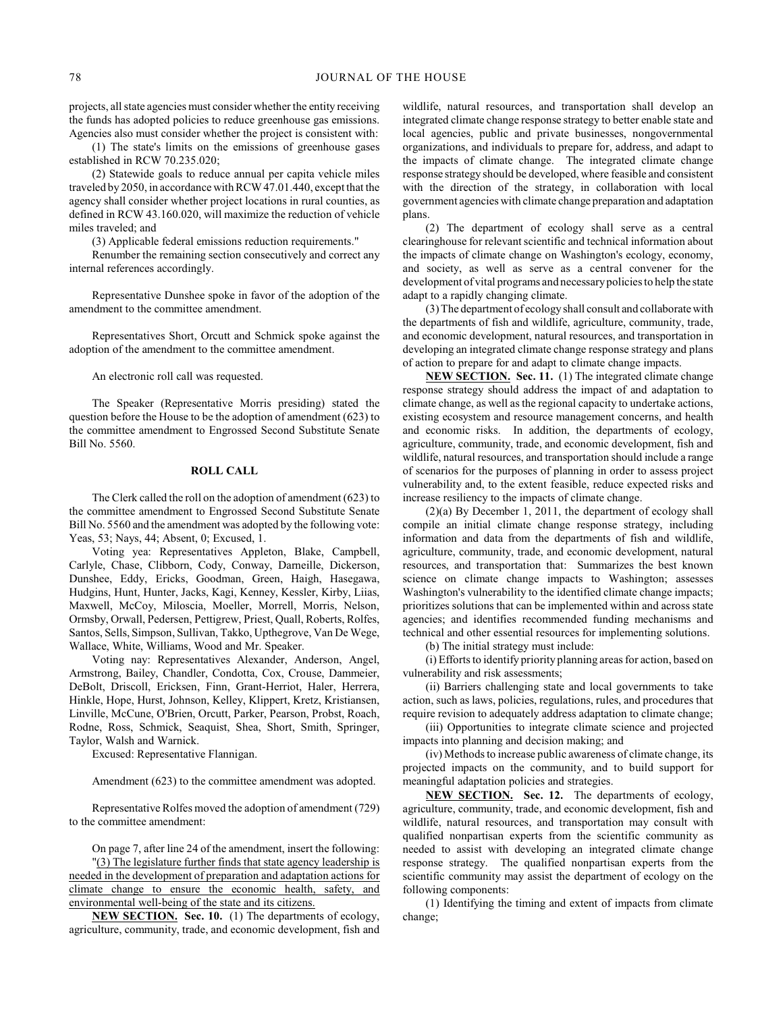projects, all state agencies must consider whether the entity receiving the funds has adopted policies to reduce greenhouse gas emissions. Agencies also must consider whether the project is consistent with:

(1) The state's limits on the emissions of greenhouse gases established in RCW 70.235.020;

(2) Statewide goals to reduce annual per capita vehicle miles traveled by 2050, in accordance with RCW47.01.440, except that the agency shall consider whether project locations in rural counties, as defined in RCW 43.160.020, will maximize the reduction of vehicle miles traveled; and

(3) Applicable federal emissions reduction requirements."

Renumber the remaining section consecutively and correct any internal references accordingly.

Representative Dunshee spoke in favor of the adoption of the amendment to the committee amendment.

Representatives Short, Orcutt and Schmick spoke against the adoption of the amendment to the committee amendment.

An electronic roll call was requested.

The Speaker (Representative Morris presiding) stated the question before the House to be the adoption of amendment (623) to the committee amendment to Engrossed Second Substitute Senate Bill No. 5560.

# **ROLL CALL**

The Clerk called the roll on the adoption of amendment (623) to the committee amendment to Engrossed Second Substitute Senate Bill No. 5560 and the amendment was adopted by the following vote: Yeas, 53; Nays, 44; Absent, 0; Excused, 1.

Voting yea: Representatives Appleton, Blake, Campbell, Carlyle, Chase, Clibborn, Cody, Conway, Darneille, Dickerson, Dunshee, Eddy, Ericks, Goodman, Green, Haigh, Hasegawa, Hudgins, Hunt, Hunter, Jacks, Kagi, Kenney, Kessler, Kirby, Liias, Maxwell, McCoy, Miloscia, Moeller, Morrell, Morris, Nelson, Ormsby, Orwall, Pedersen, Pettigrew, Priest, Quall, Roberts, Rolfes, Santos, Sells, Simpson, Sullivan, Takko, Upthegrove, Van De Wege, Wallace, White, Williams, Wood and Mr. Speaker.

Voting nay: Representatives Alexander, Anderson, Angel, Armstrong, Bailey, Chandler, Condotta, Cox, Crouse, Dammeier, DeBolt, Driscoll, Ericksen, Finn, Grant-Herriot, Haler, Herrera, Hinkle, Hope, Hurst, Johnson, Kelley, Klippert, Kretz, Kristiansen, Linville, McCune, O'Brien, Orcutt, Parker, Pearson, Probst, Roach, Rodne, Ross, Schmick, Seaquist, Shea, Short, Smith, Springer, Taylor, Walsh and Warnick.

Excused: Representative Flannigan.

Amendment (623) to the committee amendment was adopted.

Representative Rolfes moved the adoption of amendment (729) to the committee amendment:

On page 7, after line 24 of the amendment, insert the following: "(3) The legislature further finds that state agency leadership is needed in the development of preparation and adaptation actions for climate change to ensure the economic health, safety, and environmental well-being of the state and its citizens.

**NEW SECTION. Sec. 10.** (1) The departments of ecology, agriculture, community, trade, and economic development, fish and wildlife, natural resources, and transportation shall develop an integrated climate change response strategy to better enable state and local agencies, public and private businesses, nongovernmental organizations, and individuals to prepare for, address, and adapt to the impacts of climate change. The integrated climate change response strategy should be developed, where feasible and consistent with the direction of the strategy, in collaboration with local government agencies with climate change preparation and adaptation plans.

(2) The department of ecology shall serve as a central clearinghouse for relevant scientific and technical information about the impacts of climate change on Washington's ecology, economy, and society, as well as serve as a central convener for the development of vital programs and necessary policies to help the state adapt to a rapidly changing climate.

(3) The department of ecology shall consult and collaborate with the departments of fish and wildlife, agriculture, community, trade, and economic development, natural resources, and transportation in developing an integrated climate change response strategy and plans of action to prepare for and adapt to climate change impacts.

**NEW SECTION. Sec. 11.** (1) The integrated climate change response strategy should address the impact of and adaptation to climate change, as well as the regional capacity to undertake actions, existing ecosystem and resource management concerns, and health and economic risks. In addition, the departments of ecology, agriculture, community, trade, and economic development, fish and wildlife, natural resources, and transportation should include a range of scenarios for the purposes of planning in order to assess project vulnerability and, to the extent feasible, reduce expected risks and increase resiliency to the impacts of climate change.

(2)(a) By December 1, 2011, the department of ecology shall compile an initial climate change response strategy, including information and data from the departments of fish and wildlife, agriculture, community, trade, and economic development, natural resources, and transportation that: Summarizes the best known science on climate change impacts to Washington; assesses Washington's vulnerability to the identified climate change impacts; prioritizes solutions that can be implemented within and across state agencies; and identifies recommended funding mechanisms and technical and other essential resources for implementing solutions.

(b) The initial strategy must include:

(i) Efforts to identify priority planning areas for action, based on vulnerability and risk assessments;

(ii) Barriers challenging state and local governments to take action, such as laws, policies, regulations, rules, and procedures that require revision to adequately address adaptation to climate change;

(iii) Opportunities to integrate climate science and projected impacts into planning and decision making; and

(iv) Methods to increase public awareness of climate change, its projected impacts on the community, and to build support for meaningful adaptation policies and strategies.

**NEW SECTION. Sec. 12.** The departments of ecology, agriculture, community, trade, and economic development, fish and wildlife, natural resources, and transportation may consult with qualified nonpartisan experts from the scientific community as needed to assist with developing an integrated climate change response strategy. The qualified nonpartisan experts from the scientific community may assist the department of ecology on the following components:

(1) Identifying the timing and extent of impacts from climate change;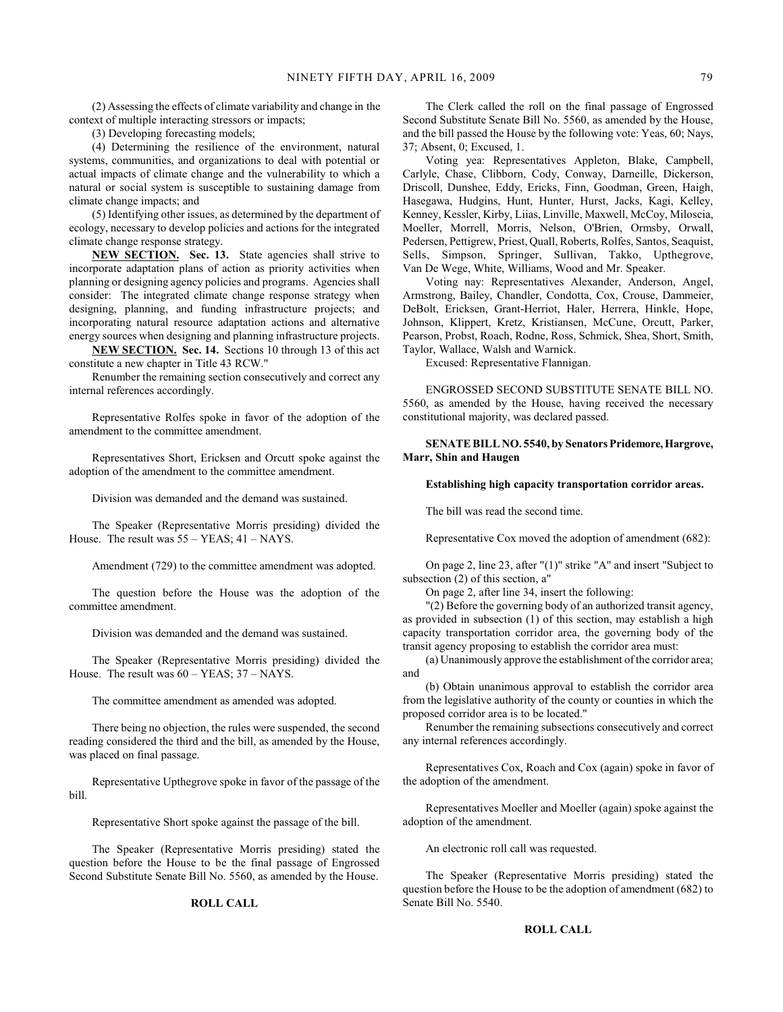(2) Assessing the effects of climate variability and change in the context of multiple interacting stressors or impacts;

(3) Developing forecasting models;

(4) Determining the resilience of the environment, natural systems, communities, and organizations to deal with potential or actual impacts of climate change and the vulnerability to which a natural or social system is susceptible to sustaining damage from climate change impacts; and

(5) Identifying other issues, as determined by the department of ecology, necessary to develop policies and actions for the integrated climate change response strategy.

NEW SECTION. Sec. 13. State agencies shall strive to incorporate adaptation plans of action as priority activities when planning or designing agency policies and programs. Agencies shall consider: The integrated climate change response strategy when designing, planning, and funding infrastructure projects; and incorporating natural resource adaptation actions and alternative energy sources when designing and planning infrastructure projects.

**NEW SECTION. Sec. 14.** Sections 10 through 13 of this act constitute a new chapter in Title 43 RCW."

Renumber the remaining section consecutively and correct any internal references accordingly.

Representative Rolfes spoke in favor of the adoption of the amendment to the committee amendment.

Representatives Short, Ericksen and Orcutt spoke against the adoption of the amendment to the committee amendment.

Division was demanded and the demand was sustained.

The Speaker (Representative Morris presiding) divided the House. The result was 55 – YEAS; 41 – NAYS.

Amendment (729) to the committee amendment was adopted.

The question before the House was the adoption of the committee amendment.

Division was demanded and the demand was sustained.

The Speaker (Representative Morris presiding) divided the House. The result was 60 – YEAS; 37 – NAYS.

The committee amendment as amended was adopted.

There being no objection, the rules were suspended, the second reading considered the third and the bill, as amended by the House, was placed on final passage.

Representative Upthegrove spoke in favor of the passage of the bill.

Representative Short spoke against the passage of the bill.

The Speaker (Representative Morris presiding) stated the question before the House to be the final passage of Engrossed Second Substitute Senate Bill No. 5560, as amended by the House.

### **ROLL CALL**

The Clerk called the roll on the final passage of Engrossed Second Substitute Senate Bill No. 5560, as amended by the House, and the bill passed the House by the following vote: Yeas, 60; Nays, 37; Absent, 0; Excused, 1.

Voting yea: Representatives Appleton, Blake, Campbell, Carlyle, Chase, Clibborn, Cody, Conway, Darneille, Dickerson, Driscoll, Dunshee, Eddy, Ericks, Finn, Goodman, Green, Haigh, Hasegawa, Hudgins, Hunt, Hunter, Hurst, Jacks, Kagi, Kelley, Kenney, Kessler, Kirby, Liias, Linville, Maxwell, McCoy, Miloscia, Moeller, Morrell, Morris, Nelson, O'Brien, Ormsby, Orwall, Pedersen, Pettigrew, Priest, Quall, Roberts, Rolfes, Santos, Seaquist, Sells, Simpson, Springer, Sullivan, Takko, Upthegrove, Van De Wege, White, Williams, Wood and Mr. Speaker.

Voting nay: Representatives Alexander, Anderson, Angel, Armstrong, Bailey, Chandler, Condotta, Cox, Crouse, Dammeier, DeBolt, Ericksen, Grant-Herriot, Haler, Herrera, Hinkle, Hope, Johnson, Klippert, Kretz, Kristiansen, McCune, Orcutt, Parker, Pearson, Probst, Roach, Rodne, Ross, Schmick, Shea, Short, Smith, Taylor, Wallace, Walsh and Warnick.

Excused: Representative Flannigan.

ENGROSSED SECOND SUBSTITUTE SENATE BILL NO. 5560, as amended by the House, having received the necessary constitutional majority, was declared passed.

# **SENATE BILL NO. 5540, by Senators Pridemore, Hargrove, Marr, Shin and Haugen**

#### **Establishing high capacity transportation corridor areas.**

The bill was read the second time.

Representative Cox moved the adoption of amendment (682):

On page 2, line 23, after "(1)" strike "A" and insert "Subject to subsection (2) of this section, a"

On page 2, after line 34, insert the following:

"(2) Before the governing body of an authorized transit agency, as provided in subsection (1) of this section, may establish a high capacity transportation corridor area, the governing body of the transit agency proposing to establish the corridor area must:

(a) Unanimously approve the establishment of the corridor area; and

(b) Obtain unanimous approval to establish the corridor area from the legislative authority of the county or counties in which the proposed corridor area is to be located."

Renumber the remaining subsections consecutively and correct any internal references accordingly.

Representatives Cox, Roach and Cox (again) spoke in favor of the adoption of the amendment.

Representatives Moeller and Moeller (again) spoke against the adoption of the amendment.

An electronic roll call was requested.

The Speaker (Representative Morris presiding) stated the question before the House to be the adoption of amendment (682) to Senate Bill No. 5540.

### **ROLL CALL**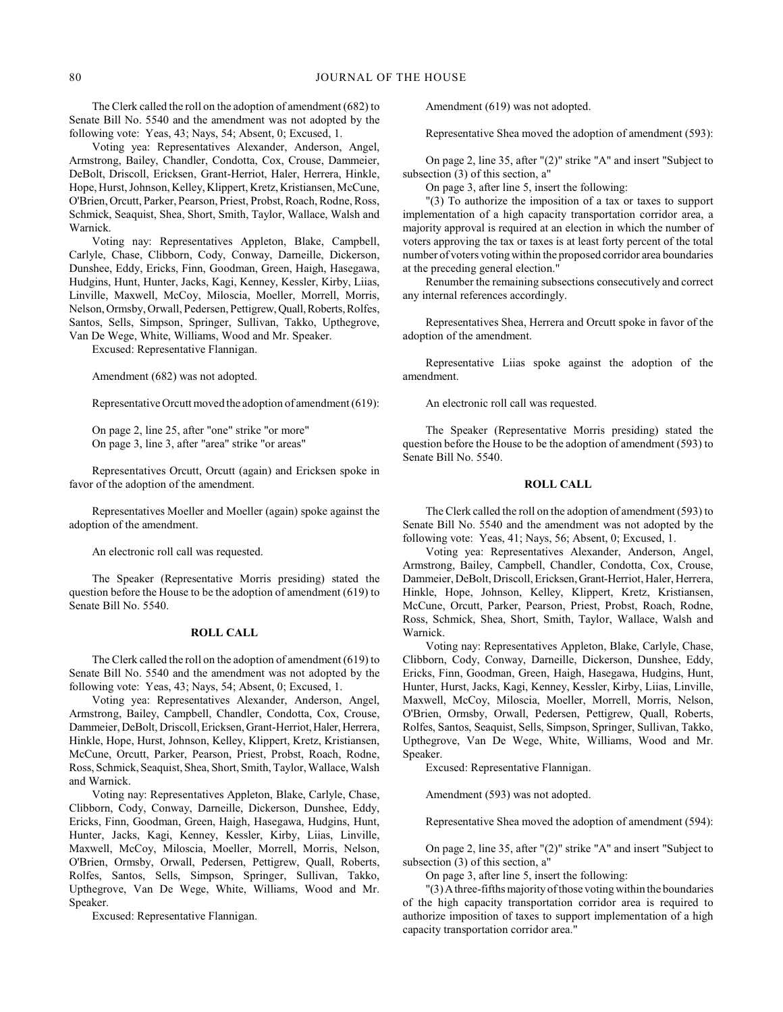The Clerk called the roll on the adoption of amendment (682) to Senate Bill No. 5540 and the amendment was not adopted by the following vote: Yeas, 43; Nays, 54; Absent, 0; Excused, 1.

Voting yea: Representatives Alexander, Anderson, Angel, Armstrong, Bailey, Chandler, Condotta, Cox, Crouse, Dammeier, DeBolt, Driscoll, Ericksen, Grant-Herriot, Haler, Herrera, Hinkle, Hope, Hurst, Johnson, Kelley, Klippert, Kretz, Kristiansen, McCune, O'Brien, Orcutt, Parker, Pearson, Priest, Probst, Roach, Rodne, Ross, Schmick, Seaquist, Shea, Short, Smith, Taylor, Wallace, Walsh and Warnick.

Voting nay: Representatives Appleton, Blake, Campbell, Carlyle, Chase, Clibborn, Cody, Conway, Darneille, Dickerson, Dunshee, Eddy, Ericks, Finn, Goodman, Green, Haigh, Hasegawa, Hudgins, Hunt, Hunter, Jacks, Kagi, Kenney, Kessler, Kirby, Liias, Linville, Maxwell, McCoy, Miloscia, Moeller, Morrell, Morris, Nelson, Ormsby, Orwall, Pedersen, Pettigrew, Quall, Roberts, Rolfes, Santos, Sells, Simpson, Springer, Sullivan, Takko, Upthegrove, Van De Wege, White, Williams, Wood and Mr. Speaker.

Excused: Representative Flannigan.

Amendment (682) was not adopted.

Representative Orcutt moved the adoption of amendment (619):

On page 2, line 25, after "one" strike "or more" On page 3, line 3, after "area" strike "or areas"

Representatives Orcutt, Orcutt (again) and Ericksen spoke in favor of the adoption of the amendment.

Representatives Moeller and Moeller (again) spoke against the adoption of the amendment.

An electronic roll call was requested.

The Speaker (Representative Morris presiding) stated the question before the House to be the adoption of amendment (619) to Senate Bill No. 5540.

# **ROLL CALL**

The Clerk called the roll on the adoption of amendment (619) to Senate Bill No. 5540 and the amendment was not adopted by the following vote: Yeas, 43; Nays, 54; Absent, 0; Excused, 1.

Voting yea: Representatives Alexander, Anderson, Angel, Armstrong, Bailey, Campbell, Chandler, Condotta, Cox, Crouse, Dammeier, DeBolt, Driscoll, Ericksen, Grant-Herriot, Haler, Herrera, Hinkle, Hope, Hurst, Johnson, Kelley, Klippert, Kretz, Kristiansen, McCune, Orcutt, Parker, Pearson, Priest, Probst, Roach, Rodne, Ross, Schmick, Seaquist, Shea, Short, Smith, Taylor, Wallace, Walsh and Warnick.

Voting nay: Representatives Appleton, Blake, Carlyle, Chase, Clibborn, Cody, Conway, Darneille, Dickerson, Dunshee, Eddy, Ericks, Finn, Goodman, Green, Haigh, Hasegawa, Hudgins, Hunt, Hunter, Jacks, Kagi, Kenney, Kessler, Kirby, Liias, Linville, Maxwell, McCoy, Miloscia, Moeller, Morrell, Morris, Nelson, O'Brien, Ormsby, Orwall, Pedersen, Pettigrew, Quall, Roberts, Rolfes, Santos, Sells, Simpson, Springer, Sullivan, Takko, Upthegrove, Van De Wege, White, Williams, Wood and Mr. Speaker.

Excused: Representative Flannigan.

Amendment (619) was not adopted.

Representative Shea moved the adoption of amendment (593):

On page 2, line 35, after "(2)" strike "A" and insert "Subject to subsection (3) of this section, a"

On page 3, after line 5, insert the following:

"(3) To authorize the imposition of a tax or taxes to support implementation of a high capacity transportation corridor area, a majority approval is required at an election in which the number of voters approving the tax or taxes is at least forty percent of the total number of voters voting within the proposed corridor area boundaries at the preceding general election."

Renumber the remaining subsections consecutively and correct any internal references accordingly.

Representatives Shea, Herrera and Orcutt spoke in favor of the adoption of the amendment.

Representative Liias spoke against the adoption of the amendment.

An electronic roll call was requested.

The Speaker (Representative Morris presiding) stated the question before the House to be the adoption of amendment (593) to Senate Bill No. 5540.

### **ROLL CALL**

The Clerk called the roll on the adoption of amendment (593) to Senate Bill No. 5540 and the amendment was not adopted by the following vote: Yeas, 41; Nays, 56; Absent, 0; Excused, 1.

Voting yea: Representatives Alexander, Anderson, Angel, Armstrong, Bailey, Campbell, Chandler, Condotta, Cox, Crouse, Dammeier, DeBolt, Driscoll, Ericksen, Grant-Herriot, Haler, Herrera, Hinkle, Hope, Johnson, Kelley, Klippert, Kretz, Kristiansen, McCune, Orcutt, Parker, Pearson, Priest, Probst, Roach, Rodne, Ross, Schmick, Shea, Short, Smith, Taylor, Wallace, Walsh and Warnick.

Voting nay: Representatives Appleton, Blake, Carlyle, Chase, Clibborn, Cody, Conway, Darneille, Dickerson, Dunshee, Eddy, Ericks, Finn, Goodman, Green, Haigh, Hasegawa, Hudgins, Hunt, Hunter, Hurst, Jacks, Kagi, Kenney, Kessler, Kirby, Liias, Linville, Maxwell, McCoy, Miloscia, Moeller, Morrell, Morris, Nelson, O'Brien, Ormsby, Orwall, Pedersen, Pettigrew, Quall, Roberts, Rolfes, Santos, Seaquist, Sells, Simpson, Springer, Sullivan, Takko, Upthegrove, Van De Wege, White, Williams, Wood and Mr. Speaker.

Excused: Representative Flannigan.

Amendment (593) was not adopted.

Representative Shea moved the adoption of amendment (594):

On page 2, line 35, after "(2)" strike "A" and insert "Subject to subsection (3) of this section, a"

On page 3, after line 5, insert the following:

"(3) A three-fifths majority of those voting within the boundaries of the high capacity transportation corridor area is required to authorize imposition of taxes to support implementation of a high capacity transportation corridor area."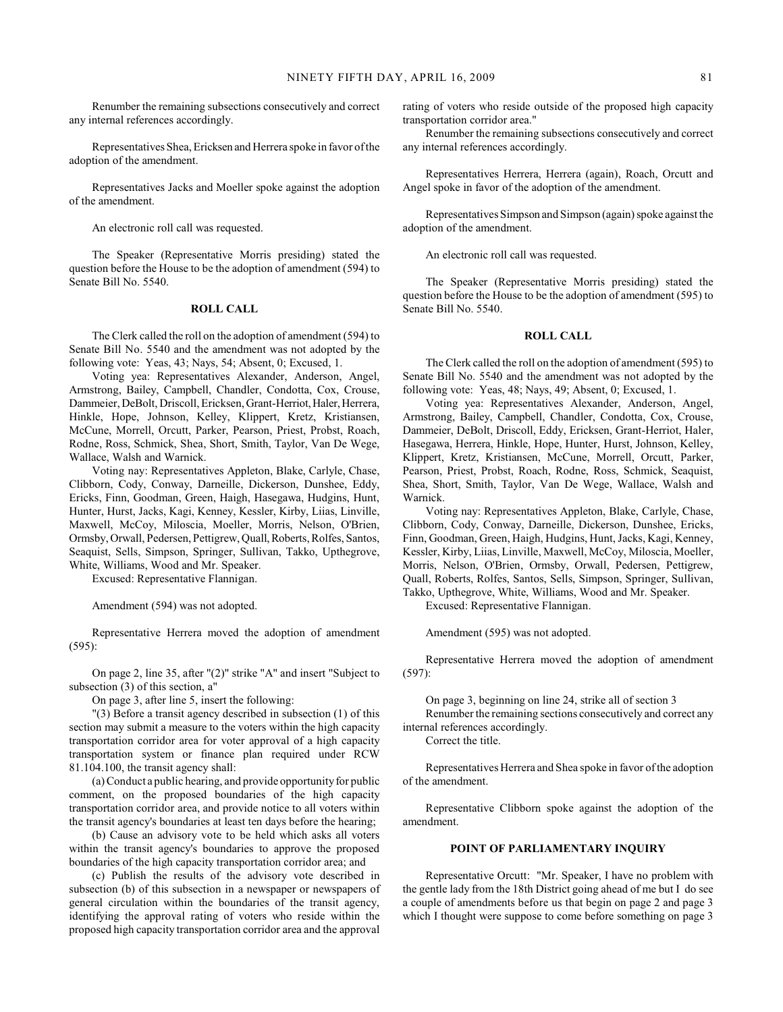Renumber the remaining subsections consecutively and correct any internal references accordingly.

Representatives Shea, Ericksen and Herrera spoke in favor of the adoption of the amendment.

Representatives Jacks and Moeller spoke against the adoption of the amendment.

An electronic roll call was requested.

The Speaker (Representative Morris presiding) stated the question before the House to be the adoption of amendment (594) to Senate Bill No. 5540.

### **ROLL CALL**

The Clerk called the roll on the adoption of amendment (594) to Senate Bill No. 5540 and the amendment was not adopted by the following vote: Yeas, 43; Nays, 54; Absent, 0; Excused, 1.

Voting yea: Representatives Alexander, Anderson, Angel, Armstrong, Bailey, Campbell, Chandler, Condotta, Cox, Crouse, Dammeier, DeBolt, Driscoll, Ericksen, Grant-Herriot, Haler, Herrera, Hinkle, Hope, Johnson, Kelley, Klippert, Kretz, Kristiansen, McCune, Morrell, Orcutt, Parker, Pearson, Priest, Probst, Roach, Rodne, Ross, Schmick, Shea, Short, Smith, Taylor, Van De Wege, Wallace, Walsh and Warnick.

Voting nay: Representatives Appleton, Blake, Carlyle, Chase, Clibborn, Cody, Conway, Darneille, Dickerson, Dunshee, Eddy, Ericks, Finn, Goodman, Green, Haigh, Hasegawa, Hudgins, Hunt, Hunter, Hurst, Jacks, Kagi, Kenney, Kessler, Kirby, Liias, Linville, Maxwell, McCoy, Miloscia, Moeller, Morris, Nelson, O'Brien, Ormsby, Orwall, Pedersen, Pettigrew, Quall, Roberts, Rolfes, Santos, Seaquist, Sells, Simpson, Springer, Sullivan, Takko, Upthegrove, White, Williams, Wood and Mr. Speaker.

Excused: Representative Flannigan.

Amendment (594) was not adopted.

Representative Herrera moved the adoption of amendment (595):

On page 2, line 35, after "(2)" strike "A" and insert "Subject to subsection (3) of this section, a"

On page 3, after line 5, insert the following:

"(3) Before a transit agency described in subsection (1) of this section may submit a measure to the voters within the high capacity transportation corridor area for voter approval of a high capacity transportation system or finance plan required under RCW 81.104.100, the transit agency shall:

(a) Conduct a public hearing, and provide opportunity for public comment, on the proposed boundaries of the high capacity transportation corridor area, and provide notice to all voters within the transit agency's boundaries at least ten days before the hearing;

(b) Cause an advisory vote to be held which asks all voters within the transit agency's boundaries to approve the proposed boundaries of the high capacity transportation corridor area; and

(c) Publish the results of the advisory vote described in subsection (b) of this subsection in a newspaper or newspapers of general circulation within the boundaries of the transit agency, identifying the approval rating of voters who reside within the proposed high capacity transportation corridor area and the approval

rating of voters who reside outside of the proposed high capacity transportation corridor area."

Renumber the remaining subsections consecutively and correct any internal references accordingly.

Representatives Herrera, Herrera (again), Roach, Orcutt and Angel spoke in favor of the adoption of the amendment.

Representatives Simpson and Simpson (again) spoke against the adoption of the amendment.

An electronic roll call was requested.

The Speaker (Representative Morris presiding) stated the question before the House to be the adoption of amendment (595) to Senate Bill No. 5540.

#### **ROLL CALL**

The Clerk called the roll on the adoption of amendment (595) to Senate Bill No. 5540 and the amendment was not adopted by the following vote: Yeas, 48; Nays, 49; Absent, 0; Excused, 1.

Voting yea: Representatives Alexander, Anderson, Angel, Armstrong, Bailey, Campbell, Chandler, Condotta, Cox, Crouse, Dammeier, DeBolt, Driscoll, Eddy, Ericksen, Grant-Herriot, Haler, Hasegawa, Herrera, Hinkle, Hope, Hunter, Hurst, Johnson, Kelley, Klippert, Kretz, Kristiansen, McCune, Morrell, Orcutt, Parker, Pearson, Priest, Probst, Roach, Rodne, Ross, Schmick, Seaquist, Shea, Short, Smith, Taylor, Van De Wege, Wallace, Walsh and Warnick.

Voting nay: Representatives Appleton, Blake, Carlyle, Chase, Clibborn, Cody, Conway, Darneille, Dickerson, Dunshee, Ericks, Finn, Goodman, Green, Haigh, Hudgins, Hunt, Jacks, Kagi, Kenney, Kessler, Kirby, Liias, Linville, Maxwell, McCoy, Miloscia, Moeller, Morris, Nelson, O'Brien, Ormsby, Orwall, Pedersen, Pettigrew, Quall, Roberts, Rolfes, Santos, Sells, Simpson, Springer, Sullivan, Takko, Upthegrove, White, Williams, Wood and Mr. Speaker.

Excused: Representative Flannigan.

Amendment (595) was not adopted.

Representative Herrera moved the adoption of amendment (597):

On page 3, beginning on line 24, strike all of section 3 Renumber the remaining sections consecutively and correct any internal references accordingly.

Correct the title.

Representatives Herrera and Shea spoke in favor of the adoption of the amendment.

Representative Clibborn spoke against the adoption of the amendment.

### **POINT OF PARLIAMENTARY INQUIRY**

Representative Orcutt: "Mr. Speaker, I have no problem with the gentle lady from the 18th District going ahead of me but I do see a couple of amendments before us that begin on page 2 and page 3 which I thought were suppose to come before something on page 3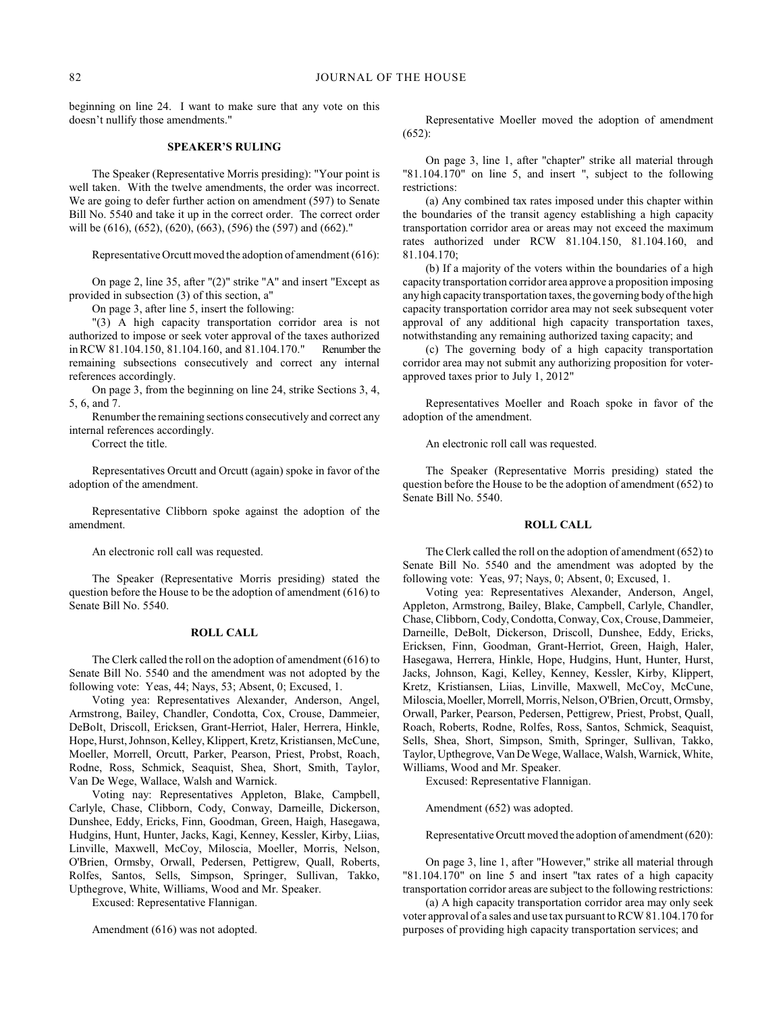beginning on line 24. I want to make sure that any vote on this doesn't nullify those amendments."

# **SPEAKER'S RULING**

The Speaker (Representative Morris presiding): "Your point is well taken. With the twelve amendments, the order was incorrect. We are going to defer further action on amendment (597) to Senate Bill No. 5540 and take it up in the correct order. The correct order will be (616), (652), (620), (663), (596) the (597) and (662)."

Representative Orcutt moved the adoption of amendment (616):

On page 2, line 35, after "(2)" strike "A" and insert "Except as provided in subsection (3) of this section, a"

On page 3, after line 5, insert the following:

"(3) A high capacity transportation corridor area is not authorized to impose or seek voter approval of the taxes authorized inRCW 81.104.150, 81.104.160, and 81.104.170." Renumber the remaining subsections consecutively and correct any internal references accordingly.

On page 3, from the beginning on line 24, strike Sections 3, 4, 5, 6, and 7.

Renumber the remaining sections consecutively and correct any internal references accordingly.

Correct the title.

Representatives Orcutt and Orcutt (again) spoke in favor of the adoption of the amendment.

Representative Clibborn spoke against the adoption of the amendment.

An electronic roll call was requested.

The Speaker (Representative Morris presiding) stated the question before the House to be the adoption of amendment (616) to Senate Bill No. 5540.

# **ROLL CALL**

The Clerk called the roll on the adoption of amendment (616) to Senate Bill No. 5540 and the amendment was not adopted by the following vote: Yeas, 44; Nays, 53; Absent, 0; Excused, 1.

Voting yea: Representatives Alexander, Anderson, Angel, Armstrong, Bailey, Chandler, Condotta, Cox, Crouse, Dammeier, DeBolt, Driscoll, Ericksen, Grant-Herriot, Haler, Herrera, Hinkle, Hope, Hurst, Johnson, Kelley, Klippert, Kretz, Kristiansen, McCune, Moeller, Morrell, Orcutt, Parker, Pearson, Priest, Probst, Roach, Rodne, Ross, Schmick, Seaquist, Shea, Short, Smith, Taylor, Van De Wege, Wallace, Walsh and Warnick.

Voting nay: Representatives Appleton, Blake, Campbell, Carlyle, Chase, Clibborn, Cody, Conway, Darneille, Dickerson, Dunshee, Eddy, Ericks, Finn, Goodman, Green, Haigh, Hasegawa, Hudgins, Hunt, Hunter, Jacks, Kagi, Kenney, Kessler, Kirby, Liias, Linville, Maxwell, McCoy, Miloscia, Moeller, Morris, Nelson, O'Brien, Ormsby, Orwall, Pedersen, Pettigrew, Quall, Roberts, Rolfes, Santos, Sells, Simpson, Springer, Sullivan, Takko, Upthegrove, White, Williams, Wood and Mr. Speaker.

Excused: Representative Flannigan.

Amendment (616) was not adopted.

Representative Moeller moved the adoption of amendment (652):

On page 3, line 1, after "chapter" strike all material through "81.104.170" on line 5, and insert ", subject to the following restrictions:

(a) Any combined tax rates imposed under this chapter within the boundaries of the transit agency establishing a high capacity transportation corridor area or areas may not exceed the maximum rates authorized under RCW 81.104.150, 81.104.160, and 81.104.170;

(b) If a majority of the voters within the boundaries of a high capacity transportation corridor area approve a proposition imposing any high capacity transportation taxes, the governing body of the high capacity transportation corridor area may not seek subsequent voter approval of any additional high capacity transportation taxes, notwithstanding any remaining authorized taxing capacity; and

(c) The governing body of a high capacity transportation corridor area may not submit any authorizing proposition for voterapproved taxes prior to July 1, 2012"

Representatives Moeller and Roach spoke in favor of the adoption of the amendment.

An electronic roll call was requested.

The Speaker (Representative Morris presiding) stated the question before the House to be the adoption of amendment (652) to Senate Bill No. 5540.

### **ROLL CALL**

The Clerk called the roll on the adoption of amendment (652) to Senate Bill No. 5540 and the amendment was adopted by the following vote: Yeas, 97; Nays, 0; Absent, 0; Excused, 1.

Voting yea: Representatives Alexander, Anderson, Angel, Appleton, Armstrong, Bailey, Blake, Campbell, Carlyle, Chandler, Chase, Clibborn, Cody, Condotta, Conway, Cox, Crouse, Dammeier, Darneille, DeBolt, Dickerson, Driscoll, Dunshee, Eddy, Ericks, Ericksen, Finn, Goodman, Grant-Herriot, Green, Haigh, Haler, Hasegawa, Herrera, Hinkle, Hope, Hudgins, Hunt, Hunter, Hurst, Jacks, Johnson, Kagi, Kelley, Kenney, Kessler, Kirby, Klippert, Kretz, Kristiansen, Liias, Linville, Maxwell, McCoy, McCune, Miloscia, Moeller, Morrell, Morris, Nelson, O'Brien, Orcutt, Ormsby, Orwall, Parker, Pearson, Pedersen, Pettigrew, Priest, Probst, Quall, Roach, Roberts, Rodne, Rolfes, Ross, Santos, Schmick, Seaquist, Sells, Shea, Short, Simpson, Smith, Springer, Sullivan, Takko, Taylor, Upthegrove, Van De Wege, Wallace, Walsh, Warnick, White, Williams, Wood and Mr. Speaker.

Excused: Representative Flannigan.

Amendment (652) was adopted.

Representative Orcutt moved the adoption of amendment (620):

On page 3, line 1, after "However," strike all material through "81.104.170" on line 5 and insert "tax rates of a high capacity transportation corridor areas are subject to the following restrictions:

(a) A high capacity transportation corridor area may only seek voter approval of a sales and use tax pursuant to RCW 81.104.170 for purposes of providing high capacity transportation services; and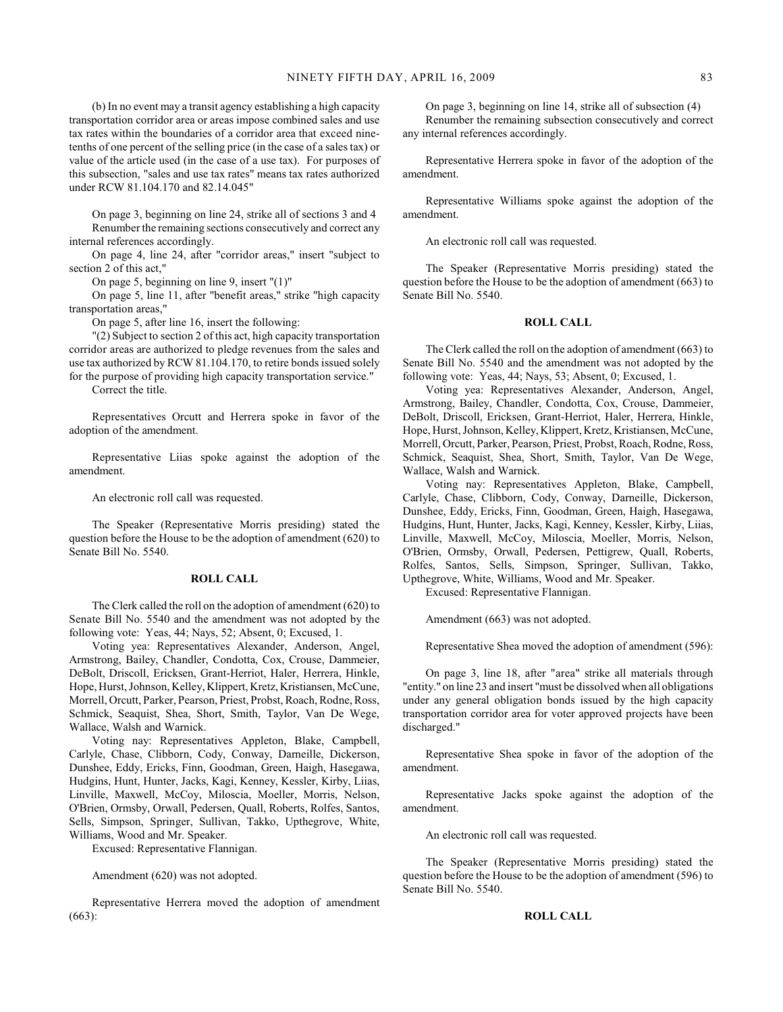(b) In no event may a transit agency establishing a high capacity transportation corridor area or areas impose combined sales and use tax rates within the boundaries of a corridor area that exceed ninetenths of one percent of the selling price (in the case of a sales tax) or value of the article used (in the case of a use tax). For purposes of this subsection, "sales and use tax rates" means tax rates authorized under RCW 81.104.170 and 82.14.045"

On page 3, beginning on line 24, strike all of sections 3 and 4 Renumber the remaining sections consecutively and correct any internal references accordingly.

On page 4, line 24, after "corridor areas," insert "subject to section 2 of this act,"

On page 5, beginning on line 9, insert "(1)"

On page 5, line 11, after "benefit areas," strike "high capacity transportation areas,"

On page 5, after line 16, insert the following:

"(2) Subject to section 2 of this act, high capacity transportation corridor areas are authorized to pledge revenues from the sales and use tax authorized by RCW 81.104.170, to retire bonds issued solely for the purpose of providing high capacity transportation service."

Correct the title.

Representatives Orcutt and Herrera spoke in favor of the adoption of the amendment.

Representative Liias spoke against the adoption of the amendment.

An electronic roll call was requested.

The Speaker (Representative Morris presiding) stated the question before the House to be the adoption of amendment (620) to Senate Bill No. 5540.

#### **ROLL CALL**

The Clerk called the roll on the adoption of amendment (620) to Senate Bill No. 5540 and the amendment was not adopted by the following vote: Yeas, 44; Nays, 52; Absent, 0; Excused, 1.

Voting yea: Representatives Alexander, Anderson, Angel, Armstrong, Bailey, Chandler, Condotta, Cox, Crouse, Dammeier, DeBolt, Driscoll, Ericksen, Grant-Herriot, Haler, Herrera, Hinkle, Hope, Hurst, Johnson, Kelley, Klippert, Kretz, Kristiansen, McCune, Morrell, Orcutt, Parker, Pearson, Priest, Probst, Roach, Rodne, Ross, Schmick, Seaquist, Shea, Short, Smith, Taylor, Van De Wege, Wallace, Walsh and Warnick.

Voting nay: Representatives Appleton, Blake, Campbell, Carlyle, Chase, Clibborn, Cody, Conway, Darneille, Dickerson, Dunshee, Eddy, Ericks, Finn, Goodman, Green, Haigh, Hasegawa, Hudgins, Hunt, Hunter, Jacks, Kagi, Kenney, Kessler, Kirby, Liias, Linville, Maxwell, McCoy, Miloscia, Moeller, Morris, Nelson, O'Brien, Ormsby, Orwall, Pedersen, Quall, Roberts, Rolfes, Santos, Sells, Simpson, Springer, Sullivan, Takko, Upthegrove, White, Williams, Wood and Mr. Speaker.

Excused: Representative Flannigan.

Amendment (620) was not adopted.

Representative Herrera moved the adoption of amendment (663):

On page 3, beginning on line 14, strike all of subsection (4) Renumber the remaining subsection consecutively and correct any internal references accordingly.

Representative Herrera spoke in favor of the adoption of the amendment.

Representative Williams spoke against the adoption of the amendment.

An electronic roll call was requested.

The Speaker (Representative Morris presiding) stated the question before the House to be the adoption of amendment (663) to Senate Bill No. 5540.

### **ROLL CALL**

The Clerk called the roll on the adoption of amendment (663) to Senate Bill No. 5540 and the amendment was not adopted by the following vote: Yeas, 44; Nays, 53; Absent, 0; Excused, 1.

Voting yea: Representatives Alexander, Anderson, Angel, Armstrong, Bailey, Chandler, Condotta, Cox, Crouse, Dammeier, DeBolt, Driscoll, Ericksen, Grant-Herriot, Haler, Herrera, Hinkle, Hope, Hurst, Johnson, Kelley, Klippert, Kretz, Kristiansen, McCune, Morrell, Orcutt, Parker, Pearson, Priest, Probst, Roach, Rodne, Ross, Schmick, Seaquist, Shea, Short, Smith, Taylor, Van De Wege, Wallace, Walsh and Warnick.

Voting nay: Representatives Appleton, Blake, Campbell, Carlyle, Chase, Clibborn, Cody, Conway, Darneille, Dickerson, Dunshee, Eddy, Ericks, Finn, Goodman, Green, Haigh, Hasegawa, Hudgins, Hunt, Hunter, Jacks, Kagi, Kenney, Kessler, Kirby, Liias, Linville, Maxwell, McCoy, Miloscia, Moeller, Morris, Nelson, O'Brien, Ormsby, Orwall, Pedersen, Pettigrew, Quall, Roberts, Rolfes, Santos, Sells, Simpson, Springer, Sullivan, Takko, Upthegrove, White, Williams, Wood and Mr. Speaker.

Excused: Representative Flannigan.

Amendment (663) was not adopted.

Representative Shea moved the adoption of amendment (596):

On page 3, line 18, after "area" strike all materials through "entity." on line 23 and insert "must be dissolved when all obligations under any general obligation bonds issued by the high capacity transportation corridor area for voter approved projects have been discharged."

Representative Shea spoke in favor of the adoption of the amendment.

Representative Jacks spoke against the adoption of the amendment.

An electronic roll call was requested.

The Speaker (Representative Morris presiding) stated the question before the House to be the adoption of amendment (596) to Senate Bill No. 5540.

## **ROLL CALL**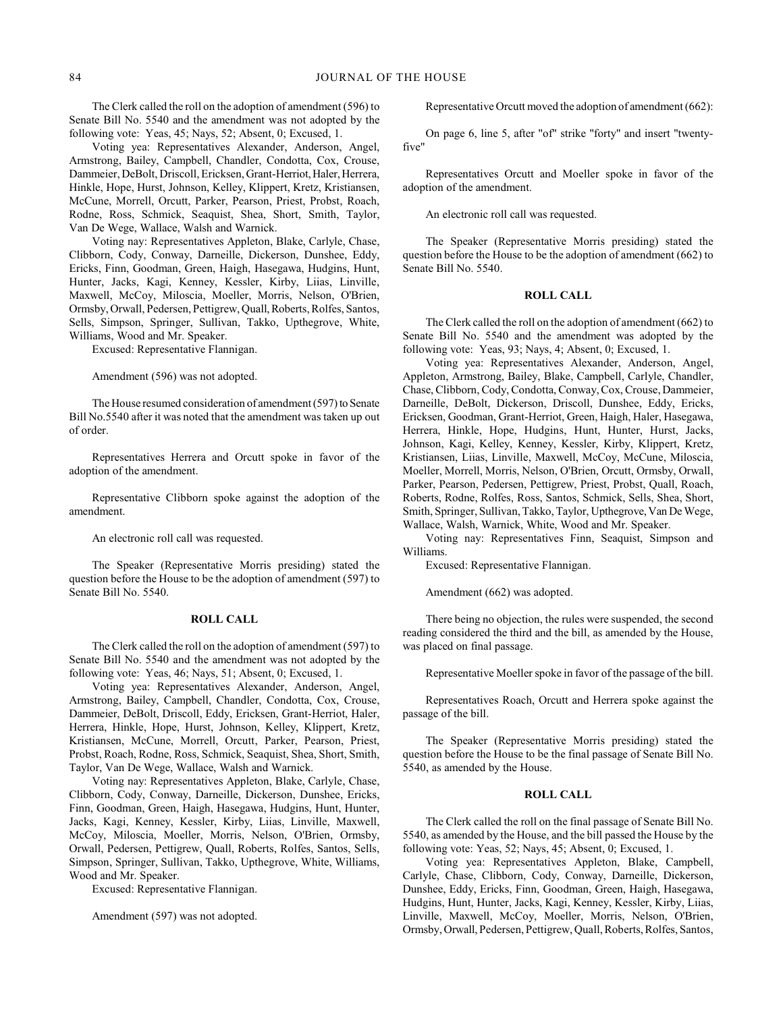The Clerk called the roll on the adoption of amendment (596) to Senate Bill No. 5540 and the amendment was not adopted by the following vote: Yeas, 45; Nays, 52; Absent, 0; Excused, 1.

Voting yea: Representatives Alexander, Anderson, Angel, Armstrong, Bailey, Campbell, Chandler, Condotta, Cox, Crouse, Dammeier, DeBolt, Driscoll, Ericksen, Grant-Herriot, Haler, Herrera, Hinkle, Hope, Hurst, Johnson, Kelley, Klippert, Kretz, Kristiansen, McCune, Morrell, Orcutt, Parker, Pearson, Priest, Probst, Roach, Rodne, Ross, Schmick, Seaquist, Shea, Short, Smith, Taylor, Van De Wege, Wallace, Walsh and Warnick.

Voting nay: Representatives Appleton, Blake, Carlyle, Chase, Clibborn, Cody, Conway, Darneille, Dickerson, Dunshee, Eddy, Ericks, Finn, Goodman, Green, Haigh, Hasegawa, Hudgins, Hunt, Hunter, Jacks, Kagi, Kenney, Kessler, Kirby, Liias, Linville, Maxwell, McCoy, Miloscia, Moeller, Morris, Nelson, O'Brien, Ormsby, Orwall, Pedersen, Pettigrew, Quall, Roberts, Rolfes, Santos, Sells, Simpson, Springer, Sullivan, Takko, Upthegrove, White, Williams, Wood and Mr. Speaker.

Excused: Representative Flannigan.

Amendment (596) was not adopted.

The House resumed consideration of amendment (597) to Senate Bill No.5540 after it was noted that the amendment was taken up out of order.

Representatives Herrera and Orcutt spoke in favor of the adoption of the amendment.

Representative Clibborn spoke against the adoption of the amendment.

An electronic roll call was requested.

The Speaker (Representative Morris presiding) stated the question before the House to be the adoption of amendment (597) to Senate Bill No. 5540.

## **ROLL CALL**

The Clerk called the roll on the adoption of amendment (597) to Senate Bill No. 5540 and the amendment was not adopted by the following vote: Yeas, 46; Nays, 51; Absent, 0; Excused, 1.

Voting yea: Representatives Alexander, Anderson, Angel, Armstrong, Bailey, Campbell, Chandler, Condotta, Cox, Crouse, Dammeier, DeBolt, Driscoll, Eddy, Ericksen, Grant-Herriot, Haler, Herrera, Hinkle, Hope, Hurst, Johnson, Kelley, Klippert, Kretz, Kristiansen, McCune, Morrell, Orcutt, Parker, Pearson, Priest, Probst, Roach, Rodne, Ross, Schmick, Seaquist, Shea, Short, Smith, Taylor, Van De Wege, Wallace, Walsh and Warnick.

Voting nay: Representatives Appleton, Blake, Carlyle, Chase, Clibborn, Cody, Conway, Darneille, Dickerson, Dunshee, Ericks, Finn, Goodman, Green, Haigh, Hasegawa, Hudgins, Hunt, Hunter, Jacks, Kagi, Kenney, Kessler, Kirby, Liias, Linville, Maxwell, McCoy, Miloscia, Moeller, Morris, Nelson, O'Brien, Ormsby, Orwall, Pedersen, Pettigrew, Quall, Roberts, Rolfes, Santos, Sells, Simpson, Springer, Sullivan, Takko, Upthegrove, White, Williams, Wood and Mr. Speaker.

Excused: Representative Flannigan.

Amendment (597) was not adopted.

Representative Orcutt moved the adoption of amendment (662):

On page 6, line 5, after "of" strike "forty" and insert "twentyfive"

Representatives Orcutt and Moeller spoke in favor of the adoption of the amendment.

An electronic roll call was requested.

The Speaker (Representative Morris presiding) stated the question before the House to be the adoption of amendment (662) to Senate Bill No. 5540.

## **ROLL CALL**

The Clerk called the roll on the adoption of amendment (662) to Senate Bill No. 5540 and the amendment was adopted by the following vote: Yeas, 93; Nays, 4; Absent, 0; Excused, 1.

Voting yea: Representatives Alexander, Anderson, Angel, Appleton, Armstrong, Bailey, Blake, Campbell, Carlyle, Chandler, Chase, Clibborn, Cody, Condotta, Conway, Cox, Crouse, Dammeier, Darneille, DeBolt, Dickerson, Driscoll, Dunshee, Eddy, Ericks, Ericksen, Goodman, Grant-Herriot, Green, Haigh, Haler, Hasegawa, Herrera, Hinkle, Hope, Hudgins, Hunt, Hunter, Hurst, Jacks, Johnson, Kagi, Kelley, Kenney, Kessler, Kirby, Klippert, Kretz, Kristiansen, Liias, Linville, Maxwell, McCoy, McCune, Miloscia, Moeller, Morrell, Morris, Nelson, O'Brien, Orcutt, Ormsby, Orwall, Parker, Pearson, Pedersen, Pettigrew, Priest, Probst, Quall, Roach, Roberts, Rodne, Rolfes, Ross, Santos, Schmick, Sells, Shea, Short, Smith, Springer, Sullivan, Takko, Taylor, Upthegrove, Van De Wege, Wallace, Walsh, Warnick, White, Wood and Mr. Speaker.

Voting nay: Representatives Finn, Seaquist, Simpson and Williams.

Excused: Representative Flannigan.

Amendment (662) was adopted.

There being no objection, the rules were suspended, the second reading considered the third and the bill, as amended by the House, was placed on final passage.

Representative Moeller spoke in favor of the passage of the bill.

Representatives Roach, Orcutt and Herrera spoke against the passage of the bill.

The Speaker (Representative Morris presiding) stated the question before the House to be the final passage of Senate Bill No. 5540, as amended by the House.

## **ROLL CALL**

The Clerk called the roll on the final passage of Senate Bill No. 5540, as amended by the House, and the bill passed the House by the following vote: Yeas, 52; Nays, 45; Absent, 0; Excused, 1.

Voting yea: Representatives Appleton, Blake, Campbell, Carlyle, Chase, Clibborn, Cody, Conway, Darneille, Dickerson, Dunshee, Eddy, Ericks, Finn, Goodman, Green, Haigh, Hasegawa, Hudgins, Hunt, Hunter, Jacks, Kagi, Kenney, Kessler, Kirby, Liias, Linville, Maxwell, McCoy, Moeller, Morris, Nelson, O'Brien, Ormsby, Orwall, Pedersen, Pettigrew, Quall, Roberts, Rolfes, Santos,